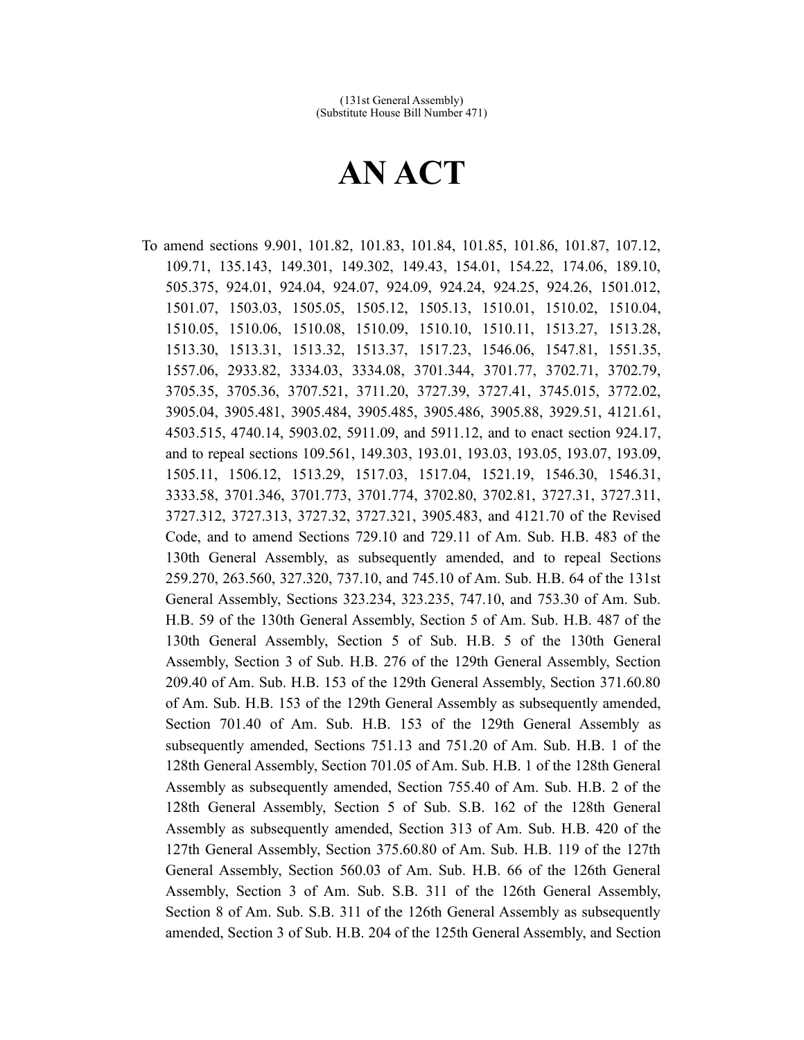## **AN ACT**

To amend sections 9.901, 101.82, 101.83, 101.84, 101.85, 101.86, 101.87, 107.12, 109.71, 135.143, 149.301, 149.302, 149.43, 154.01, 154.22, 174.06, 189.10, 505.375, 924.01, 924.04, 924.07, 924.09, 924.24, 924.25, 924.26, 1501.012, 1501.07, 1503.03, 1505.05, 1505.12, 1505.13, 1510.01, 1510.02, 1510.04, 1510.05, 1510.06, 1510.08, 1510.09, 1510.10, 1510.11, 1513.27, 1513.28, 1513.30, 1513.31, 1513.32, 1513.37, 1517.23, 1546.06, 1547.81, 1551.35, 1557.06, 2933.82, 3334.03, 3334.08, 3701.344, 3701.77, 3702.71, 3702.79, 3705.35, 3705.36, 3707.521, 3711.20, 3727.39, 3727.41, 3745.015, 3772.02, 3905.04, 3905.481, 3905.484, 3905.485, 3905.486, 3905.88, 3929.51, 4121.61, 4503.515, 4740.14, 5903.02, 5911.09, and 5911.12, and to enact section 924.17, and to repeal sections 109.561, 149.303, 193.01, 193.03, 193.05, 193.07, 193.09, 1505.11, 1506.12, 1513.29, 1517.03, 1517.04, 1521.19, 1546.30, 1546.31, 3333.58, 3701.346, 3701.773, 3701.774, 3702.80, 3702.81, 3727.31, 3727.311, 3727.312, 3727.313, 3727.32, 3727.321, 3905.483, and 4121.70 of the Revised Code, and to amend Sections 729.10 and 729.11 of Am. Sub. H.B. 483 of the 130th General Assembly, as subsequently amended, and to repeal Sections 259.270, 263.560, 327.320, 737.10, and 745.10 of Am. Sub. H.B. 64 of the 131st General Assembly, Sections 323.234, 323.235, 747.10, and 753.30 of Am. Sub. H.B. 59 of the 130th General Assembly, Section 5 of Am. Sub. H.B. 487 of the 130th General Assembly, Section 5 of Sub. H.B. 5 of the 130th General Assembly, Section 3 of Sub. H.B. 276 of the 129th General Assembly, Section 209.40 of Am. Sub. H.B. 153 of the 129th General Assembly, Section 371.60.80 of Am. Sub. H.B. 153 of the 129th General Assembly as subsequently amended, Section 701.40 of Am. Sub. H.B. 153 of the 129th General Assembly as subsequently amended, Sections 751.13 and 751.20 of Am. Sub. H.B. 1 of the 128th General Assembly, Section 701.05 of Am. Sub. H.B. 1 of the 128th General Assembly as subsequently amended, Section 755.40 of Am. Sub. H.B. 2 of the 128th General Assembly, Section 5 of Sub. S.B. 162 of the 128th General Assembly as subsequently amended, Section 313 of Am. Sub. H.B. 420 of the 127th General Assembly, Section 375.60.80 of Am. Sub. H.B. 119 of the 127th General Assembly, Section 560.03 of Am. Sub. H.B. 66 of the 126th General Assembly, Section 3 of Am. Sub. S.B. 311 of the 126th General Assembly, Section 8 of Am. Sub. S.B. 311 of the 126th General Assembly as subsequently amended, Section 3 of Sub. H.B. 204 of the 125th General Assembly, and Section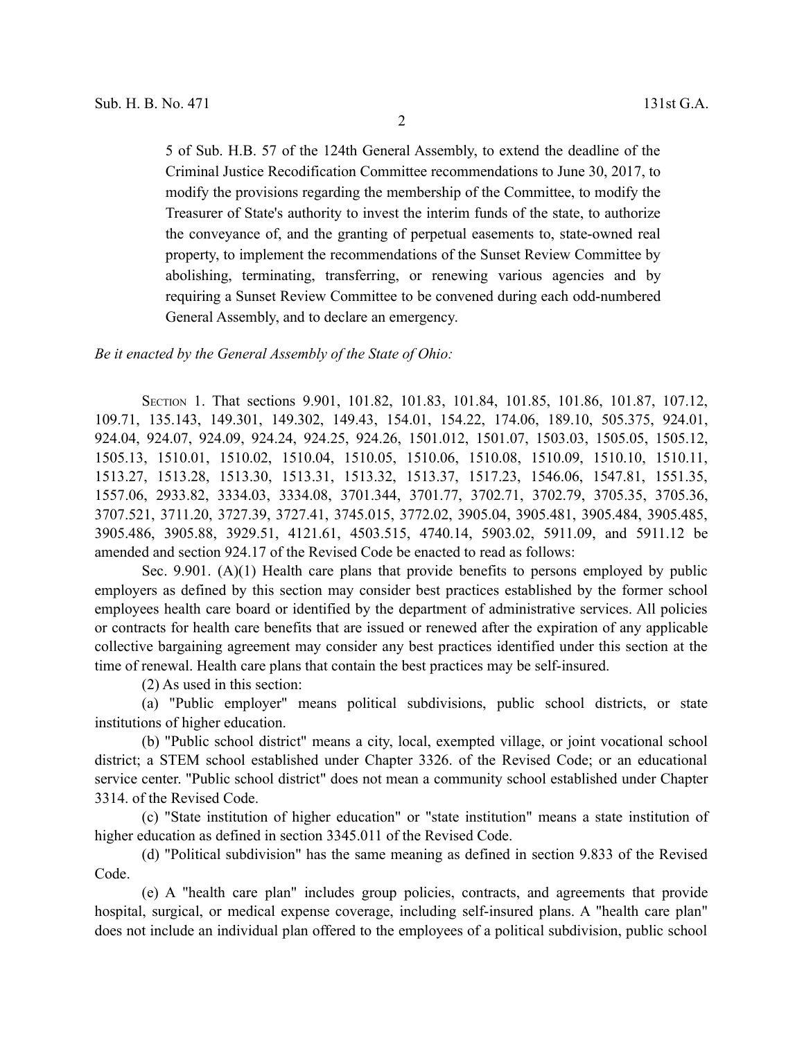5 of Sub. H.B. 57 of the 124th General Assembly, to extend the deadline of the Criminal Justice Recodification Committee recommendations to June 30, 2017, to modify the provisions regarding the membership of the Committee, to modify the Treasurer of State's authority to invest the interim funds of the state, to authorize the conveyance of, and the granting of perpetual easements to, state-owned real property, to implement the recommendations of the Sunset Review Committee by abolishing, terminating, transferring, or renewing various agencies and by requiring a Sunset Review Committee to be convened during each odd-numbered General Assembly, and to declare an emergency.

## *Be it enacted by the General Assembly of the State of Ohio:*

SECTION 1. That sections 9.901, 101.82, 101.83, 101.84, 101.85, 101.86, 101.87, 107.12, 109.71, 135.143, 149.301, 149.302, 149.43, 154.01, 154.22, 174.06, 189.10, 505.375, 924.01, 924.04, 924.07, 924.09, 924.24, 924.25, 924.26, 1501.012, 1501.07, 1503.03, 1505.05, 1505.12, 1505.13, 1510.01, 1510.02, 1510.04, 1510.05, 1510.06, 1510.08, 1510.09, 1510.10, 1510.11, 1513.27, 1513.28, 1513.30, 1513.31, 1513.32, 1513.37, 1517.23, 1546.06, 1547.81, 1551.35, 1557.06, 2933.82, 3334.03, 3334.08, 3701.344, 3701.77, 3702.71, 3702.79, 3705.35, 3705.36, 3707.521, 3711.20, 3727.39, 3727.41, 3745.015, 3772.02, 3905.04, 3905.481, 3905.484, 3905.485, 3905.486, 3905.88, 3929.51, 4121.61, 4503.515, 4740.14, 5903.02, 5911.09, and 5911.12 be amended and section 924.17 of the Revised Code be enacted to read as follows:

Sec. 9.901. (A)(1) Health care plans that provide benefits to persons employed by public employers as defined by this section may consider best practices established by the former school employees health care board or identified by the department of administrative services. All policies or contracts for health care benefits that are issued or renewed after the expiration of any applicable collective bargaining agreement may consider any best practices identified under this section at the time of renewal. Health care plans that contain the best practices may be self-insured.

(2) As used in this section:

(a) "Public employer" means political subdivisions, public school districts, or state institutions of higher education.

(b) "Public school district" means a city, local, exempted village, or joint vocational school district; a STEM school established under Chapter 3326. of the Revised Code; or an educational service center. "Public school district" does not mean a community school established under Chapter 3314. of the Revised Code.

(c) "State institution of higher education" or "state institution" means a state institution of higher education as defined in section 3345.011 of the Revised Code.

(d) "Political subdivision" has the same meaning as defined in section 9.833 of the Revised Code.

(e) A "health care plan" includes group policies, contracts, and agreements that provide hospital, surgical, or medical expense coverage, including self-insured plans. A "health care plan" does not include an individual plan offered to the employees of a political subdivision, public school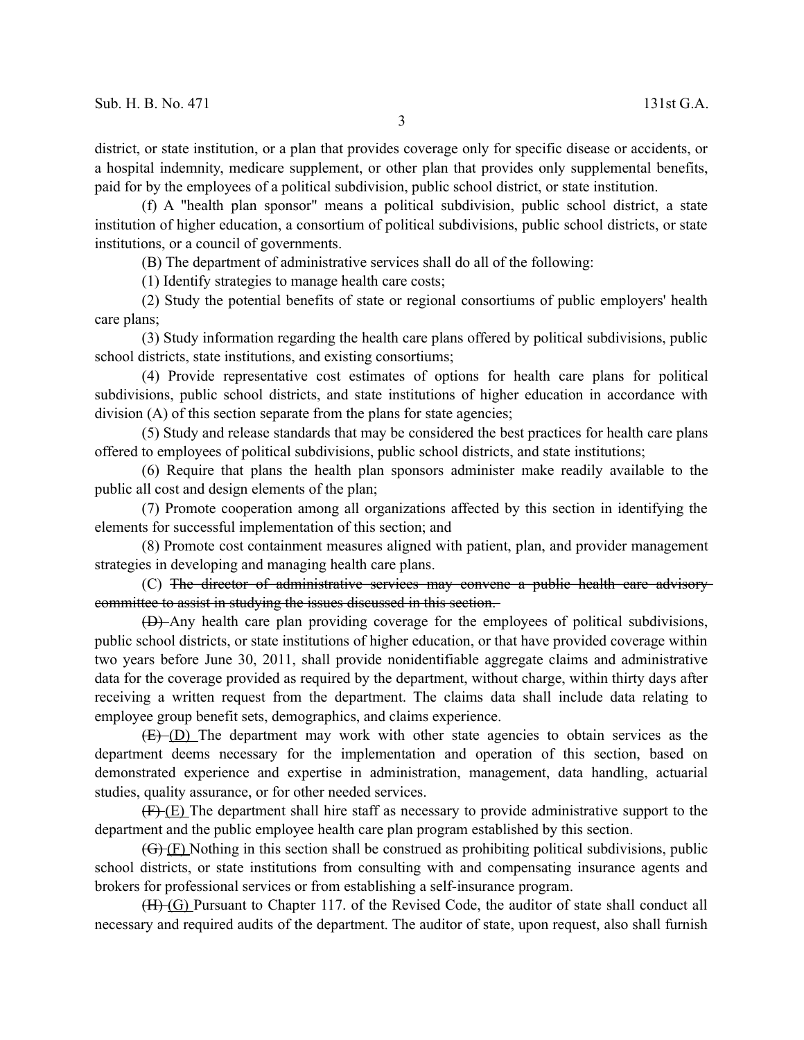district, or state institution, or a plan that provides coverage only for specific disease or accidents, or a hospital indemnity, medicare supplement, or other plan that provides only supplemental benefits, paid for by the employees of a political subdivision, public school district, or state institution.

(f) A "health plan sponsor" means a political subdivision, public school district, a state institution of higher education, a consortium of political subdivisions, public school districts, or state institutions, or a council of governments.

(B) The department of administrative services shall do all of the following:

(1) Identify strategies to manage health care costs;

(2) Study the potential benefits of state or regional consortiums of public employers' health care plans;

(3) Study information regarding the health care plans offered by political subdivisions, public school districts, state institutions, and existing consortiums;

(4) Provide representative cost estimates of options for health care plans for political subdivisions, public school districts, and state institutions of higher education in accordance with division (A) of this section separate from the plans for state agencies;

(5) Study and release standards that may be considered the best practices for health care plans offered to employees of political subdivisions, public school districts, and state institutions;

(6) Require that plans the health plan sponsors administer make readily available to the public all cost and design elements of the plan;

(7) Promote cooperation among all organizations affected by this section in identifying the elements for successful implementation of this section; and

(8) Promote cost containment measures aligned with patient, plan, and provider management strategies in developing and managing health care plans.

(C) The director of administrative services may convene a public health care advisory committee to assist in studying the issues discussed in this section.

(D) Any health care plan providing coverage for the employees of political subdivisions, public school districts, or state institutions of higher education, or that have provided coverage within two years before June 30, 2011, shall provide nonidentifiable aggregate claims and administrative data for the coverage provided as required by the department, without charge, within thirty days after receiving a written request from the department. The claims data shall include data relating to employee group benefit sets, demographics, and claims experience.

(E) (D) The department may work with other state agencies to obtain services as the department deems necessary for the implementation and operation of this section, based on demonstrated experience and expertise in administration, management, data handling, actuarial studies, quality assurance, or for other needed services.

 $(F)(E)$  The department shall hire staff as necessary to provide administrative support to the department and the public employee health care plan program established by this section.

 $(\overline{G}(\overline{F}))$  Nothing in this section shall be construed as prohibiting political subdivisions, public school districts, or state institutions from consulting with and compensating insurance agents and brokers for professional services or from establishing a self-insurance program.

(H) (G) Pursuant to Chapter 117. of the Revised Code, the auditor of state shall conduct all necessary and required audits of the department. The auditor of state, upon request, also shall furnish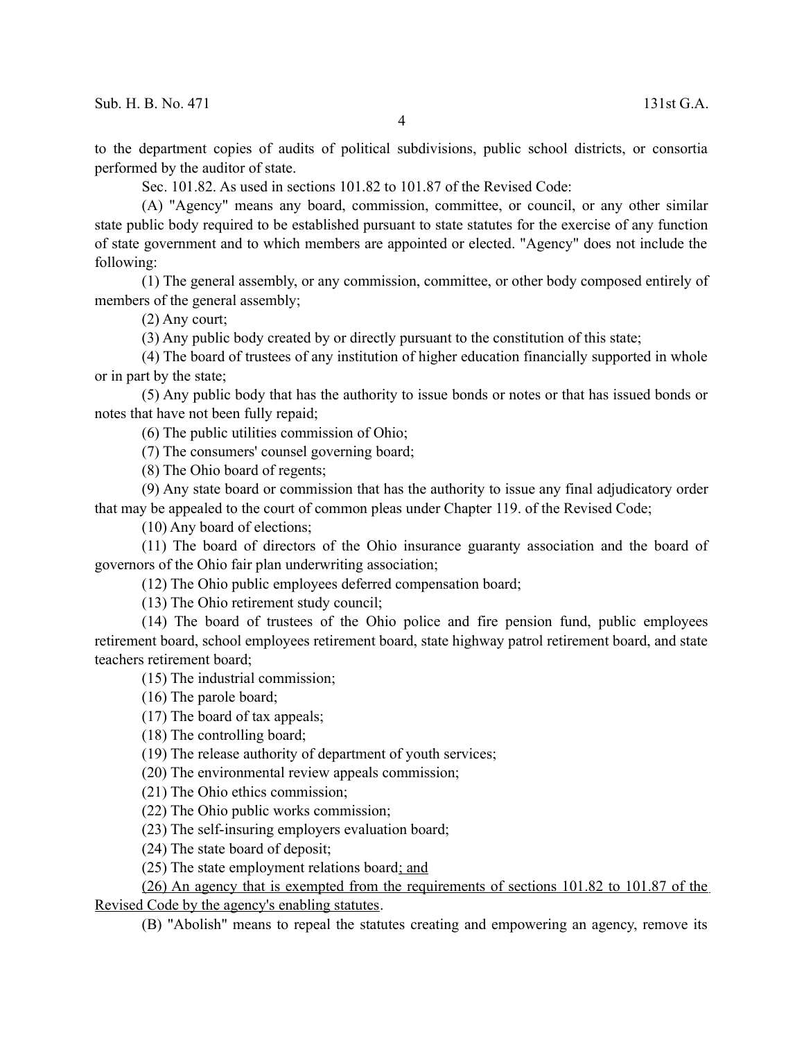to the department copies of audits of political subdivisions, public school districts, or consortia performed by the auditor of state.

Sec. 101.82. As used in sections 101.82 to 101.87 of the Revised Code:

(A) "Agency" means any board, commission, committee, or council, or any other similar state public body required to be established pursuant to state statutes for the exercise of any function of state government and to which members are appointed or elected. "Agency" does not include the following:

(1) The general assembly, or any commission, committee, or other body composed entirely of members of the general assembly;

(2) Any court;

(3) Any public body created by or directly pursuant to the constitution of this state;

(4) The board of trustees of any institution of higher education financially supported in whole or in part by the state;

(5) Any public body that has the authority to issue bonds or notes or that has issued bonds or notes that have not been fully repaid;

(6) The public utilities commission of Ohio;

(7) The consumers' counsel governing board;

(8) The Ohio board of regents;

(9) Any state board or commission that has the authority to issue any final adjudicatory order that may be appealed to the court of common pleas under Chapter 119. of the Revised Code;

(10) Any board of elections;

(11) The board of directors of the Ohio insurance guaranty association and the board of governors of the Ohio fair plan underwriting association;

(12) The Ohio public employees deferred compensation board;

(13) The Ohio retirement study council;

(14) The board of trustees of the Ohio police and fire pension fund, public employees retirement board, school employees retirement board, state highway patrol retirement board, and state teachers retirement board;

(15) The industrial commission;

(16) The parole board;

(17) The board of tax appeals;

(18) The controlling board;

(19) The release authority of department of youth services;

(20) The environmental review appeals commission;

(21) The Ohio ethics commission;

(22) The Ohio public works commission;

(23) The self-insuring employers evaluation board;

(24) The state board of deposit;

(25) The state employment relations board; and

(26) An agency that is exempted from the requirements of sections 101.82 to 101.87 of the Revised Code by the agency's enabling statutes.

(B) "Abolish" means to repeal the statutes creating and empowering an agency, remove its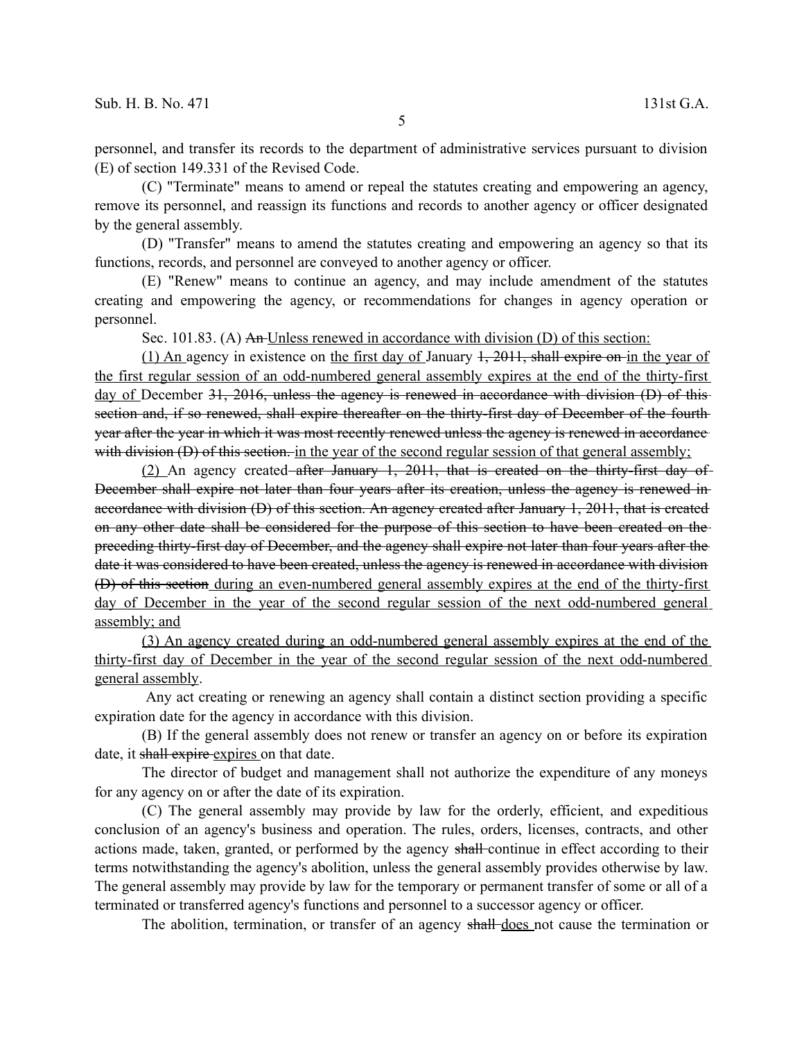personnel, and transfer its records to the department of administrative services pursuant to division (E) of section 149.331 of the Revised Code.

(C) "Terminate" means to amend or repeal the statutes creating and empowering an agency, remove its personnel, and reassign its functions and records to another agency or officer designated by the general assembly.

(D) "Transfer" means to amend the statutes creating and empowering an agency so that its functions, records, and personnel are conveyed to another agency or officer.

(E) "Renew" means to continue an agency, and may include amendment of the statutes creating and empowering the agency, or recommendations for changes in agency operation or personnel.

Sec. 101.83. (A)  $\overline{An}$  Unless renewed in accordance with division (D) of this section:

(1) An agency in existence on the first day of January 1, 2011, shall expire on in the year of the first regular session of an odd-numbered general assembly expires at the end of the thirty-first day of December  $31, 2016$ , unless the agency is renewed in accordance with division (D) of this section and, if so renewed, shall expire thereafter on the thirty-first day of December of the fourth year after the year in which it was most recently renewed unless the agency is renewed in accordance with division (D) of this section. in the year of the second regular session of that general assembly;

(2) An agency created after January 1, 2011, that is created on the thirty-first day of December shall expire not later than four years after its creation, unless the agency is renewed in accordance with division (D) of this section. An agency created after January 1, 2011, that is created on any other date shall be considered for the purpose of this section to have been created on the preceding thirty-first day of December, and the agency shall expire not later than four years after the date it was considered to have been created, unless the agency is renewed in accordance with division (D) of this section during an even-numbered general assembly expires at the end of the thirty-first day of December in the year of the second regular session of the next odd-numbered general assembly; and

(3) An agency created during an odd-numbered general assembly expires at the end of the thirty-first day of December in the year of the second regular session of the next odd-numbered general assembly.

 Any act creating or renewing an agency shall contain a distinct section providing a specific expiration date for the agency in accordance with this division.

(B) If the general assembly does not renew or transfer an agency on or before its expiration date, it shall expire expires on that date.

The director of budget and management shall not authorize the expenditure of any moneys for any agency on or after the date of its expiration.

(C) The general assembly may provide by law for the orderly, efficient, and expeditious conclusion of an agency's business and operation. The rules, orders, licenses, contracts, and other actions made, taken, granted, or performed by the agency shall continue in effect according to their terms notwithstanding the agency's abolition, unless the general assembly provides otherwise by law. The general assembly may provide by law for the temporary or permanent transfer of some or all of a terminated or transferred agency's functions and personnel to a successor agency or officer.

The abolition, termination, or transfer of an agency shall does not cause the termination or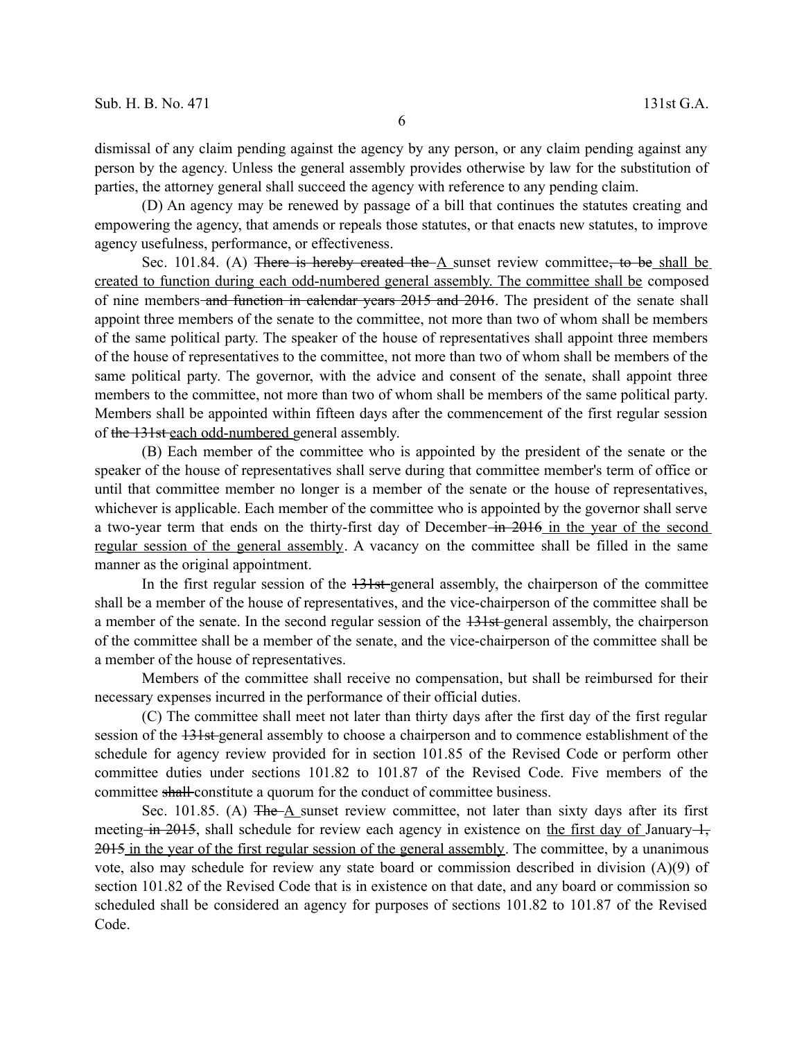dismissal of any claim pending against the agency by any person, or any claim pending against any person by the agency. Unless the general assembly provides otherwise by law for the substitution of parties, the attorney general shall succeed the agency with reference to any pending claim.

(D) An agency may be renewed by passage of a bill that continues the statutes creating and empowering the agency, that amends or repeals those statutes, or that enacts new statutes, to improve agency usefulness, performance, or effectiveness.

Sec. 101.84. (A) There is hereby created the  $\Delta$  sunset review committee, to be shall be created to function during each odd-numbered general assembly. The committee shall be composed of nine members and function in calendar years 2015 and 2016. The president of the senate shall appoint three members of the senate to the committee, not more than two of whom shall be members of the same political party. The speaker of the house of representatives shall appoint three members of the house of representatives to the committee, not more than two of whom shall be members of the same political party. The governor, with the advice and consent of the senate, shall appoint three members to the committee, not more than two of whom shall be members of the same political party. Members shall be appointed within fifteen days after the commencement of the first regular session of the 131st each odd-numbered general assembly.

(B) Each member of the committee who is appointed by the president of the senate or the speaker of the house of representatives shall serve during that committee member's term of office or until that committee member no longer is a member of the senate or the house of representatives, whichever is applicable. Each member of the committee who is appointed by the governor shall serve a two-year term that ends on the thirty-first day of December in 2016 in the year of the second regular session of the general assembly. A vacancy on the committee shall be filled in the same manner as the original appointment.

In the first regular session of the  $+31st$ -general assembly, the chairperson of the committee shall be a member of the house of representatives, and the vice-chairperson of the committee shall be a member of the senate. In the second regular session of the 131st general assembly, the chairperson of the committee shall be a member of the senate, and the vice-chairperson of the committee shall be a member of the house of representatives.

Members of the committee shall receive no compensation, but shall be reimbursed for their necessary expenses incurred in the performance of their official duties.

(C) The committee shall meet not later than thirty days after the first day of the first regular session of the  $\frac{131st}{2}$  general assembly to choose a chairperson and to commence establishment of the schedule for agency review provided for in section 101.85 of the Revised Code or perform other committee duties under sections 101.82 to 101.87 of the Revised Code. Five members of the committee shall constitute a quorum for the conduct of committee business.

Sec. 101.85. (A)  $\overline{\text{The}-\text{A}}$  sunset review committee, not later than sixty days after its first meeting in 2015, shall schedule for review each agency in existence on the first day of January  $\frac{1}{1}$ , 2015 in the year of the first regular session of the general assembly. The committee, by a unanimous vote, also may schedule for review any state board or commission described in division (A)(9) of section 101.82 of the Revised Code that is in existence on that date, and any board or commission so scheduled shall be considered an agency for purposes of sections 101.82 to 101.87 of the Revised Code.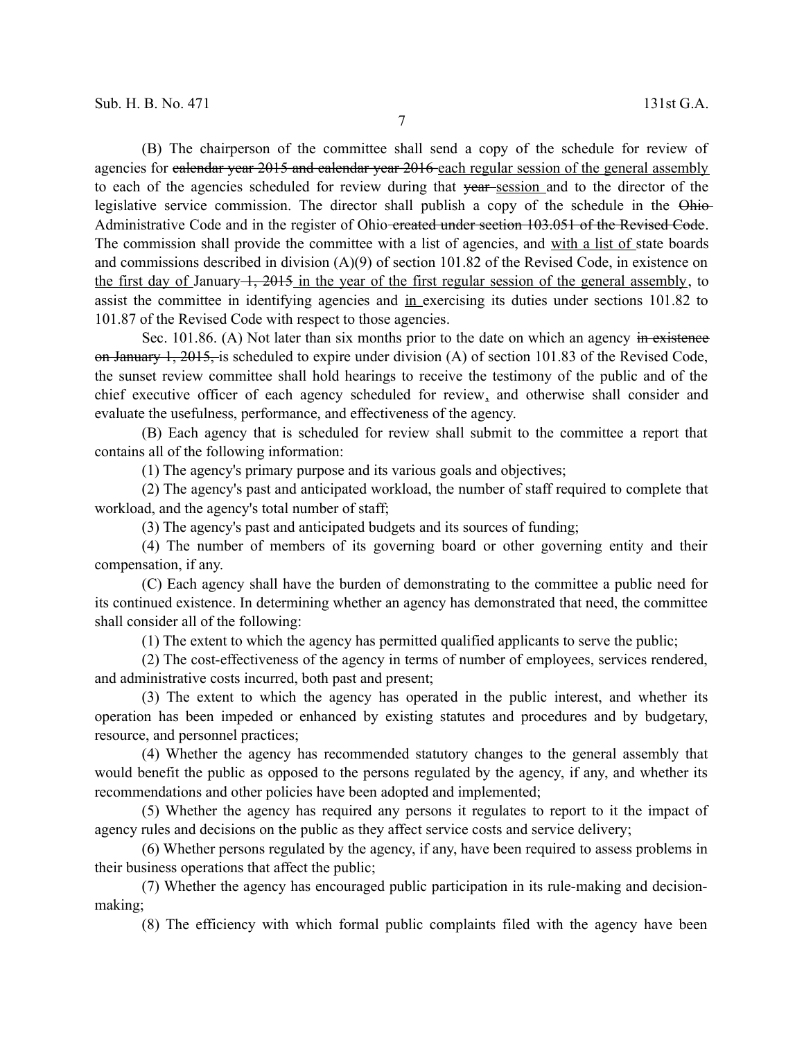(B) The chairperson of the committee shall send a copy of the schedule for review of agencies for ealendar year 2015 and calendar year 2016 each regular session of the general assembly to each of the agencies scheduled for review during that year-session and to the director of the legislative service commission. The director shall publish a copy of the schedule in the Ohio-Administrative Code and in the register of Ohio-ereated under section 103.051 of the Revised Code. The commission shall provide the committee with a list of agencies, and with a list of state boards and commissions described in division (A)(9) of section 101.82 of the Revised Code, in existence on the first day of January 1, 2015 in the year of the first regular session of the general assembly, to assist the committee in identifying agencies and in exercising its duties under sections 101.82 to 101.87 of the Revised Code with respect to those agencies.

Sec. 101.86. (A) Not later than six months prior to the date on which an agency in existence on January 1, 2015, is scheduled to expire under division (A) of section 101.83 of the Revised Code, the sunset review committee shall hold hearings to receive the testimony of the public and of the chief executive officer of each agency scheduled for review, and otherwise shall consider and evaluate the usefulness, performance, and effectiveness of the agency.

(B) Each agency that is scheduled for review shall submit to the committee a report that contains all of the following information:

(1) The agency's primary purpose and its various goals and objectives;

(2) The agency's past and anticipated workload, the number of staff required to complete that workload, and the agency's total number of staff;

(3) The agency's past and anticipated budgets and its sources of funding;

(4) The number of members of its governing board or other governing entity and their compensation, if any.

(C) Each agency shall have the burden of demonstrating to the committee a public need for its continued existence. In determining whether an agency has demonstrated that need, the committee shall consider all of the following:

(1) The extent to which the agency has permitted qualified applicants to serve the public;

(2) The cost-effectiveness of the agency in terms of number of employees, services rendered, and administrative costs incurred, both past and present;

(3) The extent to which the agency has operated in the public interest, and whether its operation has been impeded or enhanced by existing statutes and procedures and by budgetary, resource, and personnel practices;

(4) Whether the agency has recommended statutory changes to the general assembly that would benefit the public as opposed to the persons regulated by the agency, if any, and whether its recommendations and other policies have been adopted and implemented;

(5) Whether the agency has required any persons it regulates to report to it the impact of agency rules and decisions on the public as they affect service costs and service delivery;

(6) Whether persons regulated by the agency, if any, have been required to assess problems in their business operations that affect the public;

(7) Whether the agency has encouraged public participation in its rule-making and decisionmaking;

(8) The efficiency with which formal public complaints filed with the agency have been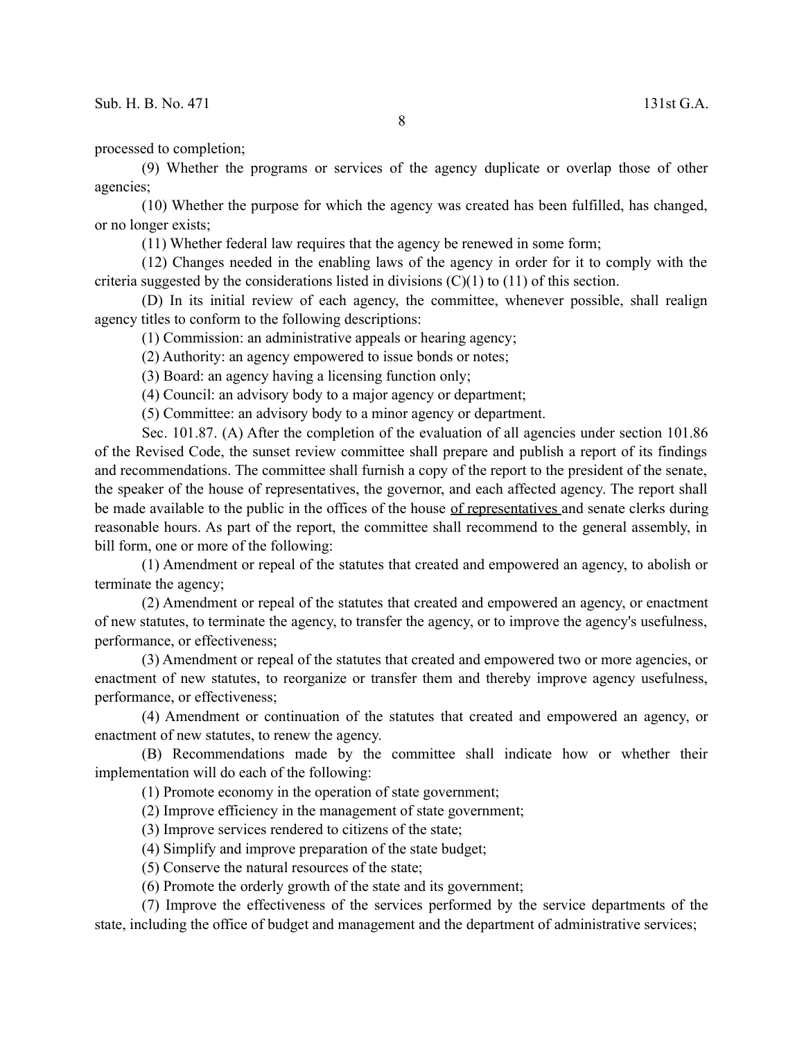processed to completion;

(9) Whether the programs or services of the agency duplicate or overlap those of other agencies;

(10) Whether the purpose for which the agency was created has been fulfilled, has changed, or no longer exists;

(11) Whether federal law requires that the agency be renewed in some form;

(12) Changes needed in the enabling laws of the agency in order for it to comply with the criteria suggested by the considerations listed in divisions  $(C)(1)$  to  $(11)$  of this section.

(D) In its initial review of each agency, the committee, whenever possible, shall realign agency titles to conform to the following descriptions:

(1) Commission: an administrative appeals or hearing agency;

(2) Authority: an agency empowered to issue bonds or notes;

(3) Board: an agency having a licensing function only;

(4) Council: an advisory body to a major agency or department;

(5) Committee: an advisory body to a minor agency or department.

Sec. 101.87. (A) After the completion of the evaluation of all agencies under section 101.86 of the Revised Code, the sunset review committee shall prepare and publish a report of its findings and recommendations. The committee shall furnish a copy of the report to the president of the senate, the speaker of the house of representatives, the governor, and each affected agency. The report shall be made available to the public in the offices of the house of representatives and senate clerks during reasonable hours. As part of the report, the committee shall recommend to the general assembly, in bill form, one or more of the following:

(1) Amendment or repeal of the statutes that created and empowered an agency, to abolish or terminate the agency;

(2) Amendment or repeal of the statutes that created and empowered an agency, or enactment of new statutes, to terminate the agency, to transfer the agency, or to improve the agency's usefulness, performance, or effectiveness;

(3) Amendment or repeal of the statutes that created and empowered two or more agencies, or enactment of new statutes, to reorganize or transfer them and thereby improve agency usefulness, performance, or effectiveness;

(4) Amendment or continuation of the statutes that created and empowered an agency, or enactment of new statutes, to renew the agency.

(B) Recommendations made by the committee shall indicate how or whether their implementation will do each of the following:

(1) Promote economy in the operation of state government;

(2) Improve efficiency in the management of state government;

(3) Improve services rendered to citizens of the state;

(4) Simplify and improve preparation of the state budget;

(5) Conserve the natural resources of the state;

(6) Promote the orderly growth of the state and its government;

(7) Improve the effectiveness of the services performed by the service departments of the state, including the office of budget and management and the department of administrative services;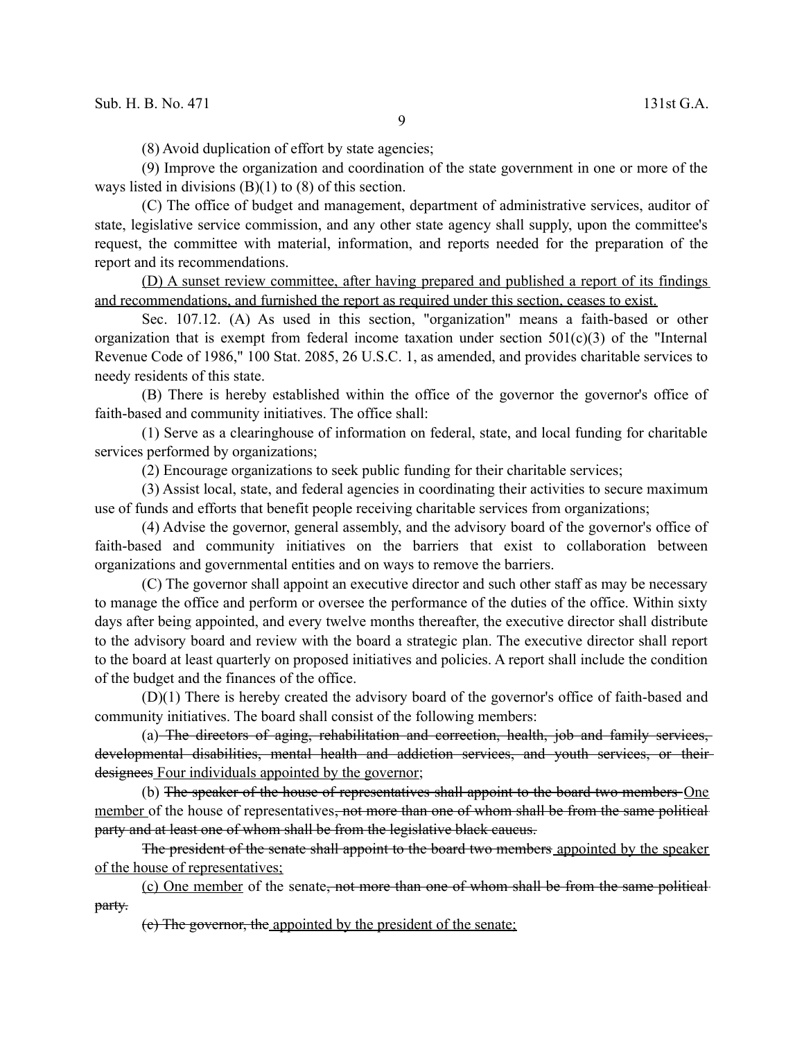(8) Avoid duplication of effort by state agencies;

(9) Improve the organization and coordination of the state government in one or more of the ways listed in divisions  $(B)(1)$  to  $(8)$  of this section.

(C) The office of budget and management, department of administrative services, auditor of state, legislative service commission, and any other state agency shall supply, upon the committee's request, the committee with material, information, and reports needed for the preparation of the report and its recommendations.

 (D) A sunset review committee, after having prepared and published a report of its findings and recommendations, and furnished the report as required under this section, ceases to exist.

Sec. 107.12. (A) As used in this section, "organization" means a faith-based or other organization that is exempt from federal income taxation under section  $501(c)(3)$  of the "Internal Revenue Code of 1986," 100 Stat. 2085, 26 U.S.C. 1, as amended, and provides charitable services to needy residents of this state.

(B) There is hereby established within the office of the governor the governor's office of faith-based and community initiatives. The office shall:

(1) Serve as a clearinghouse of information on federal, state, and local funding for charitable services performed by organizations;

(2) Encourage organizations to seek public funding for their charitable services;

(3) Assist local, state, and federal agencies in coordinating their activities to secure maximum use of funds and efforts that benefit people receiving charitable services from organizations;

(4) Advise the governor, general assembly, and the advisory board of the governor's office of faith-based and community initiatives on the barriers that exist to collaboration between organizations and governmental entities and on ways to remove the barriers.

(C) The governor shall appoint an executive director and such other staff as may be necessary to manage the office and perform or oversee the performance of the duties of the office. Within sixty days after being appointed, and every twelve months thereafter, the executive director shall distribute to the advisory board and review with the board a strategic plan. The executive director shall report to the board at least quarterly on proposed initiatives and policies. A report shall include the condition of the budget and the finances of the office.

(D)(1) There is hereby created the advisory board of the governor's office of faith-based and community initiatives. The board shall consist of the following members:

(a) The directors of aging, rehabilitation and correction, health, job and family services, developmental disabilities, mental health and addiction services, and youth services, or their designees Four individuals appointed by the governor;

(b) The speaker of the house of representatives shall appoint to the board two members One member of the house of representatives<del>, not more than one of whom shall be from the same political</del> party and at least one of whom shall be from the legislative black caucus.

The president of the senate shall appoint to the board two members appointed by the speaker of the house of representatives;

(c) One member of the senate, not more than one of whom shall be from the same political party.

(c) The governor, the appointed by the president of the senate;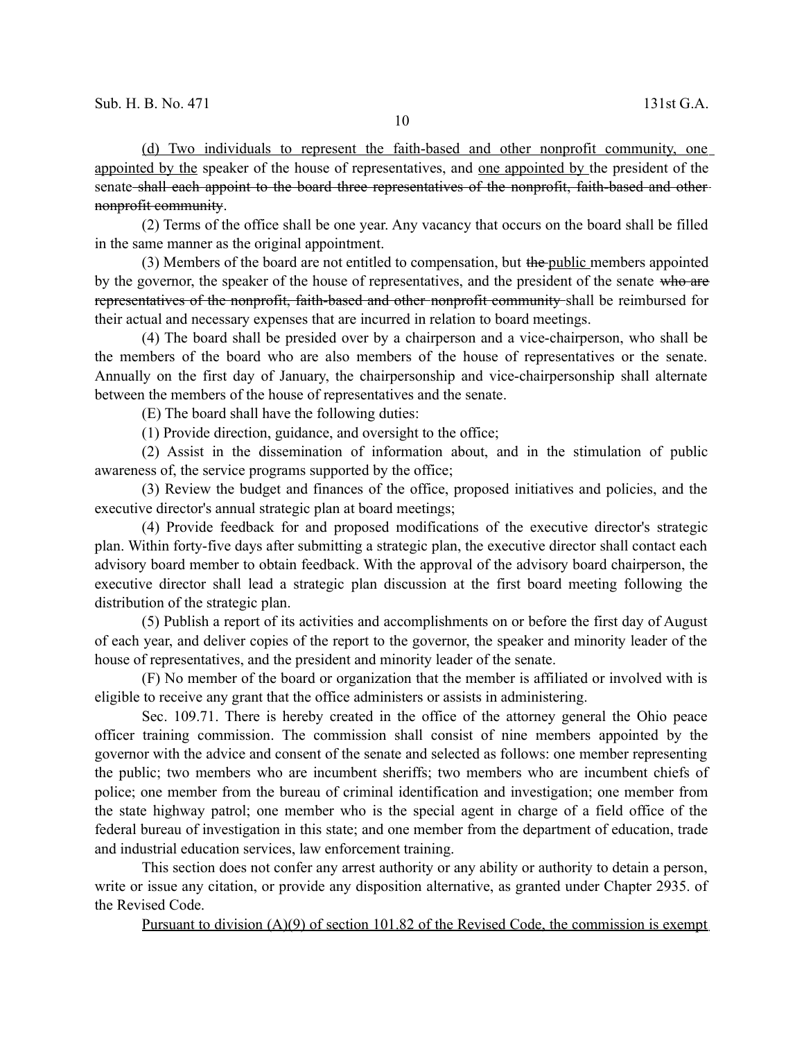(d) Two individuals to represent the faith-based and other nonprofit community, one appointed by the speaker of the house of representatives, and one appointed by the president of the senate shall each appoint to the board three representatives of the nonprofit, faith-based and othernonprofit community.

(2) Terms of the office shall be one year. Any vacancy that occurs on the board shall be filled in the same manner as the original appointment.

(3) Members of the board are not entitled to compensation, but the public members appointed by the governor, the speaker of the house of representatives, and the president of the senate who are representatives of the nonprofit, faith-based and other nonprofit community shall be reimbursed for their actual and necessary expenses that are incurred in relation to board meetings.

(4) The board shall be presided over by a chairperson and a vice-chairperson, who shall be the members of the board who are also members of the house of representatives or the senate. Annually on the first day of January, the chairpersonship and vice-chairpersonship shall alternate between the members of the house of representatives and the senate.

(E) The board shall have the following duties:

(1) Provide direction, guidance, and oversight to the office;

(2) Assist in the dissemination of information about, and in the stimulation of public awareness of, the service programs supported by the office;

(3) Review the budget and finances of the office, proposed initiatives and policies, and the executive director's annual strategic plan at board meetings;

(4) Provide feedback for and proposed modifications of the executive director's strategic plan. Within forty-five days after submitting a strategic plan, the executive director shall contact each advisory board member to obtain feedback. With the approval of the advisory board chairperson, the executive director shall lead a strategic plan discussion at the first board meeting following the distribution of the strategic plan.

(5) Publish a report of its activities and accomplishments on or before the first day of August of each year, and deliver copies of the report to the governor, the speaker and minority leader of the house of representatives, and the president and minority leader of the senate.

(F) No member of the board or organization that the member is affiliated or involved with is eligible to receive any grant that the office administers or assists in administering.

Sec. 109.71. There is hereby created in the office of the attorney general the Ohio peace officer training commission. The commission shall consist of nine members appointed by the governor with the advice and consent of the senate and selected as follows: one member representing the public; two members who are incumbent sheriffs; two members who are incumbent chiefs of police; one member from the bureau of criminal identification and investigation; one member from the state highway patrol; one member who is the special agent in charge of a field office of the federal bureau of investigation in this state; and one member from the department of education, trade and industrial education services, law enforcement training.

This section does not confer any arrest authority or any ability or authority to detain a person, write or issue any citation, or provide any disposition alternative, as granted under Chapter 2935. of the Revised Code.

Pursuant to division (A)(9) of section 101.82 of the Revised Code, the commission is exempt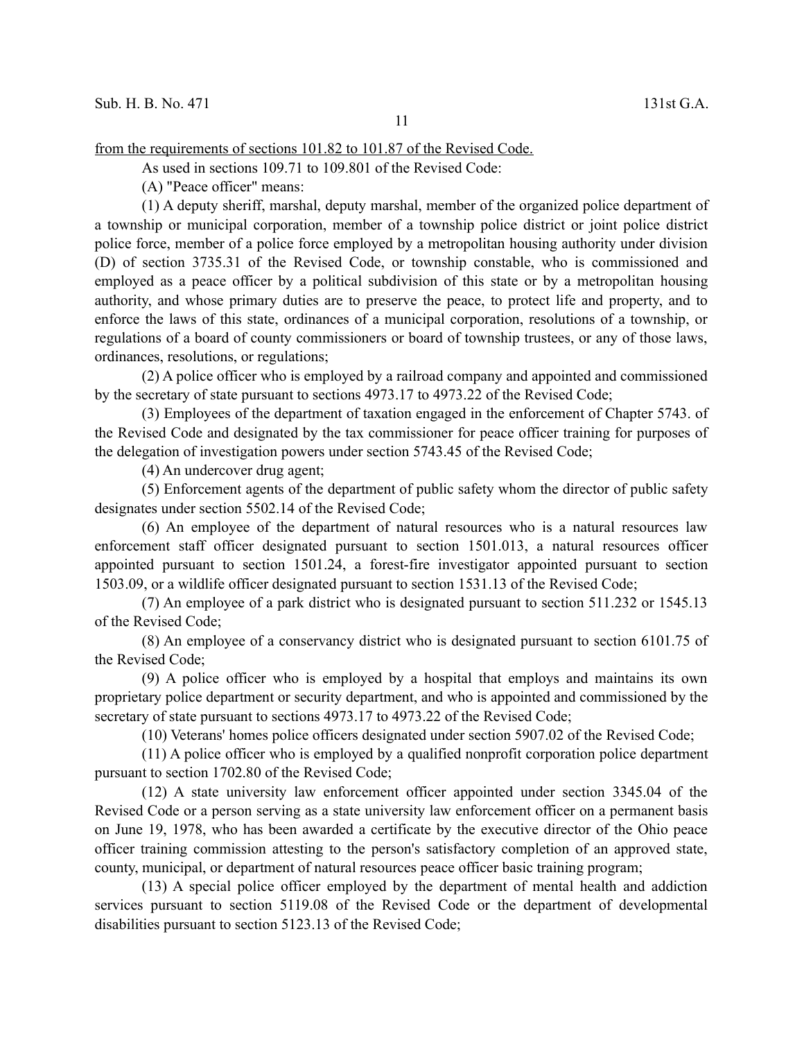from the requirements of sections 101.82 to 101.87 of the Revised Code.

As used in sections 109.71 to 109.801 of the Revised Code:

(A) "Peace officer" means:

(1) A deputy sheriff, marshal, deputy marshal, member of the organized police department of a township or municipal corporation, member of a township police district or joint police district police force, member of a police force employed by a metropolitan housing authority under division (D) of section 3735.31 of the Revised Code, or township constable, who is commissioned and employed as a peace officer by a political subdivision of this state or by a metropolitan housing authority, and whose primary duties are to preserve the peace, to protect life and property, and to enforce the laws of this state, ordinances of a municipal corporation, resolutions of a township, or regulations of a board of county commissioners or board of township trustees, or any of those laws, ordinances, resolutions, or regulations;

(2) A police officer who is employed by a railroad company and appointed and commissioned by the secretary of state pursuant to sections 4973.17 to 4973.22 of the Revised Code;

(3) Employees of the department of taxation engaged in the enforcement of Chapter 5743. of the Revised Code and designated by the tax commissioner for peace officer training for purposes of the delegation of investigation powers under section 5743.45 of the Revised Code;

(4) An undercover drug agent;

(5) Enforcement agents of the department of public safety whom the director of public safety designates under section 5502.14 of the Revised Code;

(6) An employee of the department of natural resources who is a natural resources law enforcement staff officer designated pursuant to section 1501.013, a natural resources officer appointed pursuant to section 1501.24, a forest-fire investigator appointed pursuant to section 1503.09, or a wildlife officer designated pursuant to section 1531.13 of the Revised Code;

(7) An employee of a park district who is designated pursuant to section 511.232 or 1545.13 of the Revised Code;

(8) An employee of a conservancy district who is designated pursuant to section 6101.75 of the Revised Code;

(9) A police officer who is employed by a hospital that employs and maintains its own proprietary police department or security department, and who is appointed and commissioned by the secretary of state pursuant to sections 4973.17 to 4973.22 of the Revised Code;

(10) Veterans' homes police officers designated under section 5907.02 of the Revised Code;

(11) A police officer who is employed by a qualified nonprofit corporation police department pursuant to section 1702.80 of the Revised Code;

(12) A state university law enforcement officer appointed under section 3345.04 of the Revised Code or a person serving as a state university law enforcement officer on a permanent basis on June 19, 1978, who has been awarded a certificate by the executive director of the Ohio peace officer training commission attesting to the person's satisfactory completion of an approved state, county, municipal, or department of natural resources peace officer basic training program;

(13) A special police officer employed by the department of mental health and addiction services pursuant to section 5119.08 of the Revised Code or the department of developmental disabilities pursuant to section 5123.13 of the Revised Code;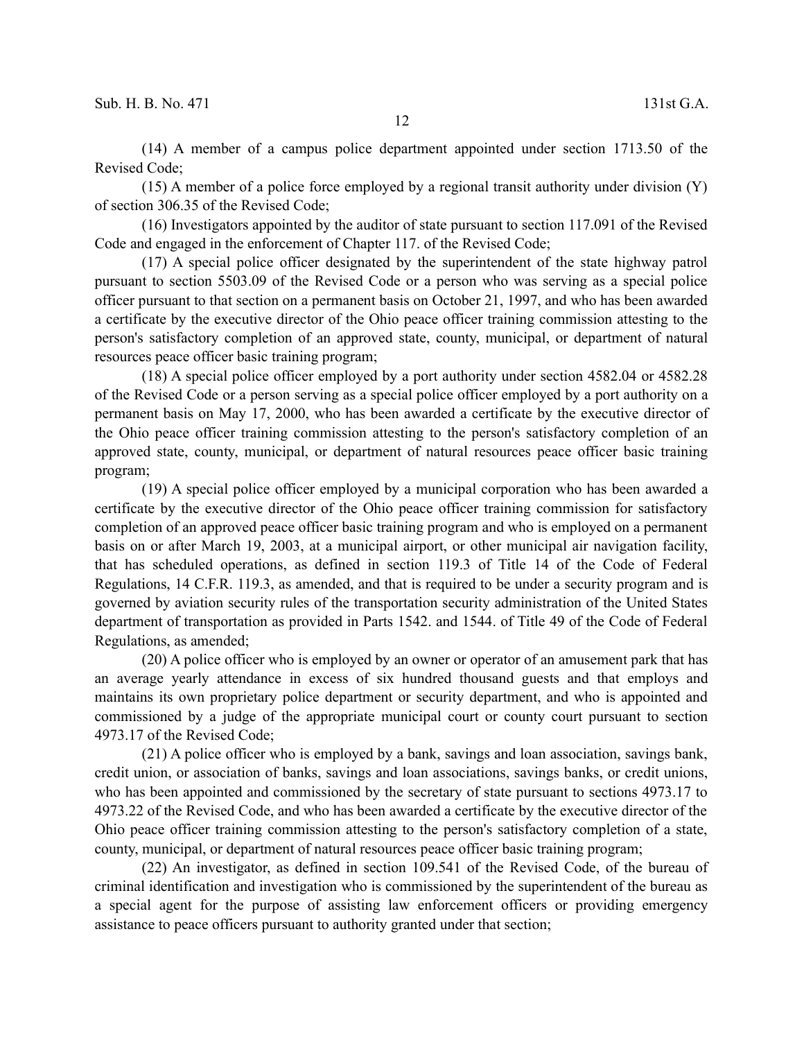(14) A member of a campus police department appointed under section 1713.50 of the Revised Code;

(15) A member of a police force employed by a regional transit authority under division (Y) of section 306.35 of the Revised Code;

(16) Investigators appointed by the auditor of state pursuant to section 117.091 of the Revised Code and engaged in the enforcement of Chapter 117. of the Revised Code;

(17) A special police officer designated by the superintendent of the state highway patrol pursuant to section 5503.09 of the Revised Code or a person who was serving as a special police officer pursuant to that section on a permanent basis on October 21, 1997, and who has been awarded a certificate by the executive director of the Ohio peace officer training commission attesting to the person's satisfactory completion of an approved state, county, municipal, or department of natural resources peace officer basic training program;

(18) A special police officer employed by a port authority under section 4582.04 or 4582.28 of the Revised Code or a person serving as a special police officer employed by a port authority on a permanent basis on May 17, 2000, who has been awarded a certificate by the executive director of the Ohio peace officer training commission attesting to the person's satisfactory completion of an approved state, county, municipal, or department of natural resources peace officer basic training program;

(19) A special police officer employed by a municipal corporation who has been awarded a certificate by the executive director of the Ohio peace officer training commission for satisfactory completion of an approved peace officer basic training program and who is employed on a permanent basis on or after March 19, 2003, at a municipal airport, or other municipal air navigation facility, that has scheduled operations, as defined in section 119.3 of Title 14 of the Code of Federal Regulations, 14 C.F.R. 119.3, as amended, and that is required to be under a security program and is governed by aviation security rules of the transportation security administration of the United States department of transportation as provided in Parts 1542. and 1544. of Title 49 of the Code of Federal Regulations, as amended;

(20) A police officer who is employed by an owner or operator of an amusement park that has an average yearly attendance in excess of six hundred thousand guests and that employs and maintains its own proprietary police department or security department, and who is appointed and commissioned by a judge of the appropriate municipal court or county court pursuant to section 4973.17 of the Revised Code;

(21) A police officer who is employed by a bank, savings and loan association, savings bank, credit union, or association of banks, savings and loan associations, savings banks, or credit unions, who has been appointed and commissioned by the secretary of state pursuant to sections 4973.17 to 4973.22 of the Revised Code, and who has been awarded a certificate by the executive director of the Ohio peace officer training commission attesting to the person's satisfactory completion of a state, county, municipal, or department of natural resources peace officer basic training program;

(22) An investigator, as defined in section 109.541 of the Revised Code, of the bureau of criminal identification and investigation who is commissioned by the superintendent of the bureau as a special agent for the purpose of assisting law enforcement officers or providing emergency assistance to peace officers pursuant to authority granted under that section;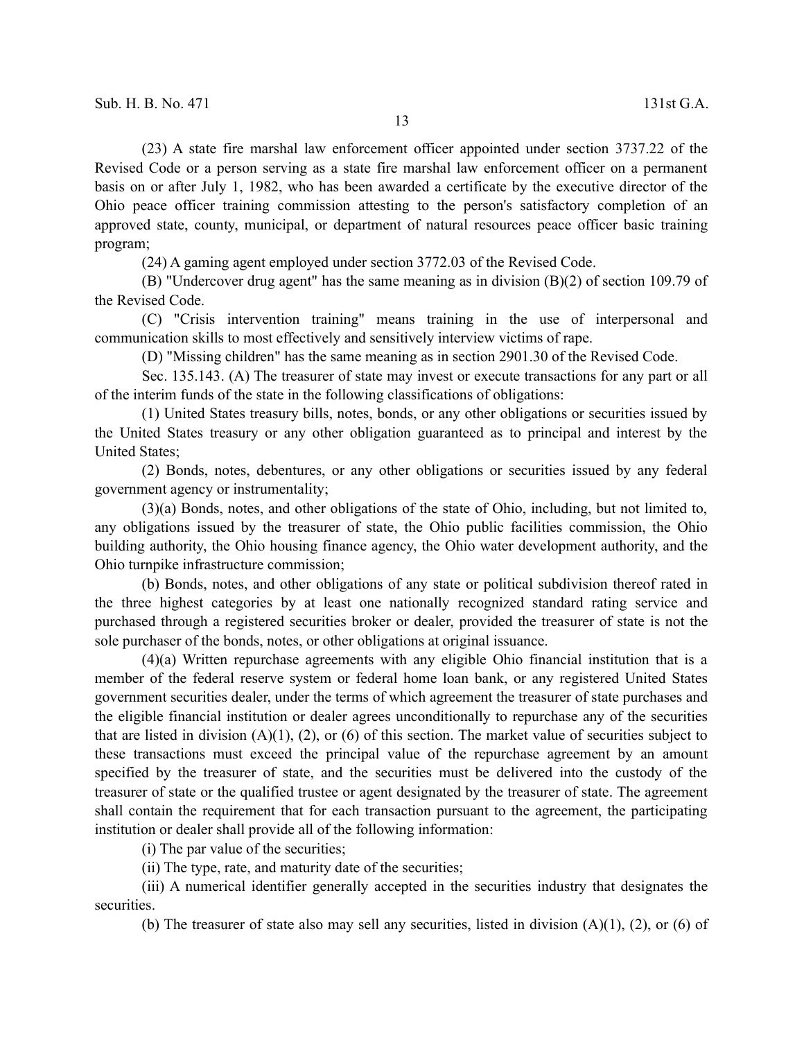(23) A state fire marshal law enforcement officer appointed under section 3737.22 of the Revised Code or a person serving as a state fire marshal law enforcement officer on a permanent basis on or after July 1, 1982, who has been awarded a certificate by the executive director of the Ohio peace officer training commission attesting to the person's satisfactory completion of an approved state, county, municipal, or department of natural resources peace officer basic training program;

(24) A gaming agent employed under section 3772.03 of the Revised Code.

(B) "Undercover drug agent" has the same meaning as in division (B)(2) of section 109.79 of the Revised Code.

(C) "Crisis intervention training" means training in the use of interpersonal and communication skills to most effectively and sensitively interview victims of rape.

(D) "Missing children" has the same meaning as in section 2901.30 of the Revised Code.

Sec. 135.143. (A) The treasurer of state may invest or execute transactions for any part or all of the interim funds of the state in the following classifications of obligations:

(1) United States treasury bills, notes, bonds, or any other obligations or securities issued by the United States treasury or any other obligation guaranteed as to principal and interest by the United States;

(2) Bonds, notes, debentures, or any other obligations or securities issued by any federal government agency or instrumentality;

(3)(a) Bonds, notes, and other obligations of the state of Ohio, including, but not limited to, any obligations issued by the treasurer of state, the Ohio public facilities commission, the Ohio building authority, the Ohio housing finance agency, the Ohio water development authority, and the Ohio turnpike infrastructure commission;

(b) Bonds, notes, and other obligations of any state or political subdivision thereof rated in the three highest categories by at least one nationally recognized standard rating service and purchased through a registered securities broker or dealer, provided the treasurer of state is not the sole purchaser of the bonds, notes, or other obligations at original issuance.

(4)(a) Written repurchase agreements with any eligible Ohio financial institution that is a member of the federal reserve system or federal home loan bank, or any registered United States government securities dealer, under the terms of which agreement the treasurer of state purchases and the eligible financial institution or dealer agrees unconditionally to repurchase any of the securities that are listed in division  $(A)(1)$ ,  $(2)$ , or  $(6)$  of this section. The market value of securities subject to these transactions must exceed the principal value of the repurchase agreement by an amount specified by the treasurer of state, and the securities must be delivered into the custody of the treasurer of state or the qualified trustee or agent designated by the treasurer of state. The agreement shall contain the requirement that for each transaction pursuant to the agreement, the participating institution or dealer shall provide all of the following information:

(i) The par value of the securities;

(ii) The type, rate, and maturity date of the securities;

(iii) A numerical identifier generally accepted in the securities industry that designates the securities.

(b) The treasurer of state also may sell any securities, listed in division  $(A)(1)$ ,  $(2)$ , or  $(6)$  of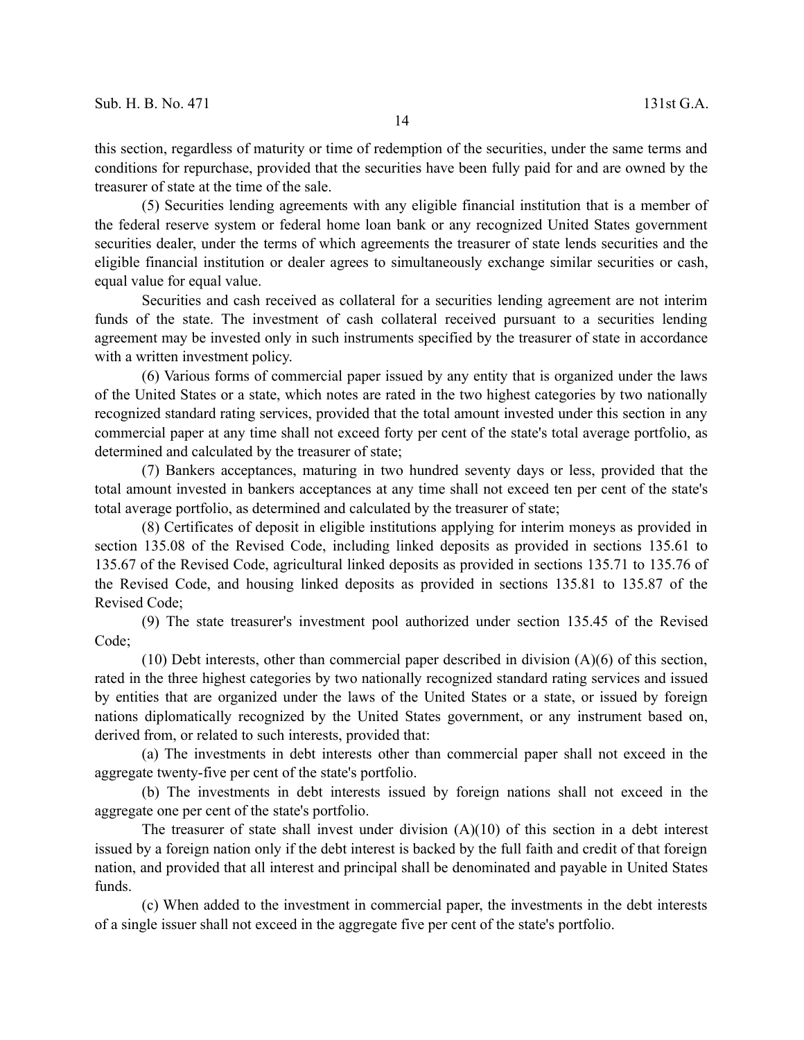this section, regardless of maturity or time of redemption of the securities, under the same terms and conditions for repurchase, provided that the securities have been fully paid for and are owned by the treasurer of state at the time of the sale.

(5) Securities lending agreements with any eligible financial institution that is a member of the federal reserve system or federal home loan bank or any recognized United States government securities dealer, under the terms of which agreements the treasurer of state lends securities and the eligible financial institution or dealer agrees to simultaneously exchange similar securities or cash, equal value for equal value.

Securities and cash received as collateral for a securities lending agreement are not interim funds of the state. The investment of cash collateral received pursuant to a securities lending agreement may be invested only in such instruments specified by the treasurer of state in accordance with a written investment policy.

(6) Various forms of commercial paper issued by any entity that is organized under the laws of the United States or a state, which notes are rated in the two highest categories by two nationally recognized standard rating services, provided that the total amount invested under this section in any commercial paper at any time shall not exceed forty per cent of the state's total average portfolio, as determined and calculated by the treasurer of state;

(7) Bankers acceptances, maturing in two hundred seventy days or less, provided that the total amount invested in bankers acceptances at any time shall not exceed ten per cent of the state's total average portfolio, as determined and calculated by the treasurer of state;

(8) Certificates of deposit in eligible institutions applying for interim moneys as provided in section 135.08 of the Revised Code, including linked deposits as provided in sections 135.61 to 135.67 of the Revised Code, agricultural linked deposits as provided in sections 135.71 to 135.76 of the Revised Code, and housing linked deposits as provided in sections 135.81 to 135.87 of the Revised Code;

(9) The state treasurer's investment pool authorized under section 135.45 of the Revised Code;

(10) Debt interests, other than commercial paper described in division (A)(6) of this section, rated in the three highest categories by two nationally recognized standard rating services and issued by entities that are organized under the laws of the United States or a state, or issued by foreign nations diplomatically recognized by the United States government, or any instrument based on, derived from, or related to such interests, provided that:

(a) The investments in debt interests other than commercial paper shall not exceed in the aggregate twenty-five per cent of the state's portfolio.

(b) The investments in debt interests issued by foreign nations shall not exceed in the aggregate one per cent of the state's portfolio.

The treasurer of state shall invest under division  $(A)(10)$  of this section in a debt interest issued by a foreign nation only if the debt interest is backed by the full faith and credit of that foreign nation, and provided that all interest and principal shall be denominated and payable in United States funds.

(c) When added to the investment in commercial paper, the investments in the debt interests of a single issuer shall not exceed in the aggregate five per cent of the state's portfolio.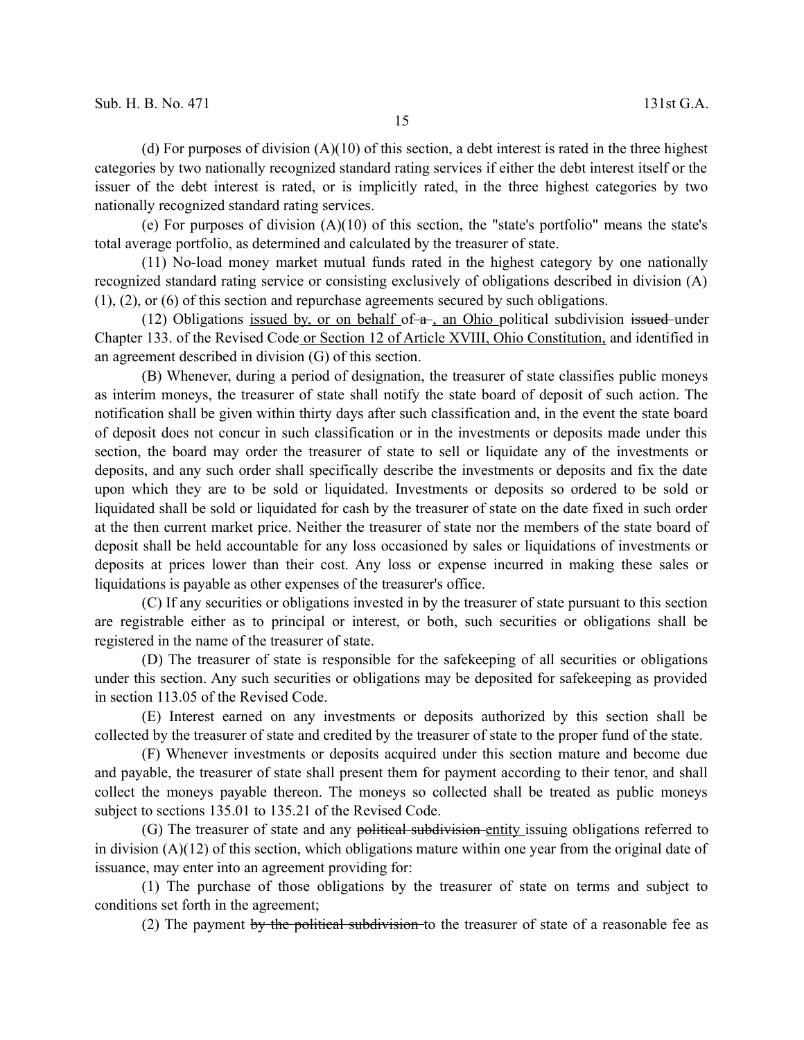(d) For purposes of division  $(A)(10)$  of this section, a debt interest is rated in the three highest categories by two nationally recognized standard rating services if either the debt interest itself or the issuer of the debt interest is rated, or is implicitly rated, in the three highest categories by two nationally recognized standard rating services.

(e) For purposes of division (A)(10) of this section, the "state's portfolio" means the state's total average portfolio, as determined and calculated by the treasurer of state.

(11) No-load money market mutual funds rated in the highest category by one nationally recognized standard rating service or consisting exclusively of obligations described in division (A) (1), (2), or (6) of this section and repurchase agreements secured by such obligations.

(12) Obligations issued by, or on behalf of  $-\alpha$ , an Ohio political subdivision issued under Chapter 133. of the Revised Code or Section 12 of Article XVIII, Ohio Constitution, and identified in an agreement described in division (G) of this section.

(B) Whenever, during a period of designation, the treasurer of state classifies public moneys as interim moneys, the treasurer of state shall notify the state board of deposit of such action. The notification shall be given within thirty days after such classification and, in the event the state board of deposit does not concur in such classification or in the investments or deposits made under this section, the board may order the treasurer of state to sell or liquidate any of the investments or deposits, and any such order shall specifically describe the investments or deposits and fix the date upon which they are to be sold or liquidated. Investments or deposits so ordered to be sold or liquidated shall be sold or liquidated for cash by the treasurer of state on the date fixed in such order at the then current market price. Neither the treasurer of state nor the members of the state board of deposit shall be held accountable for any loss occasioned by sales or liquidations of investments or deposits at prices lower than their cost. Any loss or expense incurred in making these sales or liquidations is payable as other expenses of the treasurer's office.

(C) If any securities or obligations invested in by the treasurer of state pursuant to this section are registrable either as to principal or interest, or both, such securities or obligations shall be registered in the name of the treasurer of state.

(D) The treasurer of state is responsible for the safekeeping of all securities or obligations under this section. Any such securities or obligations may be deposited for safekeeping as provided in section 113.05 of the Revised Code.

(E) Interest earned on any investments or deposits authorized by this section shall be collected by the treasurer of state and credited by the treasurer of state to the proper fund of the state.

(F) Whenever investments or deposits acquired under this section mature and become due and payable, the treasurer of state shall present them for payment according to their tenor, and shall collect the moneys payable thereon. The moneys so collected shall be treated as public moneys subject to sections 135.01 to 135.21 of the Revised Code.

(G) The treasurer of state and any political subdivision entity issuing obligations referred to in division (A)(12) of this section, which obligations mature within one year from the original date of issuance, may enter into an agreement providing for:

(1) The purchase of those obligations by the treasurer of state on terms and subject to conditions set forth in the agreement;

(2) The payment by the political subdivision to the treasurer of state of a reasonable fee as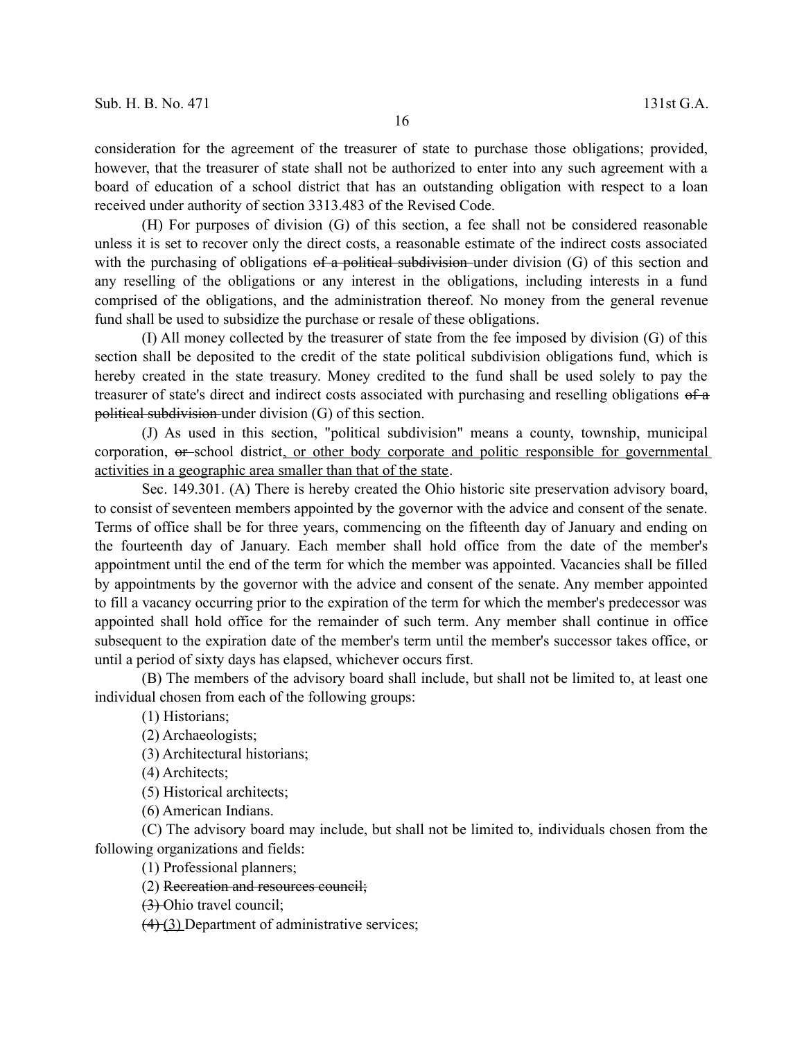consideration for the agreement of the treasurer of state to purchase those obligations; provided, however, that the treasurer of state shall not be authorized to enter into any such agreement with a board of education of a school district that has an outstanding obligation with respect to a loan received under authority of section 3313.483 of the Revised Code.

(H) For purposes of division (G) of this section, a fee shall not be considered reasonable unless it is set to recover only the direct costs, a reasonable estimate of the indirect costs associated with the purchasing of obligations of a political subdivision under division (G) of this section and any reselling of the obligations or any interest in the obligations, including interests in a fund comprised of the obligations, and the administration thereof. No money from the general revenue fund shall be used to subsidize the purchase or resale of these obligations.

(I) All money collected by the treasurer of state from the fee imposed by division (G) of this section shall be deposited to the credit of the state political subdivision obligations fund, which is hereby created in the state treasury. Money credited to the fund shall be used solely to pay the treasurer of state's direct and indirect costs associated with purchasing and reselling obligations of a political subdivision under division (G) of this section.

(J) As used in this section, "political subdivision" means a county, township, municipal corporation, or school district, or other body corporate and politic responsible for governmental activities in a geographic area smaller than that of the state.

Sec. 149.301. (A) There is hereby created the Ohio historic site preservation advisory board, to consist of seventeen members appointed by the governor with the advice and consent of the senate. Terms of office shall be for three years, commencing on the fifteenth day of January and ending on the fourteenth day of January. Each member shall hold office from the date of the member's appointment until the end of the term for which the member was appointed. Vacancies shall be filled by appointments by the governor with the advice and consent of the senate. Any member appointed to fill a vacancy occurring prior to the expiration of the term for which the member's predecessor was appointed shall hold office for the remainder of such term. Any member shall continue in office subsequent to the expiration date of the member's term until the member's successor takes office, or until a period of sixty days has elapsed, whichever occurs first.

(B) The members of the advisory board shall include, but shall not be limited to, at least one individual chosen from each of the following groups:

(1) Historians;

(2) Archaeologists;

(3) Architectural historians;

(4) Architects;

(5) Historical architects;

(6) American Indians.

(C) The advisory board may include, but shall not be limited to, individuals chosen from the following organizations and fields:

(1) Professional planners;

(2) Recreation and resources council;

(3) Ohio travel council;

 $(4)$  (3) Department of administrative services;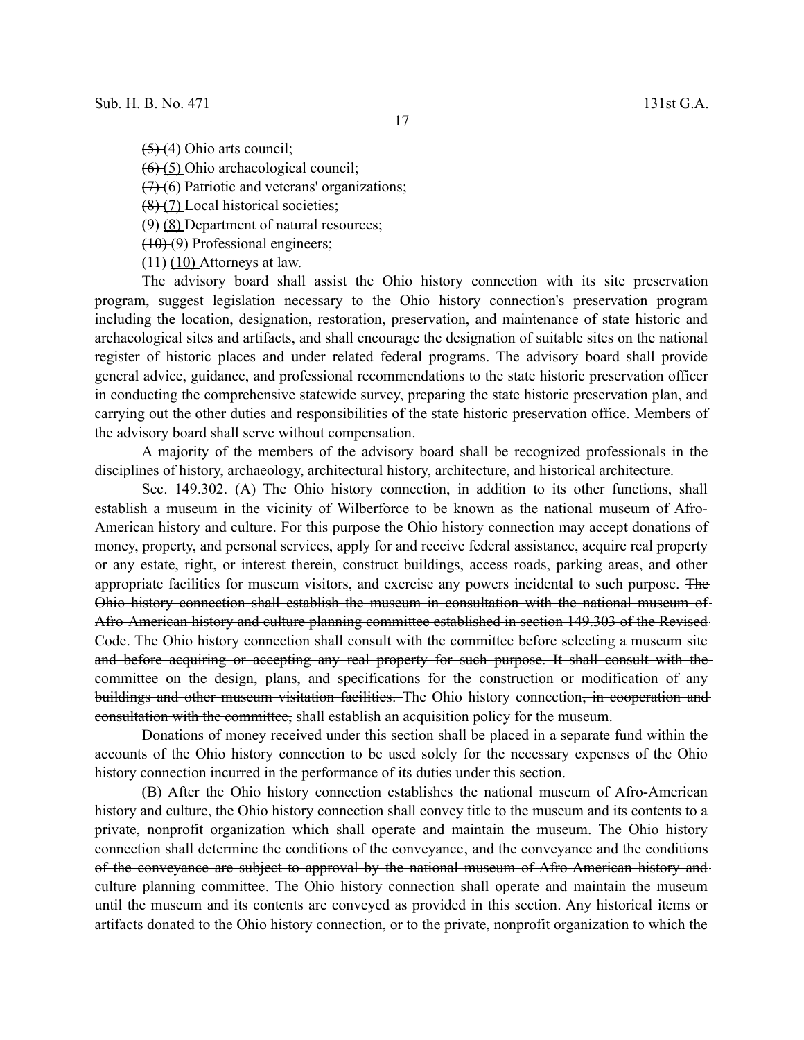$(5)$  (4) Ohio arts council;  $(6)$  (5) Ohio archaeological council;  $(7)$  (6) Patriotic and veterans' organizations;  $(8)(7)$  Local historical societies;  $(9)$  (8) Department of natural resources; (10) (9) Professional engineers;  $(11)$  (10) Attorneys at law.

The advisory board shall assist the Ohio history connection with its site preservation program, suggest legislation necessary to the Ohio history connection's preservation program including the location, designation, restoration, preservation, and maintenance of state historic and archaeological sites and artifacts, and shall encourage the designation of suitable sites on the national register of historic places and under related federal programs. The advisory board shall provide general advice, guidance, and professional recommendations to the state historic preservation officer in conducting the comprehensive statewide survey, preparing the state historic preservation plan, and carrying out the other duties and responsibilities of the state historic preservation office. Members of the advisory board shall serve without compensation.

A majority of the members of the advisory board shall be recognized professionals in the disciplines of history, archaeology, architectural history, architecture, and historical architecture.

Sec. 149.302. (A) The Ohio history connection, in addition to its other functions, shall establish a museum in the vicinity of Wilberforce to be known as the national museum of Afro-American history and culture. For this purpose the Ohio history connection may accept donations of money, property, and personal services, apply for and receive federal assistance, acquire real property or any estate, right, or interest therein, construct buildings, access roads, parking areas, and other appropriate facilities for museum visitors, and exercise any powers incidental to such purpose. The Ohio history connection shall establish the museum in consultation with the national museum of Afro-American history and culture planning committee established in section 149.303 of the Revised Code. The Ohio history connection shall consult with the committee before selecting a museum site and before acquiring or accepting any real property for such purpose. It shall consult with the committee on the design, plans, and specifications for the construction or modification of anybuildings and other museum visitation facilities. The Ohio history connection, in cooperation and consultation with the committee, shall establish an acquisition policy for the museum.

Donations of money received under this section shall be placed in a separate fund within the accounts of the Ohio history connection to be used solely for the necessary expenses of the Ohio history connection incurred in the performance of its duties under this section.

(B) After the Ohio history connection establishes the national museum of Afro-American history and culture, the Ohio history connection shall convey title to the museum and its contents to a private, nonprofit organization which shall operate and maintain the museum. The Ohio history connection shall determine the conditions of the conveyance, and the conveyance and the conditions of the conveyance are subject to approval by the national museum of Afro-American history and culture planning committee. The Ohio history connection shall operate and maintain the museum until the museum and its contents are conveyed as provided in this section. Any historical items or artifacts donated to the Ohio history connection, or to the private, nonprofit organization to which the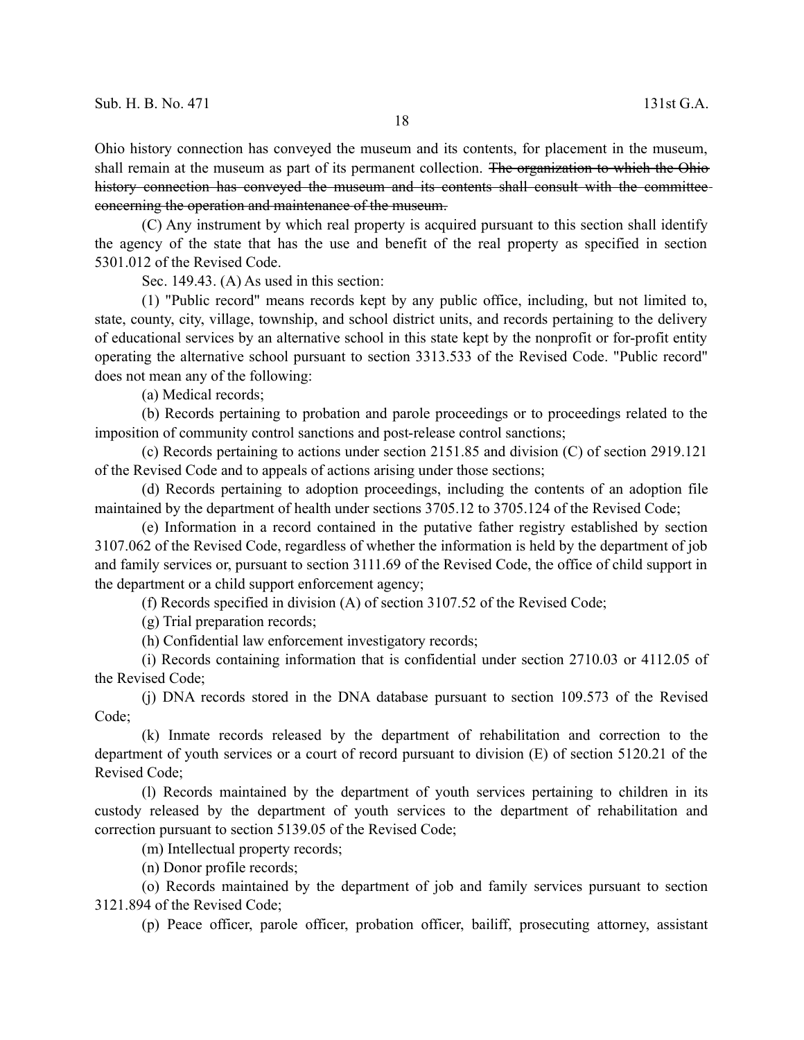Ohio history connection has conveyed the museum and its contents, for placement in the museum, shall remain at the museum as part of its permanent collection. The organization to which the Ohio history connection has conveyed the museum and its contents shall consult with the committee concerning the operation and maintenance of the museum.

(C) Any instrument by which real property is acquired pursuant to this section shall identify the agency of the state that has the use and benefit of the real property as specified in section 5301.012 of the Revised Code.

Sec. 149.43. (A) As used in this section:

(1) "Public record" means records kept by any public office, including, but not limited to, state, county, city, village, township, and school district units, and records pertaining to the delivery of educational services by an alternative school in this state kept by the nonprofit or for-profit entity operating the alternative school pursuant to section 3313.533 of the Revised Code. "Public record" does not mean any of the following:

(a) Medical records;

(b) Records pertaining to probation and parole proceedings or to proceedings related to the imposition of community control sanctions and post-release control sanctions;

(c) Records pertaining to actions under section 2151.85 and division (C) of section 2919.121 of the Revised Code and to appeals of actions arising under those sections;

(d) Records pertaining to adoption proceedings, including the contents of an adoption file maintained by the department of health under sections 3705.12 to 3705.124 of the Revised Code;

(e) Information in a record contained in the putative father registry established by section 3107.062 of the Revised Code, regardless of whether the information is held by the department of job and family services or, pursuant to section 3111.69 of the Revised Code, the office of child support in the department or a child support enforcement agency;

(f) Records specified in division (A) of section 3107.52 of the Revised Code;

(g) Trial preparation records;

(h) Confidential law enforcement investigatory records;

(i) Records containing information that is confidential under section 2710.03 or 4112.05 of the Revised Code;

(j) DNA records stored in the DNA database pursuant to section 109.573 of the Revised Code;

(k) Inmate records released by the department of rehabilitation and correction to the department of youth services or a court of record pursuant to division (E) of section 5120.21 of the Revised Code;

(l) Records maintained by the department of youth services pertaining to children in its custody released by the department of youth services to the department of rehabilitation and correction pursuant to section 5139.05 of the Revised Code;

(m) Intellectual property records;

(n) Donor profile records;

(o) Records maintained by the department of job and family services pursuant to section 3121.894 of the Revised Code;

(p) Peace officer, parole officer, probation officer, bailiff, prosecuting attorney, assistant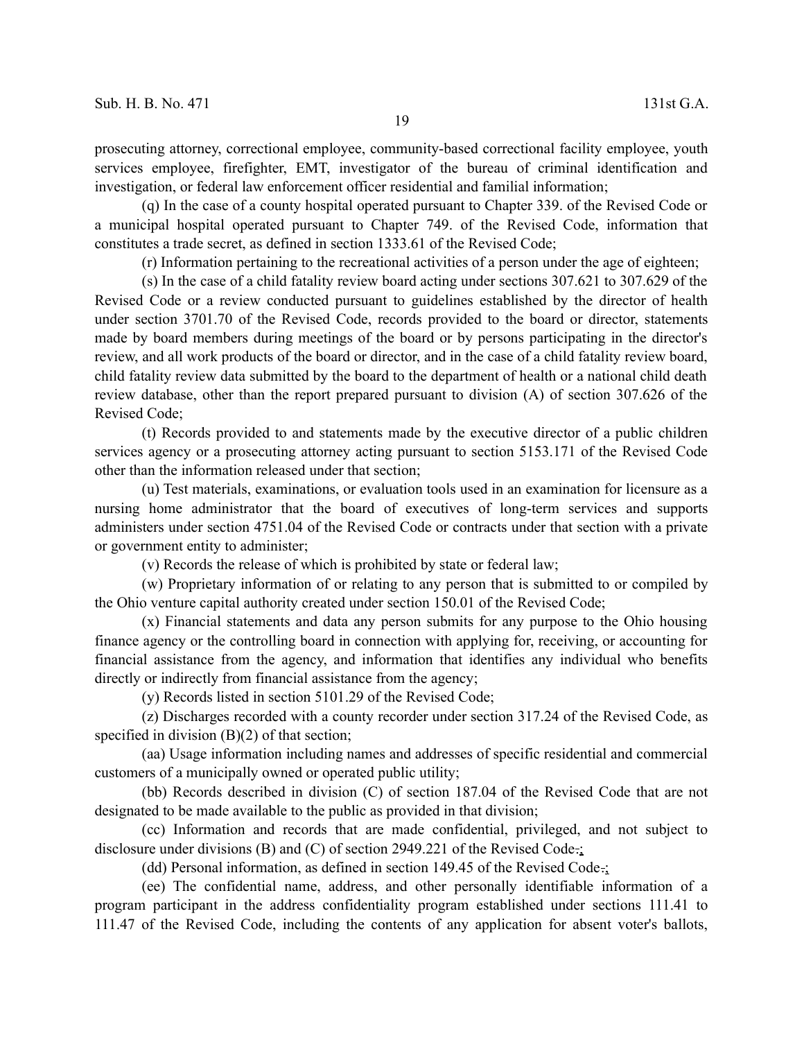prosecuting attorney, correctional employee, community-based correctional facility employee, youth services employee, firefighter, EMT, investigator of the bureau of criminal identification and investigation, or federal law enforcement officer residential and familial information;

(q) In the case of a county hospital operated pursuant to Chapter 339. of the Revised Code or a municipal hospital operated pursuant to Chapter 749. of the Revised Code, information that constitutes a trade secret, as defined in section 1333.61 of the Revised Code;

(r) Information pertaining to the recreational activities of a person under the age of eighteen;

(s) In the case of a child fatality review board acting under sections 307.621 to 307.629 of the Revised Code or a review conducted pursuant to guidelines established by the director of health under section 3701.70 of the Revised Code, records provided to the board or director, statements made by board members during meetings of the board or by persons participating in the director's review, and all work products of the board or director, and in the case of a child fatality review board, child fatality review data submitted by the board to the department of health or a national child death review database, other than the report prepared pursuant to division (A) of section 307.626 of the Revised Code;

(t) Records provided to and statements made by the executive director of a public children services agency or a prosecuting attorney acting pursuant to section 5153.171 of the Revised Code other than the information released under that section;

(u) Test materials, examinations, or evaluation tools used in an examination for licensure as a nursing home administrator that the board of executives of long-term services and supports administers under section 4751.04 of the Revised Code or contracts under that section with a private or government entity to administer;

(v) Records the release of which is prohibited by state or federal law;

(w) Proprietary information of or relating to any person that is submitted to or compiled by the Ohio venture capital authority created under section 150.01 of the Revised Code;

(x) Financial statements and data any person submits for any purpose to the Ohio housing finance agency or the controlling board in connection with applying for, receiving, or accounting for financial assistance from the agency, and information that identifies any individual who benefits directly or indirectly from financial assistance from the agency;

(y) Records listed in section 5101.29 of the Revised Code;

(z) Discharges recorded with a county recorder under section 317.24 of the Revised Code, as specified in division (B)(2) of that section;

(aa) Usage information including names and addresses of specific residential and commercial customers of a municipally owned or operated public utility;

(bb) Records described in division (C) of section 187.04 of the Revised Code that are not designated to be made available to the public as provided in that division;

(cc) Information and records that are made confidential, privileged, and not subject to disclosure under divisions (B) and (C) of section 2949.221 of the Revised Code.;

(dd) Personal information, as defined in section 149.45 of the Revised Code.;

(ee) The confidential name, address, and other personally identifiable information of a program participant in the address confidentiality program established under sections 111.41 to 111.47 of the Revised Code, including the contents of any application for absent voter's ballots,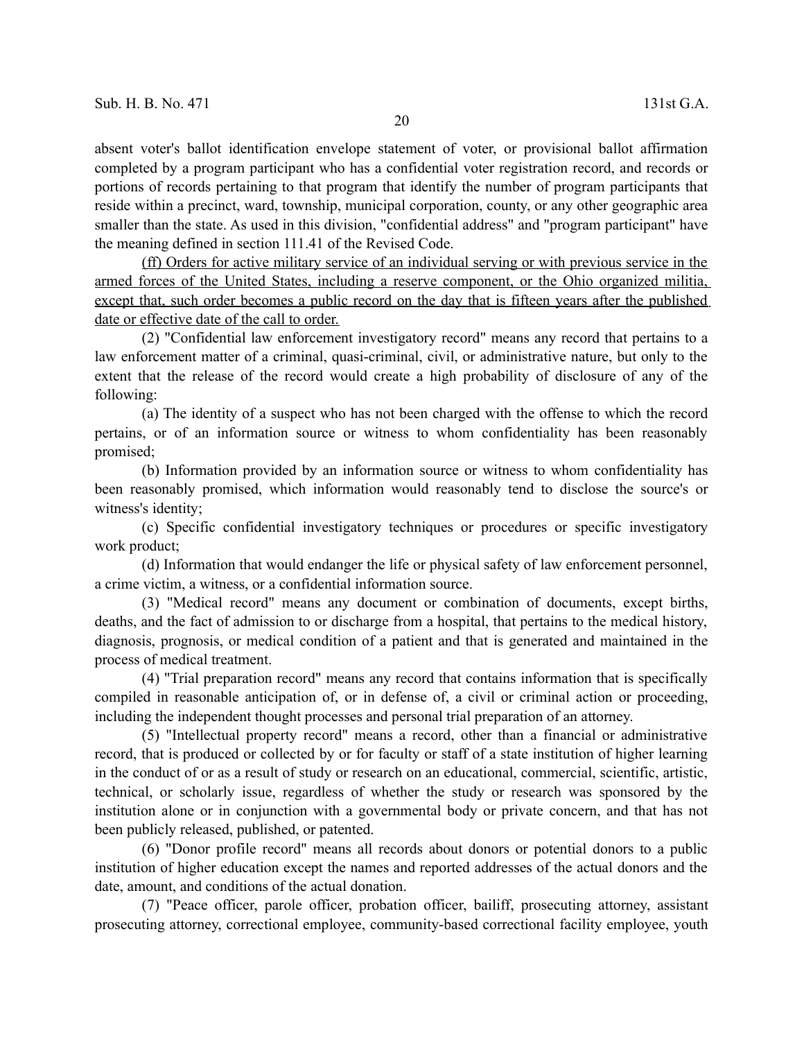absent voter's ballot identification envelope statement of voter, or provisional ballot affirmation completed by a program participant who has a confidential voter registration record, and records or portions of records pertaining to that program that identify the number of program participants that reside within a precinct, ward, township, municipal corporation, county, or any other geographic area smaller than the state. As used in this division, "confidential address" and "program participant" have the meaning defined in section 111.41 of the Revised Code.

(ff) Orders for active military service of an individual serving or with previous service in the armed forces of the United States, including a reserve component, or the Ohio organized militia, except that, such order becomes a public record on the day that is fifteen years after the published date or effective date of the call to order.

(2) "Confidential law enforcement investigatory record" means any record that pertains to a law enforcement matter of a criminal, quasi-criminal, civil, or administrative nature, but only to the extent that the release of the record would create a high probability of disclosure of any of the following:

(a) The identity of a suspect who has not been charged with the offense to which the record pertains, or of an information source or witness to whom confidentiality has been reasonably promised;

(b) Information provided by an information source or witness to whom confidentiality has been reasonably promised, which information would reasonably tend to disclose the source's or witness's identity;

(c) Specific confidential investigatory techniques or procedures or specific investigatory work product;

(d) Information that would endanger the life or physical safety of law enforcement personnel, a crime victim, a witness, or a confidential information source.

(3) "Medical record" means any document or combination of documents, except births, deaths, and the fact of admission to or discharge from a hospital, that pertains to the medical history, diagnosis, prognosis, or medical condition of a patient and that is generated and maintained in the process of medical treatment.

(4) "Trial preparation record" means any record that contains information that is specifically compiled in reasonable anticipation of, or in defense of, a civil or criminal action or proceeding, including the independent thought processes and personal trial preparation of an attorney.

(5) "Intellectual property record" means a record, other than a financial or administrative record, that is produced or collected by or for faculty or staff of a state institution of higher learning in the conduct of or as a result of study or research on an educational, commercial, scientific, artistic, technical, or scholarly issue, regardless of whether the study or research was sponsored by the institution alone or in conjunction with a governmental body or private concern, and that has not been publicly released, published, or patented.

(6) "Donor profile record" means all records about donors or potential donors to a public institution of higher education except the names and reported addresses of the actual donors and the date, amount, and conditions of the actual donation.

(7) "Peace officer, parole officer, probation officer, bailiff, prosecuting attorney, assistant prosecuting attorney, correctional employee, community-based correctional facility employee, youth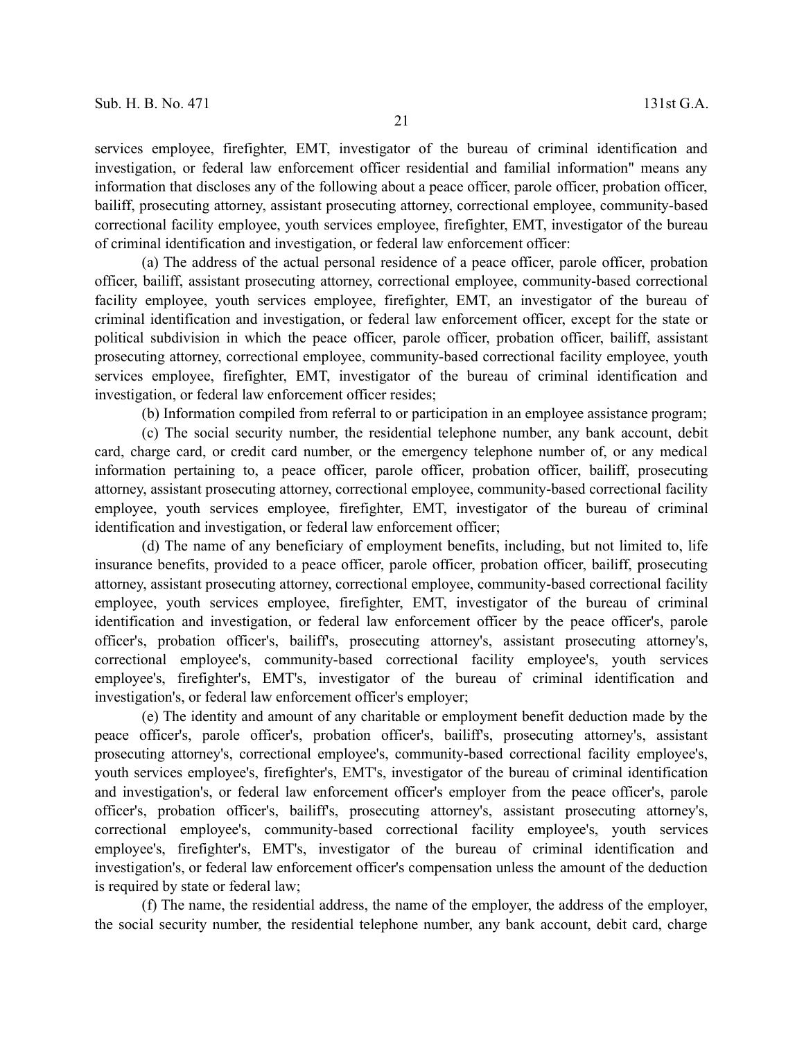services employee, firefighter, EMT, investigator of the bureau of criminal identification and investigation, or federal law enforcement officer residential and familial information" means any information that discloses any of the following about a peace officer, parole officer, probation officer, bailiff, prosecuting attorney, assistant prosecuting attorney, correctional employee, community-based correctional facility employee, youth services employee, firefighter, EMT, investigator of the bureau of criminal identification and investigation, or federal law enforcement officer:

(a) The address of the actual personal residence of a peace officer, parole officer, probation officer, bailiff, assistant prosecuting attorney, correctional employee, community-based correctional facility employee, youth services employee, firefighter, EMT, an investigator of the bureau of criminal identification and investigation, or federal law enforcement officer, except for the state or political subdivision in which the peace officer, parole officer, probation officer, bailiff, assistant prosecuting attorney, correctional employee, community-based correctional facility employee, youth services employee, firefighter, EMT, investigator of the bureau of criminal identification and investigation, or federal law enforcement officer resides;

(b) Information compiled from referral to or participation in an employee assistance program;

(c) The social security number, the residential telephone number, any bank account, debit card, charge card, or credit card number, or the emergency telephone number of, or any medical information pertaining to, a peace officer, parole officer, probation officer, bailiff, prosecuting attorney, assistant prosecuting attorney, correctional employee, community-based correctional facility employee, youth services employee, firefighter, EMT, investigator of the bureau of criminal identification and investigation, or federal law enforcement officer;

(d) The name of any beneficiary of employment benefits, including, but not limited to, life insurance benefits, provided to a peace officer, parole officer, probation officer, bailiff, prosecuting attorney, assistant prosecuting attorney, correctional employee, community-based correctional facility employee, youth services employee, firefighter, EMT, investigator of the bureau of criminal identification and investigation, or federal law enforcement officer by the peace officer's, parole officer's, probation officer's, bailiff's, prosecuting attorney's, assistant prosecuting attorney's, correctional employee's, community-based correctional facility employee's, youth services employee's, firefighter's, EMT's, investigator of the bureau of criminal identification and investigation's, or federal law enforcement officer's employer;

(e) The identity and amount of any charitable or employment benefit deduction made by the peace officer's, parole officer's, probation officer's, bailiff's, prosecuting attorney's, assistant prosecuting attorney's, correctional employee's, community-based correctional facility employee's, youth services employee's, firefighter's, EMT's, investigator of the bureau of criminal identification and investigation's, or federal law enforcement officer's employer from the peace officer's, parole officer's, probation officer's, bailiff's, prosecuting attorney's, assistant prosecuting attorney's, correctional employee's, community-based correctional facility employee's, youth services employee's, firefighter's, EMT's, investigator of the bureau of criminal identification and investigation's, or federal law enforcement officer's compensation unless the amount of the deduction is required by state or federal law;

(f) The name, the residential address, the name of the employer, the address of the employer, the social security number, the residential telephone number, any bank account, debit card, charge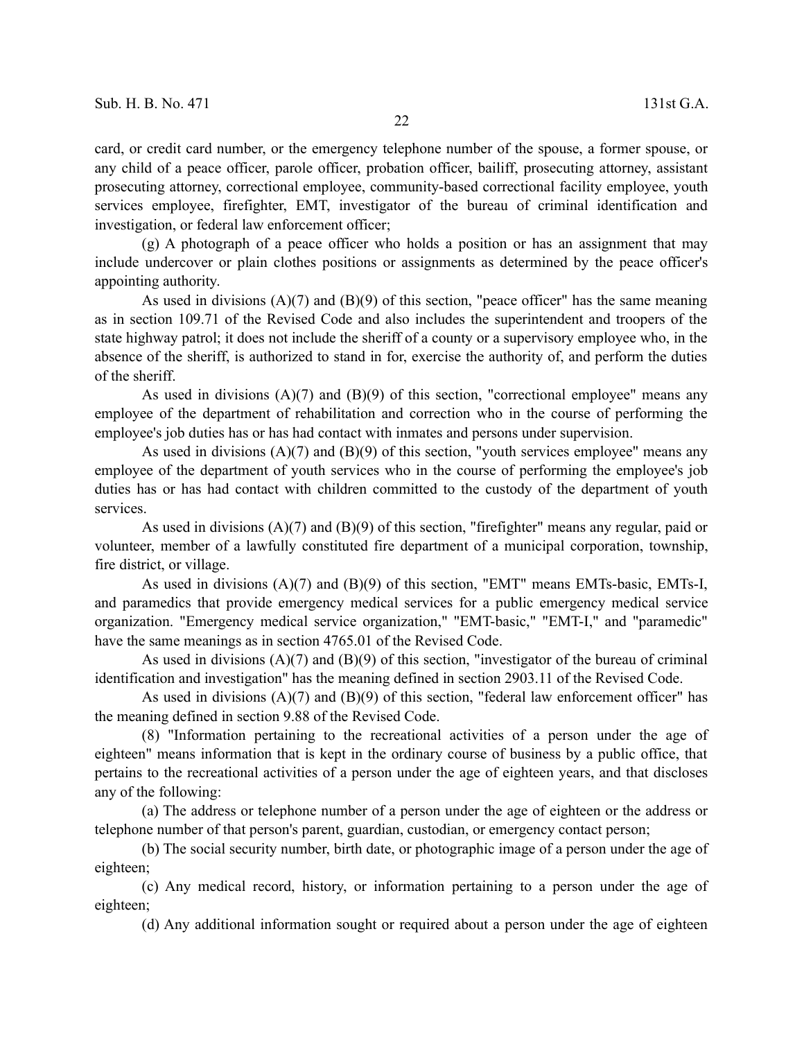card, or credit card number, or the emergency telephone number of the spouse, a former spouse, or any child of a peace officer, parole officer, probation officer, bailiff, prosecuting attorney, assistant prosecuting attorney, correctional employee, community-based correctional facility employee, youth services employee, firefighter, EMT, investigator of the bureau of criminal identification and investigation, or federal law enforcement officer;

(g) A photograph of a peace officer who holds a position or has an assignment that may include undercover or plain clothes positions or assignments as determined by the peace officer's appointing authority.

As used in divisions  $(A)(7)$  and  $(B)(9)$  of this section, "peace officer" has the same meaning as in section 109.71 of the Revised Code and also includes the superintendent and troopers of the state highway patrol; it does not include the sheriff of a county or a supervisory employee who, in the absence of the sheriff, is authorized to stand in for, exercise the authority of, and perform the duties of the sheriff.

As used in divisions (A)(7) and (B)(9) of this section, "correctional employee" means any employee of the department of rehabilitation and correction who in the course of performing the employee's job duties has or has had contact with inmates and persons under supervision.

As used in divisions  $(A)(7)$  and  $(B)(9)$  of this section, "youth services employee" means any employee of the department of youth services who in the course of performing the employee's job duties has or has had contact with children committed to the custody of the department of youth services.

As used in divisions (A)(7) and (B)(9) of this section, "firefighter" means any regular, paid or volunteer, member of a lawfully constituted fire department of a municipal corporation, township, fire district, or village.

As used in divisions (A)(7) and (B)(9) of this section, "EMT" means EMTs-basic, EMTs-I, and paramedics that provide emergency medical services for a public emergency medical service organization. "Emergency medical service organization," "EMT-basic," "EMT-I," and "paramedic" have the same meanings as in section 4765.01 of the Revised Code.

As used in divisions  $(A)(7)$  and  $(B)(9)$  of this section, "investigator of the bureau of criminal identification and investigation" has the meaning defined in section 2903.11 of the Revised Code.

As used in divisions  $(A)(7)$  and  $(B)(9)$  of this section, "federal law enforcement officer" has the meaning defined in section 9.88 of the Revised Code.

(8) "Information pertaining to the recreational activities of a person under the age of eighteen" means information that is kept in the ordinary course of business by a public office, that pertains to the recreational activities of a person under the age of eighteen years, and that discloses any of the following:

(a) The address or telephone number of a person under the age of eighteen or the address or telephone number of that person's parent, guardian, custodian, or emergency contact person;

(b) The social security number, birth date, or photographic image of a person under the age of eighteen;

(c) Any medical record, history, or information pertaining to a person under the age of eighteen;

(d) Any additional information sought or required about a person under the age of eighteen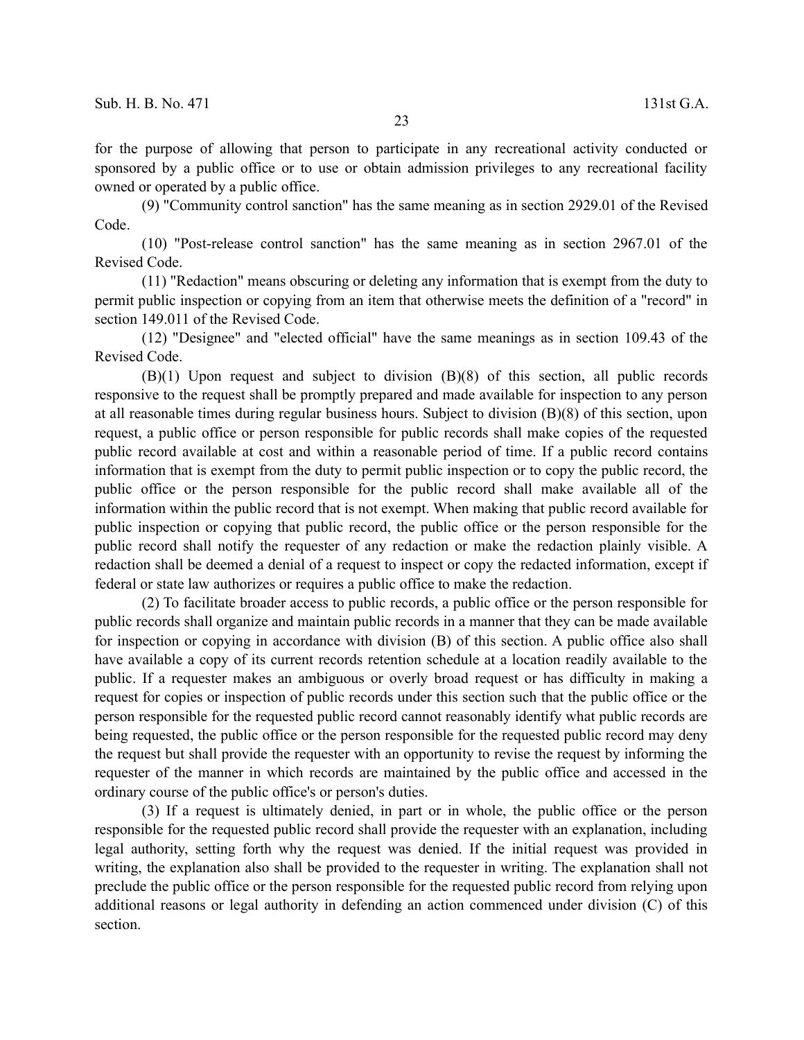for the purpose of allowing that person to participate in any recreational activity conducted or sponsored by a public office or to use or obtain admission privileges to any recreational facility owned or operated by a public office.

(9) "Community control sanction" has the same meaning as in section 2929.01 of the Revised Code.

(10) "Post-release control sanction" has the same meaning as in section 2967.01 of the Revised Code.

(11) "Redaction" means obscuring or deleting any information that is exempt from the duty to permit public inspection or copying from an item that otherwise meets the definition of a "record" in section 149.011 of the Revised Code.

(12) "Designee" and "elected official" have the same meanings as in section 109.43 of the Revised Code.

(B)(1) Upon request and subject to division (B)(8) of this section, all public records responsive to the request shall be promptly prepared and made available for inspection to any person at all reasonable times during regular business hours. Subject to division (B)(8) of this section, upon request, a public office or person responsible for public records shall make copies of the requested public record available at cost and within a reasonable period of time. If a public record contains information that is exempt from the duty to permit public inspection or to copy the public record, the public office or the person responsible for the public record shall make available all of the information within the public record that is not exempt. When making that public record available for public inspection or copying that public record, the public office or the person responsible for the public record shall notify the requester of any redaction or make the redaction plainly visible. A redaction shall be deemed a denial of a request to inspect or copy the redacted information, except if federal or state law authorizes or requires a public office to make the redaction.

(2) To facilitate broader access to public records, a public office or the person responsible for public records shall organize and maintain public records in a manner that they can be made available for inspection or copying in accordance with division (B) of this section. A public office also shall have available a copy of its current records retention schedule at a location readily available to the public. If a requester makes an ambiguous or overly broad request or has difficulty in making a request for copies or inspection of public records under this section such that the public office or the person responsible for the requested public record cannot reasonably identify what public records are being requested, the public office or the person responsible for the requested public record may deny the request but shall provide the requester with an opportunity to revise the request by informing the requester of the manner in which records are maintained by the public office and accessed in the ordinary course of the public office's or person's duties.

(3) If a request is ultimately denied, in part or in whole, the public office or the person responsible for the requested public record shall provide the requester with an explanation, including legal authority, setting forth why the request was denied. If the initial request was provided in writing, the explanation also shall be provided to the requester in writing. The explanation shall not preclude the public office or the person responsible for the requested public record from relying upon additional reasons or legal authority in defending an action commenced under division (C) of this section.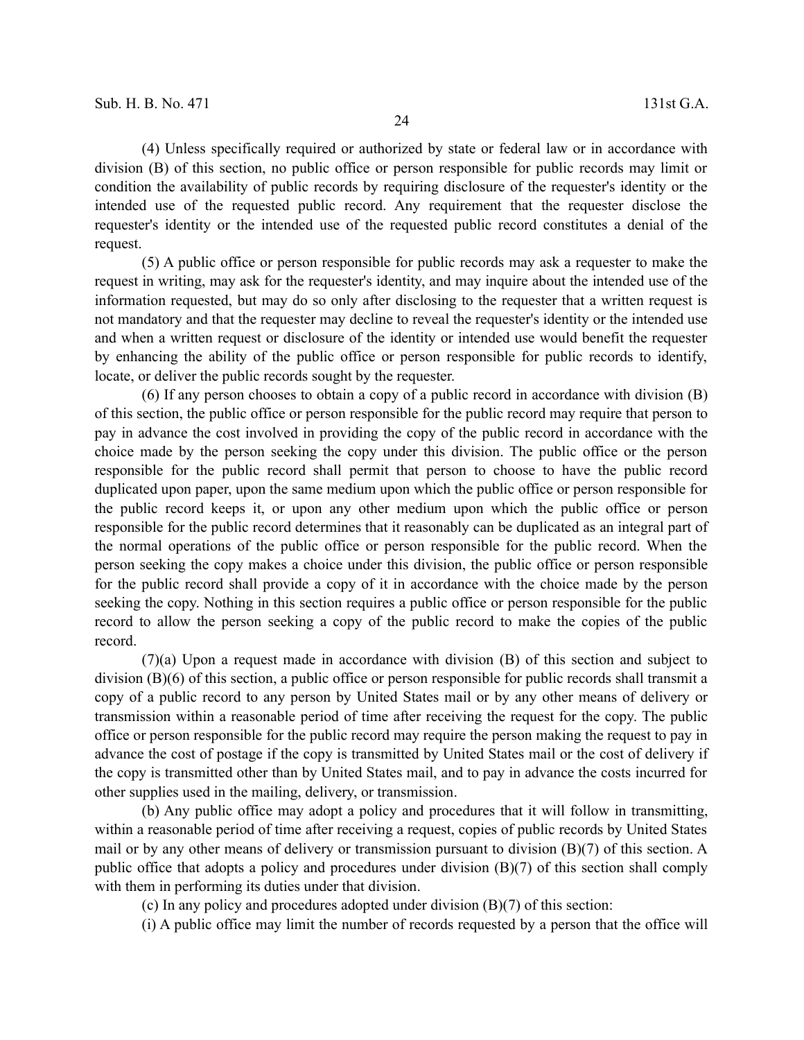(4) Unless specifically required or authorized by state or federal law or in accordance with division (B) of this section, no public office or person responsible for public records may limit or condition the availability of public records by requiring disclosure of the requester's identity or the intended use of the requested public record. Any requirement that the requester disclose the requester's identity or the intended use of the requested public record constitutes a denial of the request.

(5) A public office or person responsible for public records may ask a requester to make the request in writing, may ask for the requester's identity, and may inquire about the intended use of the information requested, but may do so only after disclosing to the requester that a written request is not mandatory and that the requester may decline to reveal the requester's identity or the intended use and when a written request or disclosure of the identity or intended use would benefit the requester by enhancing the ability of the public office or person responsible for public records to identify, locate, or deliver the public records sought by the requester.

(6) If any person chooses to obtain a copy of a public record in accordance with division (B) of this section, the public office or person responsible for the public record may require that person to pay in advance the cost involved in providing the copy of the public record in accordance with the choice made by the person seeking the copy under this division. The public office or the person responsible for the public record shall permit that person to choose to have the public record duplicated upon paper, upon the same medium upon which the public office or person responsible for the public record keeps it, or upon any other medium upon which the public office or person responsible for the public record determines that it reasonably can be duplicated as an integral part of the normal operations of the public office or person responsible for the public record. When the person seeking the copy makes a choice under this division, the public office or person responsible for the public record shall provide a copy of it in accordance with the choice made by the person seeking the copy. Nothing in this section requires a public office or person responsible for the public record to allow the person seeking a copy of the public record to make the copies of the public record.

(7)(a) Upon a request made in accordance with division (B) of this section and subject to division (B)(6) of this section, a public office or person responsible for public records shall transmit a copy of a public record to any person by United States mail or by any other means of delivery or transmission within a reasonable period of time after receiving the request for the copy. The public office or person responsible for the public record may require the person making the request to pay in advance the cost of postage if the copy is transmitted by United States mail or the cost of delivery if the copy is transmitted other than by United States mail, and to pay in advance the costs incurred for other supplies used in the mailing, delivery, or transmission.

(b) Any public office may adopt a policy and procedures that it will follow in transmitting, within a reasonable period of time after receiving a request, copies of public records by United States mail or by any other means of delivery or transmission pursuant to division (B)(7) of this section. A public office that adopts a policy and procedures under division (B)(7) of this section shall comply with them in performing its duties under that division.

(c) In any policy and procedures adopted under division (B)(7) of this section:

(i) A public office may limit the number of records requested by a person that the office will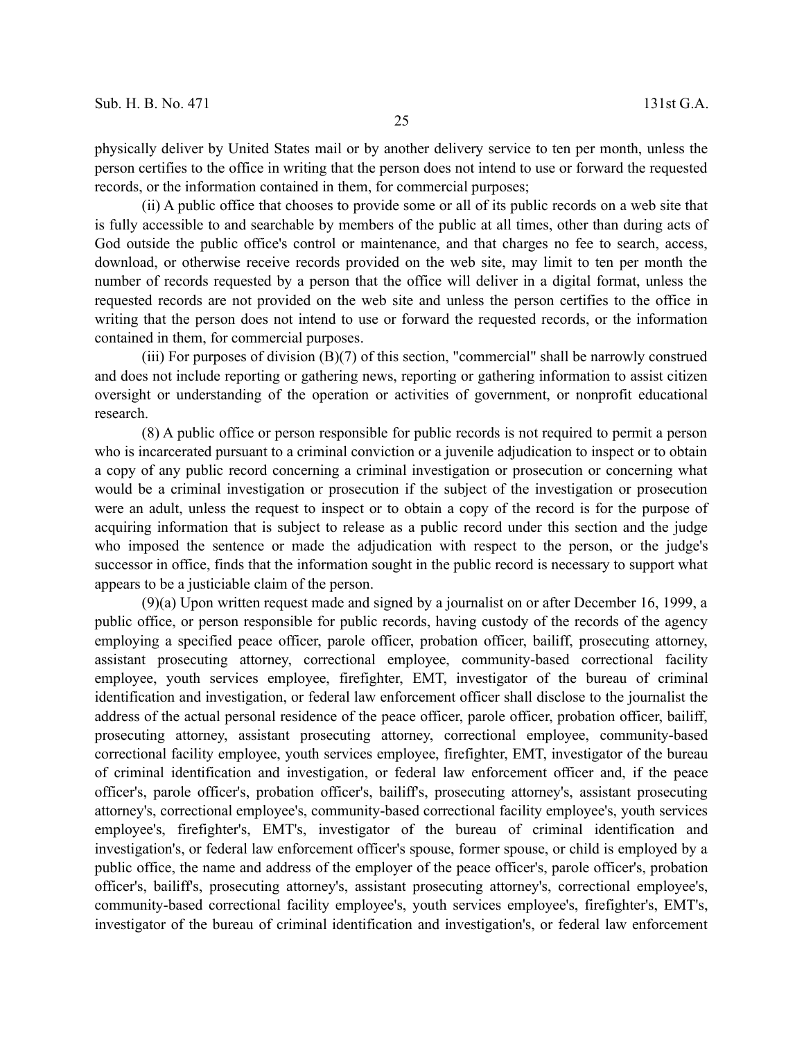physically deliver by United States mail or by another delivery service to ten per month, unless the person certifies to the office in writing that the person does not intend to use or forward the requested records, or the information contained in them, for commercial purposes;

(ii) A public office that chooses to provide some or all of its public records on a web site that is fully accessible to and searchable by members of the public at all times, other than during acts of God outside the public office's control or maintenance, and that charges no fee to search, access, download, or otherwise receive records provided on the web site, may limit to ten per month the number of records requested by a person that the office will deliver in a digital format, unless the requested records are not provided on the web site and unless the person certifies to the office in writing that the person does not intend to use or forward the requested records, or the information contained in them, for commercial purposes.

(iii) For purposes of division (B)(7) of this section, "commercial" shall be narrowly construed and does not include reporting or gathering news, reporting or gathering information to assist citizen oversight or understanding of the operation or activities of government, or nonprofit educational research.

(8) A public office or person responsible for public records is not required to permit a person who is incarcerated pursuant to a criminal conviction or a juvenile adjudication to inspect or to obtain a copy of any public record concerning a criminal investigation or prosecution or concerning what would be a criminal investigation or prosecution if the subject of the investigation or prosecution were an adult, unless the request to inspect or to obtain a copy of the record is for the purpose of acquiring information that is subject to release as a public record under this section and the judge who imposed the sentence or made the adjudication with respect to the person, or the judge's successor in office, finds that the information sought in the public record is necessary to support what appears to be a justiciable claim of the person.

(9)(a) Upon written request made and signed by a journalist on or after December 16, 1999, a public office, or person responsible for public records, having custody of the records of the agency employing a specified peace officer, parole officer, probation officer, bailiff, prosecuting attorney, assistant prosecuting attorney, correctional employee, community-based correctional facility employee, youth services employee, firefighter, EMT, investigator of the bureau of criminal identification and investigation, or federal law enforcement officer shall disclose to the journalist the address of the actual personal residence of the peace officer, parole officer, probation officer, bailiff, prosecuting attorney, assistant prosecuting attorney, correctional employee, community-based correctional facility employee, youth services employee, firefighter, EMT, investigator of the bureau of criminal identification and investigation, or federal law enforcement officer and, if the peace officer's, parole officer's, probation officer's, bailiff's, prosecuting attorney's, assistant prosecuting attorney's, correctional employee's, community-based correctional facility employee's, youth services employee's, firefighter's, EMT's, investigator of the bureau of criminal identification and investigation's, or federal law enforcement officer's spouse, former spouse, or child is employed by a public office, the name and address of the employer of the peace officer's, parole officer's, probation officer's, bailiff's, prosecuting attorney's, assistant prosecuting attorney's, correctional employee's, community-based correctional facility employee's, youth services employee's, firefighter's, EMT's, investigator of the bureau of criminal identification and investigation's, or federal law enforcement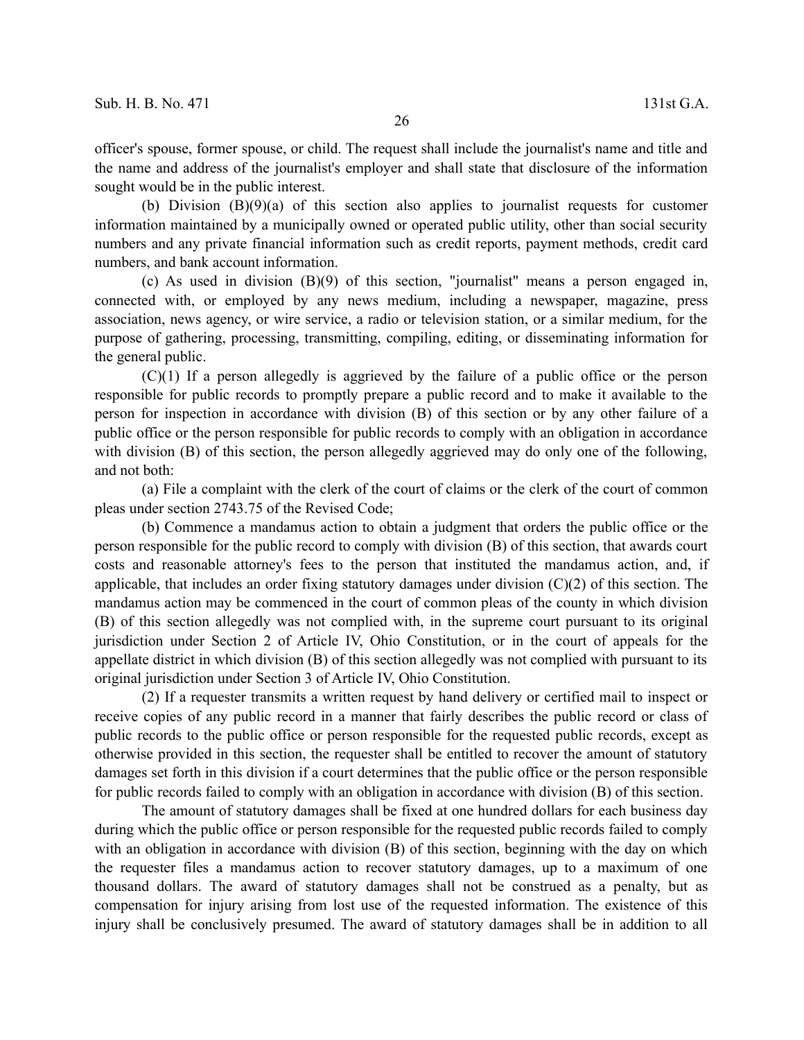officer's spouse, former spouse, or child. The request shall include the journalist's name and title and the name and address of the journalist's employer and shall state that disclosure of the information sought would be in the public interest.

(b) Division (B)(9)(a) of this section also applies to journalist requests for customer information maintained by a municipally owned or operated public utility, other than social security numbers and any private financial information such as credit reports, payment methods, credit card numbers, and bank account information.

(c) As used in division (B)(9) of this section, "journalist" means a person engaged in, connected with, or employed by any news medium, including a newspaper, magazine, press association, news agency, or wire service, a radio or television station, or a similar medium, for the purpose of gathering, processing, transmitting, compiling, editing, or disseminating information for the general public.

(C)(1) If a person allegedly is aggrieved by the failure of a public office or the person responsible for public records to promptly prepare a public record and to make it available to the person for inspection in accordance with division (B) of this section or by any other failure of a public office or the person responsible for public records to comply with an obligation in accordance with division (B) of this section, the person allegedly aggrieved may do only one of the following, and not both:

(a) File a complaint with the clerk of the court of claims or the clerk of the court of common pleas under section 2743.75 of the Revised Code;

(b) Commence a mandamus action to obtain a judgment that orders the public office or the person responsible for the public record to comply with division (B) of this section, that awards court costs and reasonable attorney's fees to the person that instituted the mandamus action, and, if applicable, that includes an order fixing statutory damages under division  $(C)(2)$  of this section. The mandamus action may be commenced in the court of common pleas of the county in which division (B) of this section allegedly was not complied with, in the supreme court pursuant to its original jurisdiction under Section 2 of Article IV, Ohio Constitution, or in the court of appeals for the appellate district in which division (B) of this section allegedly was not complied with pursuant to its original jurisdiction under Section 3 of Article IV, Ohio Constitution.

(2) If a requester transmits a written request by hand delivery or certified mail to inspect or receive copies of any public record in a manner that fairly describes the public record or class of public records to the public office or person responsible for the requested public records, except as otherwise provided in this section, the requester shall be entitled to recover the amount of statutory damages set forth in this division if a court determines that the public office or the person responsible for public records failed to comply with an obligation in accordance with division (B) of this section.

The amount of statutory damages shall be fixed at one hundred dollars for each business day during which the public office or person responsible for the requested public records failed to comply with an obligation in accordance with division (B) of this section, beginning with the day on which the requester files a mandamus action to recover statutory damages, up to a maximum of one thousand dollars. The award of statutory damages shall not be construed as a penalty, but as compensation for injury arising from lost use of the requested information. The existence of this injury shall be conclusively presumed. The award of statutory damages shall be in addition to all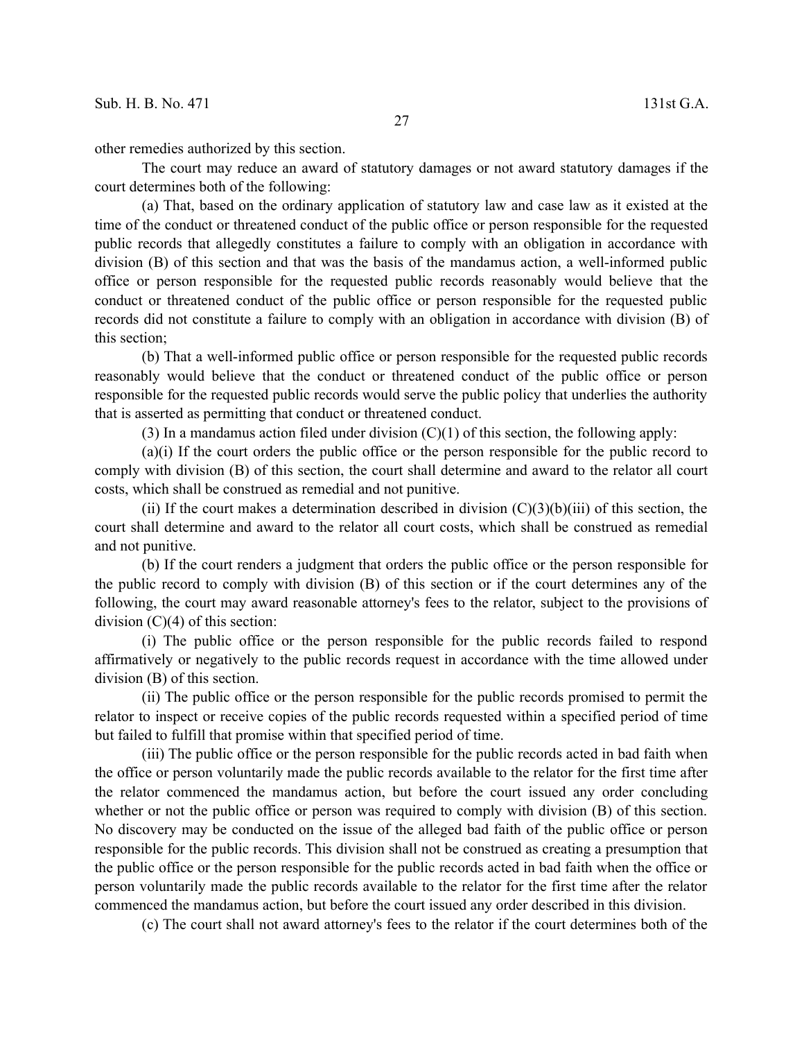other remedies authorized by this section.

The court may reduce an award of statutory damages or not award statutory damages if the court determines both of the following:

(a) That, based on the ordinary application of statutory law and case law as it existed at the time of the conduct or threatened conduct of the public office or person responsible for the requested public records that allegedly constitutes a failure to comply with an obligation in accordance with division (B) of this section and that was the basis of the mandamus action, a well-informed public office or person responsible for the requested public records reasonably would believe that the conduct or threatened conduct of the public office or person responsible for the requested public records did not constitute a failure to comply with an obligation in accordance with division (B) of this section;

(b) That a well-informed public office or person responsible for the requested public records reasonably would believe that the conduct or threatened conduct of the public office or person responsible for the requested public records would serve the public policy that underlies the authority that is asserted as permitting that conduct or threatened conduct.

(3) In a mandamus action filed under division  $(C)(1)$  of this section, the following apply:

(a)(i) If the court orders the public office or the person responsible for the public record to comply with division (B) of this section, the court shall determine and award to the relator all court costs, which shall be construed as remedial and not punitive.

(ii) If the court makes a determination described in division  $(C)(3)(b)(iii)$  of this section, the court shall determine and award to the relator all court costs, which shall be construed as remedial and not punitive.

(b) If the court renders a judgment that orders the public office or the person responsible for the public record to comply with division (B) of this section or if the court determines any of the following, the court may award reasonable attorney's fees to the relator, subject to the provisions of division  $(C)(4)$  of this section:

(i) The public office or the person responsible for the public records failed to respond affirmatively or negatively to the public records request in accordance with the time allowed under division (B) of this section.

(ii) The public office or the person responsible for the public records promised to permit the relator to inspect or receive copies of the public records requested within a specified period of time but failed to fulfill that promise within that specified period of time.

(iii) The public office or the person responsible for the public records acted in bad faith when the office or person voluntarily made the public records available to the relator for the first time after the relator commenced the mandamus action, but before the court issued any order concluding whether or not the public office or person was required to comply with division (B) of this section. No discovery may be conducted on the issue of the alleged bad faith of the public office or person responsible for the public records. This division shall not be construed as creating a presumption that the public office or the person responsible for the public records acted in bad faith when the office or person voluntarily made the public records available to the relator for the first time after the relator commenced the mandamus action, but before the court issued any order described in this division.

(c) The court shall not award attorney's fees to the relator if the court determines both of the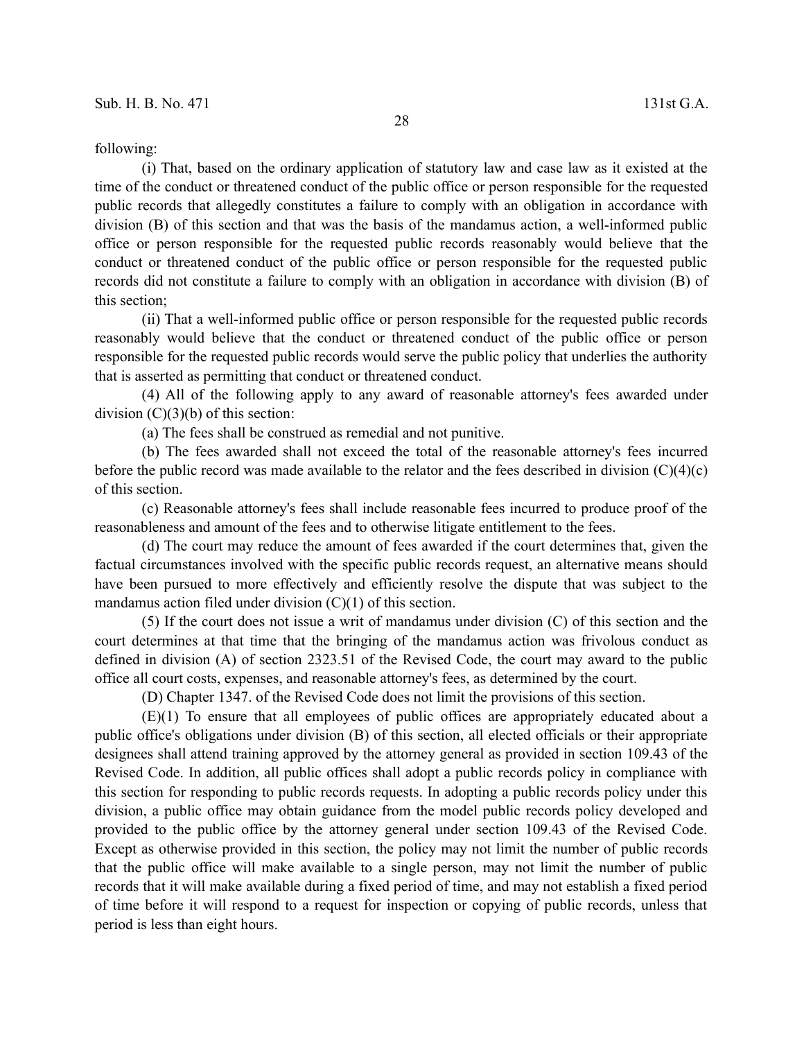following:

(i) That, based on the ordinary application of statutory law and case law as it existed at the time of the conduct or threatened conduct of the public office or person responsible for the requested public records that allegedly constitutes a failure to comply with an obligation in accordance with division (B) of this section and that was the basis of the mandamus action, a well-informed public office or person responsible for the requested public records reasonably would believe that the conduct or threatened conduct of the public office or person responsible for the requested public records did not constitute a failure to comply with an obligation in accordance with division (B) of this section;

(ii) That a well-informed public office or person responsible for the requested public records reasonably would believe that the conduct or threatened conduct of the public office or person responsible for the requested public records would serve the public policy that underlies the authority that is asserted as permitting that conduct or threatened conduct.

(4) All of the following apply to any award of reasonable attorney's fees awarded under division  $(C)(3)(b)$  of this section:

(a) The fees shall be construed as remedial and not punitive.

(b) The fees awarded shall not exceed the total of the reasonable attorney's fees incurred before the public record was made available to the relator and the fees described in division  $(C)(4)(c)$ of this section.

(c) Reasonable attorney's fees shall include reasonable fees incurred to produce proof of the reasonableness and amount of the fees and to otherwise litigate entitlement to the fees.

(d) The court may reduce the amount of fees awarded if the court determines that, given the factual circumstances involved with the specific public records request, an alternative means should have been pursued to more effectively and efficiently resolve the dispute that was subject to the mandamus action filed under division (C)(1) of this section.

(5) If the court does not issue a writ of mandamus under division (C) of this section and the court determines at that time that the bringing of the mandamus action was frivolous conduct as defined in division (A) of section 2323.51 of the Revised Code, the court may award to the public office all court costs, expenses, and reasonable attorney's fees, as determined by the court.

(D) Chapter 1347. of the Revised Code does not limit the provisions of this section.

(E)(1) To ensure that all employees of public offices are appropriately educated about a public office's obligations under division (B) of this section, all elected officials or their appropriate designees shall attend training approved by the attorney general as provided in section 109.43 of the Revised Code. In addition, all public offices shall adopt a public records policy in compliance with this section for responding to public records requests. In adopting a public records policy under this division, a public office may obtain guidance from the model public records policy developed and provided to the public office by the attorney general under section 109.43 of the Revised Code. Except as otherwise provided in this section, the policy may not limit the number of public records that the public office will make available to a single person, may not limit the number of public records that it will make available during a fixed period of time, and may not establish a fixed period of time before it will respond to a request for inspection or copying of public records, unless that period is less than eight hours.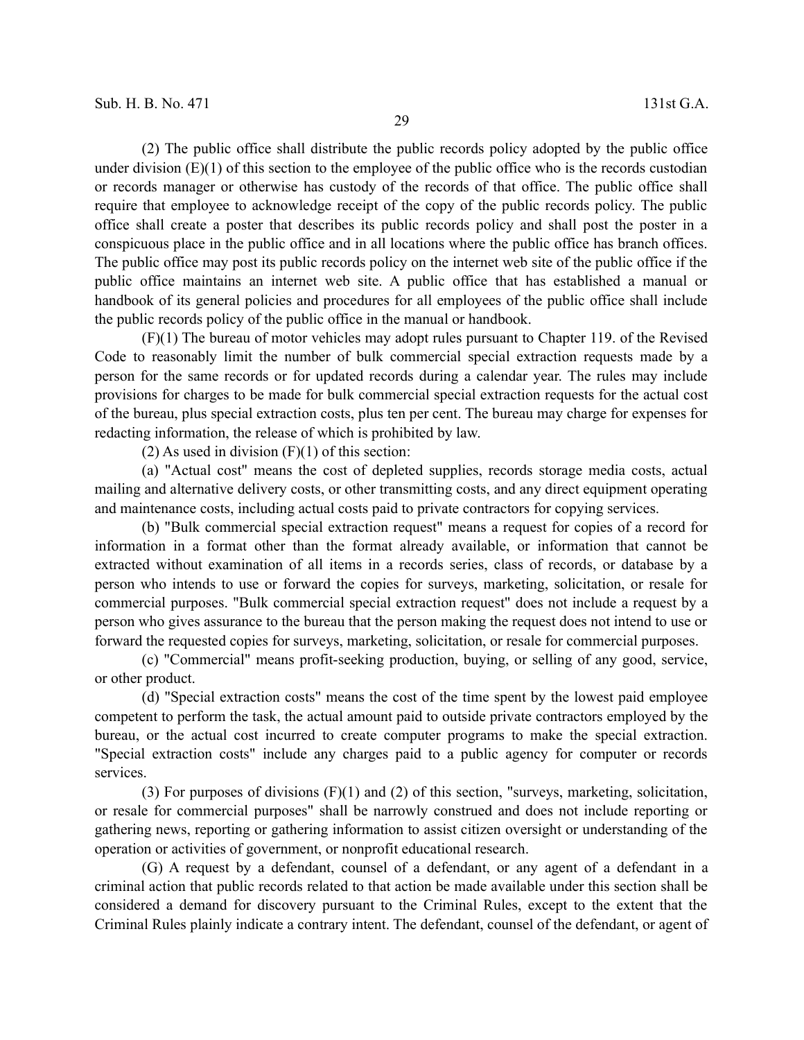(2) The public office shall distribute the public records policy adopted by the public office under division  $(E)(1)$  of this section to the employee of the public office who is the records custodian or records manager or otherwise has custody of the records of that office. The public office shall require that employee to acknowledge receipt of the copy of the public records policy. The public office shall create a poster that describes its public records policy and shall post the poster in a conspicuous place in the public office and in all locations where the public office has branch offices. The public office may post its public records policy on the internet web site of the public office if the public office maintains an internet web site. A public office that has established a manual or handbook of its general policies and procedures for all employees of the public office shall include the public records policy of the public office in the manual or handbook.

(F)(1) The bureau of motor vehicles may adopt rules pursuant to Chapter 119. of the Revised Code to reasonably limit the number of bulk commercial special extraction requests made by a person for the same records or for updated records during a calendar year. The rules may include provisions for charges to be made for bulk commercial special extraction requests for the actual cost of the bureau, plus special extraction costs, plus ten per cent. The bureau may charge for expenses for redacting information, the release of which is prohibited by law.

(2) As used in division  $(F)(1)$  of this section:

(a) "Actual cost" means the cost of depleted supplies, records storage media costs, actual mailing and alternative delivery costs, or other transmitting costs, and any direct equipment operating and maintenance costs, including actual costs paid to private contractors for copying services.

(b) "Bulk commercial special extraction request" means a request for copies of a record for information in a format other than the format already available, or information that cannot be extracted without examination of all items in a records series, class of records, or database by a person who intends to use or forward the copies for surveys, marketing, solicitation, or resale for commercial purposes. "Bulk commercial special extraction request" does not include a request by a person who gives assurance to the bureau that the person making the request does not intend to use or forward the requested copies for surveys, marketing, solicitation, or resale for commercial purposes.

(c) "Commercial" means profit-seeking production, buying, or selling of any good, service, or other product.

(d) "Special extraction costs" means the cost of the time spent by the lowest paid employee competent to perform the task, the actual amount paid to outside private contractors employed by the bureau, or the actual cost incurred to create computer programs to make the special extraction. "Special extraction costs" include any charges paid to a public agency for computer or records services.

(3) For purposes of divisions (F)(1) and (2) of this section, "surveys, marketing, solicitation, or resale for commercial purposes" shall be narrowly construed and does not include reporting or gathering news, reporting or gathering information to assist citizen oversight or understanding of the operation or activities of government, or nonprofit educational research.

(G) A request by a defendant, counsel of a defendant, or any agent of a defendant in a criminal action that public records related to that action be made available under this section shall be considered a demand for discovery pursuant to the Criminal Rules, except to the extent that the Criminal Rules plainly indicate a contrary intent. The defendant, counsel of the defendant, or agent of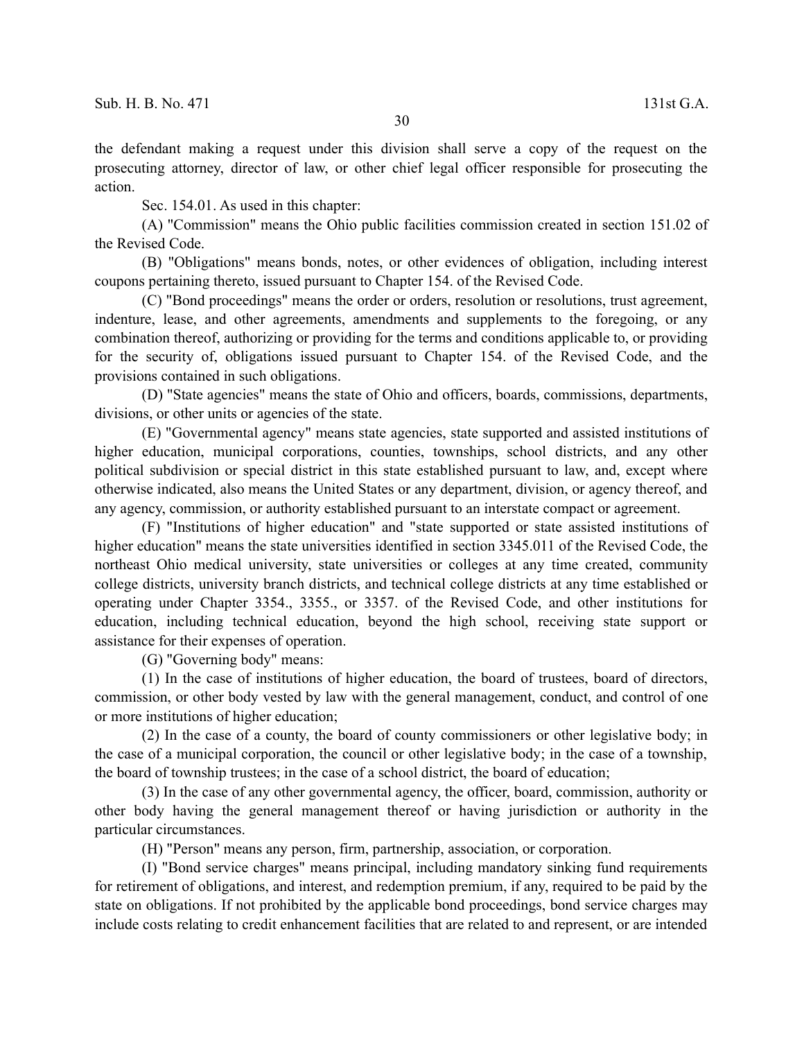Sec. 154.01. As used in this chapter:

(A) "Commission" means the Ohio public facilities commission created in section 151.02 of the Revised Code.

(B) "Obligations" means bonds, notes, or other evidences of obligation, including interest coupons pertaining thereto, issued pursuant to Chapter 154. of the Revised Code.

(C) "Bond proceedings" means the order or orders, resolution or resolutions, trust agreement, indenture, lease, and other agreements, amendments and supplements to the foregoing, or any combination thereof, authorizing or providing for the terms and conditions applicable to, or providing for the security of, obligations issued pursuant to Chapter 154. of the Revised Code, and the provisions contained in such obligations.

(D) "State agencies" means the state of Ohio and officers, boards, commissions, departments, divisions, or other units or agencies of the state.

(E) "Governmental agency" means state agencies, state supported and assisted institutions of higher education, municipal corporations, counties, townships, school districts, and any other political subdivision or special district in this state established pursuant to law, and, except where otherwise indicated, also means the United States or any department, division, or agency thereof, and any agency, commission, or authority established pursuant to an interstate compact or agreement.

(F) "Institutions of higher education" and "state supported or state assisted institutions of higher education" means the state universities identified in section 3345.011 of the Revised Code, the northeast Ohio medical university, state universities or colleges at any time created, community college districts, university branch districts, and technical college districts at any time established or operating under Chapter 3354., 3355., or 3357. of the Revised Code, and other institutions for education, including technical education, beyond the high school, receiving state support or assistance for their expenses of operation.

(G) "Governing body" means:

(1) In the case of institutions of higher education, the board of trustees, board of directors, commission, or other body vested by law with the general management, conduct, and control of one or more institutions of higher education;

(2) In the case of a county, the board of county commissioners or other legislative body; in the case of a municipal corporation, the council or other legislative body; in the case of a township, the board of township trustees; in the case of a school district, the board of education;

(3) In the case of any other governmental agency, the officer, board, commission, authority or other body having the general management thereof or having jurisdiction or authority in the particular circumstances.

(H) "Person" means any person, firm, partnership, association, or corporation.

(I) "Bond service charges" means principal, including mandatory sinking fund requirements for retirement of obligations, and interest, and redemption premium, if any, required to be paid by the state on obligations. If not prohibited by the applicable bond proceedings, bond service charges may include costs relating to credit enhancement facilities that are related to and represent, or are intended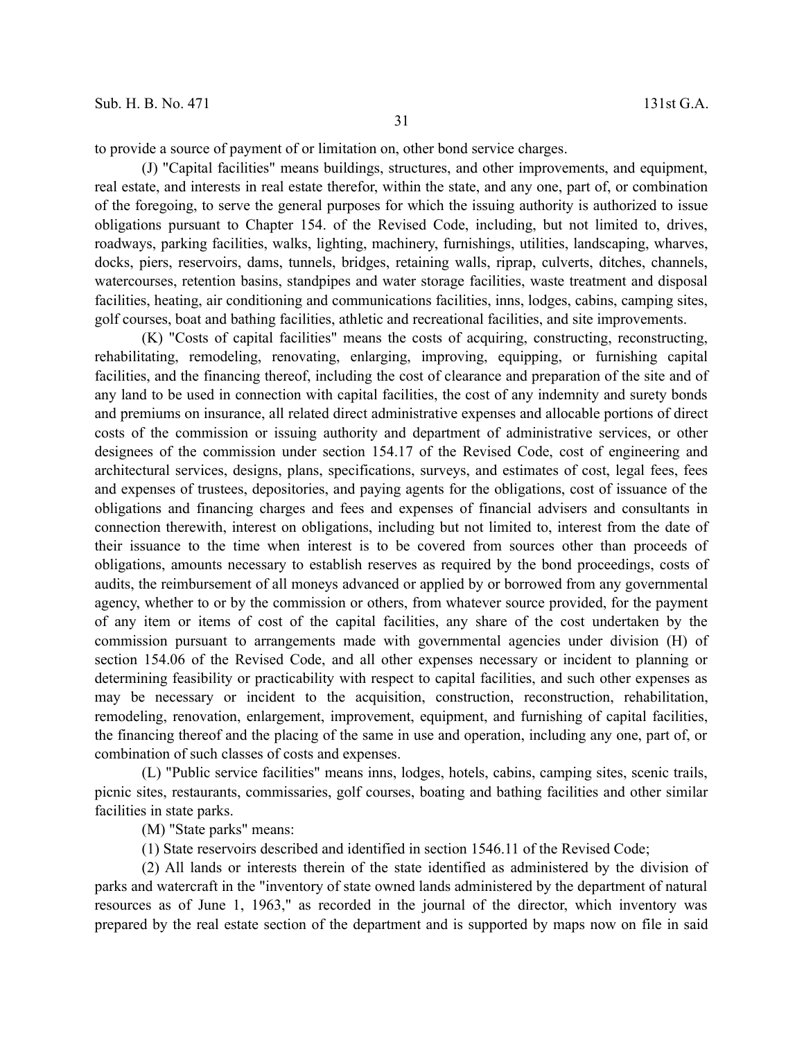to provide a source of payment of or limitation on, other bond service charges.

(J) "Capital facilities" means buildings, structures, and other improvements, and equipment, real estate, and interests in real estate therefor, within the state, and any one, part of, or combination of the foregoing, to serve the general purposes for which the issuing authority is authorized to issue obligations pursuant to Chapter 154. of the Revised Code, including, but not limited to, drives, roadways, parking facilities, walks, lighting, machinery, furnishings, utilities, landscaping, wharves, docks, piers, reservoirs, dams, tunnels, bridges, retaining walls, riprap, culverts, ditches, channels, watercourses, retention basins, standpipes and water storage facilities, waste treatment and disposal facilities, heating, air conditioning and communications facilities, inns, lodges, cabins, camping sites, golf courses, boat and bathing facilities, athletic and recreational facilities, and site improvements.

(K) "Costs of capital facilities" means the costs of acquiring, constructing, reconstructing, rehabilitating, remodeling, renovating, enlarging, improving, equipping, or furnishing capital facilities, and the financing thereof, including the cost of clearance and preparation of the site and of any land to be used in connection with capital facilities, the cost of any indemnity and surety bonds and premiums on insurance, all related direct administrative expenses and allocable portions of direct costs of the commission or issuing authority and department of administrative services, or other designees of the commission under section 154.17 of the Revised Code, cost of engineering and architectural services, designs, plans, specifications, surveys, and estimates of cost, legal fees, fees and expenses of trustees, depositories, and paying agents for the obligations, cost of issuance of the obligations and financing charges and fees and expenses of financial advisers and consultants in connection therewith, interest on obligations, including but not limited to, interest from the date of their issuance to the time when interest is to be covered from sources other than proceeds of obligations, amounts necessary to establish reserves as required by the bond proceedings, costs of audits, the reimbursement of all moneys advanced or applied by or borrowed from any governmental agency, whether to or by the commission or others, from whatever source provided, for the payment of any item or items of cost of the capital facilities, any share of the cost undertaken by the commission pursuant to arrangements made with governmental agencies under division (H) of section 154.06 of the Revised Code, and all other expenses necessary or incident to planning or determining feasibility or practicability with respect to capital facilities, and such other expenses as may be necessary or incident to the acquisition, construction, reconstruction, rehabilitation, remodeling, renovation, enlargement, improvement, equipment, and furnishing of capital facilities, the financing thereof and the placing of the same in use and operation, including any one, part of, or combination of such classes of costs and expenses.

(L) "Public service facilities" means inns, lodges, hotels, cabins, camping sites, scenic trails, picnic sites, restaurants, commissaries, golf courses, boating and bathing facilities and other similar facilities in state parks.

(M) "State parks" means:

(1) State reservoirs described and identified in section 1546.11 of the Revised Code;

(2) All lands or interests therein of the state identified as administered by the division of parks and watercraft in the "inventory of state owned lands administered by the department of natural resources as of June 1, 1963," as recorded in the journal of the director, which inventory was prepared by the real estate section of the department and is supported by maps now on file in said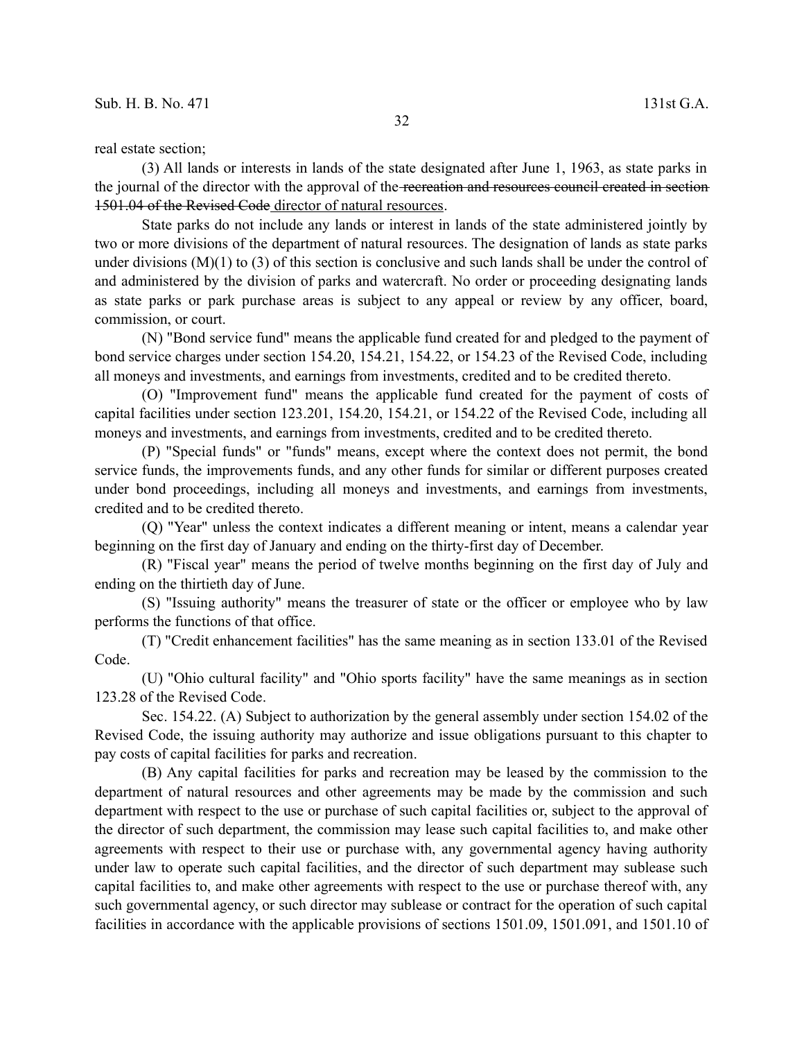real estate section;

(3) All lands or interests in lands of the state designated after June 1, 1963, as state parks in the journal of the director with the approval of the recreation and resources council created in section 1501.04 of the Revised Code director of natural resources.

State parks do not include any lands or interest in lands of the state administered jointly by two or more divisions of the department of natural resources. The designation of lands as state parks under divisions (M)(1) to (3) of this section is conclusive and such lands shall be under the control of and administered by the division of parks and watercraft. No order or proceeding designating lands as state parks or park purchase areas is subject to any appeal or review by any officer, board, commission, or court.

(N) "Bond service fund" means the applicable fund created for and pledged to the payment of bond service charges under section 154.20, 154.21, 154.22, or 154.23 of the Revised Code, including all moneys and investments, and earnings from investments, credited and to be credited thereto.

(O) "Improvement fund" means the applicable fund created for the payment of costs of capital facilities under section 123.201, 154.20, 154.21, or 154.22 of the Revised Code, including all moneys and investments, and earnings from investments, credited and to be credited thereto.

(P) "Special funds" or "funds" means, except where the context does not permit, the bond service funds, the improvements funds, and any other funds for similar or different purposes created under bond proceedings, including all moneys and investments, and earnings from investments, credited and to be credited thereto.

(Q) "Year" unless the context indicates a different meaning or intent, means a calendar year beginning on the first day of January and ending on the thirty-first day of December.

(R) "Fiscal year" means the period of twelve months beginning on the first day of July and ending on the thirtieth day of June.

(S) "Issuing authority" means the treasurer of state or the officer or employee who by law performs the functions of that office.

(T) "Credit enhancement facilities" has the same meaning as in section 133.01 of the Revised Code.

(U) "Ohio cultural facility" and "Ohio sports facility" have the same meanings as in section 123.28 of the Revised Code.

Sec. 154.22. (A) Subject to authorization by the general assembly under section 154.02 of the Revised Code, the issuing authority may authorize and issue obligations pursuant to this chapter to pay costs of capital facilities for parks and recreation.

(B) Any capital facilities for parks and recreation may be leased by the commission to the department of natural resources and other agreements may be made by the commission and such department with respect to the use or purchase of such capital facilities or, subject to the approval of the director of such department, the commission may lease such capital facilities to, and make other agreements with respect to their use or purchase with, any governmental agency having authority under law to operate such capital facilities, and the director of such department may sublease such capital facilities to, and make other agreements with respect to the use or purchase thereof with, any such governmental agency, or such director may sublease or contract for the operation of such capital facilities in accordance with the applicable provisions of sections 1501.09, 1501.091, and 1501.10 of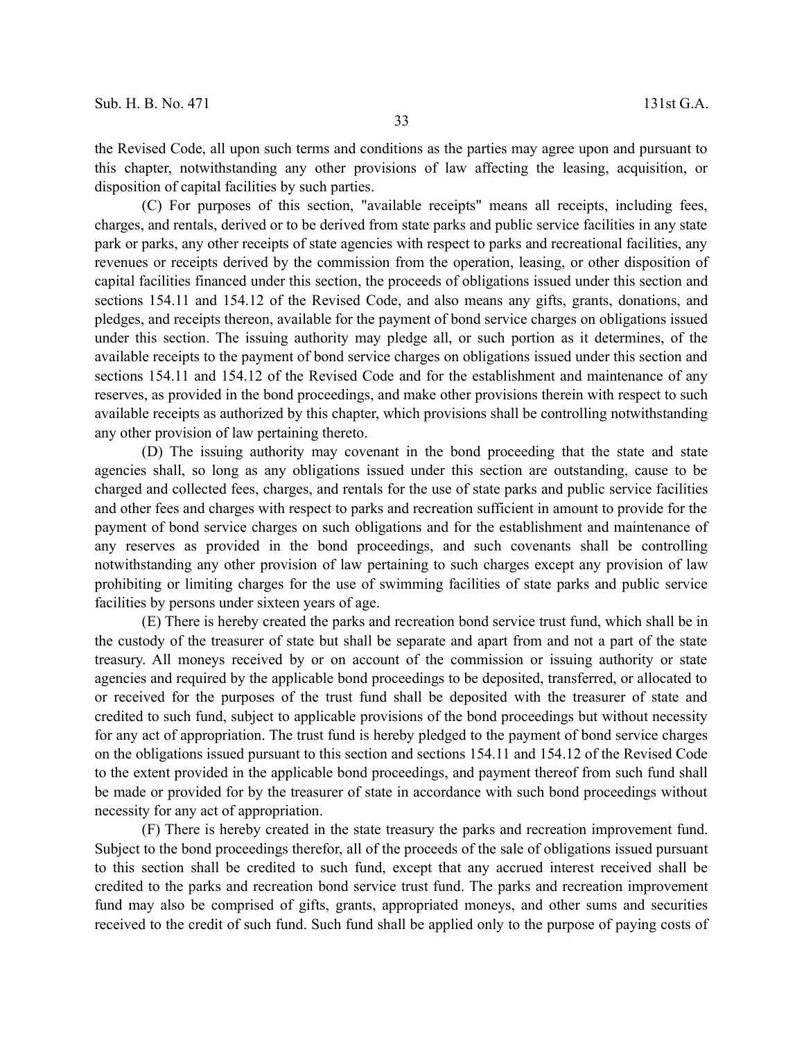the Revised Code, all upon such terms and conditions as the parties may agree upon and pursuant to this chapter, notwithstanding any other provisions of law affecting the leasing, acquisition, or disposition of capital facilities by such parties.

(C) For purposes of this section, "available receipts" means all receipts, including fees, charges, and rentals, derived or to be derived from state parks and public service facilities in any state park or parks, any other receipts of state agencies with respect to parks and recreational facilities, any revenues or receipts derived by the commission from the operation, leasing, or other disposition of capital facilities financed under this section, the proceeds of obligations issued under this section and sections 154.11 and 154.12 of the Revised Code, and also means any gifts, grants, donations, and pledges, and receipts thereon, available for the payment of bond service charges on obligations issued under this section. The issuing authority may pledge all, or such portion as it determines, of the available receipts to the payment of bond service charges on obligations issued under this section and sections 154.11 and 154.12 of the Revised Code and for the establishment and maintenance of any reserves, as provided in the bond proceedings, and make other provisions therein with respect to such available receipts as authorized by this chapter, which provisions shall be controlling notwithstanding any other provision of law pertaining thereto.

(D) The issuing authority may covenant in the bond proceeding that the state and state agencies shall, so long as any obligations issued under this section are outstanding, cause to be charged and collected fees, charges, and rentals for the use of state parks and public service facilities and other fees and charges with respect to parks and recreation sufficient in amount to provide for the payment of bond service charges on such obligations and for the establishment and maintenance of any reserves as provided in the bond proceedings, and such covenants shall be controlling notwithstanding any other provision of law pertaining to such charges except any provision of law prohibiting or limiting charges for the use of swimming facilities of state parks and public service facilities by persons under sixteen years of age.

(E) There is hereby created the parks and recreation bond service trust fund, which shall be in the custody of the treasurer of state but shall be separate and apart from and not a part of the state treasury. All moneys received by or on account of the commission or issuing authority or state agencies and required by the applicable bond proceedings to be deposited, transferred, or allocated to or received for the purposes of the trust fund shall be deposited with the treasurer of state and credited to such fund, subject to applicable provisions of the bond proceedings but without necessity for any act of appropriation. The trust fund is hereby pledged to the payment of bond service charges on the obligations issued pursuant to this section and sections 154.11 and 154.12 of the Revised Code to the extent provided in the applicable bond proceedings, and payment thereof from such fund shall be made or provided for by the treasurer of state in accordance with such bond proceedings without necessity for any act of appropriation.

(F) There is hereby created in the state treasury the parks and recreation improvement fund. Subject to the bond proceedings therefor, all of the proceeds of the sale of obligations issued pursuant to this section shall be credited to such fund, except that any accrued interest received shall be credited to the parks and recreation bond service trust fund. The parks and recreation improvement fund may also be comprised of gifts, grants, appropriated moneys, and other sums and securities received to the credit of such fund. Such fund shall be applied only to the purpose of paying costs of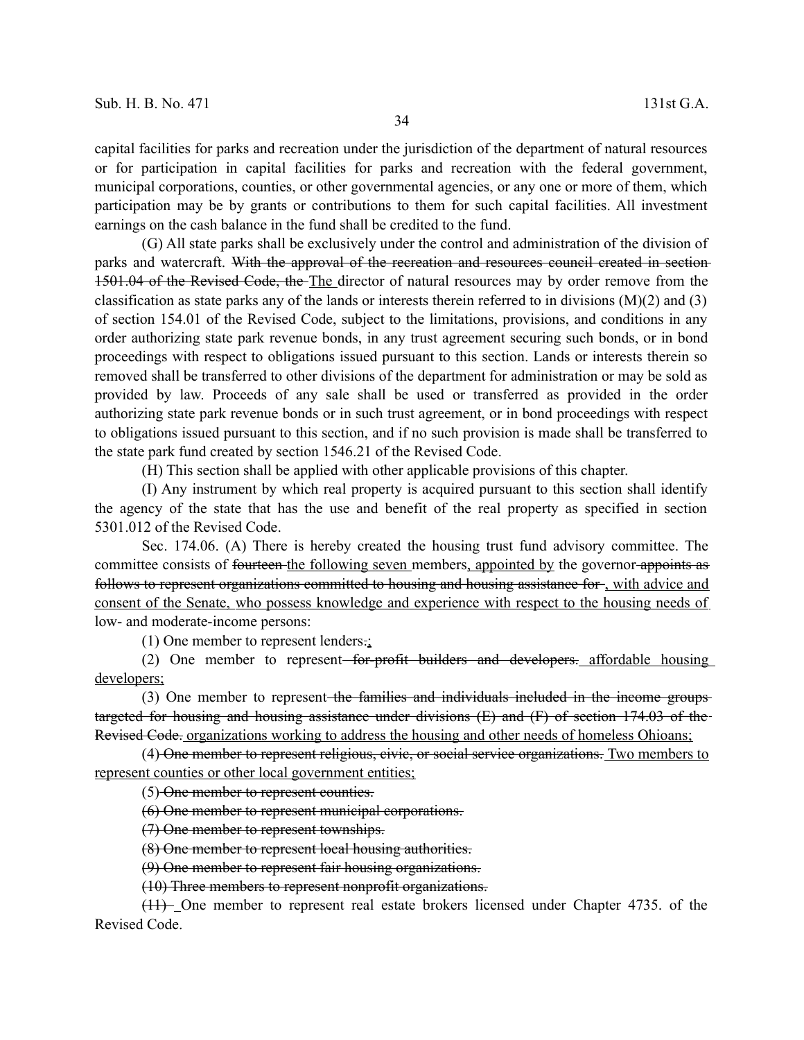capital facilities for parks and recreation under the jurisdiction of the department of natural resources or for participation in capital facilities for parks and recreation with the federal government, municipal corporations, counties, or other governmental agencies, or any one or more of them, which participation may be by grants or contributions to them for such capital facilities. All investment earnings on the cash balance in the fund shall be credited to the fund.

(G) All state parks shall be exclusively under the control and administration of the division of parks and watercraft. With the approval of the recreation and resources council created in section 1501.04 of the Revised Code, the The director of natural resources may by order remove from the classification as state parks any of the lands or interests therein referred to in divisions  $(M)(2)$  and  $(3)$ of section 154.01 of the Revised Code, subject to the limitations, provisions, and conditions in any order authorizing state park revenue bonds, in any trust agreement securing such bonds, or in bond proceedings with respect to obligations issued pursuant to this section. Lands or interests therein so removed shall be transferred to other divisions of the department for administration or may be sold as provided by law. Proceeds of any sale shall be used or transferred as provided in the order authorizing state park revenue bonds or in such trust agreement, or in bond proceedings with respect to obligations issued pursuant to this section, and if no such provision is made shall be transferred to the state park fund created by section 1546.21 of the Revised Code.

(H) This section shall be applied with other applicable provisions of this chapter.

(I) Any instrument by which real property is acquired pursuant to this section shall identify the agency of the state that has the use and benefit of the real property as specified in section 5301.012 of the Revised Code.

Sec. 174.06. (A) There is hereby created the housing trust fund advisory committee. The committee consists of <del>fourteen the</del> following seven members, appointed by the governor-appoints as follows to represent organizations committed to housing and housing assistance for , with advice and consent of the Senate, who possess knowledge and experience with respect to the housing needs of low- and moderate-income persons:

(1) One member to represent lenders.;

(2) One member to represent<del> for-profit builders and developers.</del> affordable housing developers;

 $(3)$  One member to represent the families and individuals included in the income groups targeted for housing and housing assistance under divisions (E) and (F) of section 174.03 of the Revised Code. organizations working to address the housing and other needs of homeless Ohioans;

(4) One member to represent religious, civic, or social service organizations. Two members to represent counties or other local government entities;

(5) One member to represent counties.

(6) One member to represent municipal corporations.

(7) One member to represent townships.

(8) One member to represent local housing authorities.

(9) One member to represent fair housing organizations.

(10) Three members to represent nonprofit organizations.

(11) One member to represent real estate brokers licensed under Chapter 4735. of the Revised Code.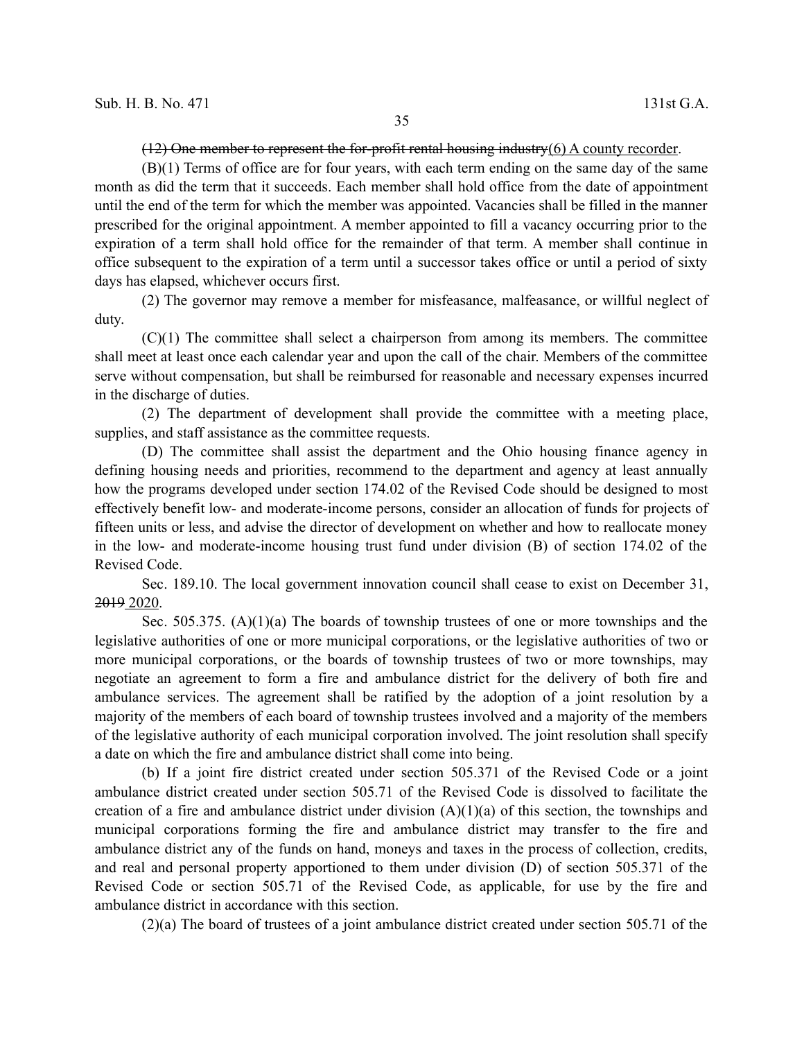## (12) One member to represent the for-profit rental housing industry(6) A county recorder.

(B)(1) Terms of office are for four years, with each term ending on the same day of the same month as did the term that it succeeds. Each member shall hold office from the date of appointment until the end of the term for which the member was appointed. Vacancies shall be filled in the manner prescribed for the original appointment. A member appointed to fill a vacancy occurring prior to the expiration of a term shall hold office for the remainder of that term. A member shall continue in office subsequent to the expiration of a term until a successor takes office or until a period of sixty days has elapsed, whichever occurs first.

(2) The governor may remove a member for misfeasance, malfeasance, or willful neglect of duty.

(C)(1) The committee shall select a chairperson from among its members. The committee shall meet at least once each calendar year and upon the call of the chair. Members of the committee serve without compensation, but shall be reimbursed for reasonable and necessary expenses incurred in the discharge of duties.

(2) The department of development shall provide the committee with a meeting place, supplies, and staff assistance as the committee requests.

(D) The committee shall assist the department and the Ohio housing finance agency in defining housing needs and priorities, recommend to the department and agency at least annually how the programs developed under section 174.02 of the Revised Code should be designed to most effectively benefit low- and moderate-income persons, consider an allocation of funds for projects of fifteen units or less, and advise the director of development on whether and how to reallocate money in the low- and moderate-income housing trust fund under division (B) of section 174.02 of the Revised Code.

Sec. 189.10. The local government innovation council shall cease to exist on December 31, 2019 2020.

Sec. 505.375. (A)(1)(a) The boards of township trustees of one or more townships and the legislative authorities of one or more municipal corporations, or the legislative authorities of two or more municipal corporations, or the boards of township trustees of two or more townships, may negotiate an agreement to form a fire and ambulance district for the delivery of both fire and ambulance services. The agreement shall be ratified by the adoption of a joint resolution by a majority of the members of each board of township trustees involved and a majority of the members of the legislative authority of each municipal corporation involved. The joint resolution shall specify a date on which the fire and ambulance district shall come into being.

(b) If a joint fire district created under section 505.371 of the Revised Code or a joint ambulance district created under section 505.71 of the Revised Code is dissolved to facilitate the creation of a fire and ambulance district under division  $(A)(1)(a)$  of this section, the townships and municipal corporations forming the fire and ambulance district may transfer to the fire and ambulance district any of the funds on hand, moneys and taxes in the process of collection, credits, and real and personal property apportioned to them under division (D) of section 505.371 of the Revised Code or section 505.71 of the Revised Code, as applicable, for use by the fire and ambulance district in accordance with this section.

(2)(a) The board of trustees of a joint ambulance district created under section 505.71 of the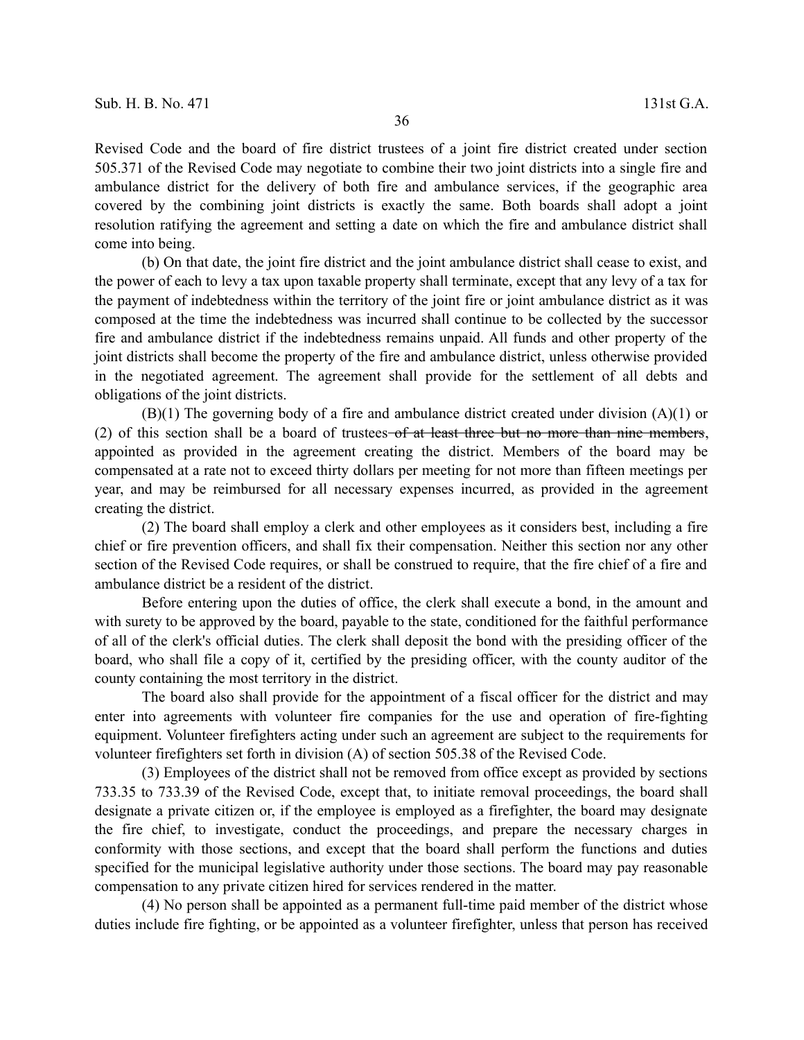Revised Code and the board of fire district trustees of a joint fire district created under section 505.371 of the Revised Code may negotiate to combine their two joint districts into a single fire and ambulance district for the delivery of both fire and ambulance services, if the geographic area covered by the combining joint districts is exactly the same. Both boards shall adopt a joint resolution ratifying the agreement and setting a date on which the fire and ambulance district shall come into being.

(b) On that date, the joint fire district and the joint ambulance district shall cease to exist, and the power of each to levy a tax upon taxable property shall terminate, except that any levy of a tax for the payment of indebtedness within the territory of the joint fire or joint ambulance district as it was composed at the time the indebtedness was incurred shall continue to be collected by the successor fire and ambulance district if the indebtedness remains unpaid. All funds and other property of the joint districts shall become the property of the fire and ambulance district, unless otherwise provided in the negotiated agreement. The agreement shall provide for the settlement of all debts and obligations of the joint districts.

 $(B)(1)$  The governing body of a fire and ambulance district created under division  $(A)(1)$  or (2) of this section shall be a board of trustees of at least three but no more than nine members, appointed as provided in the agreement creating the district. Members of the board may be compensated at a rate not to exceed thirty dollars per meeting for not more than fifteen meetings per year, and may be reimbursed for all necessary expenses incurred, as provided in the agreement creating the district.

(2) The board shall employ a clerk and other employees as it considers best, including a fire chief or fire prevention officers, and shall fix their compensation. Neither this section nor any other section of the Revised Code requires, or shall be construed to require, that the fire chief of a fire and ambulance district be a resident of the district.

Before entering upon the duties of office, the clerk shall execute a bond, in the amount and with surety to be approved by the board, payable to the state, conditioned for the faithful performance of all of the clerk's official duties. The clerk shall deposit the bond with the presiding officer of the board, who shall file a copy of it, certified by the presiding officer, with the county auditor of the county containing the most territory in the district.

The board also shall provide for the appointment of a fiscal officer for the district and may enter into agreements with volunteer fire companies for the use and operation of fire-fighting equipment. Volunteer firefighters acting under such an agreement are subject to the requirements for volunteer firefighters set forth in division (A) of section 505.38 of the Revised Code.

(3) Employees of the district shall not be removed from office except as provided by sections 733.35 to 733.39 of the Revised Code, except that, to initiate removal proceedings, the board shall designate a private citizen or, if the employee is employed as a firefighter, the board may designate the fire chief, to investigate, conduct the proceedings, and prepare the necessary charges in conformity with those sections, and except that the board shall perform the functions and duties specified for the municipal legislative authority under those sections. The board may pay reasonable compensation to any private citizen hired for services rendered in the matter.

(4) No person shall be appointed as a permanent full-time paid member of the district whose duties include fire fighting, or be appointed as a volunteer firefighter, unless that person has received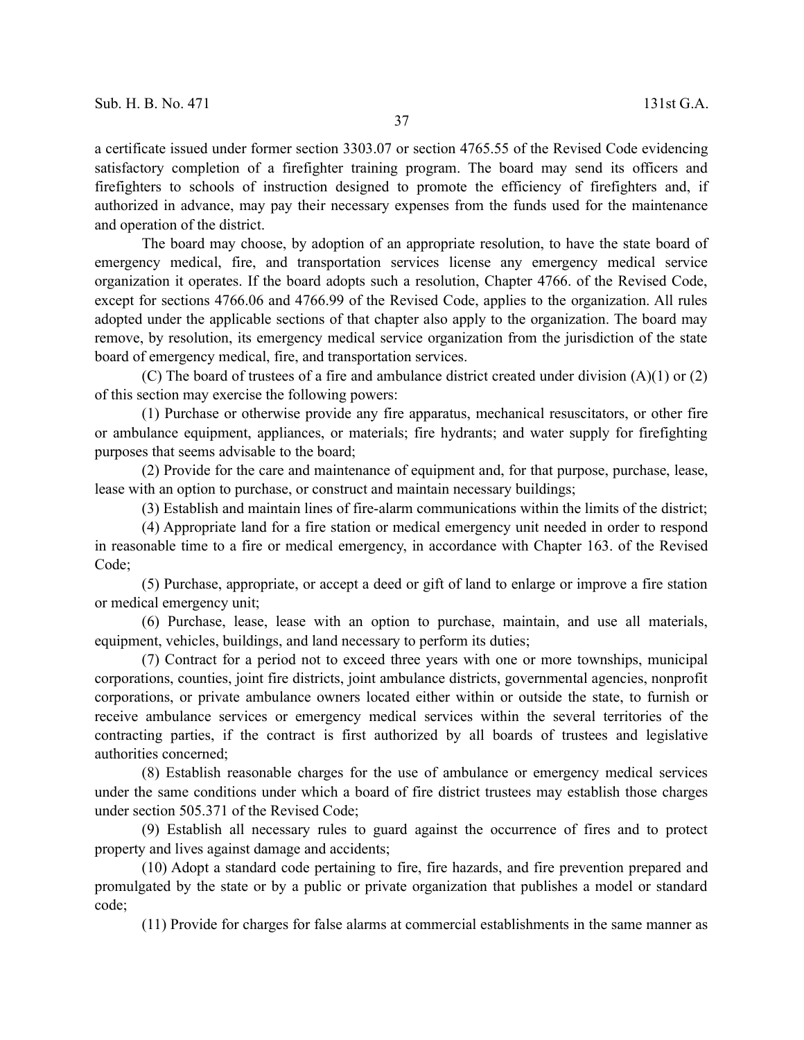a certificate issued under former section 3303.07 or section 4765.55 of the Revised Code evidencing satisfactory completion of a firefighter training program. The board may send its officers and firefighters to schools of instruction designed to promote the efficiency of firefighters and, if authorized in advance, may pay their necessary expenses from the funds used for the maintenance and operation of the district.

The board may choose, by adoption of an appropriate resolution, to have the state board of emergency medical, fire, and transportation services license any emergency medical service organization it operates. If the board adopts such a resolution, Chapter 4766. of the Revised Code, except for sections 4766.06 and 4766.99 of the Revised Code, applies to the organization. All rules adopted under the applicable sections of that chapter also apply to the organization. The board may remove, by resolution, its emergency medical service organization from the jurisdiction of the state board of emergency medical, fire, and transportation services.

(C) The board of trustees of a fire and ambulance district created under division (A)(1) or (2) of this section may exercise the following powers:

(1) Purchase or otherwise provide any fire apparatus, mechanical resuscitators, or other fire or ambulance equipment, appliances, or materials; fire hydrants; and water supply for firefighting purposes that seems advisable to the board;

(2) Provide for the care and maintenance of equipment and, for that purpose, purchase, lease, lease with an option to purchase, or construct and maintain necessary buildings;

(3) Establish and maintain lines of fire-alarm communications within the limits of the district;

(4) Appropriate land for a fire station or medical emergency unit needed in order to respond in reasonable time to a fire or medical emergency, in accordance with Chapter 163. of the Revised Code;

(5) Purchase, appropriate, or accept a deed or gift of land to enlarge or improve a fire station or medical emergency unit;

(6) Purchase, lease, lease with an option to purchase, maintain, and use all materials, equipment, vehicles, buildings, and land necessary to perform its duties;

(7) Contract for a period not to exceed three years with one or more townships, municipal corporations, counties, joint fire districts, joint ambulance districts, governmental agencies, nonprofit corporations, or private ambulance owners located either within or outside the state, to furnish or receive ambulance services or emergency medical services within the several territories of the contracting parties, if the contract is first authorized by all boards of trustees and legislative authorities concerned;

(8) Establish reasonable charges for the use of ambulance or emergency medical services under the same conditions under which a board of fire district trustees may establish those charges under section 505.371 of the Revised Code;

(9) Establish all necessary rules to guard against the occurrence of fires and to protect property and lives against damage and accidents;

(10) Adopt a standard code pertaining to fire, fire hazards, and fire prevention prepared and promulgated by the state or by a public or private organization that publishes a model or standard code;

(11) Provide for charges for false alarms at commercial establishments in the same manner as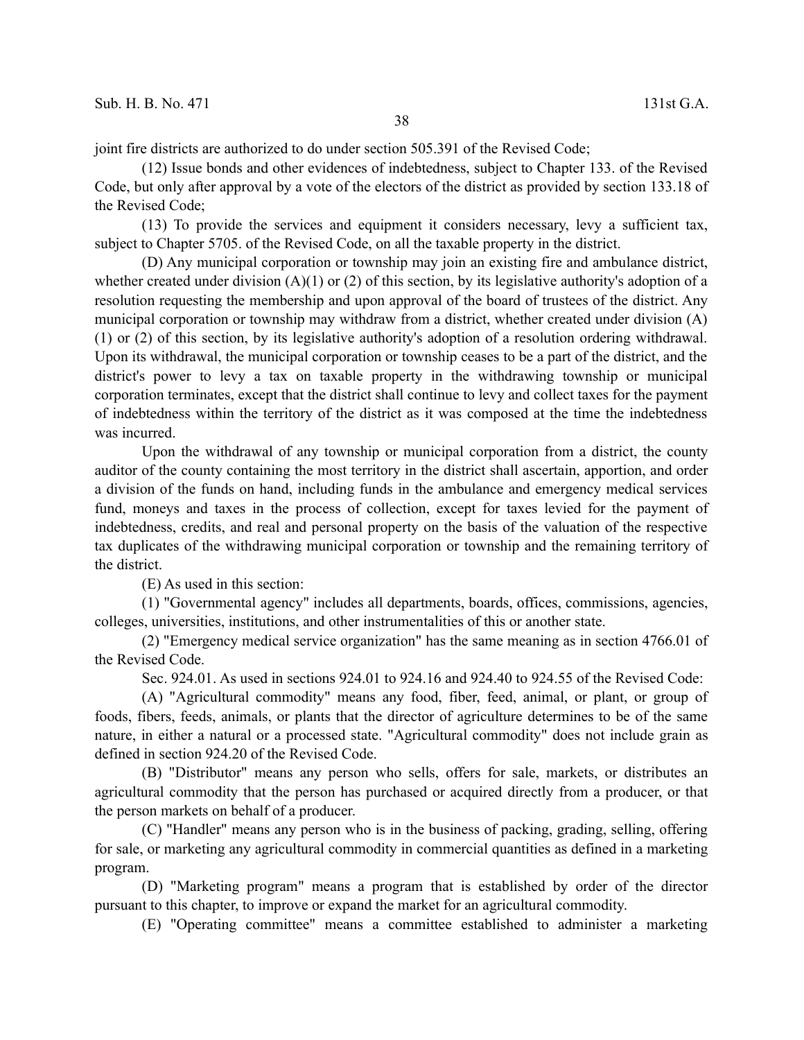joint fire districts are authorized to do under section 505.391 of the Revised Code;

(12) Issue bonds and other evidences of indebtedness, subject to Chapter 133. of the Revised Code, but only after approval by a vote of the electors of the district as provided by section 133.18 of the Revised Code;

(13) To provide the services and equipment it considers necessary, levy a sufficient tax, subject to Chapter 5705. of the Revised Code, on all the taxable property in the district.

(D) Any municipal corporation or township may join an existing fire and ambulance district, whether created under division (A)(1) or (2) of this section, by its legislative authority's adoption of a resolution requesting the membership and upon approval of the board of trustees of the district. Any municipal corporation or township may withdraw from a district, whether created under division (A) (1) or (2) of this section, by its legislative authority's adoption of a resolution ordering withdrawal. Upon its withdrawal, the municipal corporation or township ceases to be a part of the district, and the district's power to levy a tax on taxable property in the withdrawing township or municipal corporation terminates, except that the district shall continue to levy and collect taxes for the payment of indebtedness within the territory of the district as it was composed at the time the indebtedness was incurred.

Upon the withdrawal of any township or municipal corporation from a district, the county auditor of the county containing the most territory in the district shall ascertain, apportion, and order a division of the funds on hand, including funds in the ambulance and emergency medical services fund, moneys and taxes in the process of collection, except for taxes levied for the payment of indebtedness, credits, and real and personal property on the basis of the valuation of the respective tax duplicates of the withdrawing municipal corporation or township and the remaining territory of the district.

(E) As used in this section:

(1) "Governmental agency" includes all departments, boards, offices, commissions, agencies, colleges, universities, institutions, and other instrumentalities of this or another state.

(2) "Emergency medical service organization" has the same meaning as in section 4766.01 of the Revised Code.

Sec. 924.01. As used in sections 924.01 to 924.16 and 924.40 to 924.55 of the Revised Code:

(A) "Agricultural commodity" means any food, fiber, feed, animal, or plant, or group of foods, fibers, feeds, animals, or plants that the director of agriculture determines to be of the same nature, in either a natural or a processed state. "Agricultural commodity" does not include grain as defined in section 924.20 of the Revised Code.

(B) "Distributor" means any person who sells, offers for sale, markets, or distributes an agricultural commodity that the person has purchased or acquired directly from a producer, or that the person markets on behalf of a producer.

(C) "Handler" means any person who is in the business of packing, grading, selling, offering for sale, or marketing any agricultural commodity in commercial quantities as defined in a marketing program.

(D) "Marketing program" means a program that is established by order of the director pursuant to this chapter, to improve or expand the market for an agricultural commodity.

(E) "Operating committee" means a committee established to administer a marketing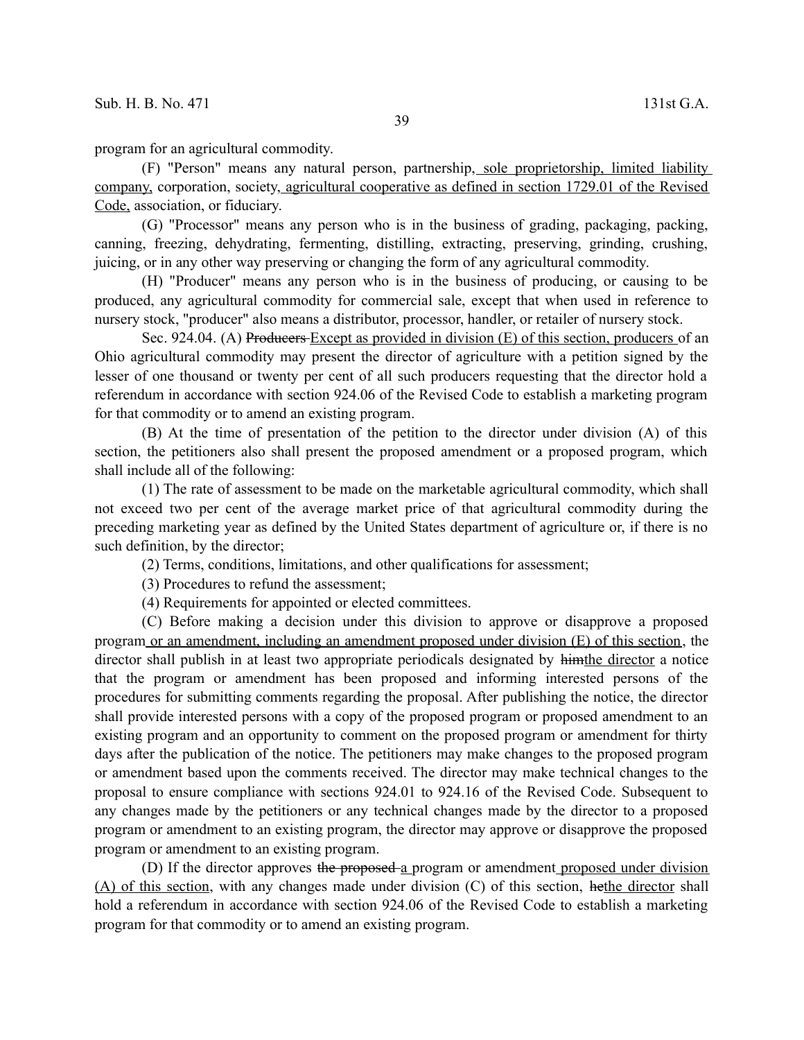program for an agricultural commodity.

(F) "Person" means any natural person, partnership, sole proprietorship, limited liability company, corporation, society, agricultural cooperative as defined in section 1729.01 of the Revised Code, association, or fiduciary.

(G) "Processor" means any person who is in the business of grading, packaging, packing, canning, freezing, dehydrating, fermenting, distilling, extracting, preserving, grinding, crushing, juicing, or in any other way preserving or changing the form of any agricultural commodity.

(H) "Producer" means any person who is in the business of producing, or causing to be produced, any agricultural commodity for commercial sale, except that when used in reference to nursery stock, "producer" also means a distributor, processor, handler, or retailer of nursery stock.

Sec. 924.04. (A) Producers-Except as provided in division (E) of this section, producers of an Ohio agricultural commodity may present the director of agriculture with a petition signed by the lesser of one thousand or twenty per cent of all such producers requesting that the director hold a referendum in accordance with section 924.06 of the Revised Code to establish a marketing program for that commodity or to amend an existing program.

(B) At the time of presentation of the petition to the director under division (A) of this section, the petitioners also shall present the proposed amendment or a proposed program, which shall include all of the following:

(1) The rate of assessment to be made on the marketable agricultural commodity, which shall not exceed two per cent of the average market price of that agricultural commodity during the preceding marketing year as defined by the United States department of agriculture or, if there is no such definition, by the director;

(2) Terms, conditions, limitations, and other qualifications for assessment;

(3) Procedures to refund the assessment;

(4) Requirements for appointed or elected committees.

(C) Before making a decision under this division to approve or disapprove a proposed program or an amendment, including an amendment proposed under division (E) of this section, the director shall publish in at least two appropriate periodicals designated by himthe director a notice that the program or amendment has been proposed and informing interested persons of the procedures for submitting comments regarding the proposal. After publishing the notice, the director shall provide interested persons with a copy of the proposed program or proposed amendment to an existing program and an opportunity to comment on the proposed program or amendment for thirty days after the publication of the notice. The petitioners may make changes to the proposed program or amendment based upon the comments received. The director may make technical changes to the proposal to ensure compliance with sections 924.01 to 924.16 of the Revised Code. Subsequent to any changes made by the petitioners or any technical changes made by the director to a proposed program or amendment to an existing program, the director may approve or disapprove the proposed program or amendment to an existing program.

(D) If the director approves the proposed a program or amendment proposed under division (A) of this section, with any changes made under division (C) of this section, hethe director shall hold a referendum in accordance with section 924.06 of the Revised Code to establish a marketing program for that commodity or to amend an existing program.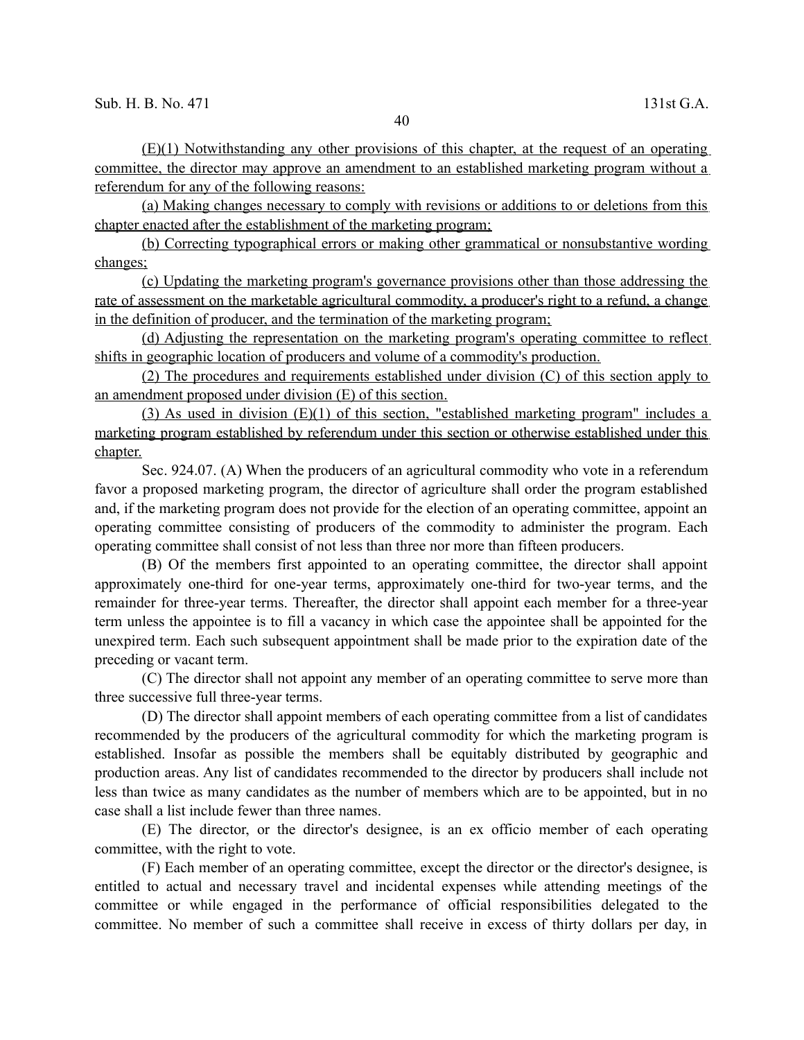(E)(1) Notwithstanding any other provisions of this chapter, at the request of an operating committee, the director may approve an amendment to an established marketing program without a referendum for any of the following reasons:

(a) Making changes necessary to comply with revisions or additions to or deletions from this chapter enacted after the establishment of the marketing program;

(b) Correcting typographical errors or making other grammatical or nonsubstantive wording changes;

(c) Updating the marketing program's governance provisions other than those addressing the rate of assessment on the marketable agricultural commodity, a producer's right to a refund, a change in the definition of producer, and the termination of the marketing program;

(d) Adjusting the representation on the marketing program's operating committee to reflect shifts in geographic location of producers and volume of a commodity's production.

(2) The procedures and requirements established under division (C) of this section apply to an amendment proposed under division (E) of this section.

(3) As used in division (E)(1) of this section, "established marketing program" includes a marketing program established by referendum under this section or otherwise established under this chapter.

Sec. 924.07. (A) When the producers of an agricultural commodity who vote in a referendum favor a proposed marketing program, the director of agriculture shall order the program established and, if the marketing program does not provide for the election of an operating committee, appoint an operating committee consisting of producers of the commodity to administer the program. Each operating committee shall consist of not less than three nor more than fifteen producers.

(B) Of the members first appointed to an operating committee, the director shall appoint approximately one-third for one-year terms, approximately one-third for two-year terms, and the remainder for three-year terms. Thereafter, the director shall appoint each member for a three-year term unless the appointee is to fill a vacancy in which case the appointee shall be appointed for the unexpired term. Each such subsequent appointment shall be made prior to the expiration date of the preceding or vacant term.

(C) The director shall not appoint any member of an operating committee to serve more than three successive full three-year terms.

(D) The director shall appoint members of each operating committee from a list of candidates recommended by the producers of the agricultural commodity for which the marketing program is established. Insofar as possible the members shall be equitably distributed by geographic and production areas. Any list of candidates recommended to the director by producers shall include not less than twice as many candidates as the number of members which are to be appointed, but in no case shall a list include fewer than three names.

(E) The director, or the director's designee, is an ex officio member of each operating committee, with the right to vote.

(F) Each member of an operating committee, except the director or the director's designee, is entitled to actual and necessary travel and incidental expenses while attending meetings of the committee or while engaged in the performance of official responsibilities delegated to the committee. No member of such a committee shall receive in excess of thirty dollars per day, in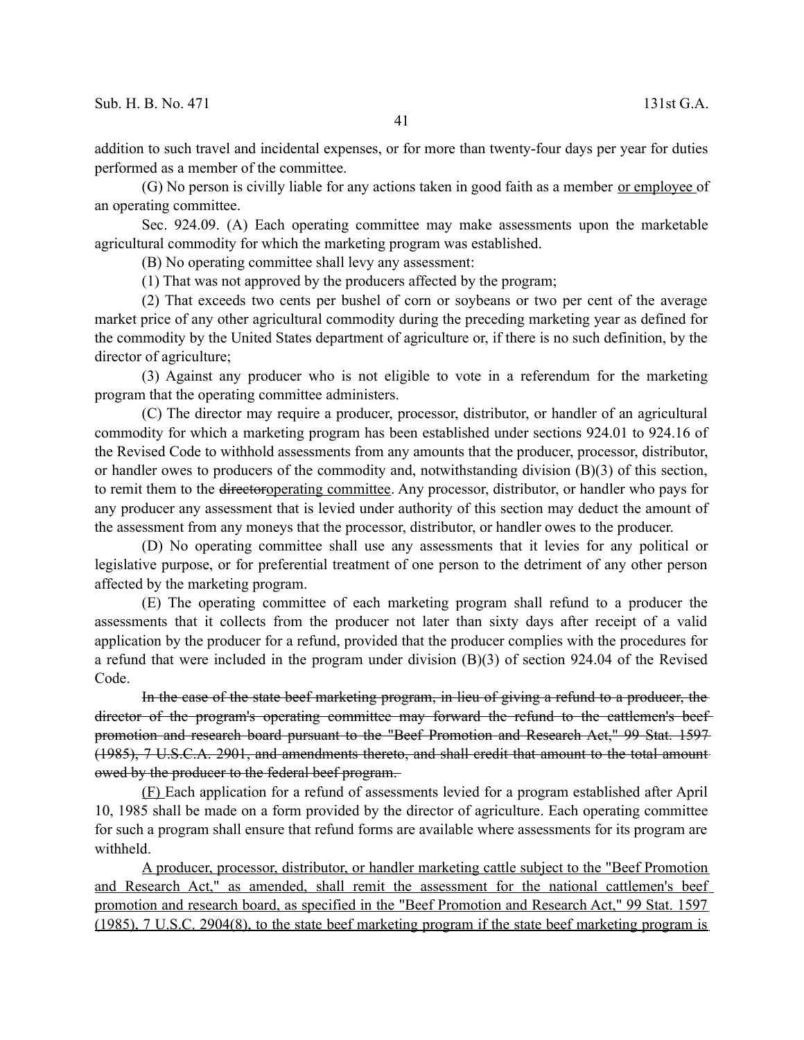addition to such travel and incidental expenses, or for more than twenty-four days per year for duties performed as a member of the committee.

(G) No person is civilly liable for any actions taken in good faith as a member or employee of an operating committee.

Sec. 924.09. (A) Each operating committee may make assessments upon the marketable agricultural commodity for which the marketing program was established.

(B) No operating committee shall levy any assessment:

(1) That was not approved by the producers affected by the program;

(2) That exceeds two cents per bushel of corn or soybeans or two per cent of the average market price of any other agricultural commodity during the preceding marketing year as defined for the commodity by the United States department of agriculture or, if there is no such definition, by the director of agriculture;

(3) Against any producer who is not eligible to vote in a referendum for the marketing program that the operating committee administers.

(C) The director may require a producer, processor, distributor, or handler of an agricultural commodity for which a marketing program has been established under sections 924.01 to 924.16 of the Revised Code to withhold assessments from any amounts that the producer, processor, distributor, or handler owes to producers of the commodity and, notwithstanding division (B)(3) of this section, to remit them to the directoroperating committee. Any processor, distributor, or handler who pays for any producer any assessment that is levied under authority of this section may deduct the amount of the assessment from any moneys that the processor, distributor, or handler owes to the producer.

(D) No operating committee shall use any assessments that it levies for any political or legislative purpose, or for preferential treatment of one person to the detriment of any other person affected by the marketing program.

(E) The operating committee of each marketing program shall refund to a producer the assessments that it collects from the producer not later than sixty days after receipt of a valid application by the producer for a refund, provided that the producer complies with the procedures for a refund that were included in the program under division (B)(3) of section 924.04 of the Revised Code.

In the case of the state beef marketing program, in lieu of giving a refund to a producer, the director of the program's operating committee may forward the refund to the cattlemen's beefpromotion and research board pursuant to the "Beef Promotion and Research Act," 99 Stat. 1597 (1985), 7 U.S.C.A. 2901, and amendments thereto, and shall credit that amount to the total amount owed by the producer to the federal beef program.

(F) Each application for a refund of assessments levied for a program established after April 10, 1985 shall be made on a form provided by the director of agriculture. Each operating committee for such a program shall ensure that refund forms are available where assessments for its program are withheld.

A producer, processor, distributor, or handler marketing cattle subject to the "Beef Promotion and Research Act," as amended, shall remit the assessment for the national cattlemen's beef promotion and research board, as specified in the "Beef Promotion and Research Act," 99 Stat. 1597 (1985), 7 U.S.C. 2904(8), to the state beef marketing program if the state beef marketing program is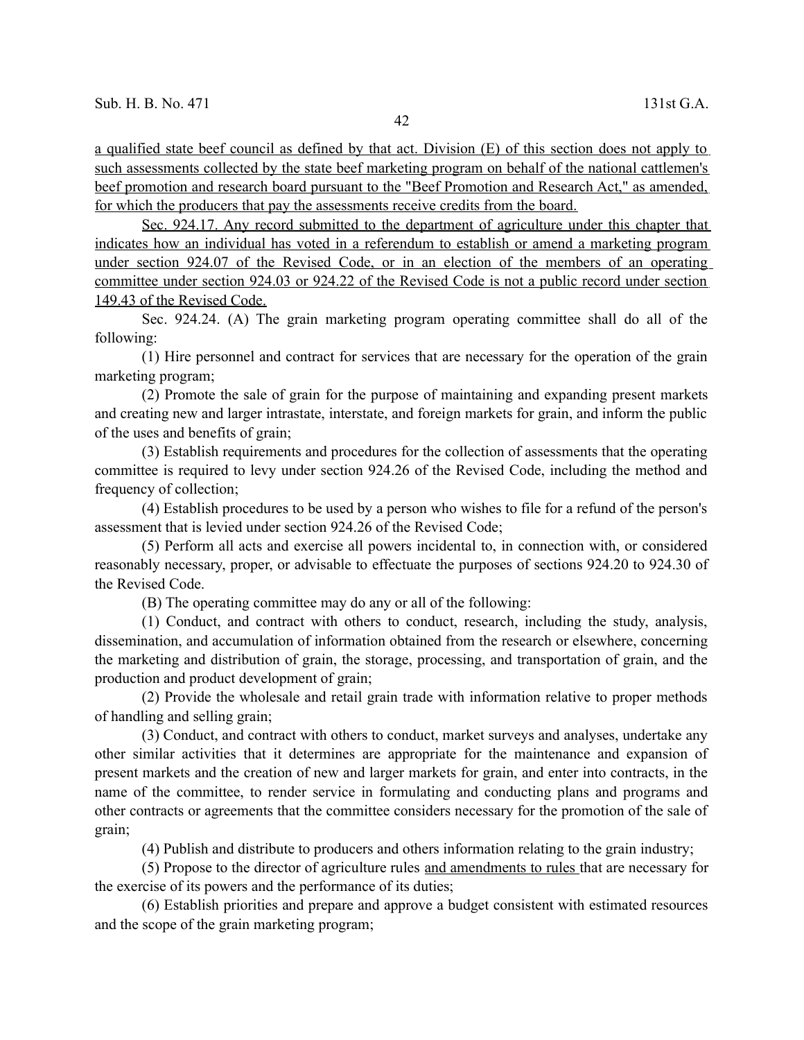a qualified state beef council as defined by that act. Division (E) of this section does not apply to such assessments collected by the state beef marketing program on behalf of the national cattlemen's beef promotion and research board pursuant to the "Beef Promotion and Research Act," as amended, for which the producers that pay the assessments receive credits from the board.

 Sec. 924.17. Any record submitted to the department of agriculture under this chapter that indicates how an individual has voted in a referendum to establish or amend a marketing program under section 924.07 of the Revised Code, or in an election of the members of an operating committee under section 924.03 or 924.22 of the Revised Code is not a public record under section 149.43 of the Revised Code.

Sec. 924.24. (A) The grain marketing program operating committee shall do all of the following:

(1) Hire personnel and contract for services that are necessary for the operation of the grain marketing program;

(2) Promote the sale of grain for the purpose of maintaining and expanding present markets and creating new and larger intrastate, interstate, and foreign markets for grain, and inform the public of the uses and benefits of grain;

(3) Establish requirements and procedures for the collection of assessments that the operating committee is required to levy under section 924.26 of the Revised Code, including the method and frequency of collection;

(4) Establish procedures to be used by a person who wishes to file for a refund of the person's assessment that is levied under section 924.26 of the Revised Code;

(5) Perform all acts and exercise all powers incidental to, in connection with, or considered reasonably necessary, proper, or advisable to effectuate the purposes of sections 924.20 to 924.30 of the Revised Code.

(B) The operating committee may do any or all of the following:

(1) Conduct, and contract with others to conduct, research, including the study, analysis, dissemination, and accumulation of information obtained from the research or elsewhere, concerning the marketing and distribution of grain, the storage, processing, and transportation of grain, and the production and product development of grain;

(2) Provide the wholesale and retail grain trade with information relative to proper methods of handling and selling grain;

(3) Conduct, and contract with others to conduct, market surveys and analyses, undertake any other similar activities that it determines are appropriate for the maintenance and expansion of present markets and the creation of new and larger markets for grain, and enter into contracts, in the name of the committee, to render service in formulating and conducting plans and programs and other contracts or agreements that the committee considers necessary for the promotion of the sale of grain;

(4) Publish and distribute to producers and others information relating to the grain industry;

(5) Propose to the director of agriculture rules and amendments to rules that are necessary for the exercise of its powers and the performance of its duties;

(6) Establish priorities and prepare and approve a budget consistent with estimated resources and the scope of the grain marketing program;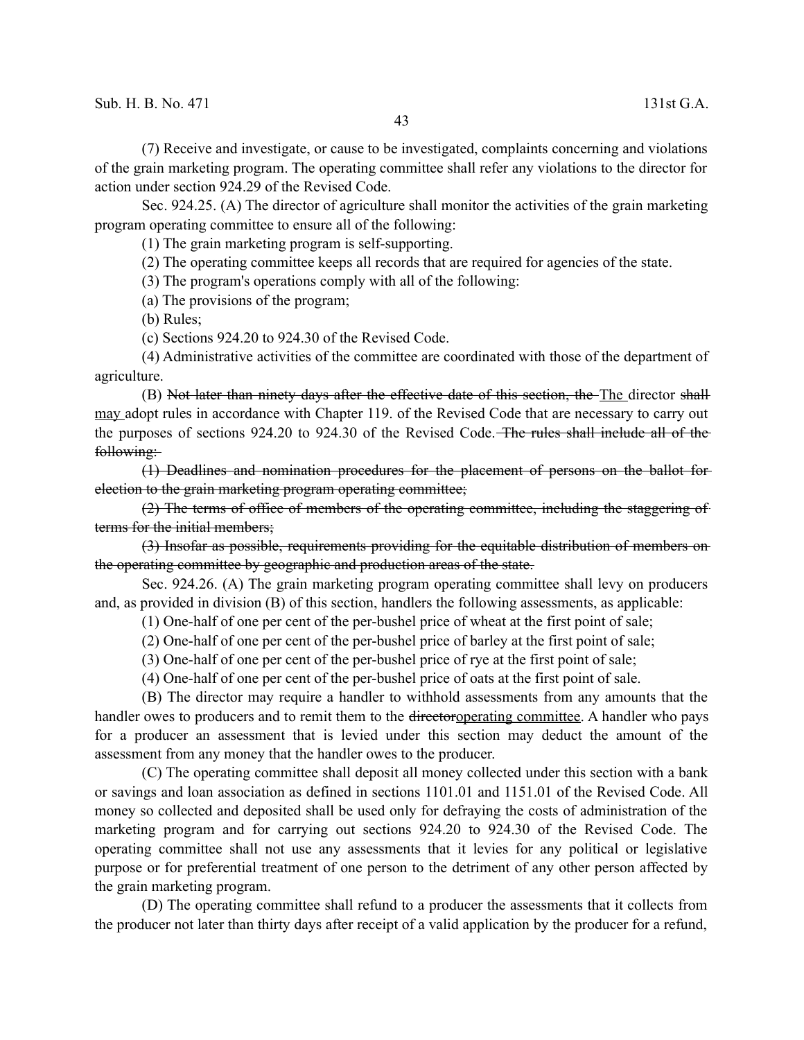(7) Receive and investigate, or cause to be investigated, complaints concerning and violations of the grain marketing program. The operating committee shall refer any violations to the director for action under section 924.29 of the Revised Code.

Sec. 924.25. (A) The director of agriculture shall monitor the activities of the grain marketing program operating committee to ensure all of the following:

(1) The grain marketing program is self-supporting.

(2) The operating committee keeps all records that are required for agencies of the state.

(3) The program's operations comply with all of the following:

(a) The provisions of the program;

(b) Rules;

(c) Sections 924.20 to 924.30 of the Revised Code.

(4) Administrative activities of the committee are coordinated with those of the department of agriculture.

(B) Not later than ninety days after the effective date of this section, the The director shall may adopt rules in accordance with Chapter 119. of the Revised Code that are necessary to carry out the purposes of sections 924.20 to 924.30 of the Revised Code. The rules shall include all of the following:

(1) Deadlines and nomination procedures for the placement of persons on the ballot for election to the grain marketing program operating committee;

(2) The terms of office of members of the operating committee, including the staggering of terms for the initial members;

(3) Insofar as possible, requirements providing for the equitable distribution of members on the operating committee by geographic and production areas of the state.

Sec. 924.26. (A) The grain marketing program operating committee shall levy on producers and, as provided in division (B) of this section, handlers the following assessments, as applicable:

(1) One-half of one per cent of the per-bushel price of wheat at the first point of sale;

(2) One-half of one per cent of the per-bushel price of barley at the first point of sale;

(3) One-half of one per cent of the per-bushel price of rye at the first point of sale;

(4) One-half of one per cent of the per-bushel price of oats at the first point of sale.

(B) The director may require a handler to withhold assessments from any amounts that the handler owes to producers and to remit them to the <del>director</del>operating committee. A handler who pays for a producer an assessment that is levied under this section may deduct the amount of the assessment from any money that the handler owes to the producer.

(C) The operating committee shall deposit all money collected under this section with a bank or savings and loan association as defined in sections 1101.01 and 1151.01 of the Revised Code. All money so collected and deposited shall be used only for defraying the costs of administration of the marketing program and for carrying out sections 924.20 to 924.30 of the Revised Code. The operating committee shall not use any assessments that it levies for any political or legislative purpose or for preferential treatment of one person to the detriment of any other person affected by the grain marketing program.

(D) The operating committee shall refund to a producer the assessments that it collects from the producer not later than thirty days after receipt of a valid application by the producer for a refund,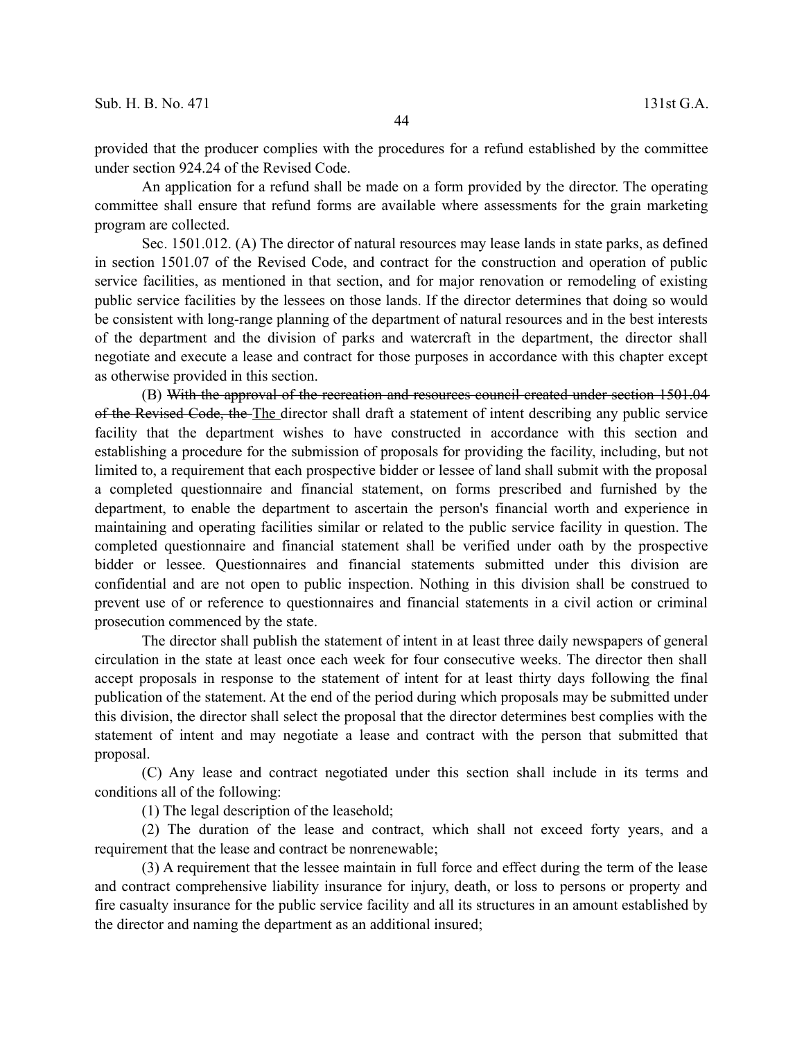provided that the producer complies with the procedures for a refund established by the committee under section 924.24 of the Revised Code.

An application for a refund shall be made on a form provided by the director. The operating committee shall ensure that refund forms are available where assessments for the grain marketing program are collected.

Sec. 1501.012. (A) The director of natural resources may lease lands in state parks, as defined in section 1501.07 of the Revised Code, and contract for the construction and operation of public service facilities, as mentioned in that section, and for major renovation or remodeling of existing public service facilities by the lessees on those lands. If the director determines that doing so would be consistent with long-range planning of the department of natural resources and in the best interests of the department and the division of parks and watercraft in the department, the director shall negotiate and execute a lease and contract for those purposes in accordance with this chapter except as otherwise provided in this section.

(B) With the approval of the recreation and resources council created under section 1501.04 of the Revised Code, the The director shall draft a statement of intent describing any public service facility that the department wishes to have constructed in accordance with this section and establishing a procedure for the submission of proposals for providing the facility, including, but not limited to, a requirement that each prospective bidder or lessee of land shall submit with the proposal a completed questionnaire and financial statement, on forms prescribed and furnished by the department, to enable the department to ascertain the person's financial worth and experience in maintaining and operating facilities similar or related to the public service facility in question. The completed questionnaire and financial statement shall be verified under oath by the prospective bidder or lessee. Questionnaires and financial statements submitted under this division are confidential and are not open to public inspection. Nothing in this division shall be construed to prevent use of or reference to questionnaires and financial statements in a civil action or criminal prosecution commenced by the state.

The director shall publish the statement of intent in at least three daily newspapers of general circulation in the state at least once each week for four consecutive weeks. The director then shall accept proposals in response to the statement of intent for at least thirty days following the final publication of the statement. At the end of the period during which proposals may be submitted under this division, the director shall select the proposal that the director determines best complies with the statement of intent and may negotiate a lease and contract with the person that submitted that proposal.

(C) Any lease and contract negotiated under this section shall include in its terms and conditions all of the following:

(1) The legal description of the leasehold;

(2) The duration of the lease and contract, which shall not exceed forty years, and a requirement that the lease and contract be nonrenewable;

(3) A requirement that the lessee maintain in full force and effect during the term of the lease and contract comprehensive liability insurance for injury, death, or loss to persons or property and fire casualty insurance for the public service facility and all its structures in an amount established by the director and naming the department as an additional insured;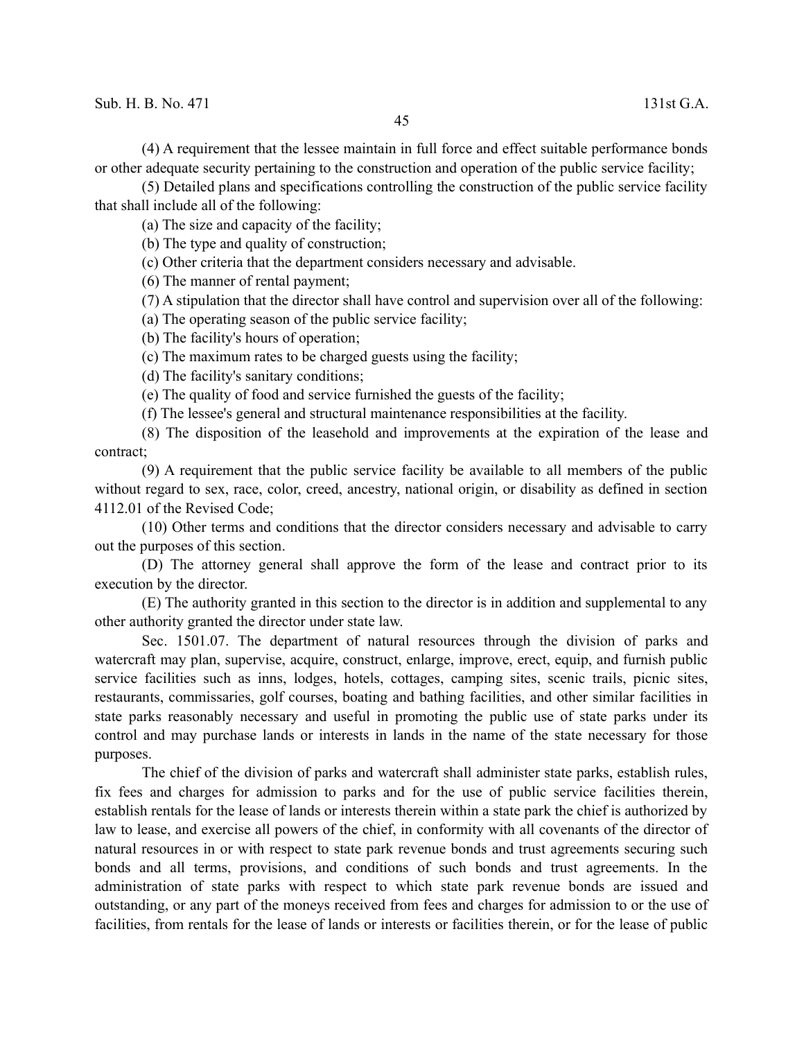(4) A requirement that the lessee maintain in full force and effect suitable performance bonds or other adequate security pertaining to the construction and operation of the public service facility;

(5) Detailed plans and specifications controlling the construction of the public service facility that shall include all of the following:

(a) The size and capacity of the facility;

(b) The type and quality of construction;

(c) Other criteria that the department considers necessary and advisable.

(6) The manner of rental payment;

(7) A stipulation that the director shall have control and supervision over all of the following:

(a) The operating season of the public service facility;

(b) The facility's hours of operation;

(c) The maximum rates to be charged guests using the facility;

(d) The facility's sanitary conditions;

(e) The quality of food and service furnished the guests of the facility;

(f) The lessee's general and structural maintenance responsibilities at the facility.

(8) The disposition of the leasehold and improvements at the expiration of the lease and contract;

(9) A requirement that the public service facility be available to all members of the public without regard to sex, race, color, creed, ancestry, national origin, or disability as defined in section 4112.01 of the Revised Code;

(10) Other terms and conditions that the director considers necessary and advisable to carry out the purposes of this section.

(D) The attorney general shall approve the form of the lease and contract prior to its execution by the director.

(E) The authority granted in this section to the director is in addition and supplemental to any other authority granted the director under state law.

Sec. 1501.07. The department of natural resources through the division of parks and watercraft may plan, supervise, acquire, construct, enlarge, improve, erect, equip, and furnish public service facilities such as inns, lodges, hotels, cottages, camping sites, scenic trails, picnic sites, restaurants, commissaries, golf courses, boating and bathing facilities, and other similar facilities in state parks reasonably necessary and useful in promoting the public use of state parks under its control and may purchase lands or interests in lands in the name of the state necessary for those purposes.

The chief of the division of parks and watercraft shall administer state parks, establish rules, fix fees and charges for admission to parks and for the use of public service facilities therein, establish rentals for the lease of lands or interests therein within a state park the chief is authorized by law to lease, and exercise all powers of the chief, in conformity with all covenants of the director of natural resources in or with respect to state park revenue bonds and trust agreements securing such bonds and all terms, provisions, and conditions of such bonds and trust agreements. In the administration of state parks with respect to which state park revenue bonds are issued and outstanding, or any part of the moneys received from fees and charges for admission to or the use of facilities, from rentals for the lease of lands or interests or facilities therein, or for the lease of public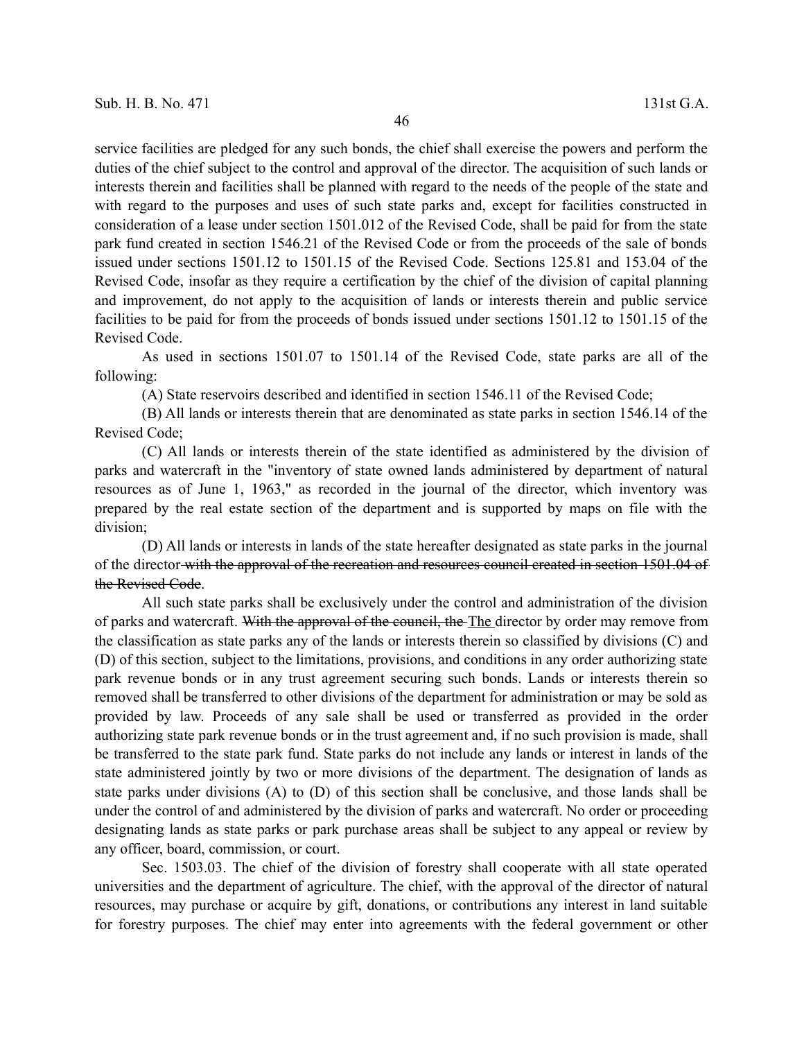service facilities are pledged for any such bonds, the chief shall exercise the powers and perform the duties of the chief subject to the control and approval of the director. The acquisition of such lands or interests therein and facilities shall be planned with regard to the needs of the people of the state and with regard to the purposes and uses of such state parks and, except for facilities constructed in consideration of a lease under section 1501.012 of the Revised Code, shall be paid for from the state park fund created in section 1546.21 of the Revised Code or from the proceeds of the sale of bonds issued under sections 1501.12 to 1501.15 of the Revised Code. Sections 125.81 and 153.04 of the Revised Code, insofar as they require a certification by the chief of the division of capital planning and improvement, do not apply to the acquisition of lands or interests therein and public service facilities to be paid for from the proceeds of bonds issued under sections 1501.12 to 1501.15 of the Revised Code.

As used in sections 1501.07 to 1501.14 of the Revised Code, state parks are all of the following:

(A) State reservoirs described and identified in section 1546.11 of the Revised Code;

(B) All lands or interests therein that are denominated as state parks in section 1546.14 of the Revised Code;

(C) All lands or interests therein of the state identified as administered by the division of parks and watercraft in the "inventory of state owned lands administered by department of natural resources as of June 1, 1963," as recorded in the journal of the director, which inventory was prepared by the real estate section of the department and is supported by maps on file with the division;

(D) All lands or interests in lands of the state hereafter designated as state parks in the journal of the director with the approval of the recreation and resources council created in section 1501.04 of the Revised Code.

All such state parks shall be exclusively under the control and administration of the division of parks and watercraft. With the approval of the council, the The director by order may remove from the classification as state parks any of the lands or interests therein so classified by divisions (C) and (D) of this section, subject to the limitations, provisions, and conditions in any order authorizing state park revenue bonds or in any trust agreement securing such bonds. Lands or interests therein so removed shall be transferred to other divisions of the department for administration or may be sold as provided by law. Proceeds of any sale shall be used or transferred as provided in the order authorizing state park revenue bonds or in the trust agreement and, if no such provision is made, shall be transferred to the state park fund. State parks do not include any lands or interest in lands of the state administered jointly by two or more divisions of the department. The designation of lands as state parks under divisions (A) to (D) of this section shall be conclusive, and those lands shall be under the control of and administered by the division of parks and watercraft. No order or proceeding designating lands as state parks or park purchase areas shall be subject to any appeal or review by any officer, board, commission, or court.

Sec. 1503.03. The chief of the division of forestry shall cooperate with all state operated universities and the department of agriculture. The chief, with the approval of the director of natural resources, may purchase or acquire by gift, donations, or contributions any interest in land suitable for forestry purposes. The chief may enter into agreements with the federal government or other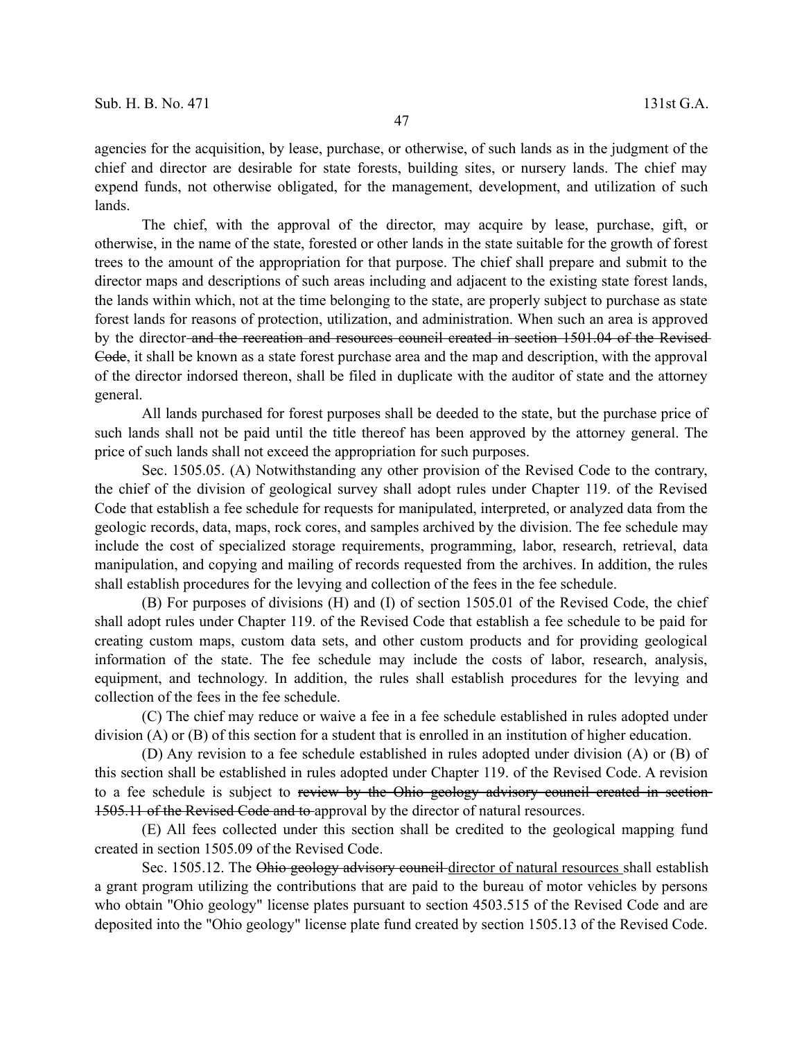agencies for the acquisition, by lease, purchase, or otherwise, of such lands as in the judgment of the chief and director are desirable for state forests, building sites, or nursery lands. The chief may expend funds, not otherwise obligated, for the management, development, and utilization of such lands.

The chief, with the approval of the director, may acquire by lease, purchase, gift, or otherwise, in the name of the state, forested or other lands in the state suitable for the growth of forest trees to the amount of the appropriation for that purpose. The chief shall prepare and submit to the director maps and descriptions of such areas including and adjacent to the existing state forest lands, the lands within which, not at the time belonging to the state, are properly subject to purchase as state forest lands for reasons of protection, utilization, and administration. When such an area is approved by the director and the recreation and resources council created in section 1501.04 of the Revised Code, it shall be known as a state forest purchase area and the map and description, with the approval of the director indorsed thereon, shall be filed in duplicate with the auditor of state and the attorney general.

All lands purchased for forest purposes shall be deeded to the state, but the purchase price of such lands shall not be paid until the title thereof has been approved by the attorney general. The price of such lands shall not exceed the appropriation for such purposes.

Sec. 1505.05. (A) Notwithstanding any other provision of the Revised Code to the contrary, the chief of the division of geological survey shall adopt rules under Chapter 119. of the Revised Code that establish a fee schedule for requests for manipulated, interpreted, or analyzed data from the geologic records, data, maps, rock cores, and samples archived by the division. The fee schedule may include the cost of specialized storage requirements, programming, labor, research, retrieval, data manipulation, and copying and mailing of records requested from the archives. In addition, the rules shall establish procedures for the levying and collection of the fees in the fee schedule.

(B) For purposes of divisions (H) and (I) of section 1505.01 of the Revised Code, the chief shall adopt rules under Chapter 119. of the Revised Code that establish a fee schedule to be paid for creating custom maps, custom data sets, and other custom products and for providing geological information of the state. The fee schedule may include the costs of labor, research, analysis, equipment, and technology. In addition, the rules shall establish procedures for the levying and collection of the fees in the fee schedule.

(C) The chief may reduce or waive a fee in a fee schedule established in rules adopted under division (A) or (B) of this section for a student that is enrolled in an institution of higher education.

(D) Any revision to a fee schedule established in rules adopted under division (A) or (B) of this section shall be established in rules adopted under Chapter 119. of the Revised Code. A revision to a fee schedule is subject to review by the Ohio geology advisory council created in section-1505.11 of the Revised Code and to approval by the director of natural resources.

(E) All fees collected under this section shall be credited to the geological mapping fund created in section 1505.09 of the Revised Code.

Sec. 1505.12. The Ohio geology advisory council director of natural resources shall establish a grant program utilizing the contributions that are paid to the bureau of motor vehicles by persons who obtain "Ohio geology" license plates pursuant to section 4503.515 of the Revised Code and are deposited into the "Ohio geology" license plate fund created by section 1505.13 of the Revised Code.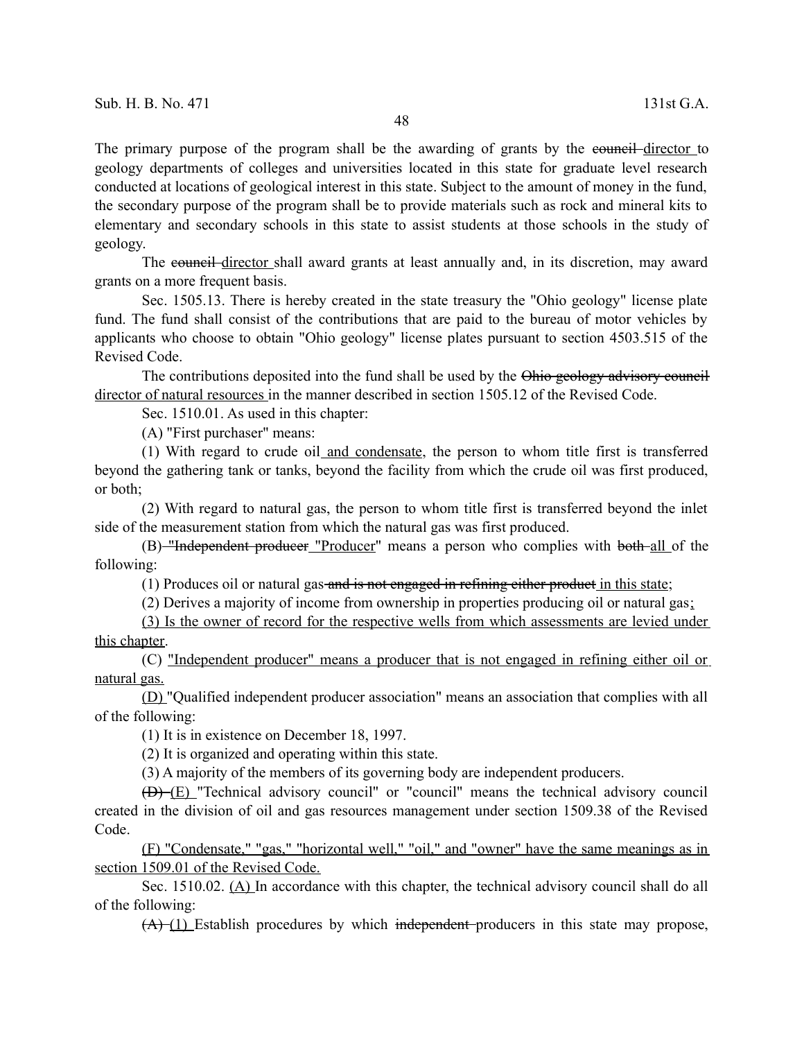The primary purpose of the program shall be the awarding of grants by the equivelent director to geology departments of colleges and universities located in this state for graduate level research conducted at locations of geological interest in this state. Subject to the amount of money in the fund, the secondary purpose of the program shall be to provide materials such as rock and mineral kits to elementary and secondary schools in this state to assist students at those schools in the study of geology.

The e<del>quility</del> director shall award grants at least annually and, in its discretion, may award grants on a more frequent basis.

Sec. 1505.13. There is hereby created in the state treasury the "Ohio geology" license plate fund. The fund shall consist of the contributions that are paid to the bureau of motor vehicles by applicants who choose to obtain "Ohio geology" license plates pursuant to section 4503.515 of the Revised Code.

The contributions deposited into the fund shall be used by the Ohio geology advisory council director of natural resources in the manner described in section 1505.12 of the Revised Code.

Sec. 1510.01. As used in this chapter:

(A) "First purchaser" means:

(1) With regard to crude oil and condensate, the person to whom title first is transferred beyond the gathering tank or tanks, beyond the facility from which the crude oil was first produced, or both;

(2) With regard to natural gas, the person to whom title first is transferred beyond the inlet side of the measurement station from which the natural gas was first produced.

(B) "Independent producer "Producer" means a person who complies with both-all of the following:

(1) Produces oil or natural gas and is not engaged in refining either product in this state;

(2) Derives a majority of income from ownership in properties producing oil or natural gas;

(3) Is the owner of record for the respective wells from which assessments are levied under this chapter.

(C) "Independent producer" means a producer that is not engaged in refining either oil or natural gas.

(D) "Qualified independent producer association" means an association that complies with all of the following:

(1) It is in existence on December 18, 1997.

(2) It is organized and operating within this state.

(3) A majority of the members of its governing body are independent producers.

(D) (E) "Technical advisory council" or "council" means the technical advisory council created in the division of oil and gas resources management under section 1509.38 of the Revised Code.

(F) "Condensate," "gas," "horizontal well," "oil," and "owner" have the same meanings as in section 1509.01 of the Revised Code.

Sec. 1510.02. (A) In accordance with this chapter, the technical advisory council shall do all of the following:

(A) (1) Establish procedures by which independent producers in this state may propose,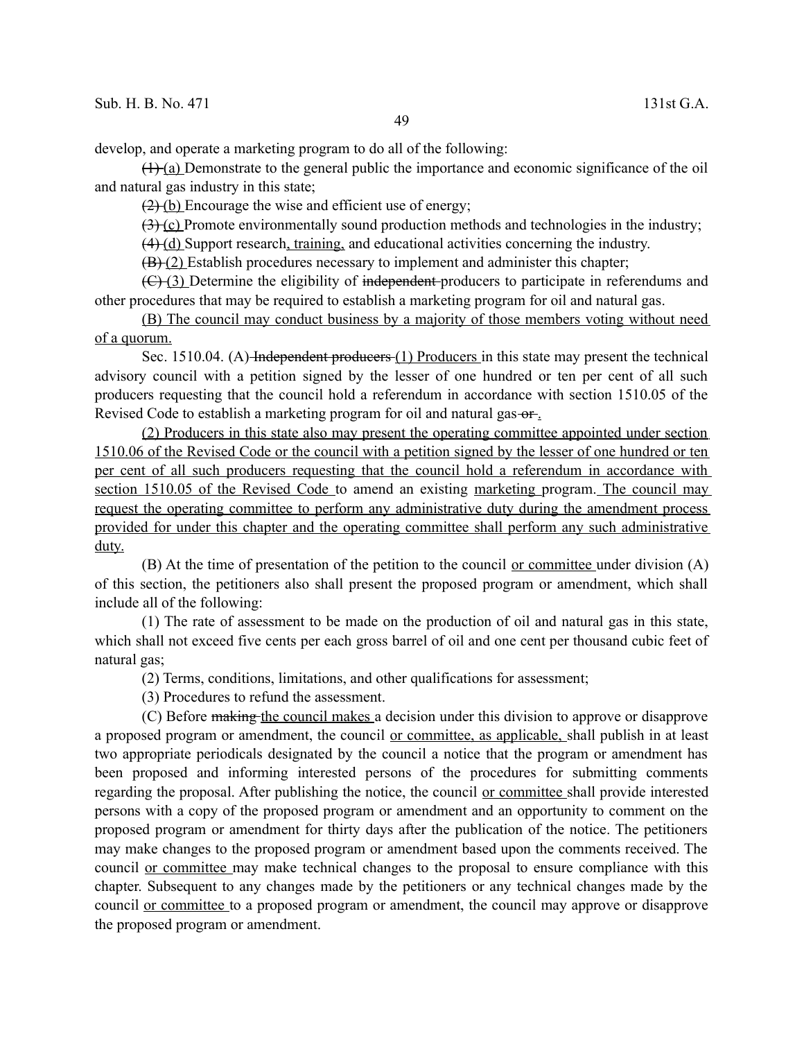develop, and operate a marketing program to do all of the following:

 $(1)$  (a) Demonstrate to the general public the importance and economic significance of the oil and natural gas industry in this state;

 $(2)$  (b) Encourage the wise and efficient use of energy;

 $(3)$  (c) Promote environmentally sound production methods and technologies in the industry;

(4) (d) Support research, training, and educational activities concerning the industry.

 $(B)(2)$  Establish procedures necessary to implement and administer this chapter;

(C) (3) Determine the eligibility of independent producers to participate in referendums and other procedures that may be required to establish a marketing program for oil and natural gas.

(B) The council may conduct business by a majority of those members voting without need of a quorum.

Sec. 1510.04. (A) Independent producers (1) Producers in this state may present the technical advisory council with a petition signed by the lesser of one hundred or ten per cent of all such producers requesting that the council hold a referendum in accordance with section 1510.05 of the Revised Code to establish a marketing program for oil and natural gas-or-.

(2) Producers in this state also may present the operating committee appointed under section 1510.06 of the Revised Code or the council with a petition signed by the lesser of one hundred or ten per cent of all such producers requesting that the council hold a referendum in accordance with section 1510.05 of the Revised Code to amend an existing marketing program. The council may request the operating committee to perform any administrative duty during the amendment process provided for under this chapter and the operating committee shall perform any such administrative duty.

(B) At the time of presentation of the petition to the council or committee under division (A) of this section, the petitioners also shall present the proposed program or amendment, which shall include all of the following:

(1) The rate of assessment to be made on the production of oil and natural gas in this state, which shall not exceed five cents per each gross barrel of oil and one cent per thousand cubic feet of natural gas;

(2) Terms, conditions, limitations, and other qualifications for assessment;

(3) Procedures to refund the assessment.

(C) Before making the council makes a decision under this division to approve or disapprove a proposed program or amendment, the council or committee, as applicable, shall publish in at least two appropriate periodicals designated by the council a notice that the program or amendment has been proposed and informing interested persons of the procedures for submitting comments regarding the proposal. After publishing the notice, the council or committee shall provide interested persons with a copy of the proposed program or amendment and an opportunity to comment on the proposed program or amendment for thirty days after the publication of the notice. The petitioners may make changes to the proposed program or amendment based upon the comments received. The council or committee may make technical changes to the proposal to ensure compliance with this chapter. Subsequent to any changes made by the petitioners or any technical changes made by the council or committee to a proposed program or amendment, the council may approve or disapprove the proposed program or amendment.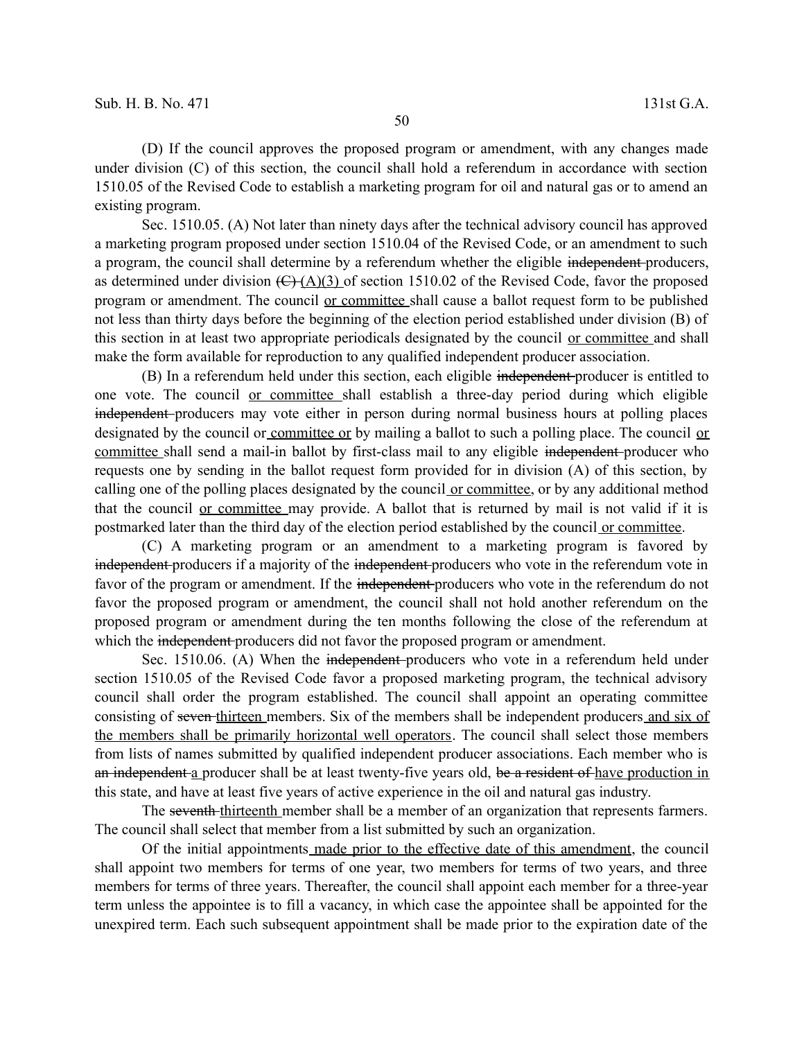(D) If the council approves the proposed program or amendment, with any changes made under division (C) of this section, the council shall hold a referendum in accordance with section 1510.05 of the Revised Code to establish a marketing program for oil and natural gas or to amend an existing program.

Sec. 1510.05. (A) Not later than ninety days after the technical advisory council has approved a marketing program proposed under section 1510.04 of the Revised Code, or an amendment to such a program, the council shall determine by a referendum whether the eligible independent producers, as determined under division  $(\bigoplus (\triangle)(3)$  of section 1510.02 of the Revised Code, favor the proposed program or amendment. The council or committee shall cause a ballot request form to be published not less than thirty days before the beginning of the election period established under division (B) of this section in at least two appropriate periodicals designated by the council or committee and shall make the form available for reproduction to any qualified independent producer association.

(B) In a referendum held under this section, each eligible independent producer is entitled to one vote. The council or committee shall establish a three-day period during which eligible independent producers may vote either in person during normal business hours at polling places designated by the council or committee or by mailing a ballot to such a polling place. The council or committee shall send a mail-in ballot by first-class mail to any eligible independent producer who requests one by sending in the ballot request form provided for in division (A) of this section, by calling one of the polling places designated by the council or committee, or by any additional method that the council or committee may provide. A ballot that is returned by mail is not valid if it is postmarked later than the third day of the election period established by the council or committee.

(C) A marketing program or an amendment to a marketing program is favored by independent producers if a majority of the independent producers who vote in the referendum vote in favor of the program or amendment. If the independent producers who vote in the referendum do not favor the proposed program or amendment, the council shall not hold another referendum on the proposed program or amendment during the ten months following the close of the referendum at which the independent producers did not favor the proposed program or amendment.

Sec. 1510.06. (A) When the independent-producers who vote in a referendum held under section 1510.05 of the Revised Code favor a proposed marketing program, the technical advisory council shall order the program established. The council shall appoint an operating committee consisting of seven thirteen members. Six of the members shall be independent producers and six of the members shall be primarily horizontal well operators. The council shall select those members from lists of names submitted by qualified independent producer associations. Each member who is an independent a producer shall be at least twenty-five years old, be a resident of have production in this state, and have at least five years of active experience in the oil and natural gas industry.

The seventh-thirteenth member shall be a member of an organization that represents farmers. The council shall select that member from a list submitted by such an organization.

Of the initial appointments made prior to the effective date of this amendment, the council shall appoint two members for terms of one year, two members for terms of two years, and three members for terms of three years. Thereafter, the council shall appoint each member for a three-year term unless the appointee is to fill a vacancy, in which case the appointee shall be appointed for the unexpired term. Each such subsequent appointment shall be made prior to the expiration date of the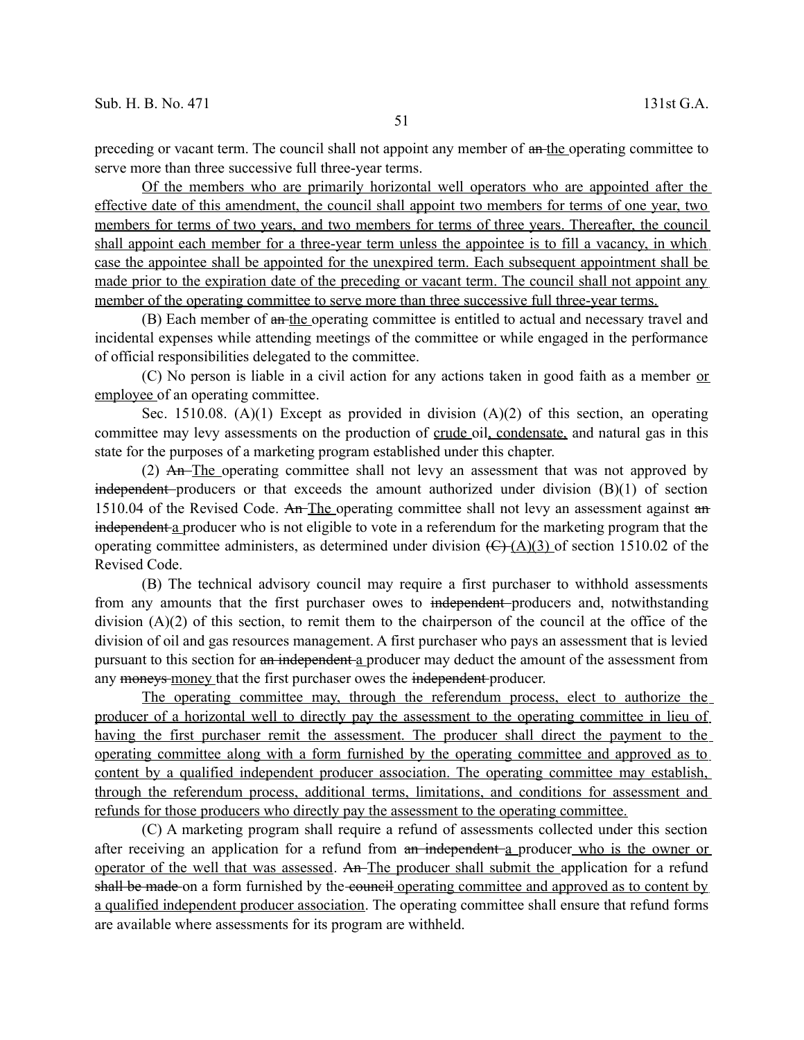Of the members who are primarily horizontal well operators who are appointed after the effective date of this amendment, the council shall appoint two members for terms of one year, two members for terms of two years, and two members for terms of three years. Thereafter, the council shall appoint each member for a three-year term unless the appointee is to fill a vacancy, in which case the appointee shall be appointed for the unexpired term. Each subsequent appointment shall be made prior to the expiration date of the preceding or vacant term. The council shall not appoint any member of the operating committee to serve more than three successive full three-year terms.

(B) Each member of an the operating committee is entitled to actual and necessary travel and incidental expenses while attending meetings of the committee or while engaged in the performance of official responsibilities delegated to the committee.

(C) No person is liable in a civil action for any actions taken in good faith as a member or employee of an operating committee.

Sec. 1510.08. (A)(1) Except as provided in division  $(A)(2)$  of this section, an operating committee may levy assessments on the production of crude oil, condensate, and natural gas in this state for the purposes of a marketing program established under this chapter.

(2) An The operating committee shall not levy an assessment that was not approved by independent-producers or that exceeds the amount authorized under division (B)(1) of section 1510.04 of the Revised Code. An The operating committee shall not levy an assessment against an independent a producer who is not eligible to vote in a referendum for the marketing program that the operating committee administers, as determined under division  $(\bigoplus_{i=1}^n A)(3)$  of section 1510.02 of the Revised Code.

(B) The technical advisory council may require a first purchaser to withhold assessments from any amounts that the first purchaser owes to independent-producers and, notwithstanding division (A)(2) of this section, to remit them to the chairperson of the council at the office of the division of oil and gas resources management. A first purchaser who pays an assessment that is levied pursuant to this section for an independent a producer may deduct the amount of the assessment from any moneys money that the first purchaser owes the independent producer.

The operating committee may, through the referendum process, elect to authorize the producer of a horizontal well to directly pay the assessment to the operating committee in lieu of having the first purchaser remit the assessment. The producer shall direct the payment to the operating committee along with a form furnished by the operating committee and approved as to content by a qualified independent producer association. The operating committee may establish, through the referendum process, additional terms, limitations, and conditions for assessment and refunds for those producers who directly pay the assessment to the operating committee.

(C) A marketing program shall require a refund of assessments collected under this section after receiving an application for a refund from an independent a producer who is the owner or operator of the well that was assessed. An The producer shall submit the application for a refund shall be made on a form furnished by the council operating committee and approved as to content by a qualified independent producer association. The operating committee shall ensure that refund forms are available where assessments for its program are withheld.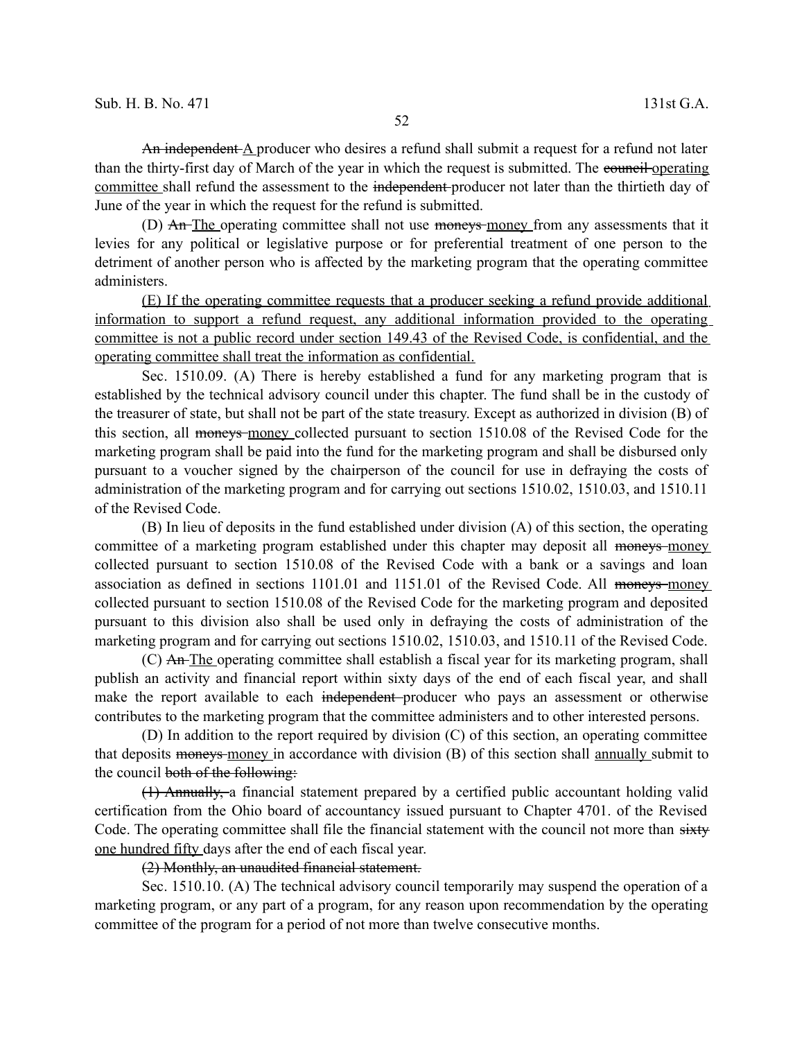An independent A producer who desires a refund shall submit a request for a refund not later than the thirty-first day of March of the year in which the request is submitted. The council operating committee shall refund the assessment to the independent producer not later than the thirtieth day of June of the year in which the request for the refund is submitted.

(D) An The operating committee shall not use moneys money from any assessments that it levies for any political or legislative purpose or for preferential treatment of one person to the detriment of another person who is affected by the marketing program that the operating committee administers.

(E) If the operating committee requests that a producer seeking a refund provide additional information to support a refund request, any additional information provided to the operating committee is not a public record under section 149.43 of the Revised Code, is confidential, and the operating committee shall treat the information as confidential.

Sec. 1510.09. (A) There is hereby established a fund for any marketing program that is established by the technical advisory council under this chapter. The fund shall be in the custody of the treasurer of state, but shall not be part of the state treasury. Except as authorized in division (B) of this section, all moneys money collected pursuant to section 1510.08 of the Revised Code for the marketing program shall be paid into the fund for the marketing program and shall be disbursed only pursuant to a voucher signed by the chairperson of the council for use in defraying the costs of administration of the marketing program and for carrying out sections 1510.02, 1510.03, and 1510.11 of the Revised Code.

(B) In lieu of deposits in the fund established under division (A) of this section, the operating committee of a marketing program established under this chapter may deposit all moneys money collected pursuant to section 1510.08 of the Revised Code with a bank or a savings and loan association as defined in sections 1101.01 and 1151.01 of the Revised Code. All moneys money collected pursuant to section 1510.08 of the Revised Code for the marketing program and deposited pursuant to this division also shall be used only in defraying the costs of administration of the marketing program and for carrying out sections 1510.02, 1510.03, and 1510.11 of the Revised Code.

(C) An The operating committee shall establish a fiscal year for its marketing program, shall publish an activity and financial report within sixty days of the end of each fiscal year, and shall make the report available to each independent producer who pays an assessment or otherwise contributes to the marketing program that the committee administers and to other interested persons.

(D) In addition to the report required by division (C) of this section, an operating committee that deposits moneys money in accordance with division (B) of this section shall annually submit to the council both of the following:

(1) Annually, a financial statement prepared by a certified public accountant holding valid certification from the Ohio board of accountancy issued pursuant to Chapter 4701. of the Revised Code. The operating committee shall file the financial statement with the council not more than sixty one hundred fifty days after the end of each fiscal year.

(2) Monthly, an unaudited financial statement.

Sec. 1510.10. (A) The technical advisory council temporarily may suspend the operation of a marketing program, or any part of a program, for any reason upon recommendation by the operating committee of the program for a period of not more than twelve consecutive months.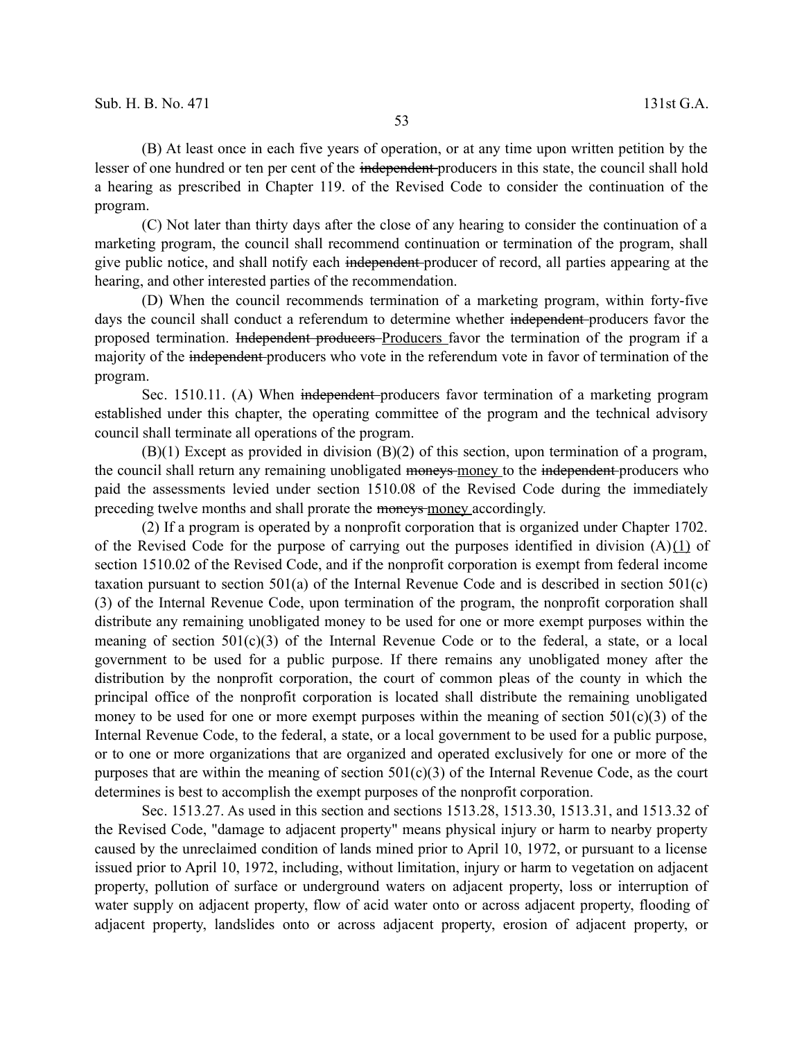(B) At least once in each five years of operation, or at any time upon written petition by the lesser of one hundred or ten per cent of the independent producers in this state, the council shall hold a hearing as prescribed in Chapter 119. of the Revised Code to consider the continuation of the program.

(C) Not later than thirty days after the close of any hearing to consider the continuation of a marketing program, the council shall recommend continuation or termination of the program, shall give public notice, and shall notify each independent producer of record, all parties appearing at the hearing, and other interested parties of the recommendation.

(D) When the council recommends termination of a marketing program, within forty-five days the council shall conduct a referendum to determine whether independent producers favor the proposed termination. Independent producers Producers favor the termination of the program if a majority of the independent producers who vote in the referendum vote in favor of termination of the program.

Sec. 1510.11. (A) When independent-producers favor termination of a marketing program established under this chapter, the operating committee of the program and the technical advisory council shall terminate all operations of the program.

(B)(1) Except as provided in division (B)(2) of this section, upon termination of a program, the council shall return any remaining unobligated moneys money to the independent producers who paid the assessments levied under section 1510.08 of the Revised Code during the immediately preceding twelve months and shall prorate the moneys money accordingly.

(2) If a program is operated by a nonprofit corporation that is organized under Chapter 1702. of the Revised Code for the purpose of carrying out the purposes identified in division  $(A)(1)$  of section 1510.02 of the Revised Code, and if the nonprofit corporation is exempt from federal income taxation pursuant to section 501(a) of the Internal Revenue Code and is described in section 501(c) (3) of the Internal Revenue Code, upon termination of the program, the nonprofit corporation shall distribute any remaining unobligated money to be used for one or more exempt purposes within the meaning of section 501(c)(3) of the Internal Revenue Code or to the federal, a state, or a local government to be used for a public purpose. If there remains any unobligated money after the distribution by the nonprofit corporation, the court of common pleas of the county in which the principal office of the nonprofit corporation is located shall distribute the remaining unobligated money to be used for one or more exempt purposes within the meaning of section  $501(c)(3)$  of the Internal Revenue Code, to the federal, a state, or a local government to be used for a public purpose, or to one or more organizations that are organized and operated exclusively for one or more of the purposes that are within the meaning of section  $501(c)(3)$  of the Internal Revenue Code, as the court determines is best to accomplish the exempt purposes of the nonprofit corporation.

Sec. 1513.27. As used in this section and sections 1513.28, 1513.30, 1513.31, and 1513.32 of the Revised Code, "damage to adjacent property" means physical injury or harm to nearby property caused by the unreclaimed condition of lands mined prior to April 10, 1972, or pursuant to a license issued prior to April 10, 1972, including, without limitation, injury or harm to vegetation on adjacent property, pollution of surface or underground waters on adjacent property, loss or interruption of water supply on adjacent property, flow of acid water onto or across adjacent property, flooding of adjacent property, landslides onto or across adjacent property, erosion of adjacent property, or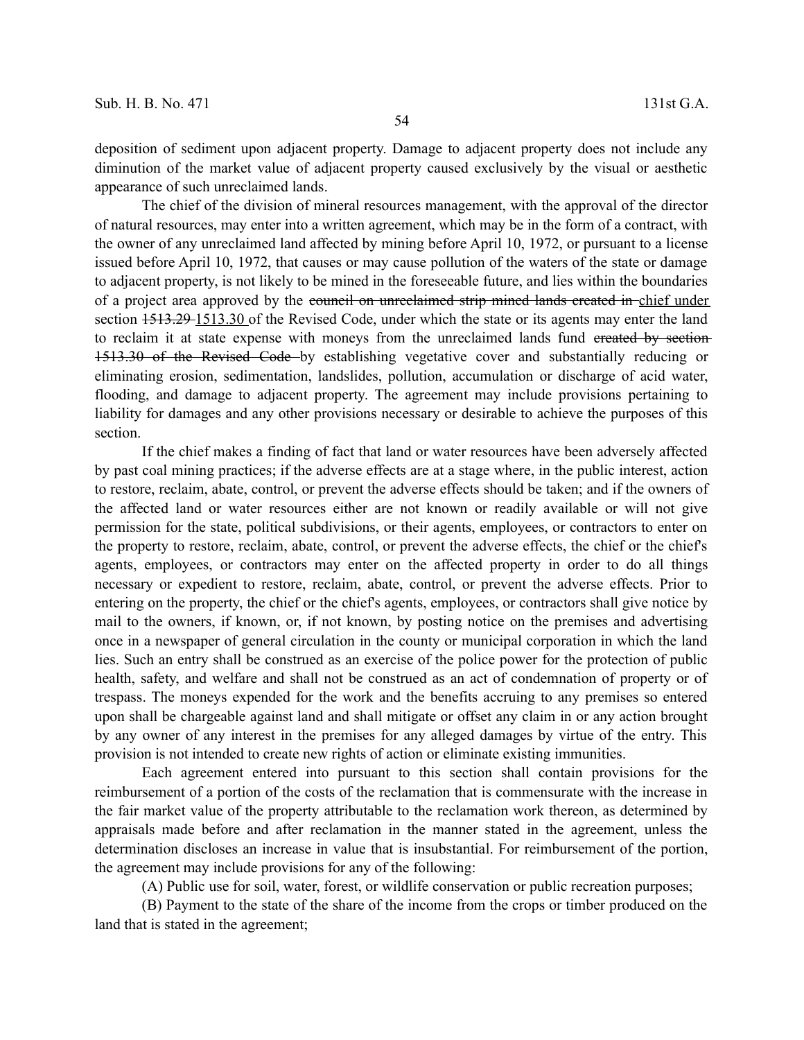deposition of sediment upon adjacent property. Damage to adjacent property does not include any diminution of the market value of adjacent property caused exclusively by the visual or aesthetic appearance of such unreclaimed lands.

The chief of the division of mineral resources management, with the approval of the director of natural resources, may enter into a written agreement, which may be in the form of a contract, with the owner of any unreclaimed land affected by mining before April 10, 1972, or pursuant to a license issued before April 10, 1972, that causes or may cause pollution of the waters of the state or damage to adjacent property, is not likely to be mined in the foreseeable future, and lies within the boundaries of a project area approved by the council on unreclaimed strip mined lands created in chief under section  $1513.29 - 1513.30$  of the Revised Code, under which the state or its agents may enter the land to reclaim it at state expense with moneys from the unreclaimed lands fund ereated by section-1513.30 of the Revised Code by establishing vegetative cover and substantially reducing or eliminating erosion, sedimentation, landslides, pollution, accumulation or discharge of acid water, flooding, and damage to adjacent property. The agreement may include provisions pertaining to liability for damages and any other provisions necessary or desirable to achieve the purposes of this section.

If the chief makes a finding of fact that land or water resources have been adversely affected by past coal mining practices; if the adverse effects are at a stage where, in the public interest, action to restore, reclaim, abate, control, or prevent the adverse effects should be taken; and if the owners of the affected land or water resources either are not known or readily available or will not give permission for the state, political subdivisions, or their agents, employees, or contractors to enter on the property to restore, reclaim, abate, control, or prevent the adverse effects, the chief or the chief's agents, employees, or contractors may enter on the affected property in order to do all things necessary or expedient to restore, reclaim, abate, control, or prevent the adverse effects. Prior to entering on the property, the chief or the chief's agents, employees, or contractors shall give notice by mail to the owners, if known, or, if not known, by posting notice on the premises and advertising once in a newspaper of general circulation in the county or municipal corporation in which the land lies. Such an entry shall be construed as an exercise of the police power for the protection of public health, safety, and welfare and shall not be construed as an act of condemnation of property or of trespass. The moneys expended for the work and the benefits accruing to any premises so entered upon shall be chargeable against land and shall mitigate or offset any claim in or any action brought by any owner of any interest in the premises for any alleged damages by virtue of the entry. This provision is not intended to create new rights of action or eliminate existing immunities.

Each agreement entered into pursuant to this section shall contain provisions for the reimbursement of a portion of the costs of the reclamation that is commensurate with the increase in the fair market value of the property attributable to the reclamation work thereon, as determined by appraisals made before and after reclamation in the manner stated in the agreement, unless the determination discloses an increase in value that is insubstantial. For reimbursement of the portion, the agreement may include provisions for any of the following:

(A) Public use for soil, water, forest, or wildlife conservation or public recreation purposes;

(B) Payment to the state of the share of the income from the crops or timber produced on the land that is stated in the agreement;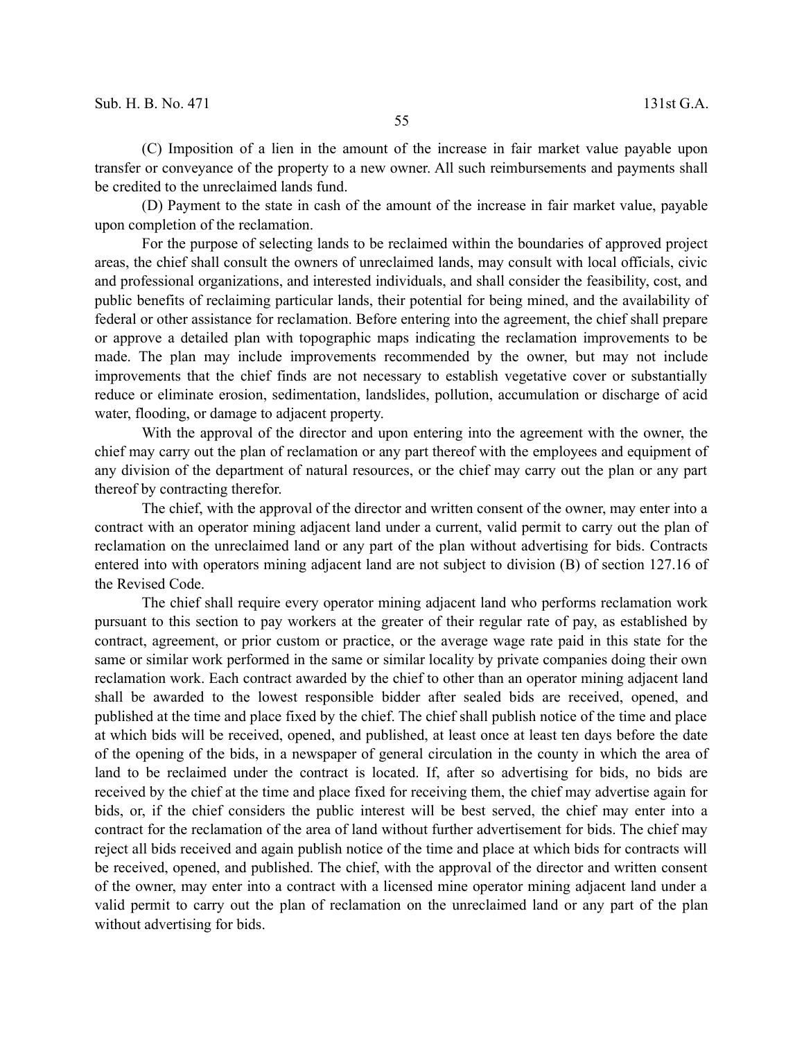(C) Imposition of a lien in the amount of the increase in fair market value payable upon transfer or conveyance of the property to a new owner. All such reimbursements and payments shall be credited to the unreclaimed lands fund.

(D) Payment to the state in cash of the amount of the increase in fair market value, payable upon completion of the reclamation.

For the purpose of selecting lands to be reclaimed within the boundaries of approved project areas, the chief shall consult the owners of unreclaimed lands, may consult with local officials, civic and professional organizations, and interested individuals, and shall consider the feasibility, cost, and public benefits of reclaiming particular lands, their potential for being mined, and the availability of federal or other assistance for reclamation. Before entering into the agreement, the chief shall prepare or approve a detailed plan with topographic maps indicating the reclamation improvements to be made. The plan may include improvements recommended by the owner, but may not include improvements that the chief finds are not necessary to establish vegetative cover or substantially reduce or eliminate erosion, sedimentation, landslides, pollution, accumulation or discharge of acid water, flooding, or damage to adjacent property.

With the approval of the director and upon entering into the agreement with the owner, the chief may carry out the plan of reclamation or any part thereof with the employees and equipment of any division of the department of natural resources, or the chief may carry out the plan or any part thereof by contracting therefor.

The chief, with the approval of the director and written consent of the owner, may enter into a contract with an operator mining adjacent land under a current, valid permit to carry out the plan of reclamation on the unreclaimed land or any part of the plan without advertising for bids. Contracts entered into with operators mining adjacent land are not subject to division (B) of section 127.16 of the Revised Code.

The chief shall require every operator mining adjacent land who performs reclamation work pursuant to this section to pay workers at the greater of their regular rate of pay, as established by contract, agreement, or prior custom or practice, or the average wage rate paid in this state for the same or similar work performed in the same or similar locality by private companies doing their own reclamation work. Each contract awarded by the chief to other than an operator mining adjacent land shall be awarded to the lowest responsible bidder after sealed bids are received, opened, and published at the time and place fixed by the chief. The chief shall publish notice of the time and place at which bids will be received, opened, and published, at least once at least ten days before the date of the opening of the bids, in a newspaper of general circulation in the county in which the area of land to be reclaimed under the contract is located. If, after so advertising for bids, no bids are received by the chief at the time and place fixed for receiving them, the chief may advertise again for bids, or, if the chief considers the public interest will be best served, the chief may enter into a contract for the reclamation of the area of land without further advertisement for bids. The chief may reject all bids received and again publish notice of the time and place at which bids for contracts will be received, opened, and published. The chief, with the approval of the director and written consent of the owner, may enter into a contract with a licensed mine operator mining adjacent land under a valid permit to carry out the plan of reclamation on the unreclaimed land or any part of the plan without advertising for bids.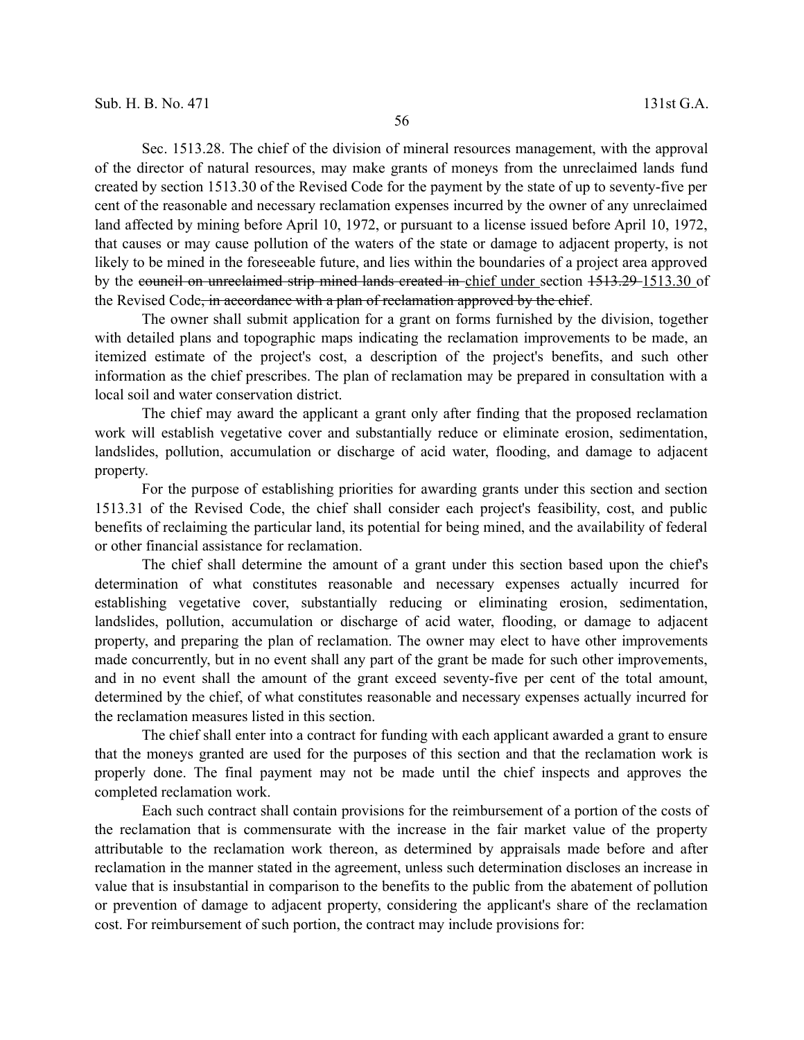Sec. 1513.28. The chief of the division of mineral resources management, with the approval of the director of natural resources, may make grants of moneys from the unreclaimed lands fund created by section 1513.30 of the Revised Code for the payment by the state of up to seventy-five per cent of the reasonable and necessary reclamation expenses incurred by the owner of any unreclaimed land affected by mining before April 10, 1972, or pursuant to a license issued before April 10, 1972, that causes or may cause pollution of the waters of the state or damage to adjacent property, is not likely to be mined in the foreseeable future, and lies within the boundaries of a project area approved by the council on unreclaimed strip mined lands created in chief under section 1513.29 1513.30 of the Revised Code, in accordance with a plan of reclamation approved by the chief.

The owner shall submit application for a grant on forms furnished by the division, together with detailed plans and topographic maps indicating the reclamation improvements to be made, an itemized estimate of the project's cost, a description of the project's benefits, and such other information as the chief prescribes. The plan of reclamation may be prepared in consultation with a local soil and water conservation district.

The chief may award the applicant a grant only after finding that the proposed reclamation work will establish vegetative cover and substantially reduce or eliminate erosion, sedimentation, landslides, pollution, accumulation or discharge of acid water, flooding, and damage to adjacent property.

For the purpose of establishing priorities for awarding grants under this section and section 1513.31 of the Revised Code, the chief shall consider each project's feasibility, cost, and public benefits of reclaiming the particular land, its potential for being mined, and the availability of federal or other financial assistance for reclamation.

The chief shall determine the amount of a grant under this section based upon the chief's determination of what constitutes reasonable and necessary expenses actually incurred for establishing vegetative cover, substantially reducing or eliminating erosion, sedimentation, landslides, pollution, accumulation or discharge of acid water, flooding, or damage to adjacent property, and preparing the plan of reclamation. The owner may elect to have other improvements made concurrently, but in no event shall any part of the grant be made for such other improvements, and in no event shall the amount of the grant exceed seventy-five per cent of the total amount, determined by the chief, of what constitutes reasonable and necessary expenses actually incurred for the reclamation measures listed in this section.

The chief shall enter into a contract for funding with each applicant awarded a grant to ensure that the moneys granted are used for the purposes of this section and that the reclamation work is properly done. The final payment may not be made until the chief inspects and approves the completed reclamation work.

Each such contract shall contain provisions for the reimbursement of a portion of the costs of the reclamation that is commensurate with the increase in the fair market value of the property attributable to the reclamation work thereon, as determined by appraisals made before and after reclamation in the manner stated in the agreement, unless such determination discloses an increase in value that is insubstantial in comparison to the benefits to the public from the abatement of pollution or prevention of damage to adjacent property, considering the applicant's share of the reclamation cost. For reimbursement of such portion, the contract may include provisions for: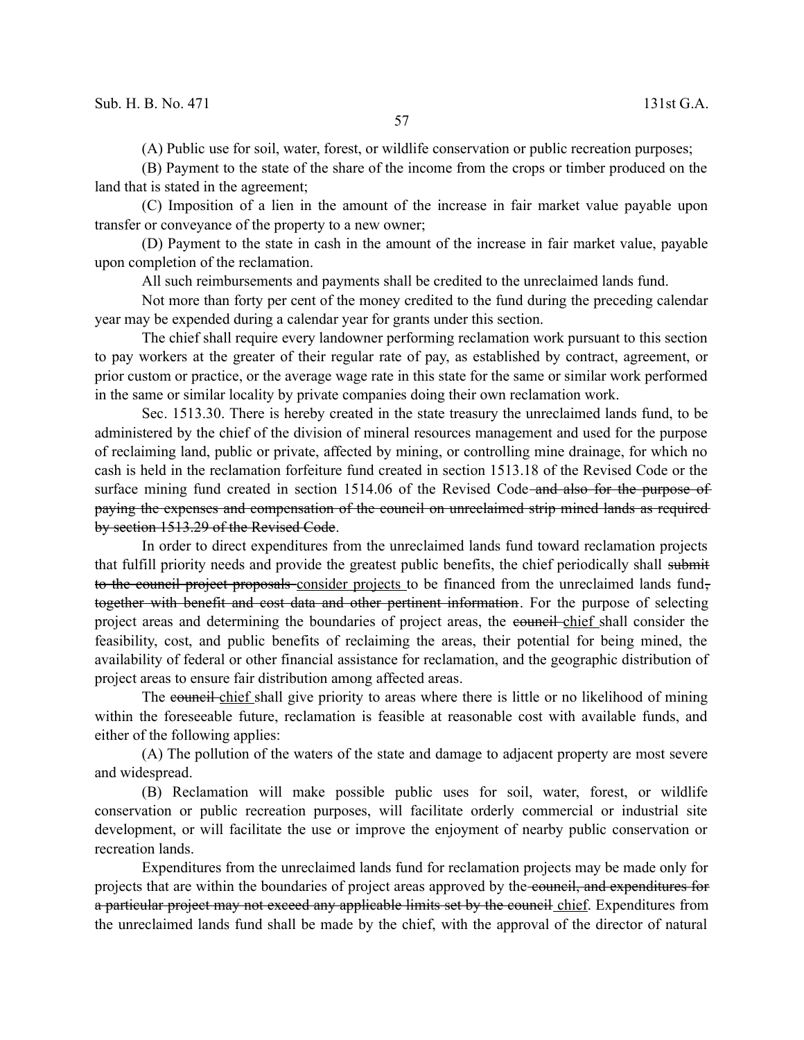(A) Public use for soil, water, forest, or wildlife conservation or public recreation purposes;

(B) Payment to the state of the share of the income from the crops or timber produced on the land that is stated in the agreement;

(C) Imposition of a lien in the amount of the increase in fair market value payable upon transfer or conveyance of the property to a new owner;

(D) Payment to the state in cash in the amount of the increase in fair market value, payable upon completion of the reclamation.

All such reimbursements and payments shall be credited to the unreclaimed lands fund.

Not more than forty per cent of the money credited to the fund during the preceding calendar year may be expended during a calendar year for grants under this section.

The chief shall require every landowner performing reclamation work pursuant to this section to pay workers at the greater of their regular rate of pay, as established by contract, agreement, or prior custom or practice, or the average wage rate in this state for the same or similar work performed in the same or similar locality by private companies doing their own reclamation work.

Sec. 1513.30. There is hereby created in the state treasury the unreclaimed lands fund, to be administered by the chief of the division of mineral resources management and used for the purpose of reclaiming land, public or private, affected by mining, or controlling mine drainage, for which no cash is held in the reclamation forfeiture fund created in section 1513.18 of the Revised Code or the surface mining fund created in section 1514.06 of the Revised Code and also for the purpose of paying the expenses and compensation of the council on unreclaimed strip mined lands as required by section 1513.29 of the Revised Code.

In order to direct expenditures from the unreclaimed lands fund toward reclamation projects that fulfill priority needs and provide the greatest public benefits, the chief periodically shall submit to the council project proposals consider projects to be financed from the unreclaimed lands fund– together with benefit and cost data and other pertinent information. For the purpose of selecting project areas and determining the boundaries of project areas, the equiver equilibrium consider the feasibility, cost, and public benefits of reclaiming the areas, their potential for being mined, the availability of federal or other financial assistance for reclamation, and the geographic distribution of project areas to ensure fair distribution among affected areas.

The council chief shall give priority to areas where there is little or no likelihood of mining within the foreseeable future, reclamation is feasible at reasonable cost with available funds, and either of the following applies:

(A) The pollution of the waters of the state and damage to adjacent property are most severe and widespread.

(B) Reclamation will make possible public uses for soil, water, forest, or wildlife conservation or public recreation purposes, will facilitate orderly commercial or industrial site development, or will facilitate the use or improve the enjoyment of nearby public conservation or recreation lands.

Expenditures from the unreclaimed lands fund for reclamation projects may be made only for projects that are within the boundaries of project areas approved by the council, and expenditures for a particular project may not exceed any applicable limits set by the council chief. Expenditures from the unreclaimed lands fund shall be made by the chief, with the approval of the director of natural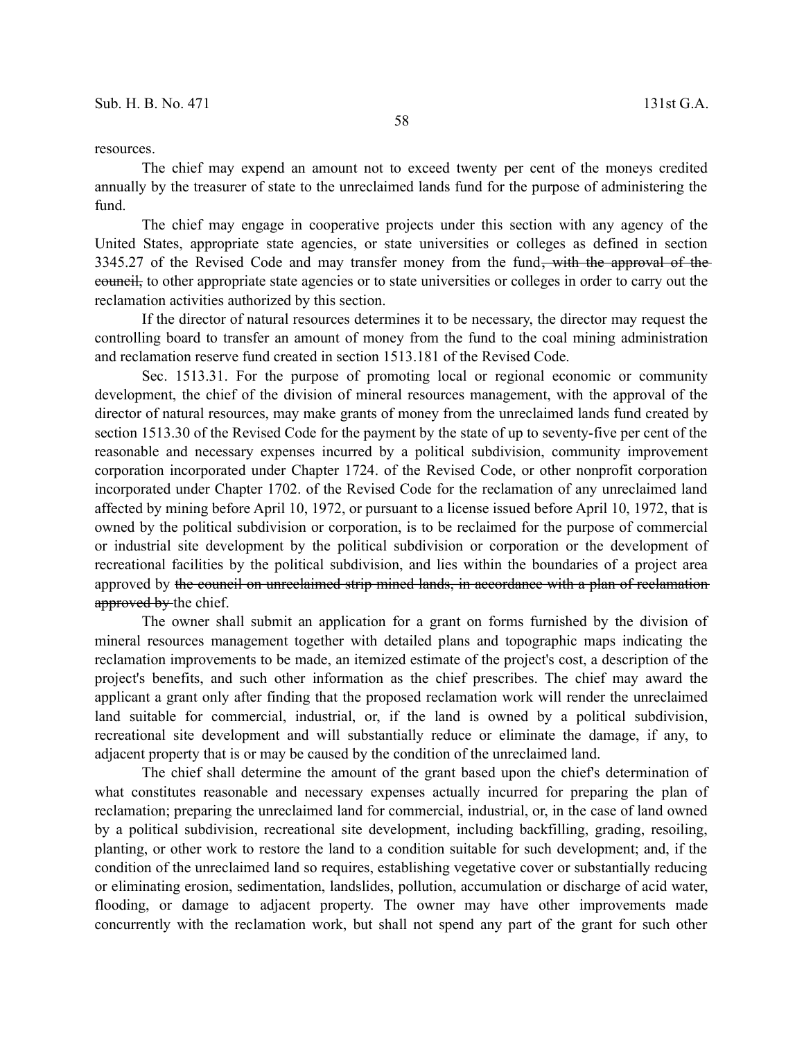## resources.

The chief may expend an amount not to exceed twenty per cent of the moneys credited annually by the treasurer of state to the unreclaimed lands fund for the purpose of administering the fund.

The chief may engage in cooperative projects under this section with any agency of the United States, appropriate state agencies, or state universities or colleges as defined in section 3345.27 of the Revised Code and may transfer money from the fund<del>, with the approval of the</del> council, to other appropriate state agencies or to state universities or colleges in order to carry out the reclamation activities authorized by this section.

If the director of natural resources determines it to be necessary, the director may request the controlling board to transfer an amount of money from the fund to the coal mining administration and reclamation reserve fund created in section 1513.181 of the Revised Code.

Sec. 1513.31. For the purpose of promoting local or regional economic or community development, the chief of the division of mineral resources management, with the approval of the director of natural resources, may make grants of money from the unreclaimed lands fund created by section 1513.30 of the Revised Code for the payment by the state of up to seventy-five per cent of the reasonable and necessary expenses incurred by a political subdivision, community improvement corporation incorporated under Chapter 1724. of the Revised Code, or other nonprofit corporation incorporated under Chapter 1702. of the Revised Code for the reclamation of any unreclaimed land affected by mining before April 10, 1972, or pursuant to a license issued before April 10, 1972, that is owned by the political subdivision or corporation, is to be reclaimed for the purpose of commercial or industrial site development by the political subdivision or corporation or the development of recreational facilities by the political subdivision, and lies within the boundaries of a project area approved by the council on unreclaimed strip mined lands, in accordance with a plan of reclamation approved by the chief.

The owner shall submit an application for a grant on forms furnished by the division of mineral resources management together with detailed plans and topographic maps indicating the reclamation improvements to be made, an itemized estimate of the project's cost, a description of the project's benefits, and such other information as the chief prescribes. The chief may award the applicant a grant only after finding that the proposed reclamation work will render the unreclaimed land suitable for commercial, industrial, or, if the land is owned by a political subdivision, recreational site development and will substantially reduce or eliminate the damage, if any, to adjacent property that is or may be caused by the condition of the unreclaimed land.

The chief shall determine the amount of the grant based upon the chief's determination of what constitutes reasonable and necessary expenses actually incurred for preparing the plan of reclamation; preparing the unreclaimed land for commercial, industrial, or, in the case of land owned by a political subdivision, recreational site development, including backfilling, grading, resoiling, planting, or other work to restore the land to a condition suitable for such development; and, if the condition of the unreclaimed land so requires, establishing vegetative cover or substantially reducing or eliminating erosion, sedimentation, landslides, pollution, accumulation or discharge of acid water, flooding, or damage to adjacent property. The owner may have other improvements made concurrently with the reclamation work, but shall not spend any part of the grant for such other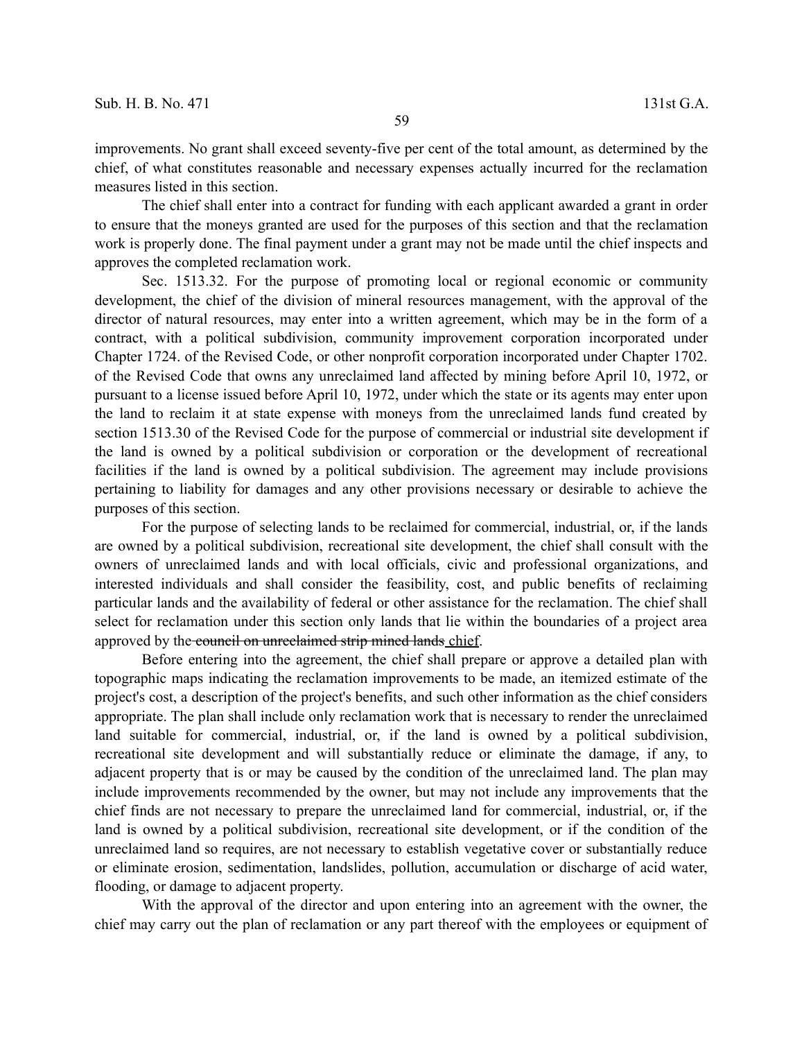improvements. No grant shall exceed seventy-five per cent of the total amount, as determined by the chief, of what constitutes reasonable and necessary expenses actually incurred for the reclamation measures listed in this section.

The chief shall enter into a contract for funding with each applicant awarded a grant in order to ensure that the moneys granted are used for the purposes of this section and that the reclamation work is properly done. The final payment under a grant may not be made until the chief inspects and approves the completed reclamation work.

Sec. 1513.32. For the purpose of promoting local or regional economic or community development, the chief of the division of mineral resources management, with the approval of the director of natural resources, may enter into a written agreement, which may be in the form of a contract, with a political subdivision, community improvement corporation incorporated under Chapter 1724. of the Revised Code, or other nonprofit corporation incorporated under Chapter 1702. of the Revised Code that owns any unreclaimed land affected by mining before April 10, 1972, or pursuant to a license issued before April 10, 1972, under which the state or its agents may enter upon the land to reclaim it at state expense with moneys from the unreclaimed lands fund created by section 1513.30 of the Revised Code for the purpose of commercial or industrial site development if the land is owned by a political subdivision or corporation or the development of recreational facilities if the land is owned by a political subdivision. The agreement may include provisions pertaining to liability for damages and any other provisions necessary or desirable to achieve the purposes of this section.

For the purpose of selecting lands to be reclaimed for commercial, industrial, or, if the lands are owned by a political subdivision, recreational site development, the chief shall consult with the owners of unreclaimed lands and with local officials, civic and professional organizations, and interested individuals and shall consider the feasibility, cost, and public benefits of reclaiming particular lands and the availability of federal or other assistance for the reclamation. The chief shall select for reclamation under this section only lands that lie within the boundaries of a project area approved by the council on unreclaimed strip mined lands chief.

Before entering into the agreement, the chief shall prepare or approve a detailed plan with topographic maps indicating the reclamation improvements to be made, an itemized estimate of the project's cost, a description of the project's benefits, and such other information as the chief considers appropriate. The plan shall include only reclamation work that is necessary to render the unreclaimed land suitable for commercial, industrial, or, if the land is owned by a political subdivision, recreational site development and will substantially reduce or eliminate the damage, if any, to adjacent property that is or may be caused by the condition of the unreclaimed land. The plan may include improvements recommended by the owner, but may not include any improvements that the chief finds are not necessary to prepare the unreclaimed land for commercial, industrial, or, if the land is owned by a political subdivision, recreational site development, or if the condition of the unreclaimed land so requires, are not necessary to establish vegetative cover or substantially reduce or eliminate erosion, sedimentation, landslides, pollution, accumulation or discharge of acid water, flooding, or damage to adjacent property.

With the approval of the director and upon entering into an agreement with the owner, the chief may carry out the plan of reclamation or any part thereof with the employees or equipment of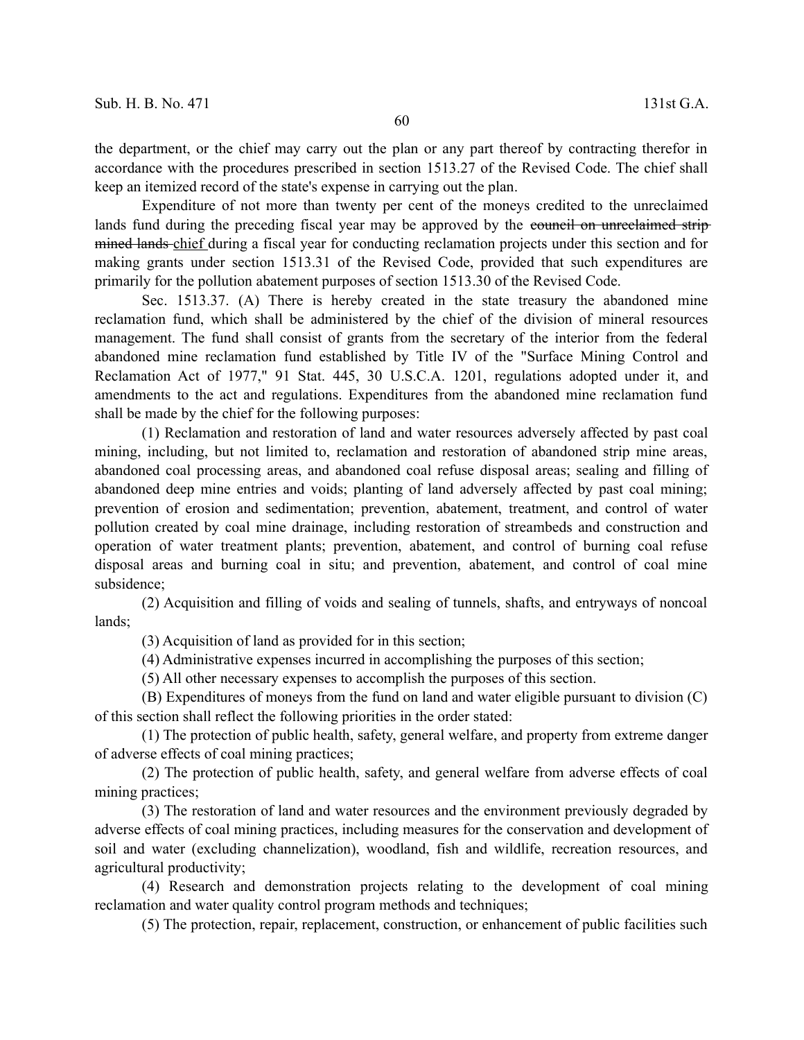the department, or the chief may carry out the plan or any part thereof by contracting therefor in accordance with the procedures prescribed in section 1513.27 of the Revised Code. The chief shall keep an itemized record of the state's expense in carrying out the plan.

Expenditure of not more than twenty per cent of the moneys credited to the unreclaimed lands fund during the preceding fiscal year may be approved by the council on unreclaimed stripmined lands chief during a fiscal year for conducting reclamation projects under this section and for making grants under section 1513.31 of the Revised Code, provided that such expenditures are primarily for the pollution abatement purposes of section 1513.30 of the Revised Code.

Sec. 1513.37. (A) There is hereby created in the state treasury the abandoned mine reclamation fund, which shall be administered by the chief of the division of mineral resources management. The fund shall consist of grants from the secretary of the interior from the federal abandoned mine reclamation fund established by Title IV of the "Surface Mining Control and Reclamation Act of 1977," 91 Stat. 445, 30 U.S.C.A. 1201, regulations adopted under it, and amendments to the act and regulations. Expenditures from the abandoned mine reclamation fund shall be made by the chief for the following purposes:

(1) Reclamation and restoration of land and water resources adversely affected by past coal mining, including, but not limited to, reclamation and restoration of abandoned strip mine areas, abandoned coal processing areas, and abandoned coal refuse disposal areas; sealing and filling of abandoned deep mine entries and voids; planting of land adversely affected by past coal mining; prevention of erosion and sedimentation; prevention, abatement, treatment, and control of water pollution created by coal mine drainage, including restoration of streambeds and construction and operation of water treatment plants; prevention, abatement, and control of burning coal refuse disposal areas and burning coal in situ; and prevention, abatement, and control of coal mine subsidence;

(2) Acquisition and filling of voids and sealing of tunnels, shafts, and entryways of noncoal lands;

(3) Acquisition of land as provided for in this section;

(4) Administrative expenses incurred in accomplishing the purposes of this section;

(5) All other necessary expenses to accomplish the purposes of this section.

(B) Expenditures of moneys from the fund on land and water eligible pursuant to division (C) of this section shall reflect the following priorities in the order stated:

(1) The protection of public health, safety, general welfare, and property from extreme danger of adverse effects of coal mining practices;

(2) The protection of public health, safety, and general welfare from adverse effects of coal mining practices;

(3) The restoration of land and water resources and the environment previously degraded by adverse effects of coal mining practices, including measures for the conservation and development of soil and water (excluding channelization), woodland, fish and wildlife, recreation resources, and agricultural productivity;

(4) Research and demonstration projects relating to the development of coal mining reclamation and water quality control program methods and techniques;

(5) The protection, repair, replacement, construction, or enhancement of public facilities such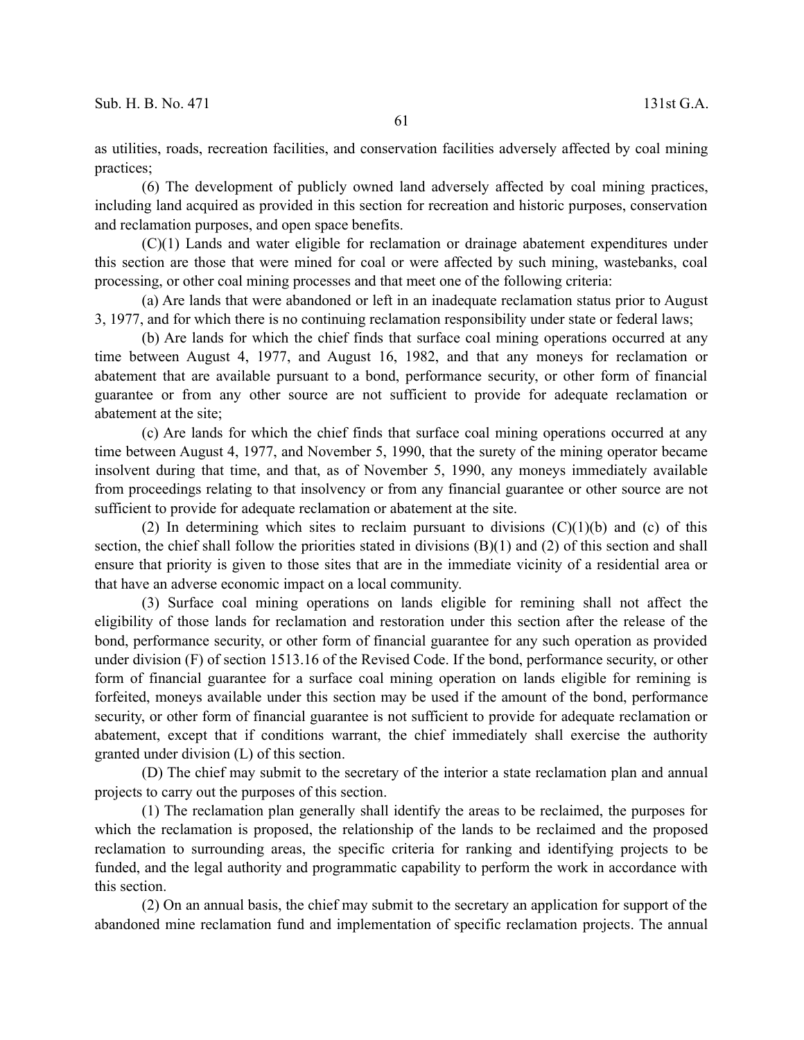as utilities, roads, recreation facilities, and conservation facilities adversely affected by coal mining practices;

(6) The development of publicly owned land adversely affected by coal mining practices, including land acquired as provided in this section for recreation and historic purposes, conservation and reclamation purposes, and open space benefits.

(C)(1) Lands and water eligible for reclamation or drainage abatement expenditures under this section are those that were mined for coal or were affected by such mining, wastebanks, coal processing, or other coal mining processes and that meet one of the following criteria:

(a) Are lands that were abandoned or left in an inadequate reclamation status prior to August 3, 1977, and for which there is no continuing reclamation responsibility under state or federal laws;

(b) Are lands for which the chief finds that surface coal mining operations occurred at any time between August 4, 1977, and August 16, 1982, and that any moneys for reclamation or abatement that are available pursuant to a bond, performance security, or other form of financial guarantee or from any other source are not sufficient to provide for adequate reclamation or abatement at the site;

(c) Are lands for which the chief finds that surface coal mining operations occurred at any time between August 4, 1977, and November 5, 1990, that the surety of the mining operator became insolvent during that time, and that, as of November 5, 1990, any moneys immediately available from proceedings relating to that insolvency or from any financial guarantee or other source are not sufficient to provide for adequate reclamation or abatement at the site.

(2) In determining which sites to reclaim pursuant to divisions  $(C)(1)(b)$  and (c) of this section, the chief shall follow the priorities stated in divisions (B)(1) and (2) of this section and shall ensure that priority is given to those sites that are in the immediate vicinity of a residential area or that have an adverse economic impact on a local community.

(3) Surface coal mining operations on lands eligible for remining shall not affect the eligibility of those lands for reclamation and restoration under this section after the release of the bond, performance security, or other form of financial guarantee for any such operation as provided under division (F) of section 1513.16 of the Revised Code. If the bond, performance security, or other form of financial guarantee for a surface coal mining operation on lands eligible for remining is forfeited, moneys available under this section may be used if the amount of the bond, performance security, or other form of financial guarantee is not sufficient to provide for adequate reclamation or abatement, except that if conditions warrant, the chief immediately shall exercise the authority granted under division (L) of this section.

(D) The chief may submit to the secretary of the interior a state reclamation plan and annual projects to carry out the purposes of this section.

(1) The reclamation plan generally shall identify the areas to be reclaimed, the purposes for which the reclamation is proposed, the relationship of the lands to be reclaimed and the proposed reclamation to surrounding areas, the specific criteria for ranking and identifying projects to be funded, and the legal authority and programmatic capability to perform the work in accordance with this section.

(2) On an annual basis, the chief may submit to the secretary an application for support of the abandoned mine reclamation fund and implementation of specific reclamation projects. The annual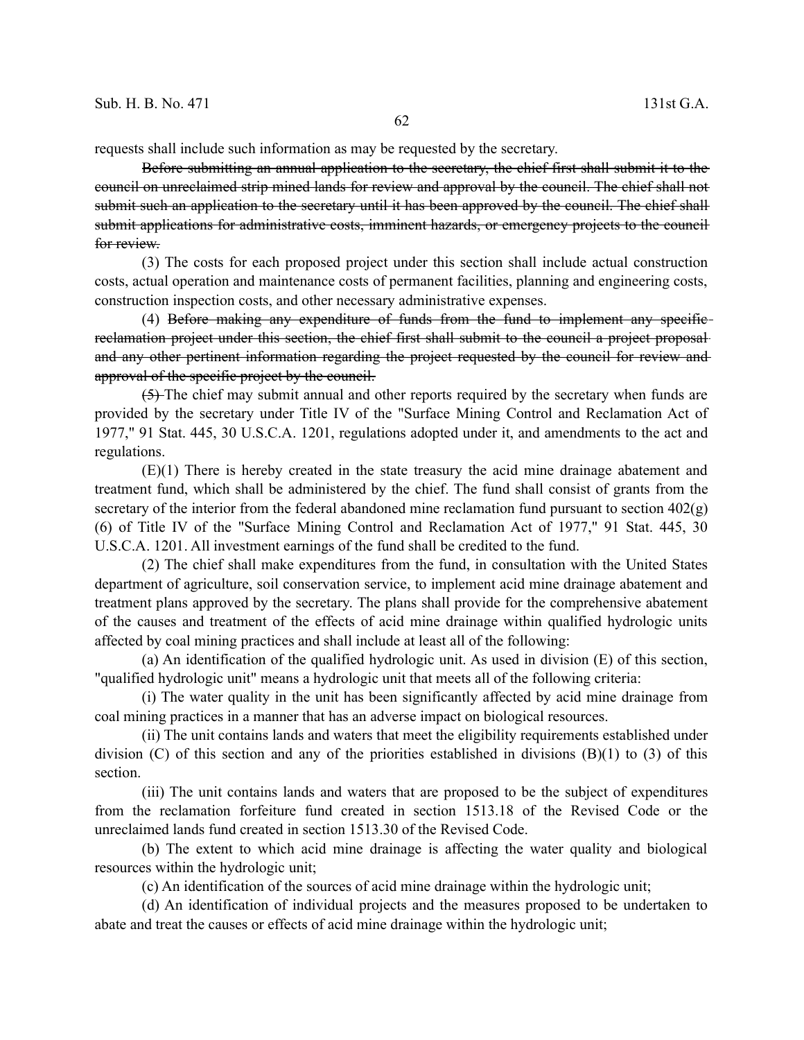requests shall include such information as may be requested by the secretary.

Before submitting an annual application to the secretary, the chief first shall submit it to the council on unreclaimed strip mined lands for review and approval by the council. The chief shall not submit such an application to the secretary until it has been approved by the council. The chief shall submit applications for administrative costs, imminent hazards, or emergency projects to the council for review.

(3) The costs for each proposed project under this section shall include actual construction costs, actual operation and maintenance costs of permanent facilities, planning and engineering costs, construction inspection costs, and other necessary administrative expenses.

(4) Before making any expenditure of funds from the fund to implement any specific reclamation project under this section, the chief first shall submit to the council a project proposal and any other pertinent information regarding the project requested by the council for review and approval of the specific project by the council.

(5) The chief may submit annual and other reports required by the secretary when funds are provided by the secretary under Title IV of the "Surface Mining Control and Reclamation Act of 1977," 91 Stat. 445, 30 U.S.C.A. 1201, regulations adopted under it, and amendments to the act and regulations.

(E)(1) There is hereby created in the state treasury the acid mine drainage abatement and treatment fund, which shall be administered by the chief. The fund shall consist of grants from the secretary of the interior from the federal abandoned mine reclamation fund pursuant to section  $402(g)$ (6) of Title IV of the "Surface Mining Control and Reclamation Act of 1977," 91 Stat. 445, 30 U.S.C.A. 1201. All investment earnings of the fund shall be credited to the fund.

(2) The chief shall make expenditures from the fund, in consultation with the United States department of agriculture, soil conservation service, to implement acid mine drainage abatement and treatment plans approved by the secretary. The plans shall provide for the comprehensive abatement of the causes and treatment of the effects of acid mine drainage within qualified hydrologic units affected by coal mining practices and shall include at least all of the following:

(a) An identification of the qualified hydrologic unit. As used in division (E) of this section, "qualified hydrologic unit" means a hydrologic unit that meets all of the following criteria:

(i) The water quality in the unit has been significantly affected by acid mine drainage from coal mining practices in a manner that has an adverse impact on biological resources.

(ii) The unit contains lands and waters that meet the eligibility requirements established under division (C) of this section and any of the priorities established in divisions  $(B)(1)$  to (3) of this section.

(iii) The unit contains lands and waters that are proposed to be the subject of expenditures from the reclamation forfeiture fund created in section 1513.18 of the Revised Code or the unreclaimed lands fund created in section 1513.30 of the Revised Code.

(b) The extent to which acid mine drainage is affecting the water quality and biological resources within the hydrologic unit;

(c) An identification of the sources of acid mine drainage within the hydrologic unit;

(d) An identification of individual projects and the measures proposed to be undertaken to abate and treat the causes or effects of acid mine drainage within the hydrologic unit;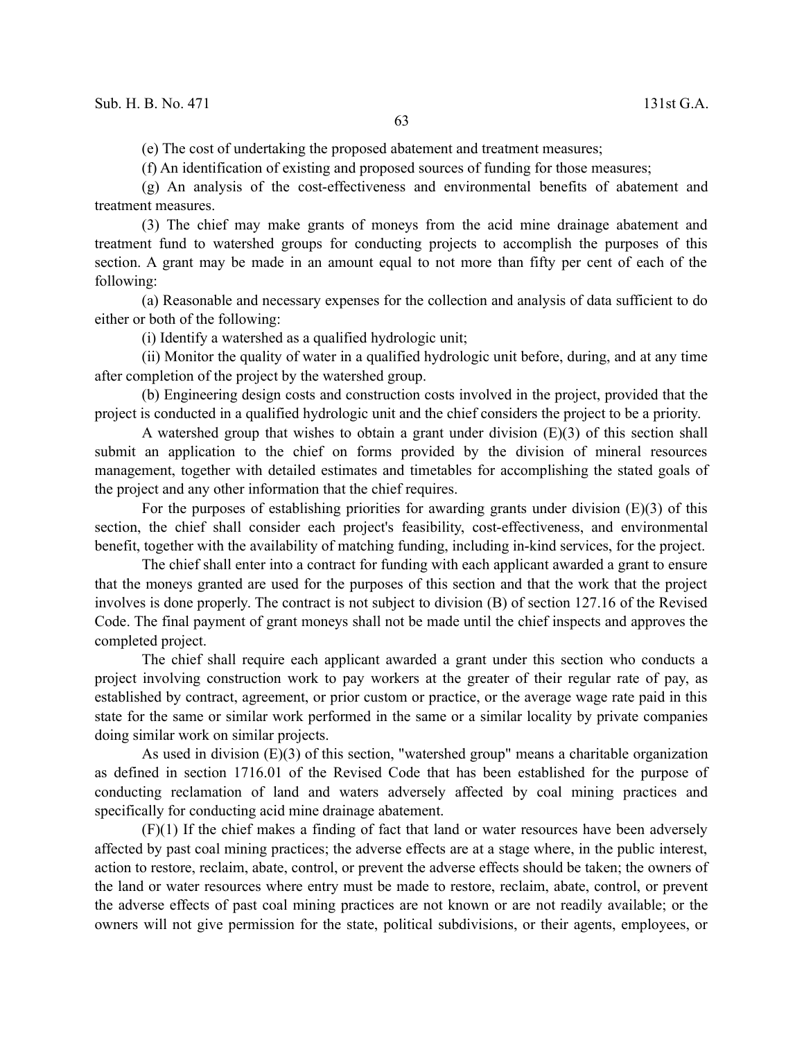(e) The cost of undertaking the proposed abatement and treatment measures;

(f) An identification of existing and proposed sources of funding for those measures;

(g) An analysis of the cost-effectiveness and environmental benefits of abatement and treatment measures.

(3) The chief may make grants of moneys from the acid mine drainage abatement and treatment fund to watershed groups for conducting projects to accomplish the purposes of this section. A grant may be made in an amount equal to not more than fifty per cent of each of the following:

(a) Reasonable and necessary expenses for the collection and analysis of data sufficient to do either or both of the following:

(i) Identify a watershed as a qualified hydrologic unit;

(ii) Monitor the quality of water in a qualified hydrologic unit before, during, and at any time after completion of the project by the watershed group.

(b) Engineering design costs and construction costs involved in the project, provided that the project is conducted in a qualified hydrologic unit and the chief considers the project to be a priority.

A watershed group that wishes to obtain a grant under division (E)(3) of this section shall submit an application to the chief on forms provided by the division of mineral resources management, together with detailed estimates and timetables for accomplishing the stated goals of the project and any other information that the chief requires.

For the purposes of establishing priorities for awarding grants under division  $(E)(3)$  of this section, the chief shall consider each project's feasibility, cost-effectiveness, and environmental benefit, together with the availability of matching funding, including in-kind services, for the project.

The chief shall enter into a contract for funding with each applicant awarded a grant to ensure that the moneys granted are used for the purposes of this section and that the work that the project involves is done properly. The contract is not subject to division (B) of section 127.16 of the Revised Code. The final payment of grant moneys shall not be made until the chief inspects and approves the completed project.

The chief shall require each applicant awarded a grant under this section who conducts a project involving construction work to pay workers at the greater of their regular rate of pay, as established by contract, agreement, or prior custom or practice, or the average wage rate paid in this state for the same or similar work performed in the same or a similar locality by private companies doing similar work on similar projects.

As used in division (E)(3) of this section, "watershed group" means a charitable organization as defined in section 1716.01 of the Revised Code that has been established for the purpose of conducting reclamation of land and waters adversely affected by coal mining practices and specifically for conducting acid mine drainage abatement.

(F)(1) If the chief makes a finding of fact that land or water resources have been adversely affected by past coal mining practices; the adverse effects are at a stage where, in the public interest, action to restore, reclaim, abate, control, or prevent the adverse effects should be taken; the owners of the land or water resources where entry must be made to restore, reclaim, abate, control, or prevent the adverse effects of past coal mining practices are not known or are not readily available; or the owners will not give permission for the state, political subdivisions, or their agents, employees, or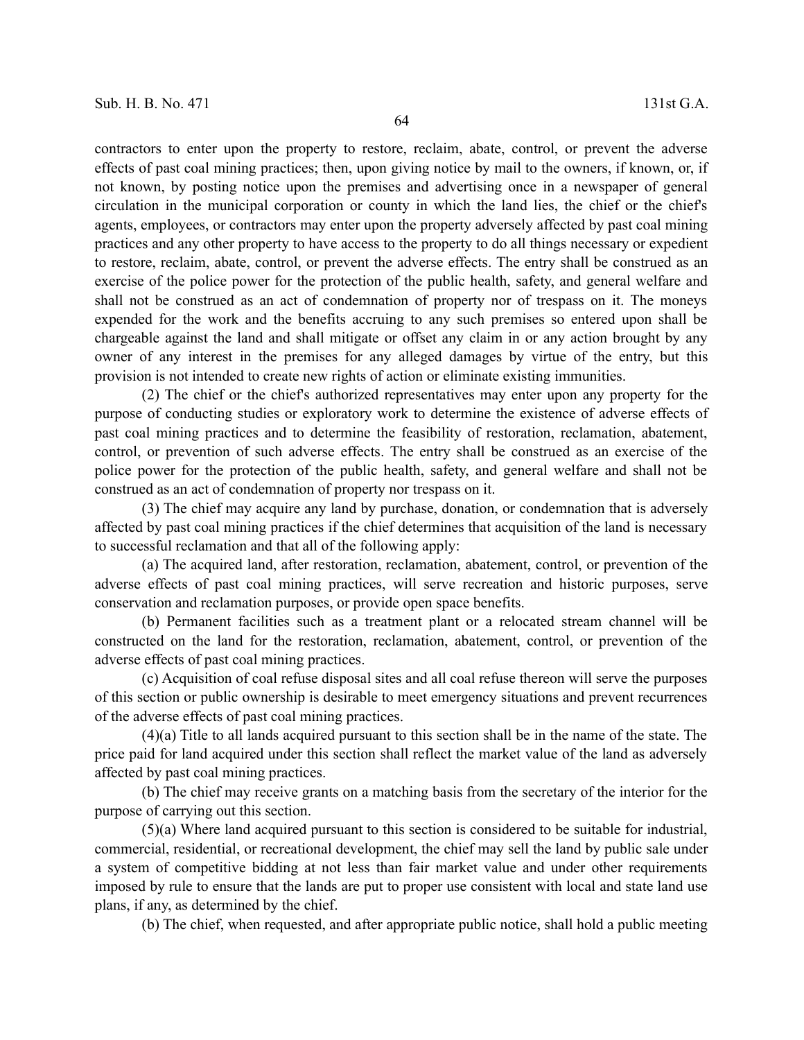contractors to enter upon the property to restore, reclaim, abate, control, or prevent the adverse effects of past coal mining practices; then, upon giving notice by mail to the owners, if known, or, if not known, by posting notice upon the premises and advertising once in a newspaper of general circulation in the municipal corporation or county in which the land lies, the chief or the chief's agents, employees, or contractors may enter upon the property adversely affected by past coal mining practices and any other property to have access to the property to do all things necessary or expedient to restore, reclaim, abate, control, or prevent the adverse effects. The entry shall be construed as an exercise of the police power for the protection of the public health, safety, and general welfare and shall not be construed as an act of condemnation of property nor of trespass on it. The moneys expended for the work and the benefits accruing to any such premises so entered upon shall be chargeable against the land and shall mitigate or offset any claim in or any action brought by any owner of any interest in the premises for any alleged damages by virtue of the entry, but this provision is not intended to create new rights of action or eliminate existing immunities.

(2) The chief or the chief's authorized representatives may enter upon any property for the purpose of conducting studies or exploratory work to determine the existence of adverse effects of past coal mining practices and to determine the feasibility of restoration, reclamation, abatement, control, or prevention of such adverse effects. The entry shall be construed as an exercise of the police power for the protection of the public health, safety, and general welfare and shall not be construed as an act of condemnation of property nor trespass on it.

(3) The chief may acquire any land by purchase, donation, or condemnation that is adversely affected by past coal mining practices if the chief determines that acquisition of the land is necessary to successful reclamation and that all of the following apply:

(a) The acquired land, after restoration, reclamation, abatement, control, or prevention of the adverse effects of past coal mining practices, will serve recreation and historic purposes, serve conservation and reclamation purposes, or provide open space benefits.

(b) Permanent facilities such as a treatment plant or a relocated stream channel will be constructed on the land for the restoration, reclamation, abatement, control, or prevention of the adverse effects of past coal mining practices.

(c) Acquisition of coal refuse disposal sites and all coal refuse thereon will serve the purposes of this section or public ownership is desirable to meet emergency situations and prevent recurrences of the adverse effects of past coal mining practices.

(4)(a) Title to all lands acquired pursuant to this section shall be in the name of the state. The price paid for land acquired under this section shall reflect the market value of the land as adversely affected by past coal mining practices.

(b) The chief may receive grants on a matching basis from the secretary of the interior for the purpose of carrying out this section.

(5)(a) Where land acquired pursuant to this section is considered to be suitable for industrial, commercial, residential, or recreational development, the chief may sell the land by public sale under a system of competitive bidding at not less than fair market value and under other requirements imposed by rule to ensure that the lands are put to proper use consistent with local and state land use plans, if any, as determined by the chief.

(b) The chief, when requested, and after appropriate public notice, shall hold a public meeting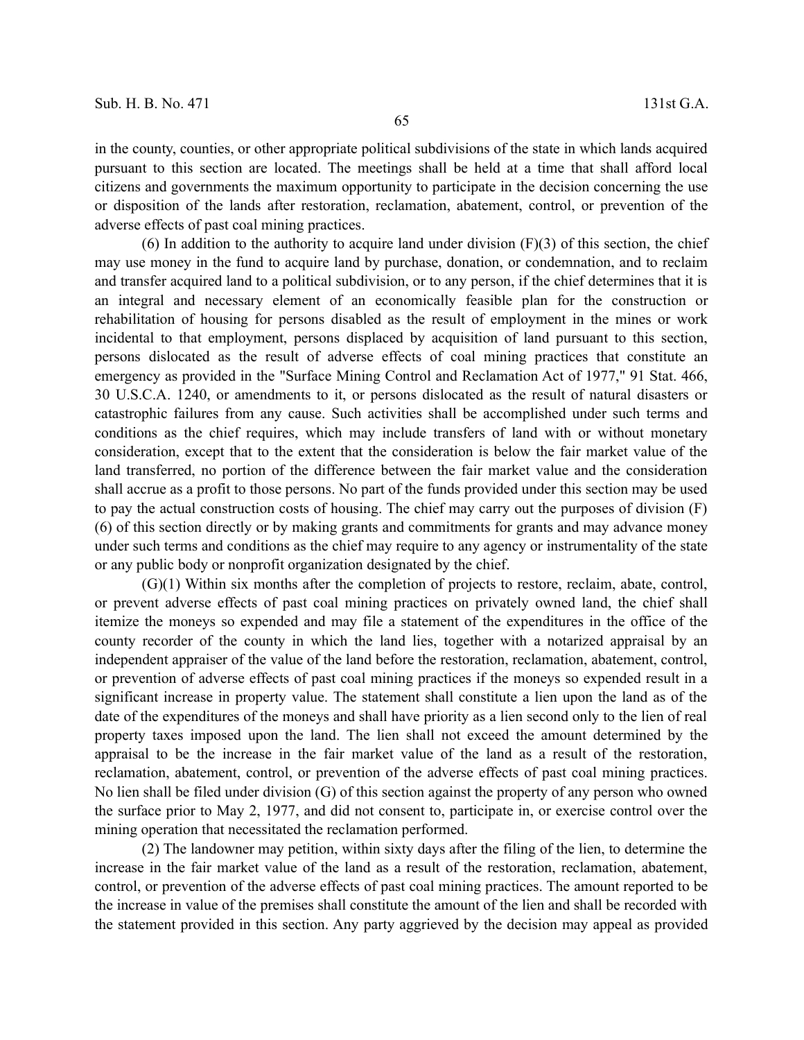in the county, counties, or other appropriate political subdivisions of the state in which lands acquired pursuant to this section are located. The meetings shall be held at a time that shall afford local citizens and governments the maximum opportunity to participate in the decision concerning the use or disposition of the lands after restoration, reclamation, abatement, control, or prevention of the adverse effects of past coal mining practices.

(6) In addition to the authority to acquire land under division  $(F)(3)$  of this section, the chief may use money in the fund to acquire land by purchase, donation, or condemnation, and to reclaim and transfer acquired land to a political subdivision, or to any person, if the chief determines that it is an integral and necessary element of an economically feasible plan for the construction or rehabilitation of housing for persons disabled as the result of employment in the mines or work incidental to that employment, persons displaced by acquisition of land pursuant to this section, persons dislocated as the result of adverse effects of coal mining practices that constitute an emergency as provided in the "Surface Mining Control and Reclamation Act of 1977," 91 Stat. 466, 30 U.S.C.A. 1240, or amendments to it, or persons dislocated as the result of natural disasters or catastrophic failures from any cause. Such activities shall be accomplished under such terms and conditions as the chief requires, which may include transfers of land with or without monetary consideration, except that to the extent that the consideration is below the fair market value of the land transferred, no portion of the difference between the fair market value and the consideration shall accrue as a profit to those persons. No part of the funds provided under this section may be used to pay the actual construction costs of housing. The chief may carry out the purposes of division (F) (6) of this section directly or by making grants and commitments for grants and may advance money under such terms and conditions as the chief may require to any agency or instrumentality of the state or any public body or nonprofit organization designated by the chief.

(G)(1) Within six months after the completion of projects to restore, reclaim, abate, control, or prevent adverse effects of past coal mining practices on privately owned land, the chief shall itemize the moneys so expended and may file a statement of the expenditures in the office of the county recorder of the county in which the land lies, together with a notarized appraisal by an independent appraiser of the value of the land before the restoration, reclamation, abatement, control, or prevention of adverse effects of past coal mining practices if the moneys so expended result in a significant increase in property value. The statement shall constitute a lien upon the land as of the date of the expenditures of the moneys and shall have priority as a lien second only to the lien of real property taxes imposed upon the land. The lien shall not exceed the amount determined by the appraisal to be the increase in the fair market value of the land as a result of the restoration, reclamation, abatement, control, or prevention of the adverse effects of past coal mining practices. No lien shall be filed under division (G) of this section against the property of any person who owned the surface prior to May 2, 1977, and did not consent to, participate in, or exercise control over the mining operation that necessitated the reclamation performed.

(2) The landowner may petition, within sixty days after the filing of the lien, to determine the increase in the fair market value of the land as a result of the restoration, reclamation, abatement, control, or prevention of the adverse effects of past coal mining practices. The amount reported to be the increase in value of the premises shall constitute the amount of the lien and shall be recorded with the statement provided in this section. Any party aggrieved by the decision may appeal as provided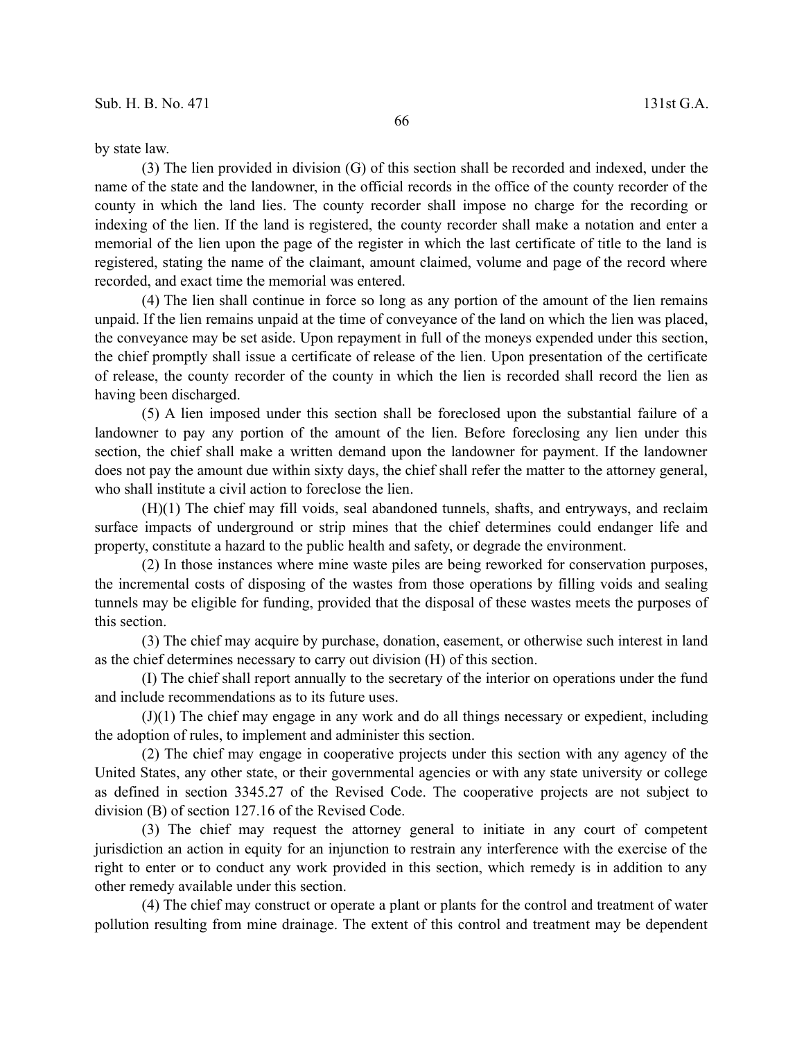## by state law.

(3) The lien provided in division (G) of this section shall be recorded and indexed, under the name of the state and the landowner, in the official records in the office of the county recorder of the county in which the land lies. The county recorder shall impose no charge for the recording or indexing of the lien. If the land is registered, the county recorder shall make a notation and enter a memorial of the lien upon the page of the register in which the last certificate of title to the land is registered, stating the name of the claimant, amount claimed, volume and page of the record where recorded, and exact time the memorial was entered.

66

(4) The lien shall continue in force so long as any portion of the amount of the lien remains unpaid. If the lien remains unpaid at the time of conveyance of the land on which the lien was placed, the conveyance may be set aside. Upon repayment in full of the moneys expended under this section, the chief promptly shall issue a certificate of release of the lien. Upon presentation of the certificate of release, the county recorder of the county in which the lien is recorded shall record the lien as having been discharged.

(5) A lien imposed under this section shall be foreclosed upon the substantial failure of a landowner to pay any portion of the amount of the lien. Before foreclosing any lien under this section, the chief shall make a written demand upon the landowner for payment. If the landowner does not pay the amount due within sixty days, the chief shall refer the matter to the attorney general, who shall institute a civil action to foreclose the lien.

(H)(1) The chief may fill voids, seal abandoned tunnels, shafts, and entryways, and reclaim surface impacts of underground or strip mines that the chief determines could endanger life and property, constitute a hazard to the public health and safety, or degrade the environment.

(2) In those instances where mine waste piles are being reworked for conservation purposes, the incremental costs of disposing of the wastes from those operations by filling voids and sealing tunnels may be eligible for funding, provided that the disposal of these wastes meets the purposes of this section.

(3) The chief may acquire by purchase, donation, easement, or otherwise such interest in land as the chief determines necessary to carry out division (H) of this section.

(I) The chief shall report annually to the secretary of the interior on operations under the fund and include recommendations as to its future uses.

(J)(1) The chief may engage in any work and do all things necessary or expedient, including the adoption of rules, to implement and administer this section.

(2) The chief may engage in cooperative projects under this section with any agency of the United States, any other state, or their governmental agencies or with any state university or college as defined in section 3345.27 of the Revised Code. The cooperative projects are not subject to division (B) of section 127.16 of the Revised Code.

(3) The chief may request the attorney general to initiate in any court of competent jurisdiction an action in equity for an injunction to restrain any interference with the exercise of the right to enter or to conduct any work provided in this section, which remedy is in addition to any other remedy available under this section.

(4) The chief may construct or operate a plant or plants for the control and treatment of water pollution resulting from mine drainage. The extent of this control and treatment may be dependent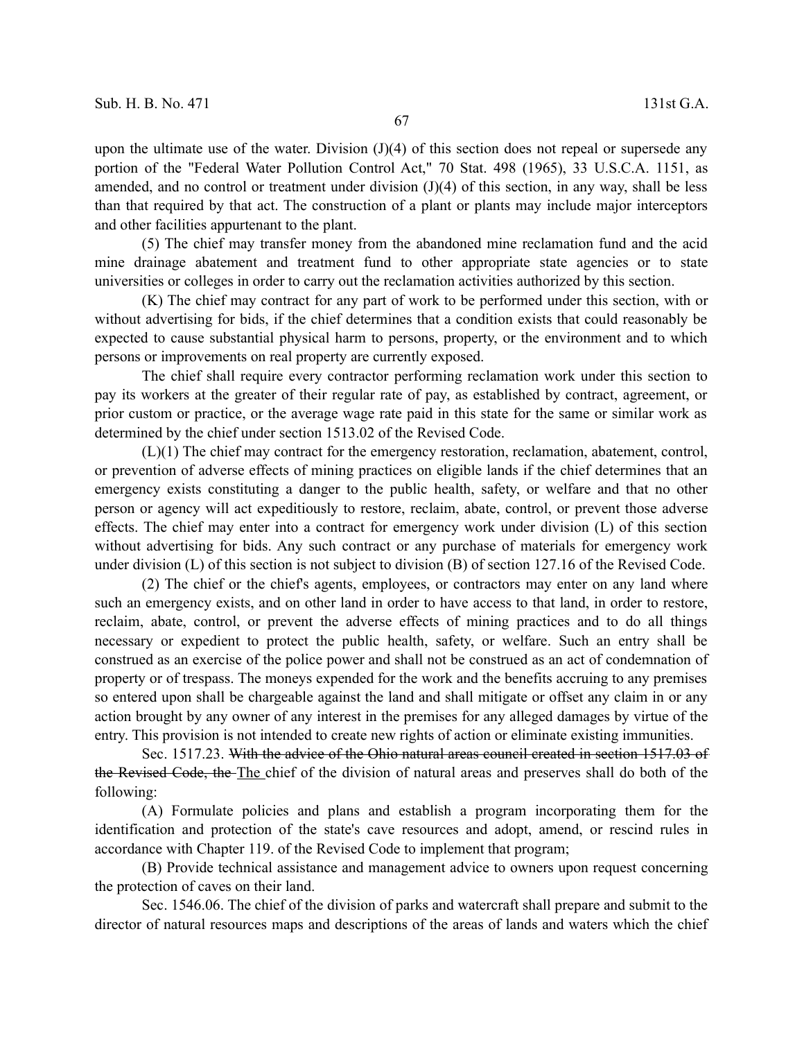upon the ultimate use of the water. Division  $(J)(4)$  of this section does not repeal or supersede any portion of the "Federal Water Pollution Control Act," 70 Stat. 498 (1965), 33 U.S.C.A. 1151, as amended, and no control or treatment under division  $J(4)$  of this section, in any way, shall be less than that required by that act. The construction of a plant or plants may include major interceptors and other facilities appurtenant to the plant.

(5) The chief may transfer money from the abandoned mine reclamation fund and the acid mine drainage abatement and treatment fund to other appropriate state agencies or to state universities or colleges in order to carry out the reclamation activities authorized by this section.

(K) The chief may contract for any part of work to be performed under this section, with or without advertising for bids, if the chief determines that a condition exists that could reasonably be expected to cause substantial physical harm to persons, property, or the environment and to which persons or improvements on real property are currently exposed.

The chief shall require every contractor performing reclamation work under this section to pay its workers at the greater of their regular rate of pay, as established by contract, agreement, or prior custom or practice, or the average wage rate paid in this state for the same or similar work as determined by the chief under section 1513.02 of the Revised Code.

(L)(1) The chief may contract for the emergency restoration, reclamation, abatement, control, or prevention of adverse effects of mining practices on eligible lands if the chief determines that an emergency exists constituting a danger to the public health, safety, or welfare and that no other person or agency will act expeditiously to restore, reclaim, abate, control, or prevent those adverse effects. The chief may enter into a contract for emergency work under division (L) of this section without advertising for bids. Any such contract or any purchase of materials for emergency work under division (L) of this section is not subject to division (B) of section 127.16 of the Revised Code.

(2) The chief or the chief's agents, employees, or contractors may enter on any land where such an emergency exists, and on other land in order to have access to that land, in order to restore, reclaim, abate, control, or prevent the adverse effects of mining practices and to do all things necessary or expedient to protect the public health, safety, or welfare. Such an entry shall be construed as an exercise of the police power and shall not be construed as an act of condemnation of property or of trespass. The moneys expended for the work and the benefits accruing to any premises so entered upon shall be chargeable against the land and shall mitigate or offset any claim in or any action brought by any owner of any interest in the premises for any alleged damages by virtue of the entry. This provision is not intended to create new rights of action or eliminate existing immunities.

Sec. 1517.23. With the advice of the Ohio natural areas council created in section 1517.03 of the Revised Code, the The chief of the division of natural areas and preserves shall do both of the following:

(A) Formulate policies and plans and establish a program incorporating them for the identification and protection of the state's cave resources and adopt, amend, or rescind rules in accordance with Chapter 119. of the Revised Code to implement that program;

(B) Provide technical assistance and management advice to owners upon request concerning the protection of caves on their land.

Sec. 1546.06. The chief of the division of parks and watercraft shall prepare and submit to the director of natural resources maps and descriptions of the areas of lands and waters which the chief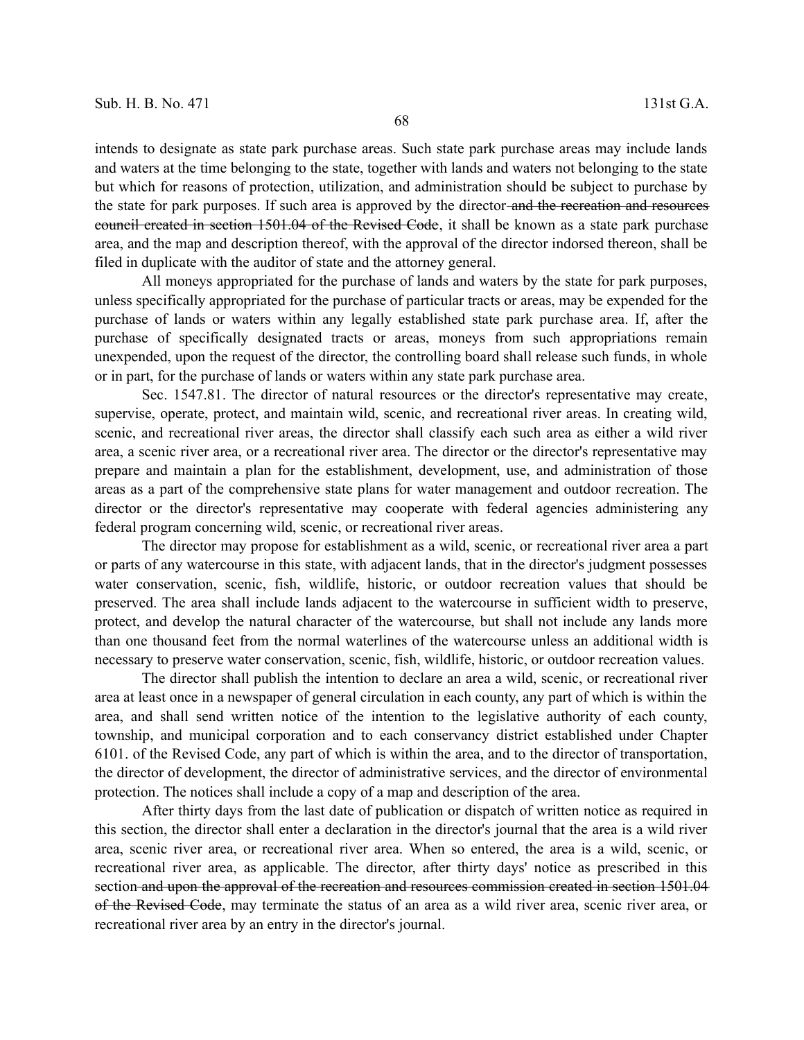intends to designate as state park purchase areas. Such state park purchase areas may include lands and waters at the time belonging to the state, together with lands and waters not belonging to the state but which for reasons of protection, utilization, and administration should be subject to purchase by the state for park purposes. If such area is approved by the director and the recreation and resources council created in section 1501.04 of the Revised Code, it shall be known as a state park purchase area, and the map and description thereof, with the approval of the director indorsed thereon, shall be filed in duplicate with the auditor of state and the attorney general.

All moneys appropriated for the purchase of lands and waters by the state for park purposes, unless specifically appropriated for the purchase of particular tracts or areas, may be expended for the purchase of lands or waters within any legally established state park purchase area. If, after the purchase of specifically designated tracts or areas, moneys from such appropriations remain unexpended, upon the request of the director, the controlling board shall release such funds, in whole or in part, for the purchase of lands or waters within any state park purchase area.

Sec. 1547.81. The director of natural resources or the director's representative may create, supervise, operate, protect, and maintain wild, scenic, and recreational river areas. In creating wild, scenic, and recreational river areas, the director shall classify each such area as either a wild river area, a scenic river area, or a recreational river area. The director or the director's representative may prepare and maintain a plan for the establishment, development, use, and administration of those areas as a part of the comprehensive state plans for water management and outdoor recreation. The director or the director's representative may cooperate with federal agencies administering any federal program concerning wild, scenic, or recreational river areas.

The director may propose for establishment as a wild, scenic, or recreational river area a part or parts of any watercourse in this state, with adjacent lands, that in the director's judgment possesses water conservation, scenic, fish, wildlife, historic, or outdoor recreation values that should be preserved. The area shall include lands adjacent to the watercourse in sufficient width to preserve, protect, and develop the natural character of the watercourse, but shall not include any lands more than one thousand feet from the normal waterlines of the watercourse unless an additional width is necessary to preserve water conservation, scenic, fish, wildlife, historic, or outdoor recreation values.

The director shall publish the intention to declare an area a wild, scenic, or recreational river area at least once in a newspaper of general circulation in each county, any part of which is within the area, and shall send written notice of the intention to the legislative authority of each county, township, and municipal corporation and to each conservancy district established under Chapter 6101. of the Revised Code, any part of which is within the area, and to the director of transportation, the director of development, the director of administrative services, and the director of environmental protection. The notices shall include a copy of a map and description of the area.

After thirty days from the last date of publication or dispatch of written notice as required in this section, the director shall enter a declaration in the director's journal that the area is a wild river area, scenic river area, or recreational river area. When so entered, the area is a wild, scenic, or recreational river area, as applicable. The director, after thirty days' notice as prescribed in this section and upon the approval of the recreation and resources commission created in section 1501.04 of the Revised Code, may terminate the status of an area as a wild river area, scenic river area, or recreational river area by an entry in the director's journal.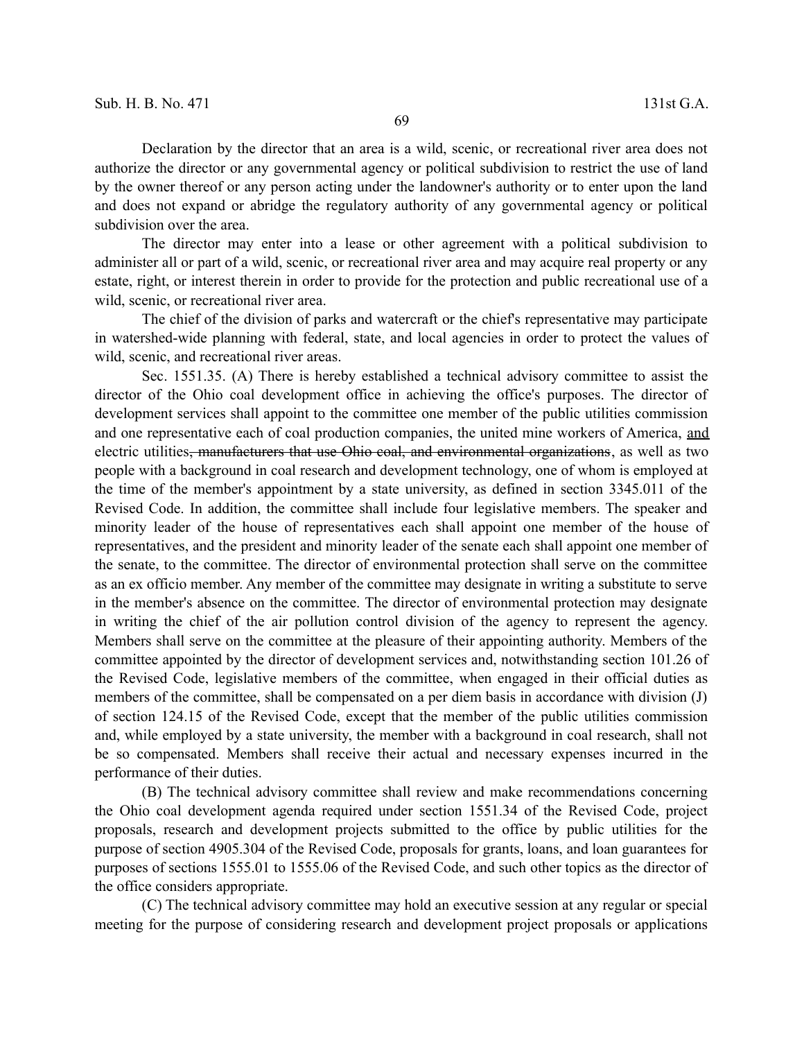Declaration by the director that an area is a wild, scenic, or recreational river area does not authorize the director or any governmental agency or political subdivision to restrict the use of land by the owner thereof or any person acting under the landowner's authority or to enter upon the land and does not expand or abridge the regulatory authority of any governmental agency or political subdivision over the area.

The director may enter into a lease or other agreement with a political subdivision to administer all or part of a wild, scenic, or recreational river area and may acquire real property or any estate, right, or interest therein in order to provide for the protection and public recreational use of a wild, scenic, or recreational river area.

The chief of the division of parks and watercraft or the chief's representative may participate in watershed-wide planning with federal, state, and local agencies in order to protect the values of wild, scenic, and recreational river areas.

Sec. 1551.35. (A) There is hereby established a technical advisory committee to assist the director of the Ohio coal development office in achieving the office's purposes. The director of development services shall appoint to the committee one member of the public utilities commission and one representative each of coal production companies, the united mine workers of America, and electric utilities<del>, manufacturers that use Ohio coal, and environmental organizations</del>, as well as two people with a background in coal research and development technology, one of whom is employed at the time of the member's appointment by a state university, as defined in section 3345.011 of the Revised Code. In addition, the committee shall include four legislative members. The speaker and minority leader of the house of representatives each shall appoint one member of the house of representatives, and the president and minority leader of the senate each shall appoint one member of the senate, to the committee. The director of environmental protection shall serve on the committee as an ex officio member. Any member of the committee may designate in writing a substitute to serve in the member's absence on the committee. The director of environmental protection may designate in writing the chief of the air pollution control division of the agency to represent the agency. Members shall serve on the committee at the pleasure of their appointing authority. Members of the committee appointed by the director of development services and, notwithstanding section 101.26 of the Revised Code, legislative members of the committee, when engaged in their official duties as members of the committee, shall be compensated on a per diem basis in accordance with division (J) of section 124.15 of the Revised Code, except that the member of the public utilities commission and, while employed by a state university, the member with a background in coal research, shall not be so compensated. Members shall receive their actual and necessary expenses incurred in the performance of their duties.

(B) The technical advisory committee shall review and make recommendations concerning the Ohio coal development agenda required under section 1551.34 of the Revised Code, project proposals, research and development projects submitted to the office by public utilities for the purpose of section 4905.304 of the Revised Code, proposals for grants, loans, and loan guarantees for purposes of sections 1555.01 to 1555.06 of the Revised Code, and such other topics as the director of the office considers appropriate.

(C) The technical advisory committee may hold an executive session at any regular or special meeting for the purpose of considering research and development project proposals or applications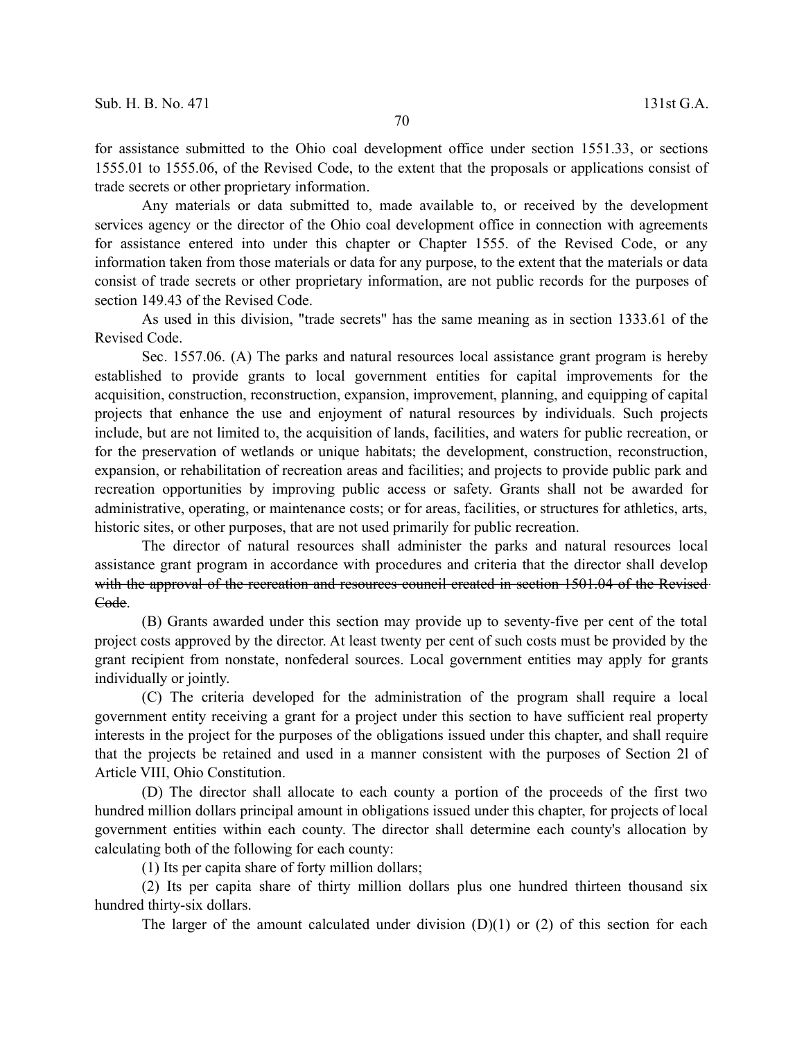for assistance submitted to the Ohio coal development office under section 1551.33, or sections 1555.01 to 1555.06, of the Revised Code, to the extent that the proposals or applications consist of trade secrets or other proprietary information.

Any materials or data submitted to, made available to, or received by the development services agency or the director of the Ohio coal development office in connection with agreements for assistance entered into under this chapter or Chapter 1555. of the Revised Code, or any information taken from those materials or data for any purpose, to the extent that the materials or data consist of trade secrets or other proprietary information, are not public records for the purposes of section 149.43 of the Revised Code.

As used in this division, "trade secrets" has the same meaning as in section 1333.61 of the Revised Code.

Sec. 1557.06. (A) The parks and natural resources local assistance grant program is hereby established to provide grants to local government entities for capital improvements for the acquisition, construction, reconstruction, expansion, improvement, planning, and equipping of capital projects that enhance the use and enjoyment of natural resources by individuals. Such projects include, but are not limited to, the acquisition of lands, facilities, and waters for public recreation, or for the preservation of wetlands or unique habitats; the development, construction, reconstruction, expansion, or rehabilitation of recreation areas and facilities; and projects to provide public park and recreation opportunities by improving public access or safety. Grants shall not be awarded for administrative, operating, or maintenance costs; or for areas, facilities, or structures for athletics, arts, historic sites, or other purposes, that are not used primarily for public recreation.

The director of natural resources shall administer the parks and natural resources local assistance grant program in accordance with procedures and criteria that the director shall develop with the approval of the recreation and resources council created in section 1501.04 of the Revised Code.

(B) Grants awarded under this section may provide up to seventy-five per cent of the total project costs approved by the director. At least twenty per cent of such costs must be provided by the grant recipient from nonstate, nonfederal sources. Local government entities may apply for grants individually or jointly.

(C) The criteria developed for the administration of the program shall require a local government entity receiving a grant for a project under this section to have sufficient real property interests in the project for the purposes of the obligations issued under this chapter, and shall require that the projects be retained and used in a manner consistent with the purposes of Section 2l of Article VIII, Ohio Constitution.

(D) The director shall allocate to each county a portion of the proceeds of the first two hundred million dollars principal amount in obligations issued under this chapter, for projects of local government entities within each county. The director shall determine each county's allocation by calculating both of the following for each county:

(1) Its per capita share of forty million dollars;

(2) Its per capita share of thirty million dollars plus one hundred thirteen thousand six hundred thirty-six dollars.

The larger of the amount calculated under division  $(D)(1)$  or  $(2)$  of this section for each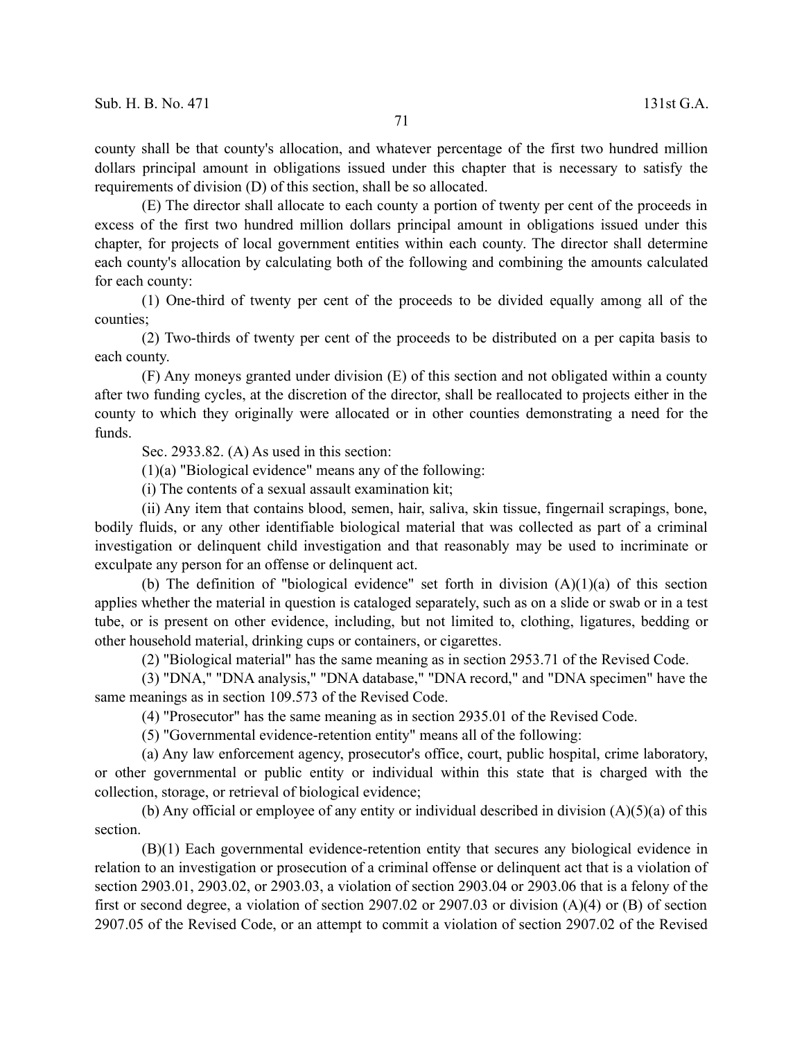county shall be that county's allocation, and whatever percentage of the first two hundred million dollars principal amount in obligations issued under this chapter that is necessary to satisfy the requirements of division (D) of this section, shall be so allocated.

(E) The director shall allocate to each county a portion of twenty per cent of the proceeds in excess of the first two hundred million dollars principal amount in obligations issued under this chapter, for projects of local government entities within each county. The director shall determine each county's allocation by calculating both of the following and combining the amounts calculated for each county:

(1) One-third of twenty per cent of the proceeds to be divided equally among all of the counties;

(2) Two-thirds of twenty per cent of the proceeds to be distributed on a per capita basis to each county.

(F) Any moneys granted under division (E) of this section and not obligated within a county after two funding cycles, at the discretion of the director, shall be reallocated to projects either in the county to which they originally were allocated or in other counties demonstrating a need for the funds.

Sec. 2933.82. (A) As used in this section:

(1)(a) "Biological evidence" means any of the following:

(i) The contents of a sexual assault examination kit;

(ii) Any item that contains blood, semen, hair, saliva, skin tissue, fingernail scrapings, bone, bodily fluids, or any other identifiable biological material that was collected as part of a criminal investigation or delinquent child investigation and that reasonably may be used to incriminate or exculpate any person for an offense or delinquent act.

(b) The definition of "biological evidence" set forth in division  $(A)(1)(a)$  of this section applies whether the material in question is cataloged separately, such as on a slide or swab or in a test tube, or is present on other evidence, including, but not limited to, clothing, ligatures, bedding or other household material, drinking cups or containers, or cigarettes.

(2) "Biological material" has the same meaning as in section 2953.71 of the Revised Code.

(3) "DNA," "DNA analysis," "DNA database," "DNA record," and "DNA specimen" have the same meanings as in section 109.573 of the Revised Code.

(4) "Prosecutor" has the same meaning as in section 2935.01 of the Revised Code.

(5) "Governmental evidence-retention entity" means all of the following:

(a) Any law enforcement agency, prosecutor's office, court, public hospital, crime laboratory, or other governmental or public entity or individual within this state that is charged with the collection, storage, or retrieval of biological evidence;

(b) Any official or employee of any entity or individual described in division  $(A)(5)(a)$  of this section.

(B)(1) Each governmental evidence-retention entity that secures any biological evidence in relation to an investigation or prosecution of a criminal offense or delinquent act that is a violation of section 2903.01, 2903.02, or 2903.03, a violation of section 2903.04 or 2903.06 that is a felony of the first or second degree, a violation of section 2907.02 or 2907.03 or division (A)(4) or (B) of section 2907.05 of the Revised Code, or an attempt to commit a violation of section 2907.02 of the Revised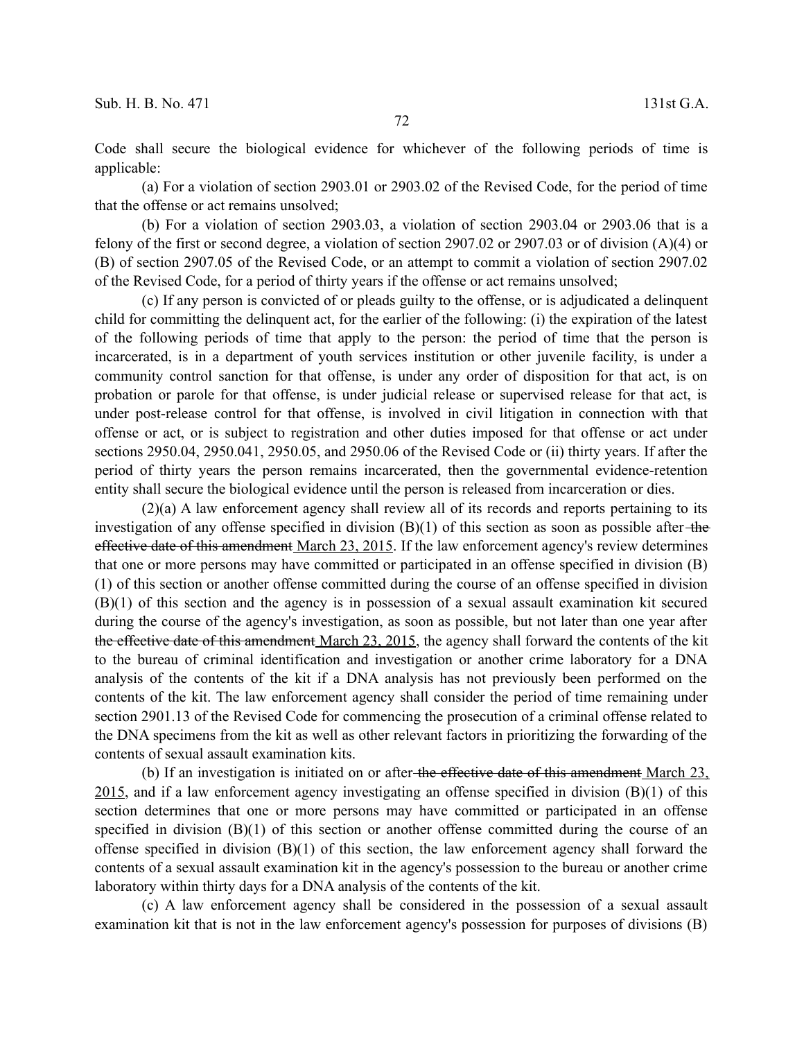Code shall secure the biological evidence for whichever of the following periods of time is applicable:

(a) For a violation of section 2903.01 or 2903.02 of the Revised Code, for the period of time that the offense or act remains unsolved;

(b) For a violation of section 2903.03, a violation of section 2903.04 or 2903.06 that is a felony of the first or second degree, a violation of section 2907.02 or 2907.03 or of division (A)(4) or (B) of section 2907.05 of the Revised Code, or an attempt to commit a violation of section 2907.02 of the Revised Code, for a period of thirty years if the offense or act remains unsolved;

(c) If any person is convicted of or pleads guilty to the offense, or is adjudicated a delinquent child for committing the delinquent act, for the earlier of the following: (i) the expiration of the latest of the following periods of time that apply to the person: the period of time that the person is incarcerated, is in a department of youth services institution or other juvenile facility, is under a community control sanction for that offense, is under any order of disposition for that act, is on probation or parole for that offense, is under judicial release or supervised release for that act, is under post-release control for that offense, is involved in civil litigation in connection with that offense or act, or is subject to registration and other duties imposed for that offense or act under sections 2950.04, 2950.041, 2950.05, and 2950.06 of the Revised Code or (ii) thirty years. If after the period of thirty years the person remains incarcerated, then the governmental evidence-retention entity shall secure the biological evidence until the person is released from incarceration or dies.

(2)(a) A law enforcement agency shall review all of its records and reports pertaining to its investigation of any offense specified in division  $(B)(1)$  of this section as soon as possible after the effective date of this amendment March 23, 2015. If the law enforcement agency's review determines that one or more persons may have committed or participated in an offense specified in division (B) (1) of this section or another offense committed during the course of an offense specified in division (B)(1) of this section and the agency is in possession of a sexual assault examination kit secured during the course of the agency's investigation, as soon as possible, but not later than one year after the effective date of this amendment March 23, 2015, the agency shall forward the contents of the kit to the bureau of criminal identification and investigation or another crime laboratory for a DNA analysis of the contents of the kit if a DNA analysis has not previously been performed on the contents of the kit. The law enforcement agency shall consider the period of time remaining under section 2901.13 of the Revised Code for commencing the prosecution of a criminal offense related to the DNA specimens from the kit as well as other relevant factors in prioritizing the forwarding of the contents of sexual assault examination kits.

(b) If an investigation is initiated on or after the effective date of this amendment March 23, 2015, and if a law enforcement agency investigating an offense specified in division (B)(1) of this section determines that one or more persons may have committed or participated in an offense specified in division (B)(1) of this section or another offense committed during the course of an offense specified in division  $(B)(1)$  of this section, the law enforcement agency shall forward the contents of a sexual assault examination kit in the agency's possession to the bureau or another crime laboratory within thirty days for a DNA analysis of the contents of the kit.

(c) A law enforcement agency shall be considered in the possession of a sexual assault examination kit that is not in the law enforcement agency's possession for purposes of divisions (B)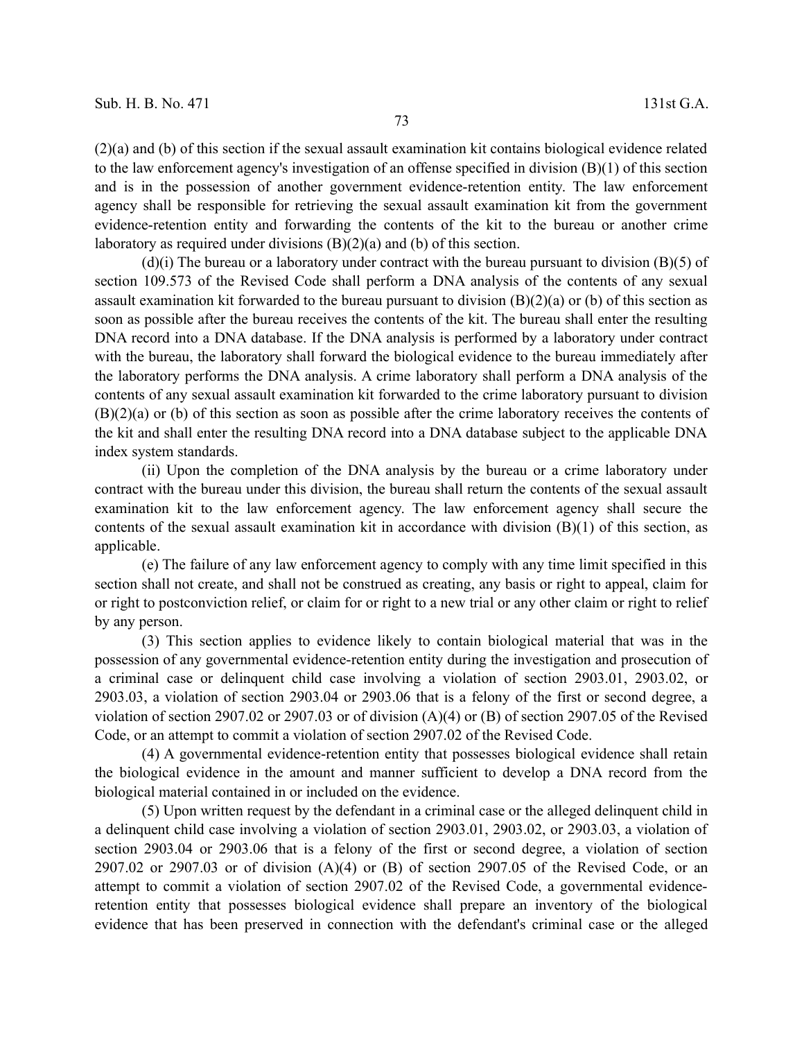(2)(a) and (b) of this section if the sexual assault examination kit contains biological evidence related to the law enforcement agency's investigation of an offense specified in division (B)(1) of this section and is in the possession of another government evidence-retention entity. The law enforcement agency shall be responsible for retrieving the sexual assault examination kit from the government evidence-retention entity and forwarding the contents of the kit to the bureau or another crime laboratory as required under divisions (B)(2)(a) and (b) of this section.

 $(d)(i)$  The bureau or a laboratory under contract with the bureau pursuant to division  $(B)(5)$  of section 109.573 of the Revised Code shall perform a DNA analysis of the contents of any sexual assault examination kit forwarded to the bureau pursuant to division  $(B)(2)(a)$  or (b) of this section as soon as possible after the bureau receives the contents of the kit. The bureau shall enter the resulting DNA record into a DNA database. If the DNA analysis is performed by a laboratory under contract with the bureau, the laboratory shall forward the biological evidence to the bureau immediately after the laboratory performs the DNA analysis. A crime laboratory shall perform a DNA analysis of the contents of any sexual assault examination kit forwarded to the crime laboratory pursuant to division (B)(2)(a) or (b) of this section as soon as possible after the crime laboratory receives the contents of the kit and shall enter the resulting DNA record into a DNA database subject to the applicable DNA index system standards.

(ii) Upon the completion of the DNA analysis by the bureau or a crime laboratory under contract with the bureau under this division, the bureau shall return the contents of the sexual assault examination kit to the law enforcement agency. The law enforcement agency shall secure the contents of the sexual assault examination kit in accordance with division (B)(1) of this section, as applicable.

(e) The failure of any law enforcement agency to comply with any time limit specified in this section shall not create, and shall not be construed as creating, any basis or right to appeal, claim for or right to postconviction relief, or claim for or right to a new trial or any other claim or right to relief by any person.

(3) This section applies to evidence likely to contain biological material that was in the possession of any governmental evidence-retention entity during the investigation and prosecution of a criminal case or delinquent child case involving a violation of section 2903.01, 2903.02, or 2903.03, a violation of section 2903.04 or 2903.06 that is a felony of the first or second degree, a violation of section 2907.02 or 2907.03 or of division (A)(4) or (B) of section 2907.05 of the Revised Code, or an attempt to commit a violation of section 2907.02 of the Revised Code.

(4) A governmental evidence-retention entity that possesses biological evidence shall retain the biological evidence in the amount and manner sufficient to develop a DNA record from the biological material contained in or included on the evidence.

(5) Upon written request by the defendant in a criminal case or the alleged delinquent child in a delinquent child case involving a violation of section 2903.01, 2903.02, or 2903.03, a violation of section 2903.04 or 2903.06 that is a felony of the first or second degree, a violation of section  $2907.02$  or  $2907.03$  or of division  $(A)(4)$  or  $(B)$  of section 2907.05 of the Revised Code, or an attempt to commit a violation of section 2907.02 of the Revised Code, a governmental evidenceretention entity that possesses biological evidence shall prepare an inventory of the biological evidence that has been preserved in connection with the defendant's criminal case or the alleged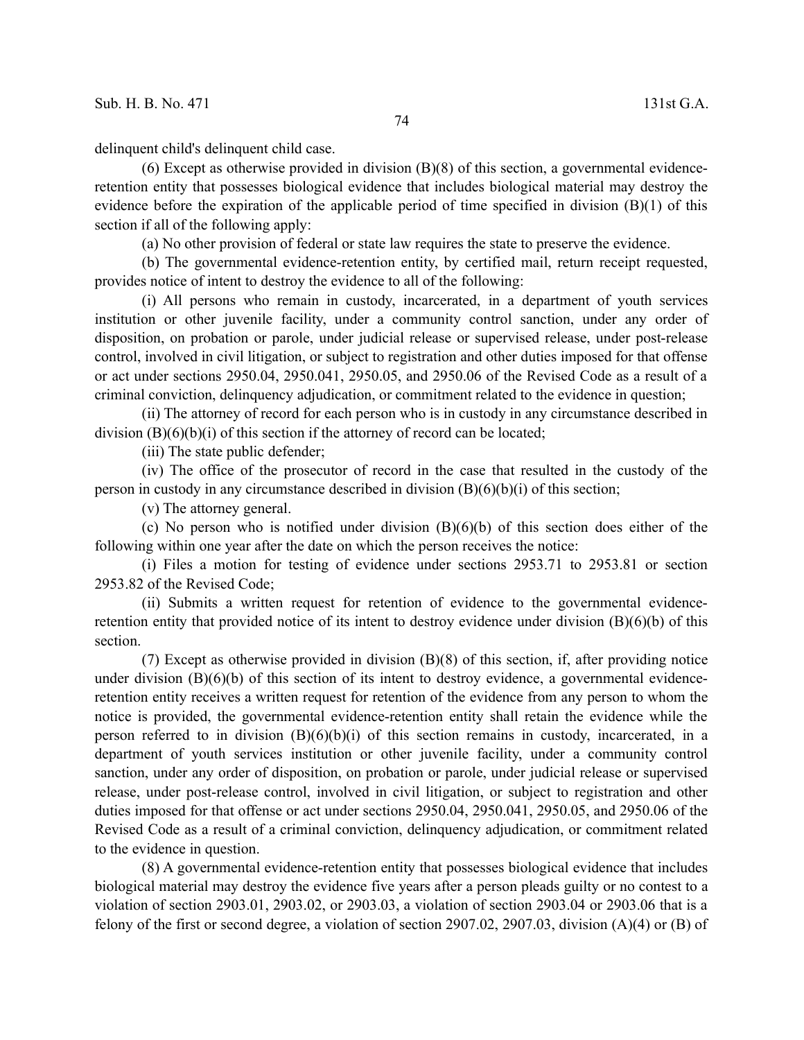delinquent child's delinquent child case.

 $(6)$  Except as otherwise provided in division  $(B)(8)$  of this section, a governmental evidenceretention entity that possesses biological evidence that includes biological material may destroy the evidence before the expiration of the applicable period of time specified in division  $(B)(1)$  of this section if all of the following apply:

(a) No other provision of federal or state law requires the state to preserve the evidence.

(b) The governmental evidence-retention entity, by certified mail, return receipt requested, provides notice of intent to destroy the evidence to all of the following:

(i) All persons who remain in custody, incarcerated, in a department of youth services institution or other juvenile facility, under a community control sanction, under any order of disposition, on probation or parole, under judicial release or supervised release, under post-release control, involved in civil litigation, or subject to registration and other duties imposed for that offense or act under sections 2950.04, 2950.041, 2950.05, and 2950.06 of the Revised Code as a result of a criminal conviction, delinquency adjudication, or commitment related to the evidence in question;

(ii) The attorney of record for each person who is in custody in any circumstance described in division  $(B)(6)(b)(i)$  of this section if the attorney of record can be located;

(iii) The state public defender;

(iv) The office of the prosecutor of record in the case that resulted in the custody of the person in custody in any circumstance described in division  $(B)(6)(b)(i)$  of this section;

(v) The attorney general.

(c) No person who is notified under division  $(B)(6)(b)$  of this section does either of the following within one year after the date on which the person receives the notice:

(i) Files a motion for testing of evidence under sections 2953.71 to 2953.81 or section 2953.82 of the Revised Code;

(ii) Submits a written request for retention of evidence to the governmental evidenceretention entity that provided notice of its intent to destroy evidence under division (B)(6)(b) of this section.

(7) Except as otherwise provided in division (B)(8) of this section, if, after providing notice under division (B)(6)(b) of this section of its intent to destroy evidence, a governmental evidenceretention entity receives a written request for retention of the evidence from any person to whom the notice is provided, the governmental evidence-retention entity shall retain the evidence while the person referred to in division (B)(6)(b)(i) of this section remains in custody, incarcerated, in a department of youth services institution or other juvenile facility, under a community control sanction, under any order of disposition, on probation or parole, under judicial release or supervised release, under post-release control, involved in civil litigation, or subject to registration and other duties imposed for that offense or act under sections 2950.04, 2950.041, 2950.05, and 2950.06 of the Revised Code as a result of a criminal conviction, delinquency adjudication, or commitment related to the evidence in question.

(8) A governmental evidence-retention entity that possesses biological evidence that includes biological material may destroy the evidence five years after a person pleads guilty or no contest to a violation of section 2903.01, 2903.02, or 2903.03, a violation of section 2903.04 or 2903.06 that is a felony of the first or second degree, a violation of section 2907.02, 2907.03, division (A)(4) or (B) of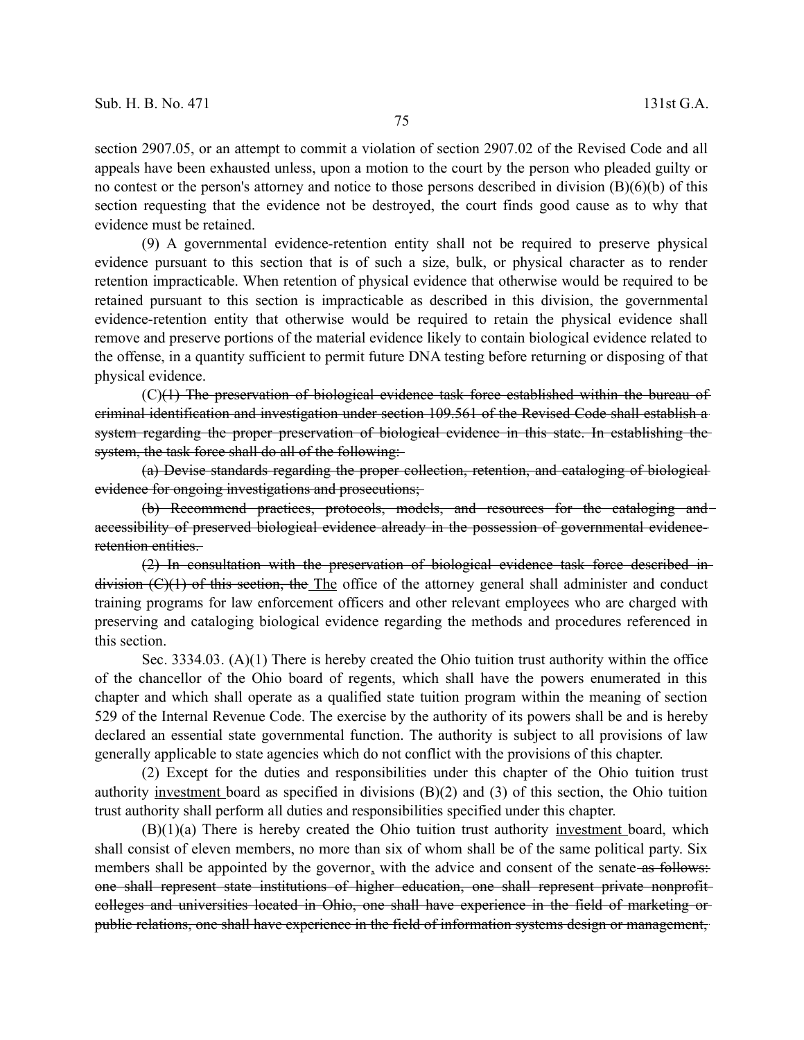section 2907.05, or an attempt to commit a violation of section 2907.02 of the Revised Code and all appeals have been exhausted unless, upon a motion to the court by the person who pleaded guilty or no contest or the person's attorney and notice to those persons described in division  $(B)(6)(b)$  of this section requesting that the evidence not be destroyed, the court finds good cause as to why that evidence must be retained.

(9) A governmental evidence-retention entity shall not be required to preserve physical evidence pursuant to this section that is of such a size, bulk, or physical character as to render retention impracticable. When retention of physical evidence that otherwise would be required to be retained pursuant to this section is impracticable as described in this division, the governmental evidence-retention entity that otherwise would be required to retain the physical evidence shall remove and preserve portions of the material evidence likely to contain biological evidence related to the offense, in a quantity sufficient to permit future DNA testing before returning or disposing of that physical evidence.

(C)(1) The preservation of biological evidence task force established within the bureau of criminal identification and investigation under section 109.561 of the Revised Code shall establish a system regarding the proper preservation of biological evidence in this state. In establishing the system, the task force shall do all of the following:

(a) Devise standards regarding the proper collection, retention, and cataloging of biological evidence for ongoing investigations and prosecutions;

(b) Recommend practices, protocols, models, and resources for the cataloging and accessibility of preserved biological evidence already in the possession of governmental evidenceretention entities.

(2) In consultation with the preservation of biological evidence task force described in division  $(C)(1)$  of this section, the The office of the attorney general shall administer and conduct training programs for law enforcement officers and other relevant employees who are charged with preserving and cataloging biological evidence regarding the methods and procedures referenced in this section.

Sec. 3334.03. (A)(1) There is hereby created the Ohio tuition trust authority within the office of the chancellor of the Ohio board of regents, which shall have the powers enumerated in this chapter and which shall operate as a qualified state tuition program within the meaning of section 529 of the Internal Revenue Code. The exercise by the authority of its powers shall be and is hereby declared an essential state governmental function. The authority is subject to all provisions of law generally applicable to state agencies which do not conflict with the provisions of this chapter.

(2) Except for the duties and responsibilities under this chapter of the Ohio tuition trust authority investment board as specified in divisions (B)(2) and (3) of this section, the Ohio tuition trust authority shall perform all duties and responsibilities specified under this chapter.

(B)(1)(a) There is hereby created the Ohio tuition trust authority investment board, which shall consist of eleven members, no more than six of whom shall be of the same political party. Six members shall be appointed by the governor, with the advice and consent of the senate as follows: one shall represent state institutions of higher education, one shall represent private nonprofit colleges and universities located in Ohio, one shall have experience in the field of marketing or public relations, one shall have experience in the field of information systems design or management,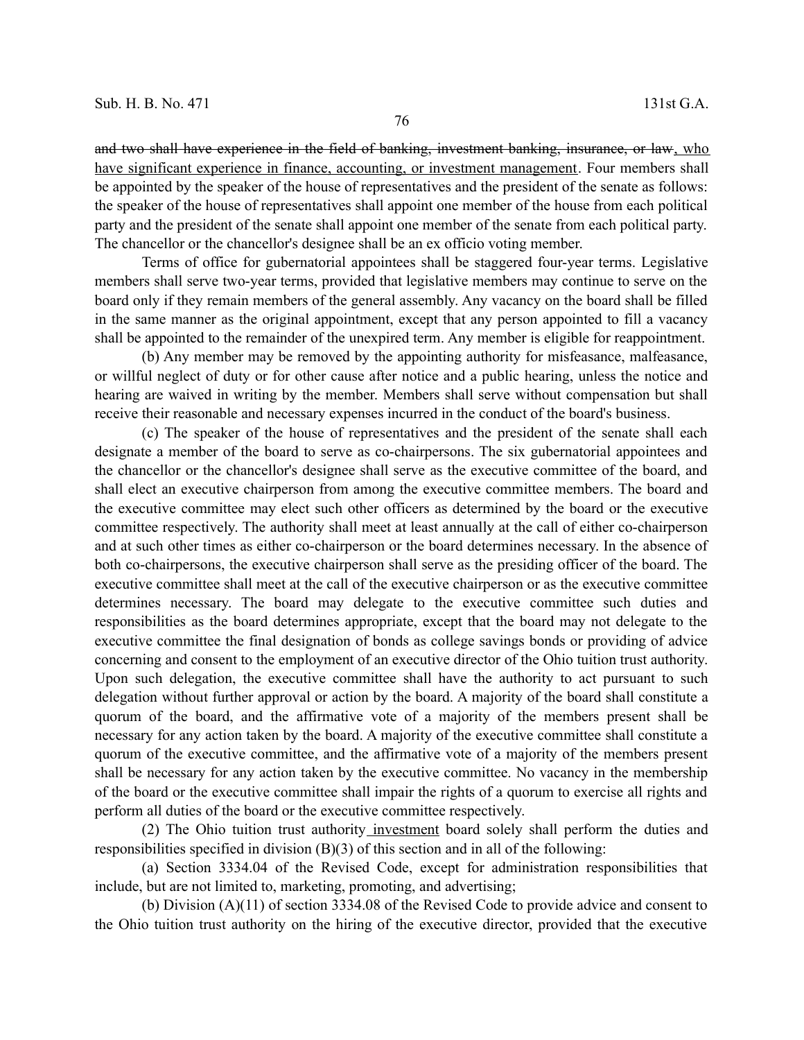and two shall have experience in the field of banking, investment banking, insurance, or law, who have significant experience in finance, accounting, or investment management. Four members shall be appointed by the speaker of the house of representatives and the president of the senate as follows: the speaker of the house of representatives shall appoint one member of the house from each political party and the president of the senate shall appoint one member of the senate from each political party. The chancellor or the chancellor's designee shall be an ex officio voting member.

Terms of office for gubernatorial appointees shall be staggered four-year terms. Legislative members shall serve two-year terms, provided that legislative members may continue to serve on the board only if they remain members of the general assembly. Any vacancy on the board shall be filled in the same manner as the original appointment, except that any person appointed to fill a vacancy shall be appointed to the remainder of the unexpired term. Any member is eligible for reappointment.

(b) Any member may be removed by the appointing authority for misfeasance, malfeasance, or willful neglect of duty or for other cause after notice and a public hearing, unless the notice and hearing are waived in writing by the member. Members shall serve without compensation but shall receive their reasonable and necessary expenses incurred in the conduct of the board's business.

(c) The speaker of the house of representatives and the president of the senate shall each designate a member of the board to serve as co-chairpersons. The six gubernatorial appointees and the chancellor or the chancellor's designee shall serve as the executive committee of the board, and shall elect an executive chairperson from among the executive committee members. The board and the executive committee may elect such other officers as determined by the board or the executive committee respectively. The authority shall meet at least annually at the call of either co-chairperson and at such other times as either co-chairperson or the board determines necessary. In the absence of both co-chairpersons, the executive chairperson shall serve as the presiding officer of the board. The executive committee shall meet at the call of the executive chairperson or as the executive committee determines necessary. The board may delegate to the executive committee such duties and responsibilities as the board determines appropriate, except that the board may not delegate to the executive committee the final designation of bonds as college savings bonds or providing of advice concerning and consent to the employment of an executive director of the Ohio tuition trust authority. Upon such delegation, the executive committee shall have the authority to act pursuant to such delegation without further approval or action by the board. A majority of the board shall constitute a quorum of the board, and the affirmative vote of a majority of the members present shall be necessary for any action taken by the board. A majority of the executive committee shall constitute a quorum of the executive committee, and the affirmative vote of a majority of the members present shall be necessary for any action taken by the executive committee. No vacancy in the membership of the board or the executive committee shall impair the rights of a quorum to exercise all rights and perform all duties of the board or the executive committee respectively.

(2) The Ohio tuition trust authority investment board solely shall perform the duties and responsibilities specified in division  $(B)(3)$  of this section and in all of the following:

(a) Section 3334.04 of the Revised Code, except for administration responsibilities that include, but are not limited to, marketing, promoting, and advertising;

(b) Division (A)(11) of section 3334.08 of the Revised Code to provide advice and consent to the Ohio tuition trust authority on the hiring of the executive director, provided that the executive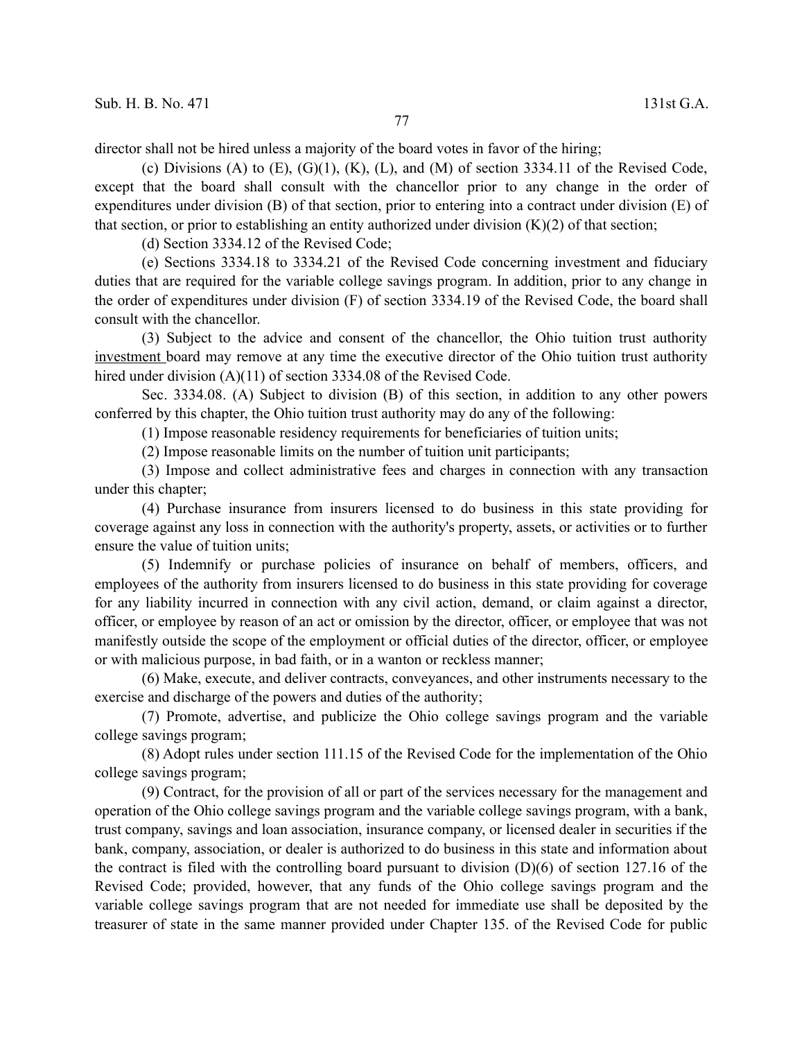director shall not be hired unless a majority of the board votes in favor of the hiring;

(c) Divisions (A) to  $(E)$ ,  $(G)(1)$ ,  $(K)$ ,  $(L)$ , and  $(M)$  of section 3334.11 of the Revised Code, except that the board shall consult with the chancellor prior to any change in the order of expenditures under division (B) of that section, prior to entering into a contract under division (E) of that section, or prior to establishing an entity authorized under division  $(K)(2)$  of that section;

(d) Section 3334.12 of the Revised Code;

(e) Sections 3334.18 to 3334.21 of the Revised Code concerning investment and fiduciary duties that are required for the variable college savings program. In addition, prior to any change in the order of expenditures under division (F) of section 3334.19 of the Revised Code, the board shall consult with the chancellor.

(3) Subject to the advice and consent of the chancellor, the Ohio tuition trust authority investment board may remove at any time the executive director of the Ohio tuition trust authority hired under division (A)(11) of section 3334.08 of the Revised Code.

Sec. 3334.08. (A) Subject to division (B) of this section, in addition to any other powers conferred by this chapter, the Ohio tuition trust authority may do any of the following:

(1) Impose reasonable residency requirements for beneficiaries of tuition units;

(2) Impose reasonable limits on the number of tuition unit participants;

(3) Impose and collect administrative fees and charges in connection with any transaction under this chapter;

(4) Purchase insurance from insurers licensed to do business in this state providing for coverage against any loss in connection with the authority's property, assets, or activities or to further ensure the value of tuition units;

(5) Indemnify or purchase policies of insurance on behalf of members, officers, and employees of the authority from insurers licensed to do business in this state providing for coverage for any liability incurred in connection with any civil action, demand, or claim against a director, officer, or employee by reason of an act or omission by the director, officer, or employee that was not manifestly outside the scope of the employment or official duties of the director, officer, or employee or with malicious purpose, in bad faith, or in a wanton or reckless manner;

(6) Make, execute, and deliver contracts, conveyances, and other instruments necessary to the exercise and discharge of the powers and duties of the authority;

(7) Promote, advertise, and publicize the Ohio college savings program and the variable college savings program;

(8) Adopt rules under section 111.15 of the Revised Code for the implementation of the Ohio college savings program;

(9) Contract, for the provision of all or part of the services necessary for the management and operation of the Ohio college savings program and the variable college savings program, with a bank, trust company, savings and loan association, insurance company, or licensed dealer in securities if the bank, company, association, or dealer is authorized to do business in this state and information about the contract is filed with the controlling board pursuant to division (D)(6) of section 127.16 of the Revised Code; provided, however, that any funds of the Ohio college savings program and the variable college savings program that are not needed for immediate use shall be deposited by the treasurer of state in the same manner provided under Chapter 135. of the Revised Code for public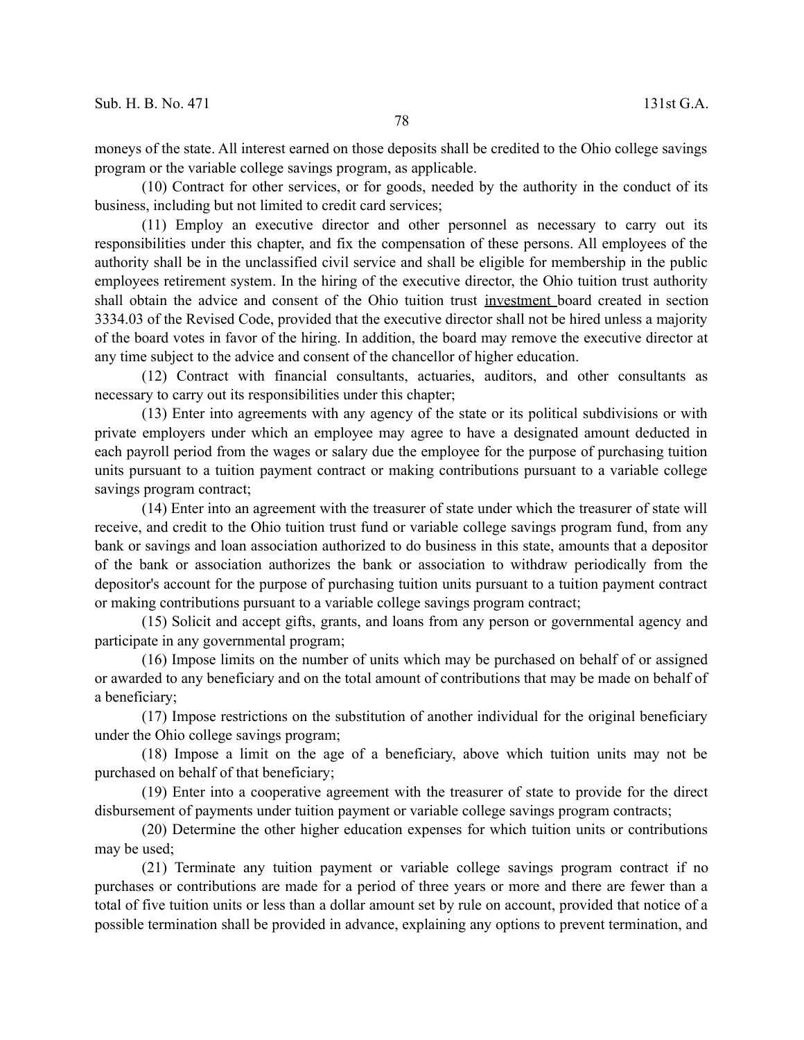moneys of the state. All interest earned on those deposits shall be credited to the Ohio college savings program or the variable college savings program, as applicable.

(10) Contract for other services, or for goods, needed by the authority in the conduct of its business, including but not limited to credit card services;

(11) Employ an executive director and other personnel as necessary to carry out its responsibilities under this chapter, and fix the compensation of these persons. All employees of the authority shall be in the unclassified civil service and shall be eligible for membership in the public employees retirement system. In the hiring of the executive director, the Ohio tuition trust authority shall obtain the advice and consent of the Ohio tuition trust investment board created in section 3334.03 of the Revised Code, provided that the executive director shall not be hired unless a majority of the board votes in favor of the hiring. In addition, the board may remove the executive director at any time subject to the advice and consent of the chancellor of higher education.

(12) Contract with financial consultants, actuaries, auditors, and other consultants as necessary to carry out its responsibilities under this chapter;

(13) Enter into agreements with any agency of the state or its political subdivisions or with private employers under which an employee may agree to have a designated amount deducted in each payroll period from the wages or salary due the employee for the purpose of purchasing tuition units pursuant to a tuition payment contract or making contributions pursuant to a variable college savings program contract;

(14) Enter into an agreement with the treasurer of state under which the treasurer of state will receive, and credit to the Ohio tuition trust fund or variable college savings program fund, from any bank or savings and loan association authorized to do business in this state, amounts that a depositor of the bank or association authorizes the bank or association to withdraw periodically from the depositor's account for the purpose of purchasing tuition units pursuant to a tuition payment contract or making contributions pursuant to a variable college savings program contract;

(15) Solicit and accept gifts, grants, and loans from any person or governmental agency and participate in any governmental program;

(16) Impose limits on the number of units which may be purchased on behalf of or assigned or awarded to any beneficiary and on the total amount of contributions that may be made on behalf of a beneficiary;

(17) Impose restrictions on the substitution of another individual for the original beneficiary under the Ohio college savings program;

(18) Impose a limit on the age of a beneficiary, above which tuition units may not be purchased on behalf of that beneficiary;

(19) Enter into a cooperative agreement with the treasurer of state to provide for the direct disbursement of payments under tuition payment or variable college savings program contracts;

(20) Determine the other higher education expenses for which tuition units or contributions may be used;

(21) Terminate any tuition payment or variable college savings program contract if no purchases or contributions are made for a period of three years or more and there are fewer than a total of five tuition units or less than a dollar amount set by rule on account, provided that notice of a possible termination shall be provided in advance, explaining any options to prevent termination, and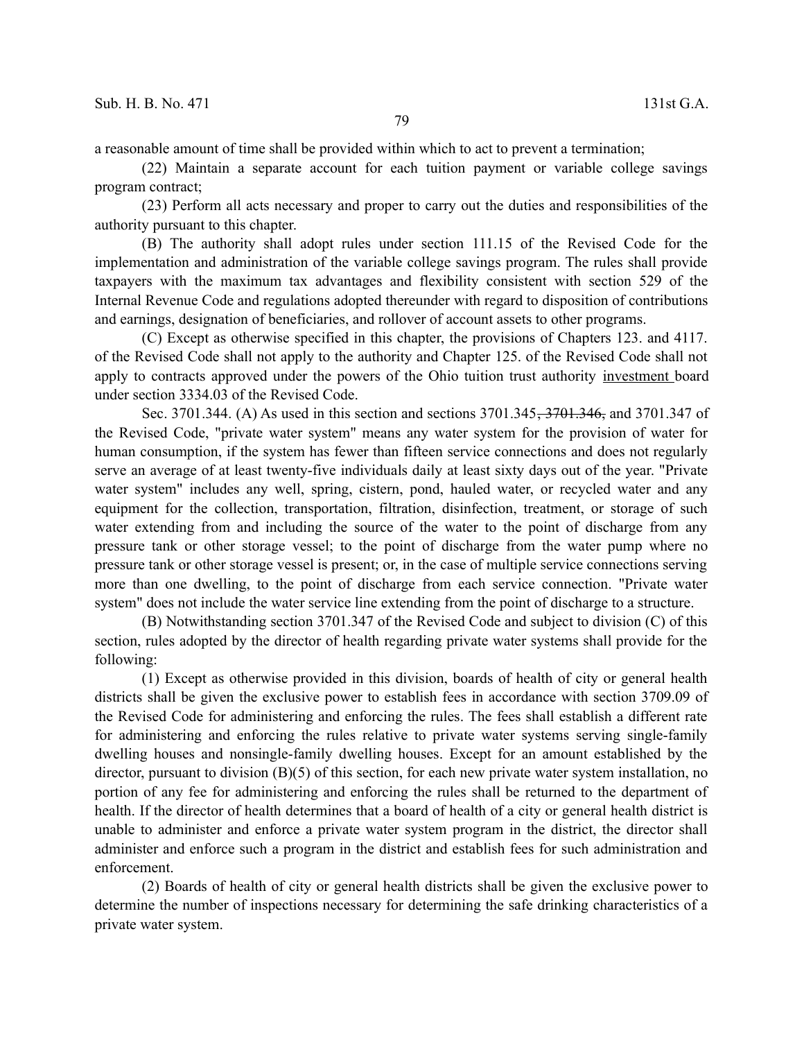a reasonable amount of time shall be provided within which to act to prevent a termination;

(22) Maintain a separate account for each tuition payment or variable college savings program contract;

(23) Perform all acts necessary and proper to carry out the duties and responsibilities of the authority pursuant to this chapter.

(B) The authority shall adopt rules under section 111.15 of the Revised Code for the implementation and administration of the variable college savings program. The rules shall provide taxpayers with the maximum tax advantages and flexibility consistent with section 529 of the Internal Revenue Code and regulations adopted thereunder with regard to disposition of contributions and earnings, designation of beneficiaries, and rollover of account assets to other programs.

(C) Except as otherwise specified in this chapter, the provisions of Chapters 123. and 4117. of the Revised Code shall not apply to the authority and Chapter 125. of the Revised Code shall not apply to contracts approved under the powers of the Ohio tuition trust authority investment board under section 3334.03 of the Revised Code.

Sec. 3701.344. (A) As used in this section and sections 3701.345<del>, 3701.346,</del> and 3701.347 of the Revised Code, "private water system" means any water system for the provision of water for human consumption, if the system has fewer than fifteen service connections and does not regularly serve an average of at least twenty-five individuals daily at least sixty days out of the year. "Private water system" includes any well, spring, cistern, pond, hauled water, or recycled water and any equipment for the collection, transportation, filtration, disinfection, treatment, or storage of such water extending from and including the source of the water to the point of discharge from any pressure tank or other storage vessel; to the point of discharge from the water pump where no pressure tank or other storage vessel is present; or, in the case of multiple service connections serving more than one dwelling, to the point of discharge from each service connection. "Private water system" does not include the water service line extending from the point of discharge to a structure.

(B) Notwithstanding section 3701.347 of the Revised Code and subject to division (C) of this section, rules adopted by the director of health regarding private water systems shall provide for the following:

(1) Except as otherwise provided in this division, boards of health of city or general health districts shall be given the exclusive power to establish fees in accordance with section 3709.09 of the Revised Code for administering and enforcing the rules. The fees shall establish a different rate for administering and enforcing the rules relative to private water systems serving single-family dwelling houses and nonsingle-family dwelling houses. Except for an amount established by the director, pursuant to division (B)(5) of this section, for each new private water system installation, no portion of any fee for administering and enforcing the rules shall be returned to the department of health. If the director of health determines that a board of health of a city or general health district is unable to administer and enforce a private water system program in the district, the director shall administer and enforce such a program in the district and establish fees for such administration and enforcement.

(2) Boards of health of city or general health districts shall be given the exclusive power to determine the number of inspections necessary for determining the safe drinking characteristics of a private water system.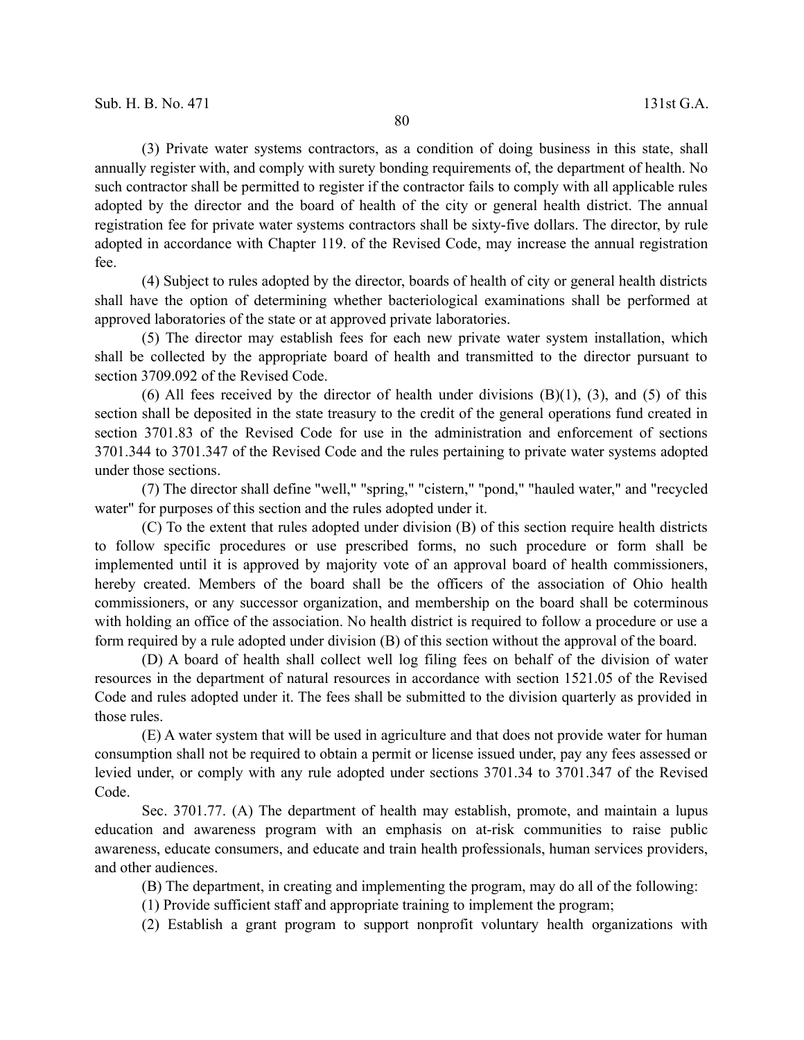(3) Private water systems contractors, as a condition of doing business in this state, shall annually register with, and comply with surety bonding requirements of, the department of health. No such contractor shall be permitted to register if the contractor fails to comply with all applicable rules adopted by the director and the board of health of the city or general health district. The annual registration fee for private water systems contractors shall be sixty-five dollars. The director, by rule adopted in accordance with Chapter 119. of the Revised Code, may increase the annual registration fee.

(4) Subject to rules adopted by the director, boards of health of city or general health districts shall have the option of determining whether bacteriological examinations shall be performed at approved laboratories of the state or at approved private laboratories.

(5) The director may establish fees for each new private water system installation, which shall be collected by the appropriate board of health and transmitted to the director pursuant to section 3709.092 of the Revised Code.

(6) All fees received by the director of health under divisions  $(B)(1)$ ,  $(B)$ , and  $(B)$  of this section shall be deposited in the state treasury to the credit of the general operations fund created in section 3701.83 of the Revised Code for use in the administration and enforcement of sections 3701.344 to 3701.347 of the Revised Code and the rules pertaining to private water systems adopted under those sections.

(7) The director shall define "well," "spring," "cistern," "pond," "hauled water," and "recycled water" for purposes of this section and the rules adopted under it.

(C) To the extent that rules adopted under division (B) of this section require health districts to follow specific procedures or use prescribed forms, no such procedure or form shall be implemented until it is approved by majority vote of an approval board of health commissioners, hereby created. Members of the board shall be the officers of the association of Ohio health commissioners, or any successor organization, and membership on the board shall be coterminous with holding an office of the association. No health district is required to follow a procedure or use a form required by a rule adopted under division (B) of this section without the approval of the board.

(D) A board of health shall collect well log filing fees on behalf of the division of water resources in the department of natural resources in accordance with section 1521.05 of the Revised Code and rules adopted under it. The fees shall be submitted to the division quarterly as provided in those rules.

(E) A water system that will be used in agriculture and that does not provide water for human consumption shall not be required to obtain a permit or license issued under, pay any fees assessed or levied under, or comply with any rule adopted under sections 3701.34 to 3701.347 of the Revised Code.

Sec. 3701.77. (A) The department of health may establish, promote, and maintain a lupus education and awareness program with an emphasis on at-risk communities to raise public awareness, educate consumers, and educate and train health professionals, human services providers, and other audiences.

(B) The department, in creating and implementing the program, may do all of the following:

(1) Provide sufficient staff and appropriate training to implement the program;

(2) Establish a grant program to support nonprofit voluntary health organizations with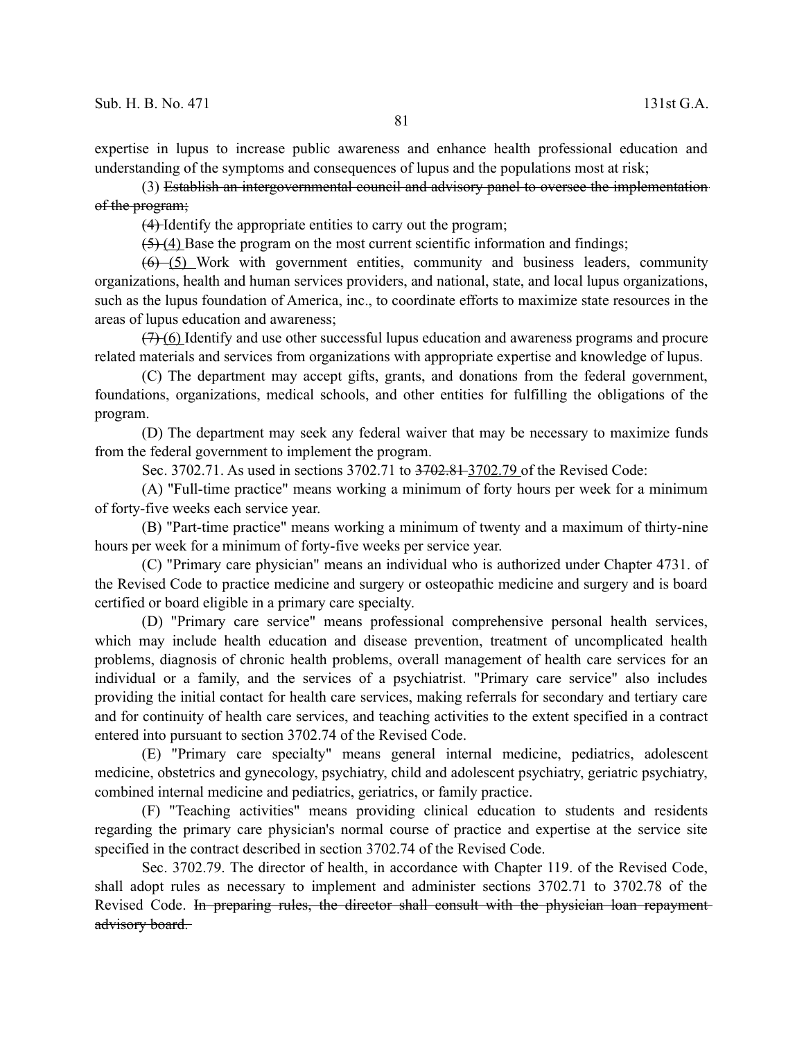expertise in lupus to increase public awareness and enhance health professional education and understanding of the symptoms and consequences of lupus and the populations most at risk;

(3) Establish an intergovernmental council and advisory panel to oversee the implementation of the program;

(4) Identify the appropriate entities to carry out the program;

 $(5)$  (4) Base the program on the most current scientific information and findings;

 $(6)$  (5) Work with government entities, community and business leaders, community organizations, health and human services providers, and national, state, and local lupus organizations, such as the lupus foundation of America, inc., to coordinate efforts to maximize state resources in the areas of lupus education and awareness;

 $(7)$  (6) Identify and use other successful lupus education and awareness programs and procure related materials and services from organizations with appropriate expertise and knowledge of lupus.

(C) The department may accept gifts, grants, and donations from the federal government, foundations, organizations, medical schools, and other entities for fulfilling the obligations of the program.

(D) The department may seek any federal waiver that may be necessary to maximize funds from the federal government to implement the program.

Sec. 3702.71. As used in sections 3702.71 to 3702.81 3702.79 of the Revised Code:

(A) "Full-time practice" means working a minimum of forty hours per week for a minimum of forty-five weeks each service year.

(B) "Part-time practice" means working a minimum of twenty and a maximum of thirty-nine hours per week for a minimum of forty-five weeks per service year.

(C) "Primary care physician" means an individual who is authorized under Chapter 4731. of the Revised Code to practice medicine and surgery or osteopathic medicine and surgery and is board certified or board eligible in a primary care specialty.

(D) "Primary care service" means professional comprehensive personal health services, which may include health education and disease prevention, treatment of uncomplicated health problems, diagnosis of chronic health problems, overall management of health care services for an individual or a family, and the services of a psychiatrist. "Primary care service" also includes providing the initial contact for health care services, making referrals for secondary and tertiary care and for continuity of health care services, and teaching activities to the extent specified in a contract entered into pursuant to section 3702.74 of the Revised Code.

(E) "Primary care specialty" means general internal medicine, pediatrics, adolescent medicine, obstetrics and gynecology, psychiatry, child and adolescent psychiatry, geriatric psychiatry, combined internal medicine and pediatrics, geriatrics, or family practice.

(F) "Teaching activities" means providing clinical education to students and residents regarding the primary care physician's normal course of practice and expertise at the service site specified in the contract described in section 3702.74 of the Revised Code.

Sec. 3702.79. The director of health, in accordance with Chapter 119. of the Revised Code, shall adopt rules as necessary to implement and administer sections 3702.71 to 3702.78 of the Revised Code. In preparing rules, the director shall consult with the physician loan repaymentadvisory board.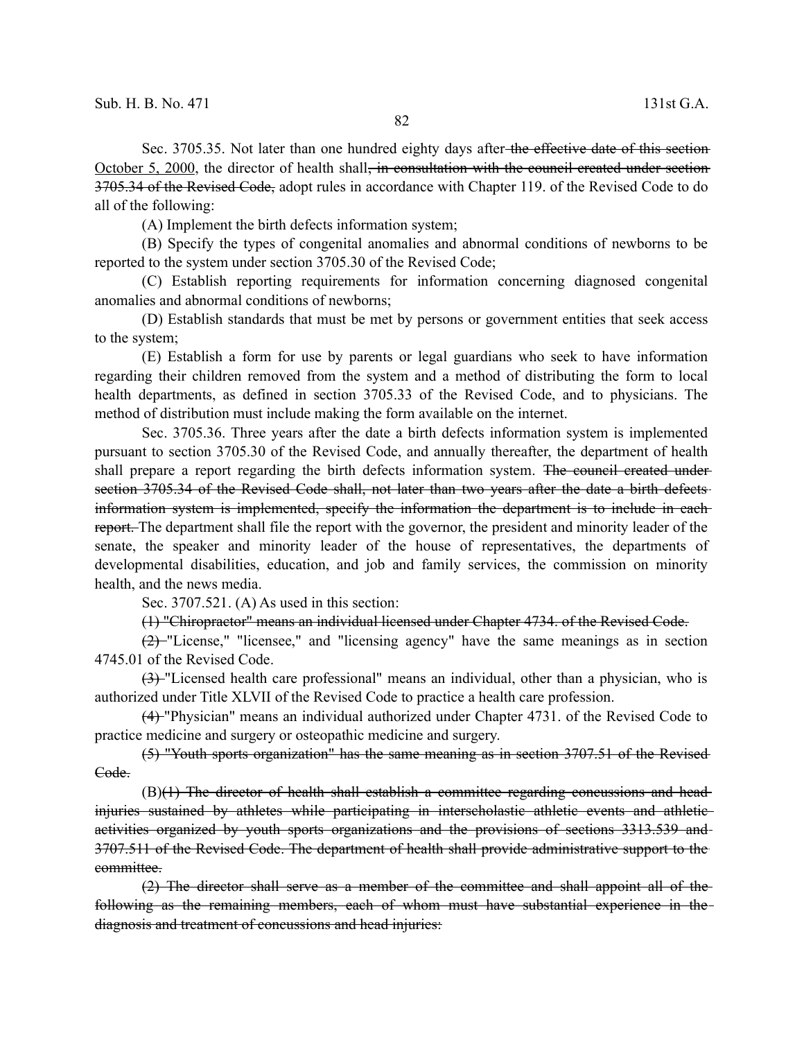Sec. 3705.35. Not later than one hundred eighty days after the effective date of this section October 5, 2000, the director of health shall<del>, in consultation with the council created under section</del> 3705.34 of the Revised Code, adopt rules in accordance with Chapter 119. of the Revised Code to do all of the following:

(A) Implement the birth defects information system;

(B) Specify the types of congenital anomalies and abnormal conditions of newborns to be reported to the system under section 3705.30 of the Revised Code;

(C) Establish reporting requirements for information concerning diagnosed congenital anomalies and abnormal conditions of newborns;

(D) Establish standards that must be met by persons or government entities that seek access to the system;

(E) Establish a form for use by parents or legal guardians who seek to have information regarding their children removed from the system and a method of distributing the form to local health departments, as defined in section 3705.33 of the Revised Code, and to physicians. The method of distribution must include making the form available on the internet.

Sec. 3705.36. Three years after the date a birth defects information system is implemented pursuant to section 3705.30 of the Revised Code, and annually thereafter, the department of health shall prepare a report regarding the birth defects information system. The council created undersection 3705.34 of the Revised Code shall, not later than two years after the date a birth defectsinformation system is implemented, specify the information the department is to include in each report. The department shall file the report with the governor, the president and minority leader of the senate, the speaker and minority leader of the house of representatives, the departments of developmental disabilities, education, and job and family services, the commission on minority health, and the news media.

Sec. 3707.521. (A) As used in this section:

(1) "Chiropractor" means an individual licensed under Chapter 4734. of the Revised Code.

(2) "License," "licensee," and "licensing agency" have the same meanings as in section 4745.01 of the Revised Code.

(3) "Licensed health care professional" means an individual, other than a physician, who is authorized under Title XLVII of the Revised Code to practice a health care profession.

(4) "Physician" means an individual authorized under Chapter 4731. of the Revised Code to practice medicine and surgery or osteopathic medicine and surgery.

(5) "Youth sports organization" has the same meaning as in section 3707.51 of the Revised Code.

(B)(1) The director of health shall establish a committee regarding concussions and head injuries sustained by athletes while participating in interscholastic athletic events and athleticactivities organized by youth sports organizations and the provisions of sections 3313.539 and 3707.511 of the Revised Code. The department of health shall provide administrative support to the committee.

(2) The director shall serve as a member of the committee and shall appoint all of the following as the remaining members, each of whom must have substantial experience in the diagnosis and treatment of concussions and head injuries: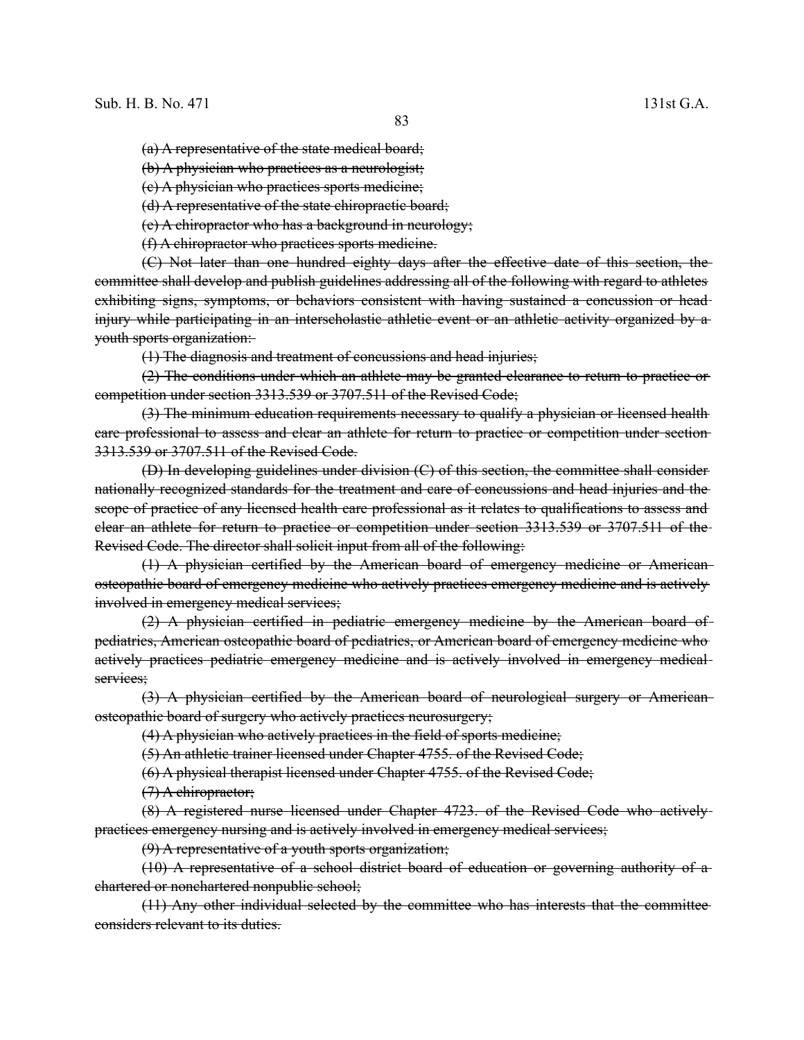(a) A representative of the state medical board;

(b) A physician who practices as a neurologist;

(c) A physician who practices sports medicine;

(d) A representative of the state chiropractic board;

(e) A chiropractor who has a background in neurology;

(f) A chiropractor who practices sports medicine.

(C) Not later than one hundred eighty days after the effective date of this section, the committee shall develop and publish guidelines addressing all of the following with regard to athletes exhibiting signs, symptoms, or behaviors consistent with having sustained a concussion or head injury while participating in an interscholastic athletic event or an athletic activity organized by a youth sports organization:

(1) The diagnosis and treatment of concussions and head injuries;

(2) The conditions under which an athlete may be granted clearance to return to practice or competition under section 3313.539 or 3707.511 of the Revised Code;

(3) The minimum education requirements necessary to qualify a physician or licensed health care professional to assess and clear an athlete for return to practice or competition under section 3313.539 or 3707.511 of the Revised Code.

(D) In developing guidelines under division (C) of this section, the committee shall consider nationally recognized standards for the treatment and care of concussions and head injuries and the scope of practice of any licensed health care professional as it relates to qualifications to assess and clear an athlete for return to practice or competition under section 3313.539 or 3707.511 of the Revised Code. The director shall solicit input from all of the following:

(1) A physician certified by the American board of emergency medicine or American osteopathic board of emergency medicine who actively practices emergency medicine and is actively involved in emergency medical services;

(2) A physician certified in pediatric emergency medicine by the American board of pediatrics, American osteopathic board of pediatrics, or American board of emergency medicine who actively practices pediatric emergency medicine and is actively involved in emergency medicalservices:

(3) A physician certified by the American board of neurological surgery or American osteopathic board of surgery who actively practices neurosurgery;

(4) A physician who actively practices in the field of sports medicine;

(5) An athletic trainer licensed under Chapter 4755. of the Revised Code;

(6) A physical therapist licensed under Chapter 4755. of the Revised Code;

(7) A chiropractor;

(8) A registered nurse licensed under Chapter 4723. of the Revised Code who actively practices emergency nursing and is actively involved in emergency medical services;

(9) A representative of a youth sports organization;

(10) A representative of a school district board of education or governing authority of a chartered or nonchartered nonpublic school;

(11) Any other individual selected by the committee who has interests that the committee considers relevant to its duties.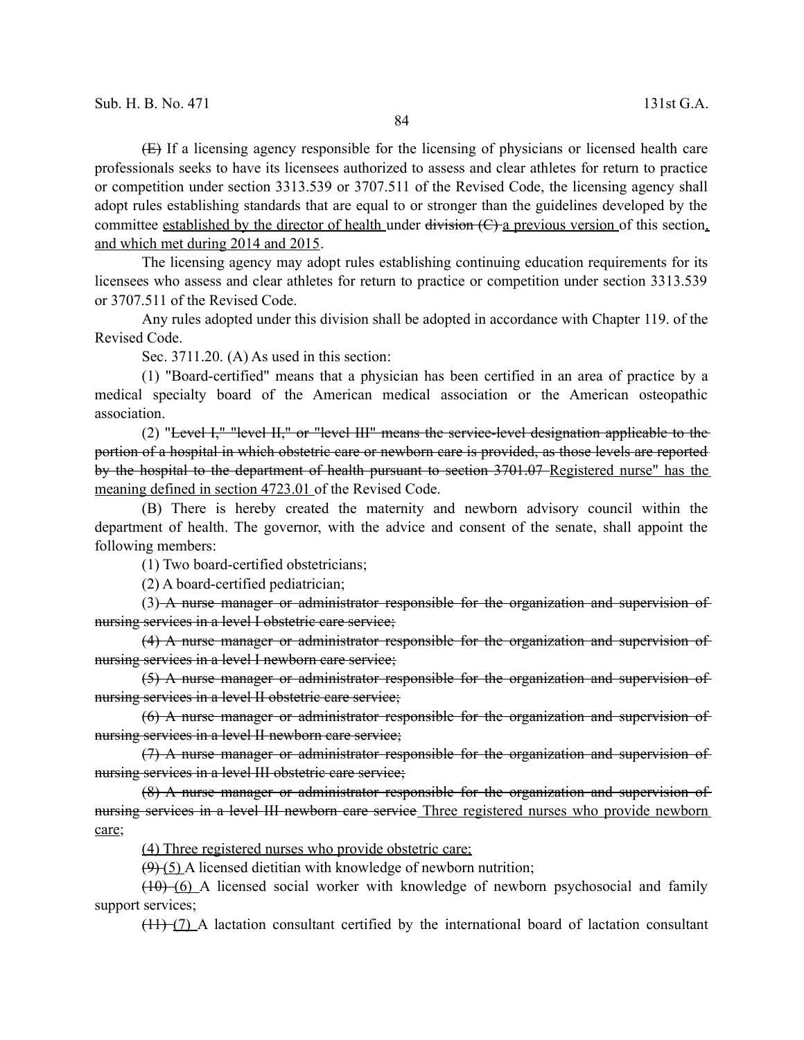(E) If a licensing agency responsible for the licensing of physicians or licensed health care professionals seeks to have its licensees authorized to assess and clear athletes for return to practice or competition under section 3313.539 or 3707.511 of the Revised Code, the licensing agency shall adopt rules establishing standards that are equal to or stronger than the guidelines developed by the committee established by the director of health under division (C) a previous version of this section, and which met during 2014 and 2015.

The licensing agency may adopt rules establishing continuing education requirements for its licensees who assess and clear athletes for return to practice or competition under section 3313.539 or 3707.511 of the Revised Code.

Any rules adopted under this division shall be adopted in accordance with Chapter 119. of the Revised Code.

Sec. 3711.20. (A) As used in this section:

(1) "Board-certified" means that a physician has been certified in an area of practice by a medical specialty board of the American medical association or the American osteopathic association.

(2) "Level I," "level II," or "level III" means the service-level designation applicable to the portion of a hospital in which obstetric care or newborn care is provided, as those levels are reported by the hospital to the department of health pursuant to section 3701.07 Registered nurse" has the meaning defined in section 4723.01 of the Revised Code.

(B) There is hereby created the maternity and newborn advisory council within the department of health. The governor, with the advice and consent of the senate, shall appoint the following members:

(1) Two board-certified obstetricians;

(2) A board-certified pediatrician;

(3) A nurse manager or administrator responsible for the organization and supervision of nursing services in a level I obstetric care service;

(4) A nurse manager or administrator responsible for the organization and supervision of nursing services in a level I newborn care service;

(5) A nurse manager or administrator responsible for the organization and supervision of nursing services in a level II obstetric care service;

(6) A nurse manager or administrator responsible for the organization and supervision of nursing services in a level II newborn care service;

(7) A nurse manager or administrator responsible for the organization and supervision of nursing services in a level III obstetric care service;

(8) A nurse manager or administrator responsible for the organization and supervision of nursing services in a level III newborn care service Three registered nurses who provide newborn care;

(4) Three registered nurses who provide obstetric care;

 $(9)$  (5) A licensed dietitian with knowledge of newborn nutrition;

(10) (6) A licensed social worker with knowledge of newborn psychosocial and family support services;

 $(11)$  (7) A lactation consultant certified by the international board of lactation consultant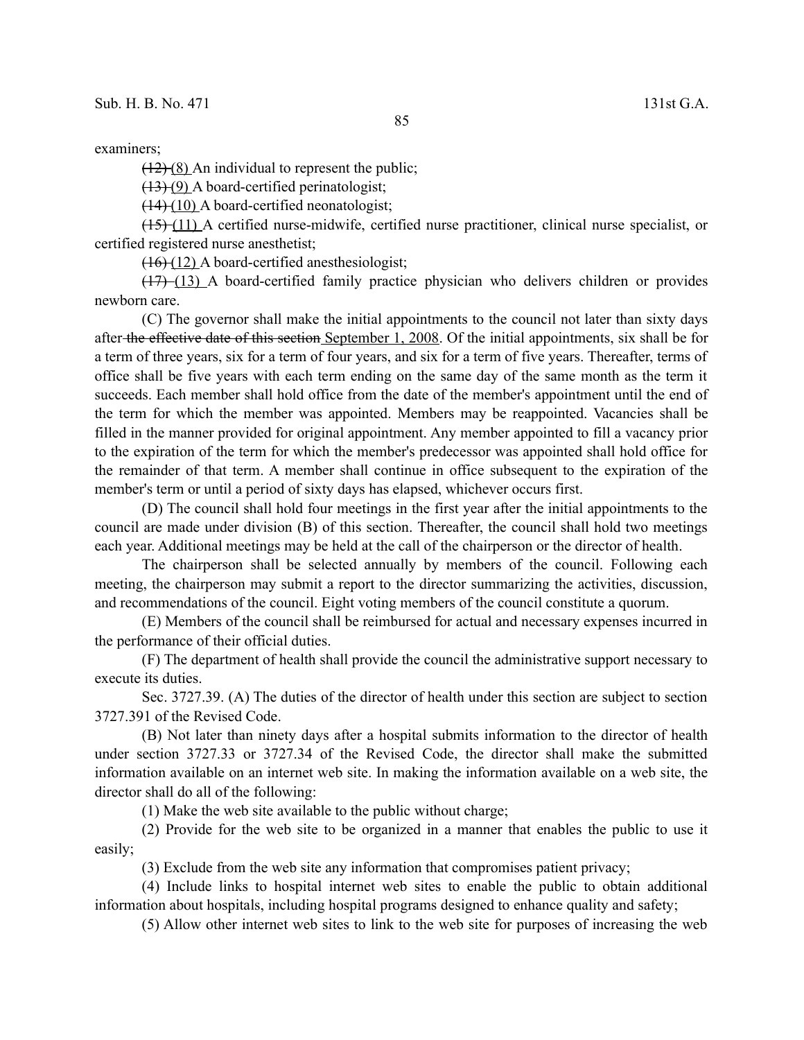examiners;

 $(12)$   $(8)$  An individual to represent the public;

 $(13)(9)$  A board-certified perinatologist;

 $(14)$  (10) A board-certified neonatologist;

(15) (11) A certified nurse-midwife, certified nurse practitioner, clinical nurse specialist, or certified registered nurse anesthetist;

(16) (12) A board-certified anesthesiologist;

(17) (13) A board-certified family practice physician who delivers children or provides newborn care.

(C) The governor shall make the initial appointments to the council not later than sixty days after the effective date of this section September 1, 2008. Of the initial appointments, six shall be for a term of three years, six for a term of four years, and six for a term of five years. Thereafter, terms of office shall be five years with each term ending on the same day of the same month as the term it succeeds. Each member shall hold office from the date of the member's appointment until the end of the term for which the member was appointed. Members may be reappointed. Vacancies shall be filled in the manner provided for original appointment. Any member appointed to fill a vacancy prior to the expiration of the term for which the member's predecessor was appointed shall hold office for the remainder of that term. A member shall continue in office subsequent to the expiration of the member's term or until a period of sixty days has elapsed, whichever occurs first.

(D) The council shall hold four meetings in the first year after the initial appointments to the council are made under division (B) of this section. Thereafter, the council shall hold two meetings each year. Additional meetings may be held at the call of the chairperson or the director of health.

The chairperson shall be selected annually by members of the council. Following each meeting, the chairperson may submit a report to the director summarizing the activities, discussion, and recommendations of the council. Eight voting members of the council constitute a quorum.

(E) Members of the council shall be reimbursed for actual and necessary expenses incurred in the performance of their official duties.

(F) The department of health shall provide the council the administrative support necessary to execute its duties.

Sec. 3727.39. (A) The duties of the director of health under this section are subject to section 3727.391 of the Revised Code.

(B) Not later than ninety days after a hospital submits information to the director of health under section 3727.33 or 3727.34 of the Revised Code, the director shall make the submitted information available on an internet web site. In making the information available on a web site, the director shall do all of the following:

(1) Make the web site available to the public without charge;

(2) Provide for the web site to be organized in a manner that enables the public to use it easily;

(3) Exclude from the web site any information that compromises patient privacy;

(4) Include links to hospital internet web sites to enable the public to obtain additional information about hospitals, including hospital programs designed to enhance quality and safety;

(5) Allow other internet web sites to link to the web site for purposes of increasing the web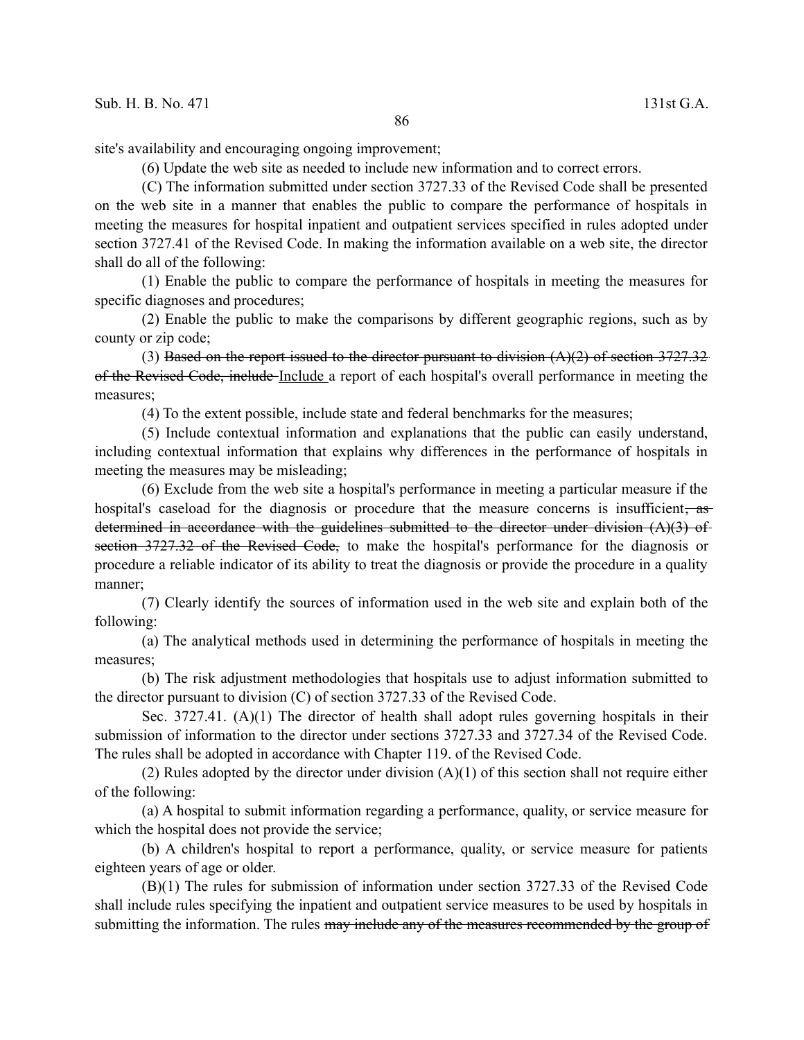site's availability and encouraging ongoing improvement;

(6) Update the web site as needed to include new information and to correct errors.

(C) The information submitted under section 3727.33 of the Revised Code shall be presented on the web site in a manner that enables the public to compare the performance of hospitals in meeting the measures for hospital inpatient and outpatient services specified in rules adopted under section 3727.41 of the Revised Code. In making the information available on a web site, the director shall do all of the following:

(1) Enable the public to compare the performance of hospitals in meeting the measures for specific diagnoses and procedures;

(2) Enable the public to make the comparisons by different geographic regions, such as by county or zip code;

(3) Based on the report issued to the director pursuant to division  $(A)(2)$  of section 3727.32 of the Revised Code, include Include a report of each hospital's overall performance in meeting the measures;

(4) To the extent possible, include state and federal benchmarks for the measures;

(5) Include contextual information and explanations that the public can easily understand, including contextual information that explains why differences in the performance of hospitals in meeting the measures may be misleading;

(6) Exclude from the web site a hospital's performance in meeting a particular measure if the hospital's caseload for the diagnosis or procedure that the measure concerns is insufficient, as determined in accordance with the guidelines submitted to the director under division (A)(3) of section 3727.32 of the Revised Code, to make the hospital's performance for the diagnosis or procedure a reliable indicator of its ability to treat the diagnosis or provide the procedure in a quality manner;

(7) Clearly identify the sources of information used in the web site and explain both of the following:

(a) The analytical methods used in determining the performance of hospitals in meeting the measures;

(b) The risk adjustment methodologies that hospitals use to adjust information submitted to the director pursuant to division (C) of section 3727.33 of the Revised Code.

Sec. 3727.41. (A)(1) The director of health shall adopt rules governing hospitals in their submission of information to the director under sections 3727.33 and 3727.34 of the Revised Code. The rules shall be adopted in accordance with Chapter 119. of the Revised Code.

(2) Rules adopted by the director under division (A)(1) of this section shall not require either of the following:

(a) A hospital to submit information regarding a performance, quality, or service measure for which the hospital does not provide the service;

(b) A children's hospital to report a performance, quality, or service measure for patients eighteen years of age or older.

(B)(1) The rules for submission of information under section 3727.33 of the Revised Code shall include rules specifying the inpatient and outpatient service measures to be used by hospitals in submitting the information. The rules may include any of the measures recommended by the group of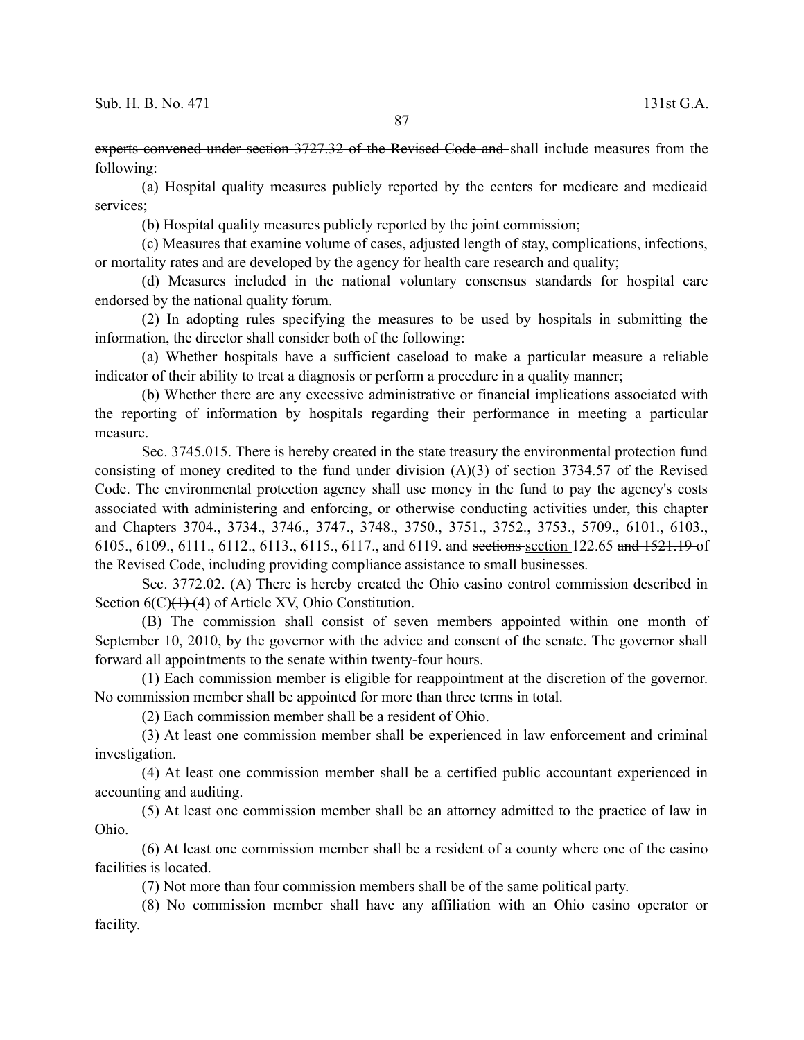experts convened under section 3727.32 of the Revised Code and shall include measures from the following:

(a) Hospital quality measures publicly reported by the centers for medicare and medicaid services;

(b) Hospital quality measures publicly reported by the joint commission;

(c) Measures that examine volume of cases, adjusted length of stay, complications, infections, or mortality rates and are developed by the agency for health care research and quality;

(d) Measures included in the national voluntary consensus standards for hospital care endorsed by the national quality forum.

(2) In adopting rules specifying the measures to be used by hospitals in submitting the information, the director shall consider both of the following:

(a) Whether hospitals have a sufficient caseload to make a particular measure a reliable indicator of their ability to treat a diagnosis or perform a procedure in a quality manner;

(b) Whether there are any excessive administrative or financial implications associated with the reporting of information by hospitals regarding their performance in meeting a particular measure.

Sec. 3745.015. There is hereby created in the state treasury the environmental protection fund consisting of money credited to the fund under division  $(A)(3)$  of section 3734.57 of the Revised Code. The environmental protection agency shall use money in the fund to pay the agency's costs associated with administering and enforcing, or otherwise conducting activities under, this chapter and Chapters 3704., 3734., 3746., 3747., 3748., 3750., 3751., 3752., 3753., 5709., 6101., 6103., 6105., 6109., 6111., 6112., 6113., 6115., 6117., and 6119. and sections section 122.65 and 1521.19 of the Revised Code, including providing compliance assistance to small businesses.

Sec. 3772.02. (A) There is hereby created the Ohio casino control commission described in Section  $6(C)(4)$  (4) of Article XV, Ohio Constitution.

(B) The commission shall consist of seven members appointed within one month of September 10, 2010, by the governor with the advice and consent of the senate. The governor shall forward all appointments to the senate within twenty-four hours.

(1) Each commission member is eligible for reappointment at the discretion of the governor. No commission member shall be appointed for more than three terms in total.

(2) Each commission member shall be a resident of Ohio.

(3) At least one commission member shall be experienced in law enforcement and criminal investigation.

(4) At least one commission member shall be a certified public accountant experienced in accounting and auditing.

(5) At least one commission member shall be an attorney admitted to the practice of law in Ohio.

(6) At least one commission member shall be a resident of a county where one of the casino facilities is located.

(7) Not more than four commission members shall be of the same political party.

(8) No commission member shall have any affiliation with an Ohio casino operator or facility.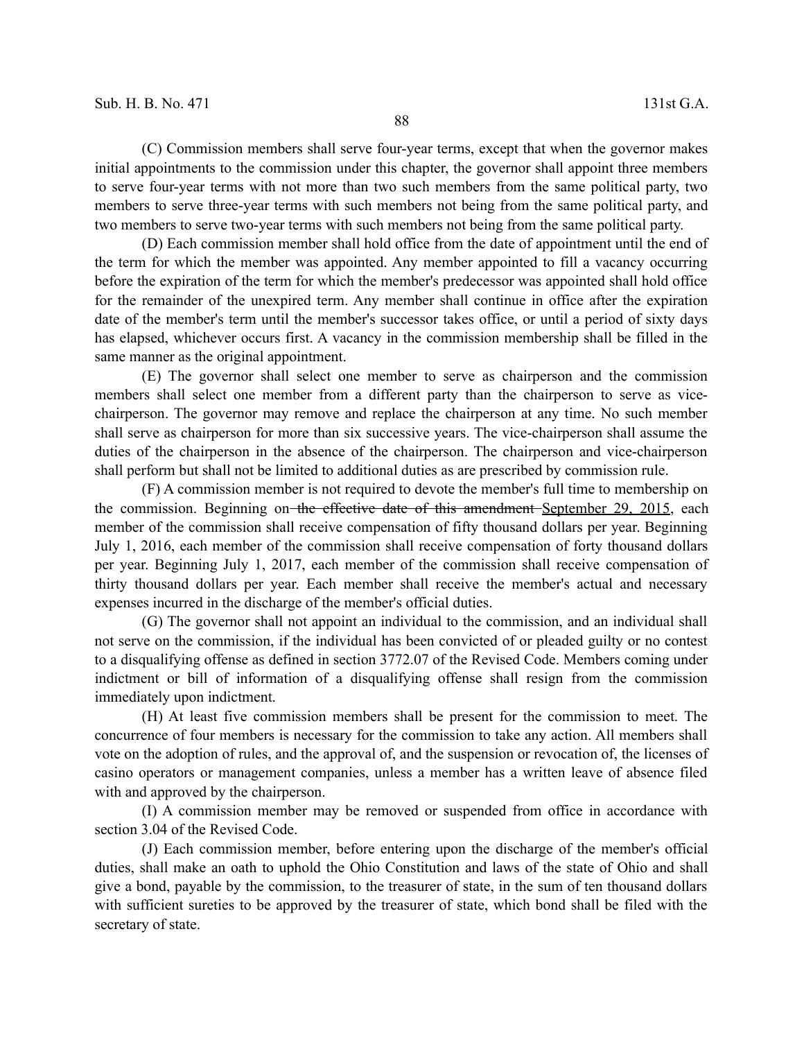(C) Commission members shall serve four-year terms, except that when the governor makes initial appointments to the commission under this chapter, the governor shall appoint three members to serve four-year terms with not more than two such members from the same political party, two members to serve three-year terms with such members not being from the same political party, and two members to serve two-year terms with such members not being from the same political party.

(D) Each commission member shall hold office from the date of appointment until the end of the term for which the member was appointed. Any member appointed to fill a vacancy occurring before the expiration of the term for which the member's predecessor was appointed shall hold office for the remainder of the unexpired term. Any member shall continue in office after the expiration date of the member's term until the member's successor takes office, or until a period of sixty days has elapsed, whichever occurs first. A vacancy in the commission membership shall be filled in the same manner as the original appointment.

(E) The governor shall select one member to serve as chairperson and the commission members shall select one member from a different party than the chairperson to serve as vicechairperson. The governor may remove and replace the chairperson at any time. No such member shall serve as chairperson for more than six successive years. The vice-chairperson shall assume the duties of the chairperson in the absence of the chairperson. The chairperson and vice-chairperson shall perform but shall not be limited to additional duties as are prescribed by commission rule.

(F) A commission member is not required to devote the member's full time to membership on the commission. Beginning on the effective date of this amendment September 29, 2015, each member of the commission shall receive compensation of fifty thousand dollars per year. Beginning July 1, 2016, each member of the commission shall receive compensation of forty thousand dollars per year. Beginning July 1, 2017, each member of the commission shall receive compensation of thirty thousand dollars per year. Each member shall receive the member's actual and necessary expenses incurred in the discharge of the member's official duties.

(G) The governor shall not appoint an individual to the commission, and an individual shall not serve on the commission, if the individual has been convicted of or pleaded guilty or no contest to a disqualifying offense as defined in section 3772.07 of the Revised Code. Members coming under indictment or bill of information of a disqualifying offense shall resign from the commission immediately upon indictment.

(H) At least five commission members shall be present for the commission to meet. The concurrence of four members is necessary for the commission to take any action. All members shall vote on the adoption of rules, and the approval of, and the suspension or revocation of, the licenses of casino operators or management companies, unless a member has a written leave of absence filed with and approved by the chairperson.

(I) A commission member may be removed or suspended from office in accordance with section 3.04 of the Revised Code.

(J) Each commission member, before entering upon the discharge of the member's official duties, shall make an oath to uphold the Ohio Constitution and laws of the state of Ohio and shall give a bond, payable by the commission, to the treasurer of state, in the sum of ten thousand dollars with sufficient sureties to be approved by the treasurer of state, which bond shall be filed with the secretary of state.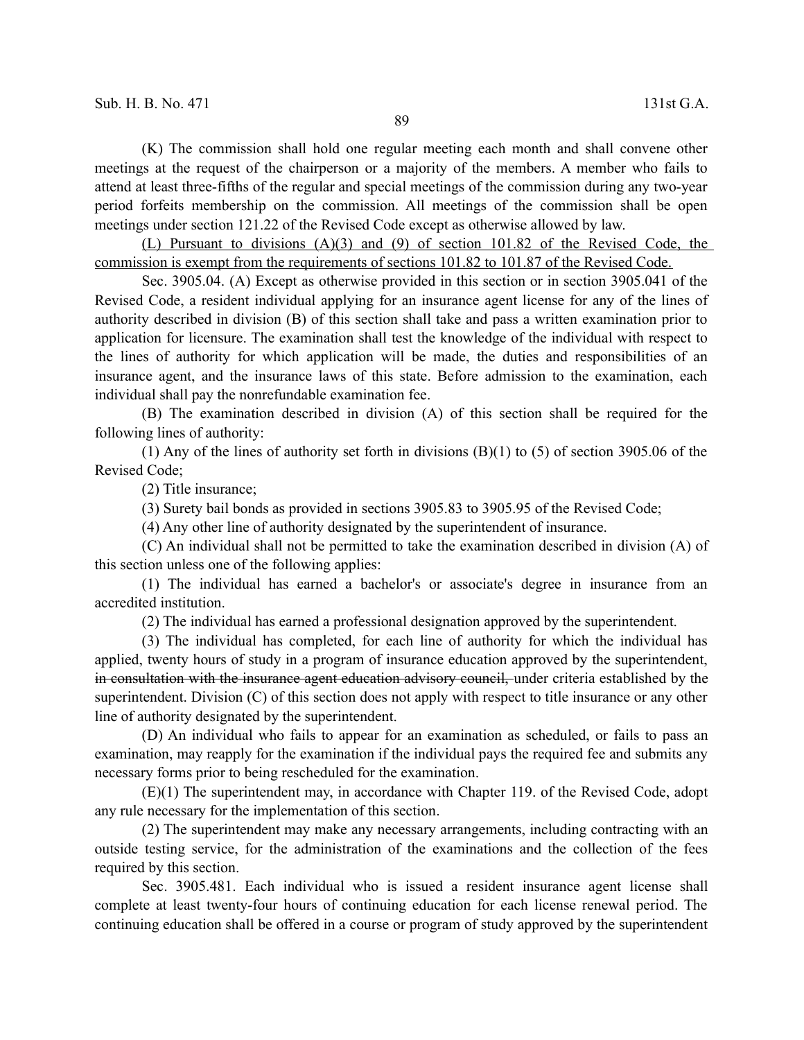(K) The commission shall hold one regular meeting each month and shall convene other meetings at the request of the chairperson or a majority of the members. A member who fails to attend at least three-fifths of the regular and special meetings of the commission during any two-year period forfeits membership on the commission. All meetings of the commission shall be open meetings under section 121.22 of the Revised Code except as otherwise allowed by law.

(L) Pursuant to divisions (A)(3) and (9) of section 101.82 of the Revised Code, the commission is exempt from the requirements of sections 101.82 to 101.87 of the Revised Code.

Sec. 3905.04. (A) Except as otherwise provided in this section or in section 3905.041 of the Revised Code, a resident individual applying for an insurance agent license for any of the lines of authority described in division (B) of this section shall take and pass a written examination prior to application for licensure. The examination shall test the knowledge of the individual with respect to the lines of authority for which application will be made, the duties and responsibilities of an insurance agent, and the insurance laws of this state. Before admission to the examination, each individual shall pay the nonrefundable examination fee.

(B) The examination described in division (A) of this section shall be required for the following lines of authority:

(1) Any of the lines of authority set forth in divisions (B)(1) to (5) of section 3905.06 of the Revised Code;

(2) Title insurance;

(3) Surety bail bonds as provided in sections 3905.83 to 3905.95 of the Revised Code;

(4) Any other line of authority designated by the superintendent of insurance.

(C) An individual shall not be permitted to take the examination described in division (A) of this section unless one of the following applies:

(1) The individual has earned a bachelor's or associate's degree in insurance from an accredited institution.

(2) The individual has earned a professional designation approved by the superintendent.

(3) The individual has completed, for each line of authority for which the individual has applied, twenty hours of study in a program of insurance education approved by the superintendent, in consultation with the insurance agent education advisory council, under criteria established by the superintendent. Division (C) of this section does not apply with respect to title insurance or any other line of authority designated by the superintendent.

(D) An individual who fails to appear for an examination as scheduled, or fails to pass an examination, may reapply for the examination if the individual pays the required fee and submits any necessary forms prior to being rescheduled for the examination.

(E)(1) The superintendent may, in accordance with Chapter 119. of the Revised Code, adopt any rule necessary for the implementation of this section.

(2) The superintendent may make any necessary arrangements, including contracting with an outside testing service, for the administration of the examinations and the collection of the fees required by this section.

Sec. 3905.481. Each individual who is issued a resident insurance agent license shall complete at least twenty-four hours of continuing education for each license renewal period. The continuing education shall be offered in a course or program of study approved by the superintendent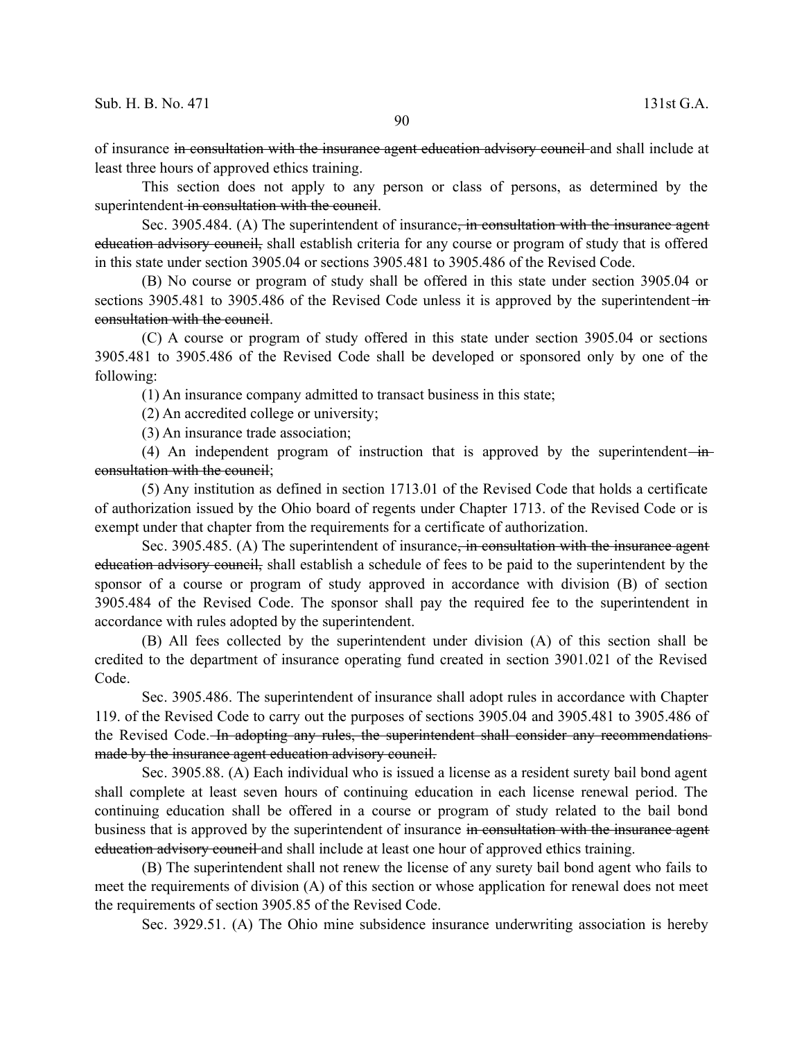of insurance in consultation with the insurance agent education advisory council and shall include at least three hours of approved ethics training.

This section does not apply to any person or class of persons, as determined by the superintendent in consultation with the council.

Sec. 3905.484. (A) The superintendent of insurance, in consultation with the insurance agent education advisory council, shall establish criteria for any course or program of study that is offered in this state under section 3905.04 or sections 3905.481 to 3905.486 of the Revised Code.

(B) No course or program of study shall be offered in this state under section 3905.04 or sections 3905.481 to 3905.486 of the Revised Code unless it is approved by the superintendent  $\overline{m}$ consultation with the council.

(C) A course or program of study offered in this state under section 3905.04 or sections 3905.481 to 3905.486 of the Revised Code shall be developed or sponsored only by one of the following:

(1) An insurance company admitted to transact business in this state;

(2) An accredited college or university;

(3) An insurance trade association;

(4) An independent program of instruction that is approved by the superintendent  $\frac{1}{\text{m}}$ consultation with the council;

(5) Any institution as defined in section 1713.01 of the Revised Code that holds a certificate of authorization issued by the Ohio board of regents under Chapter 1713. of the Revised Code or is exempt under that chapter from the requirements for a certificate of authorization.

Sec. 3905.485. (A) The superintendent of insurance<del>, in consultation with the insurance agent</del> education advisory council, shall establish a schedule of fees to be paid to the superintendent by the sponsor of a course or program of study approved in accordance with division (B) of section 3905.484 of the Revised Code. The sponsor shall pay the required fee to the superintendent in accordance with rules adopted by the superintendent.

(B) All fees collected by the superintendent under division (A) of this section shall be credited to the department of insurance operating fund created in section 3901.021 of the Revised Code.

Sec. 3905.486. The superintendent of insurance shall adopt rules in accordance with Chapter 119. of the Revised Code to carry out the purposes of sections 3905.04 and 3905.481 to 3905.486 of the Revised Code. In adopting any rules, the superintendent shall consider any recommendations made by the insurance agent education advisory council.

Sec. 3905.88. (A) Each individual who is issued a license as a resident surety bail bond agent shall complete at least seven hours of continuing education in each license renewal period. The continuing education shall be offered in a course or program of study related to the bail bond business that is approved by the superintendent of insurance in consultation with the insurance agent education advisory council and shall include at least one hour of approved ethics training.

(B) The superintendent shall not renew the license of any surety bail bond agent who fails to meet the requirements of division (A) of this section or whose application for renewal does not meet the requirements of section 3905.85 of the Revised Code.

Sec. 3929.51. (A) The Ohio mine subsidence insurance underwriting association is hereby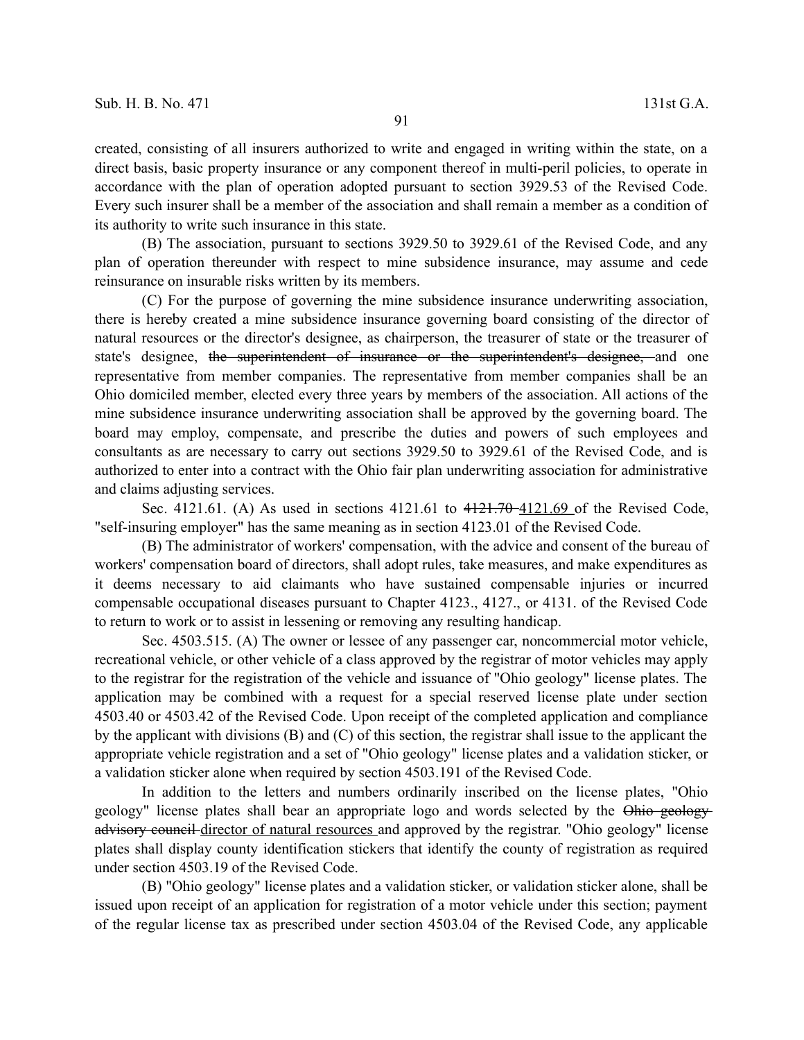created, consisting of all insurers authorized to write and engaged in writing within the state, on a direct basis, basic property insurance or any component thereof in multi-peril policies, to operate in accordance with the plan of operation adopted pursuant to section 3929.53 of the Revised Code. Every such insurer shall be a member of the association and shall remain a member as a condition of its authority to write such insurance in this state.

(B) The association, pursuant to sections 3929.50 to 3929.61 of the Revised Code, and any plan of operation thereunder with respect to mine subsidence insurance, may assume and cede reinsurance on insurable risks written by its members.

(C) For the purpose of governing the mine subsidence insurance underwriting association, there is hereby created a mine subsidence insurance governing board consisting of the director of natural resources or the director's designee, as chairperson, the treasurer of state or the treasurer of state's designee, the superintendent of insurance or the superintendent's designee, and one representative from member companies. The representative from member companies shall be an Ohio domiciled member, elected every three years by members of the association. All actions of the mine subsidence insurance underwriting association shall be approved by the governing board. The board may employ, compensate, and prescribe the duties and powers of such employees and consultants as are necessary to carry out sections 3929.50 to 3929.61 of the Revised Code, and is authorized to enter into a contract with the Ohio fair plan underwriting association for administrative and claims adjusting services.

Sec. 4121.61. (A) As used in sections 4121.61 to 4121.70 4121.69 of the Revised Code, "self-insuring employer" has the same meaning as in section 4123.01 of the Revised Code.

(B) The administrator of workers' compensation, with the advice and consent of the bureau of workers' compensation board of directors, shall adopt rules, take measures, and make expenditures as it deems necessary to aid claimants who have sustained compensable injuries or incurred compensable occupational diseases pursuant to Chapter 4123., 4127., or 4131. of the Revised Code to return to work or to assist in lessening or removing any resulting handicap.

Sec. 4503.515. (A) The owner or lessee of any passenger car, noncommercial motor vehicle, recreational vehicle, or other vehicle of a class approved by the registrar of motor vehicles may apply to the registrar for the registration of the vehicle and issuance of "Ohio geology" license plates. The application may be combined with a request for a special reserved license plate under section 4503.40 or 4503.42 of the Revised Code. Upon receipt of the completed application and compliance by the applicant with divisions (B) and (C) of this section, the registrar shall issue to the applicant the appropriate vehicle registration and a set of "Ohio geology" license plates and a validation sticker, or a validation sticker alone when required by section 4503.191 of the Revised Code.

In addition to the letters and numbers ordinarily inscribed on the license plates, "Ohio geology" license plates shall bear an appropriate logo and words selected by the Ohio geologyadvisory council director of natural resources and approved by the registrar. "Ohio geology" license plates shall display county identification stickers that identify the county of registration as required under section 4503.19 of the Revised Code.

(B) "Ohio geology" license plates and a validation sticker, or validation sticker alone, shall be issued upon receipt of an application for registration of a motor vehicle under this section; payment of the regular license tax as prescribed under section 4503.04 of the Revised Code, any applicable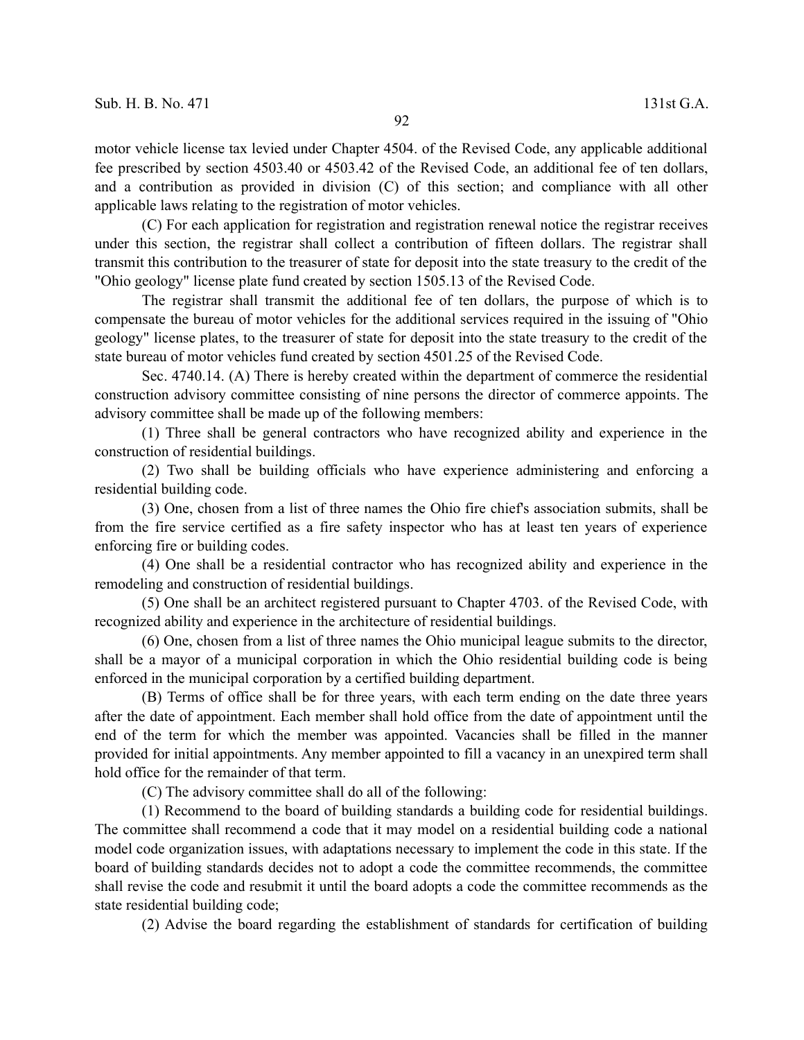motor vehicle license tax levied under Chapter 4504. of the Revised Code, any applicable additional fee prescribed by section 4503.40 or 4503.42 of the Revised Code, an additional fee of ten dollars, and a contribution as provided in division (C) of this section; and compliance with all other applicable laws relating to the registration of motor vehicles.

(C) For each application for registration and registration renewal notice the registrar receives under this section, the registrar shall collect a contribution of fifteen dollars. The registrar shall transmit this contribution to the treasurer of state for deposit into the state treasury to the credit of the "Ohio geology" license plate fund created by section 1505.13 of the Revised Code.

The registrar shall transmit the additional fee of ten dollars, the purpose of which is to compensate the bureau of motor vehicles for the additional services required in the issuing of "Ohio geology" license plates, to the treasurer of state for deposit into the state treasury to the credit of the state bureau of motor vehicles fund created by section 4501.25 of the Revised Code.

Sec. 4740.14. (A) There is hereby created within the department of commerce the residential construction advisory committee consisting of nine persons the director of commerce appoints. The advisory committee shall be made up of the following members:

(1) Three shall be general contractors who have recognized ability and experience in the construction of residential buildings.

(2) Two shall be building officials who have experience administering and enforcing a residential building code.

(3) One, chosen from a list of three names the Ohio fire chief's association submits, shall be from the fire service certified as a fire safety inspector who has at least ten years of experience enforcing fire or building codes.

(4) One shall be a residential contractor who has recognized ability and experience in the remodeling and construction of residential buildings.

(5) One shall be an architect registered pursuant to Chapter 4703. of the Revised Code, with recognized ability and experience in the architecture of residential buildings.

(6) One, chosen from a list of three names the Ohio municipal league submits to the director, shall be a mayor of a municipal corporation in which the Ohio residential building code is being enforced in the municipal corporation by a certified building department.

(B) Terms of office shall be for three years, with each term ending on the date three years after the date of appointment. Each member shall hold office from the date of appointment until the end of the term for which the member was appointed. Vacancies shall be filled in the manner provided for initial appointments. Any member appointed to fill a vacancy in an unexpired term shall hold office for the remainder of that term.

(C) The advisory committee shall do all of the following:

(1) Recommend to the board of building standards a building code for residential buildings. The committee shall recommend a code that it may model on a residential building code a national model code organization issues, with adaptations necessary to implement the code in this state. If the board of building standards decides not to adopt a code the committee recommends, the committee shall revise the code and resubmit it until the board adopts a code the committee recommends as the state residential building code;

(2) Advise the board regarding the establishment of standards for certification of building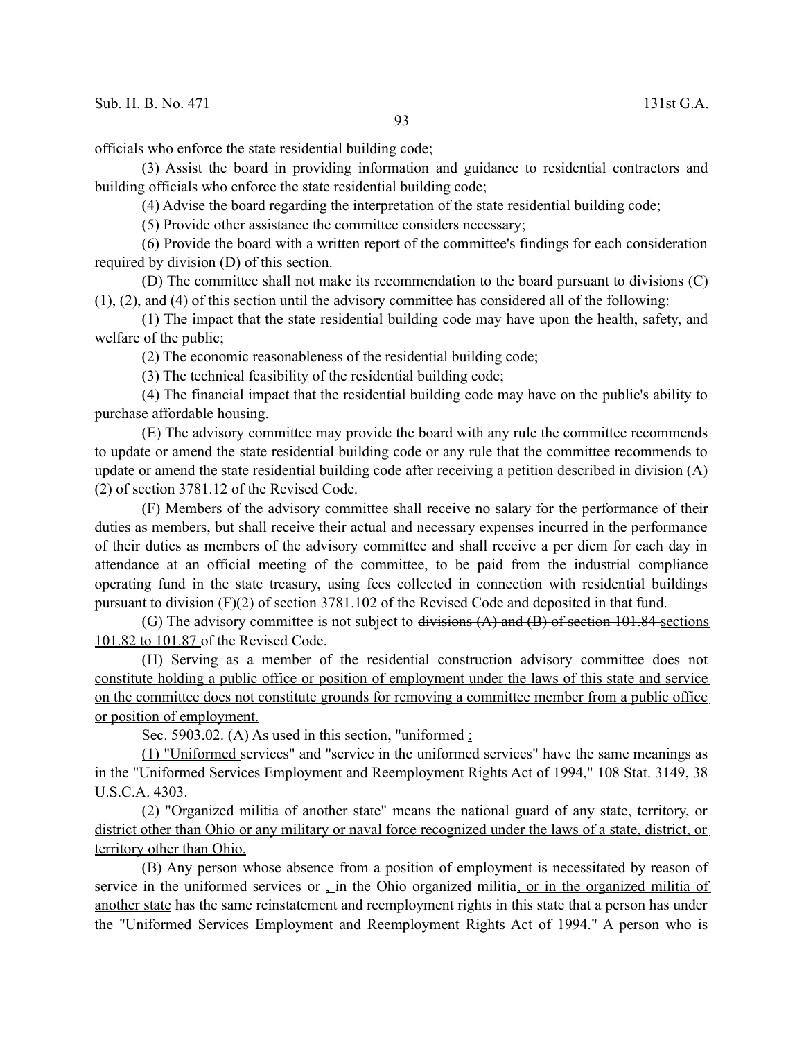officials who enforce the state residential building code;

(3) Assist the board in providing information and guidance to residential contractors and building officials who enforce the state residential building code;

(4) Advise the board regarding the interpretation of the state residential building code;

(5) Provide other assistance the committee considers necessary;

(6) Provide the board with a written report of the committee's findings for each consideration required by division (D) of this section.

(D) The committee shall not make its recommendation to the board pursuant to divisions (C) (1), (2), and (4) of this section until the advisory committee has considered all of the following:

(1) The impact that the state residential building code may have upon the health, safety, and welfare of the public;

(2) The economic reasonableness of the residential building code;

(3) The technical feasibility of the residential building code;

(4) The financial impact that the residential building code may have on the public's ability to purchase affordable housing.

(E) The advisory committee may provide the board with any rule the committee recommends to update or amend the state residential building code or any rule that the committee recommends to update or amend the state residential building code after receiving a petition described in division (A) (2) of section 3781.12 of the Revised Code.

(F) Members of the advisory committee shall receive no salary for the performance of their duties as members, but shall receive their actual and necessary expenses incurred in the performance of their duties as members of the advisory committee and shall receive a per diem for each day in attendance at an official meeting of the committee, to be paid from the industrial compliance operating fund in the state treasury, using fees collected in connection with residential buildings pursuant to division (F)(2) of section 3781.102 of the Revised Code and deposited in that fund.

(G) The advisory committee is not subject to divisions  $(A)$  and  $(B)$  of section 101.84 sections 101.82 to 101.87 of the Revised Code.

(H) Serving as a member of the residential construction advisory committee does not constitute holding a public office or position of employment under the laws of this state and service on the committee does not constitute grounds for removing a committee member from a public office or position of employment.

Sec. 5903.02. (A) As used in this section, "uniformed :

(1) "Uniformed services" and "service in the uniformed services" have the same meanings as in the "Uniformed Services Employment and Reemployment Rights Act of 1994," 108 Stat. 3149, 38 U.S.C.A. 4303.

(2) "Organized militia of another state" means the national guard of any state, territory, or district other than Ohio or any military or naval force recognized under the laws of a state, district, or territory other than Ohio.

(B) Any person whose absence from a position of employment is necessitated by reason of service in the uniformed services-or, in the Ohio organized militia, or in the organized militia of another state has the same reinstatement and reemployment rights in this state that a person has under the "Uniformed Services Employment and Reemployment Rights Act of 1994." A person who is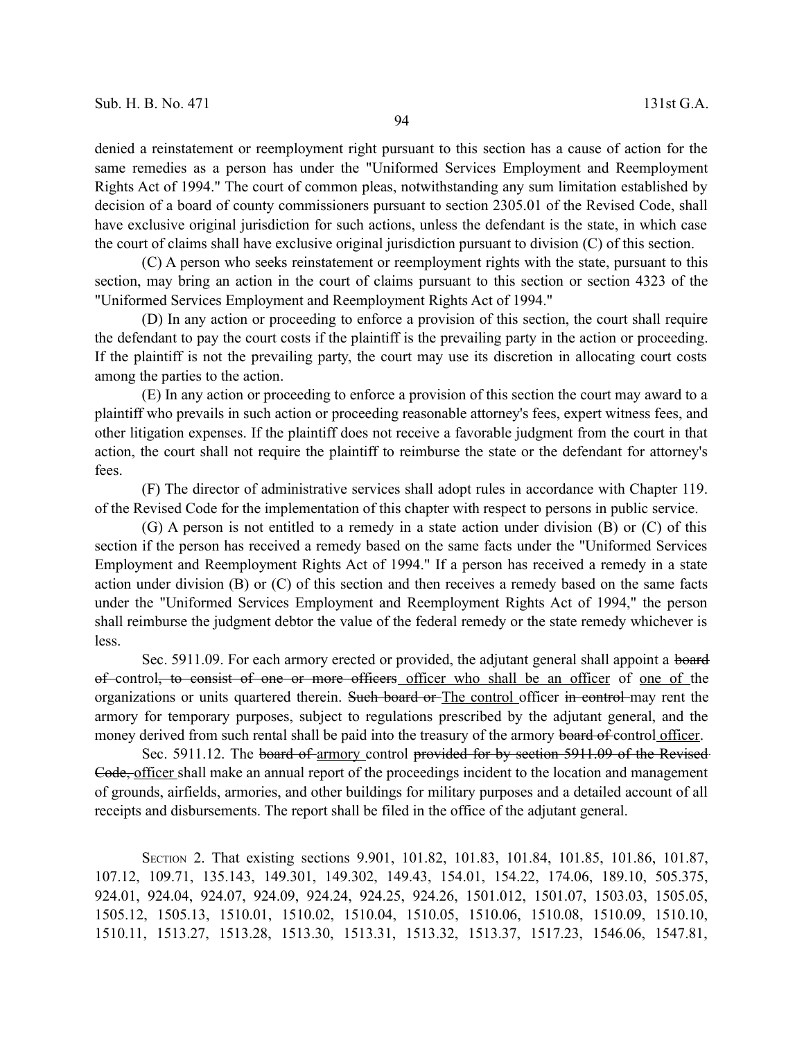denied a reinstatement or reemployment right pursuant to this section has a cause of action for the same remedies as a person has under the "Uniformed Services Employment and Reemployment Rights Act of 1994." The court of common pleas, notwithstanding any sum limitation established by decision of a board of county commissioners pursuant to section 2305.01 of the Revised Code, shall have exclusive original jurisdiction for such actions, unless the defendant is the state, in which case the court of claims shall have exclusive original jurisdiction pursuant to division (C) of this section.

(C) A person who seeks reinstatement or reemployment rights with the state, pursuant to this section, may bring an action in the court of claims pursuant to this section or section 4323 of the "Uniformed Services Employment and Reemployment Rights Act of 1994."

(D) In any action or proceeding to enforce a provision of this section, the court shall require the defendant to pay the court costs if the plaintiff is the prevailing party in the action or proceeding. If the plaintiff is not the prevailing party, the court may use its discretion in allocating court costs among the parties to the action.

(E) In any action or proceeding to enforce a provision of this section the court may award to a plaintiff who prevails in such action or proceeding reasonable attorney's fees, expert witness fees, and other litigation expenses. If the plaintiff does not receive a favorable judgment from the court in that action, the court shall not require the plaintiff to reimburse the state or the defendant for attorney's fees.

(F) The director of administrative services shall adopt rules in accordance with Chapter 119. of the Revised Code for the implementation of this chapter with respect to persons in public service.

(G) A person is not entitled to a remedy in a state action under division (B) or (C) of this section if the person has received a remedy based on the same facts under the "Uniformed Services Employment and Reemployment Rights Act of 1994." If a person has received a remedy in a state action under division (B) or (C) of this section and then receives a remedy based on the same facts under the "Uniformed Services Employment and Reemployment Rights Act of 1994," the person shall reimburse the judgment debtor the value of the federal remedy or the state remedy whichever is less.

Sec. 5911.09. For each armory erected or provided, the adjutant general shall appoint a board of control, to consist of one or more officers officer who shall be an officer of one of the organizations or units quartered therein. Such board or The control officer in control may rent the armory for temporary purposes, subject to regulations prescribed by the adjutant general, and the money derived from such rental shall be paid into the treasury of the armory board of control officer.

Sec. 5911.12. The board of armory control provided for by section 5911.09 of the Revised Code, officer shall make an annual report of the proceedings incident to the location and management of grounds, airfields, armories, and other buildings for military purposes and a detailed account of all receipts and disbursements. The report shall be filed in the office of the adjutant general.

SECTION 2. That existing sections 9.901, 101.82, 101.83, 101.84, 101.85, 101.86, 101.87, 107.12, 109.71, 135.143, 149.301, 149.302, 149.43, 154.01, 154.22, 174.06, 189.10, 505.375, 924.01, 924.04, 924.07, 924.09, 924.24, 924.25, 924.26, 1501.012, 1501.07, 1503.03, 1505.05, 1505.12, 1505.13, 1510.01, 1510.02, 1510.04, 1510.05, 1510.06, 1510.08, 1510.09, 1510.10, 1510.11, 1513.27, 1513.28, 1513.30, 1513.31, 1513.32, 1513.37, 1517.23, 1546.06, 1547.81,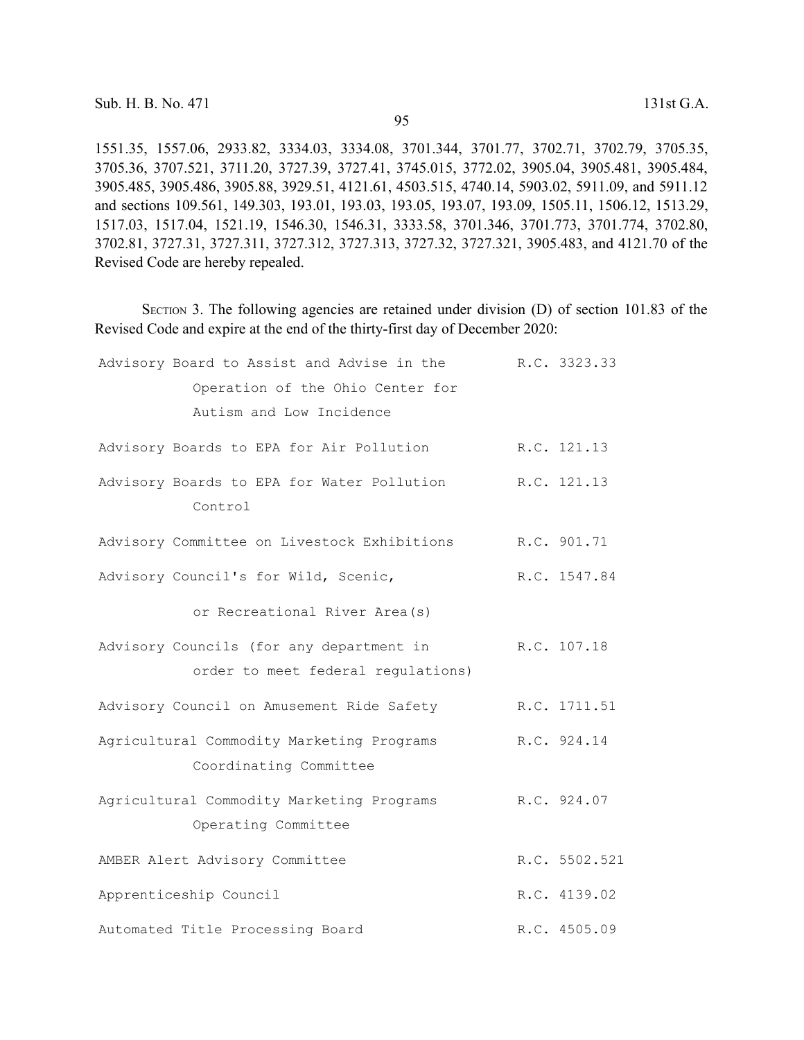1551.35, 1557.06, 2933.82, 3334.03, 3334.08, 3701.344, 3701.77, 3702.71, 3702.79, 3705.35, 3705.36, 3707.521, 3711.20, 3727.39, 3727.41, 3745.015, 3772.02, 3905.04, 3905.481, 3905.484, 3905.485, 3905.486, 3905.88, 3929.51, 4121.61, 4503.515, 4740.14, 5903.02, 5911.09, and 5911.12 and sections 109.561, 149.303, 193.01, 193.03, 193.05, 193.07, 193.09, 1505.11, 1506.12, 1513.29, 1517.03, 1517.04, 1521.19, 1546.30, 1546.31, 3333.58, 3701.346, 3701.773, 3701.774, 3702.80, 3702.81, 3727.31, 3727.311, 3727.312, 3727.313, 3727.32, 3727.321, 3905.483, and 4121.70 of the Revised Code are hereby repealed.

SECTION 3. The following agencies are retained under division (D) of section 101.83 of the Revised Code and expire at the end of the thirty-first day of December 2020:

| Advisory Board to Assist and Advise in the  | R.C. 3323.33  |
|---------------------------------------------|---------------|
| Operation of the Ohio Center for            |               |
| Autism and Low Incidence                    |               |
| Advisory Boards to EPA for Air Pollution    | R.C. 121.13   |
| Advisory Boards to EPA for Water Pollution  | R.C. 121.13   |
| Control                                     |               |
| Advisory Committee on Livestock Exhibitions | R.C. 901.71   |
| Advisory Council's for Wild, Scenic,        | R.C. 1547.84  |
| or Recreational River Area(s)               |               |
| Advisory Councils (for any department in    | R.C. 107.18   |
| order to meet federal requlations)          |               |
| Advisory Council on Amusement Ride Safety   | R.C. 1711.51  |
| Agricultural Commodity Marketing Programs   | R.C. 924.14   |
| Coordinating Committee                      |               |
| Agricultural Commodity Marketing Programs   | R.C. 924.07   |
| Operating Committee                         |               |
| AMBER Alert Advisory Committee              | R.C. 5502.521 |
| Apprenticeship Council                      | R.C. 4139.02  |
| Automated Title Processing Board            | R.C. 4505.09  |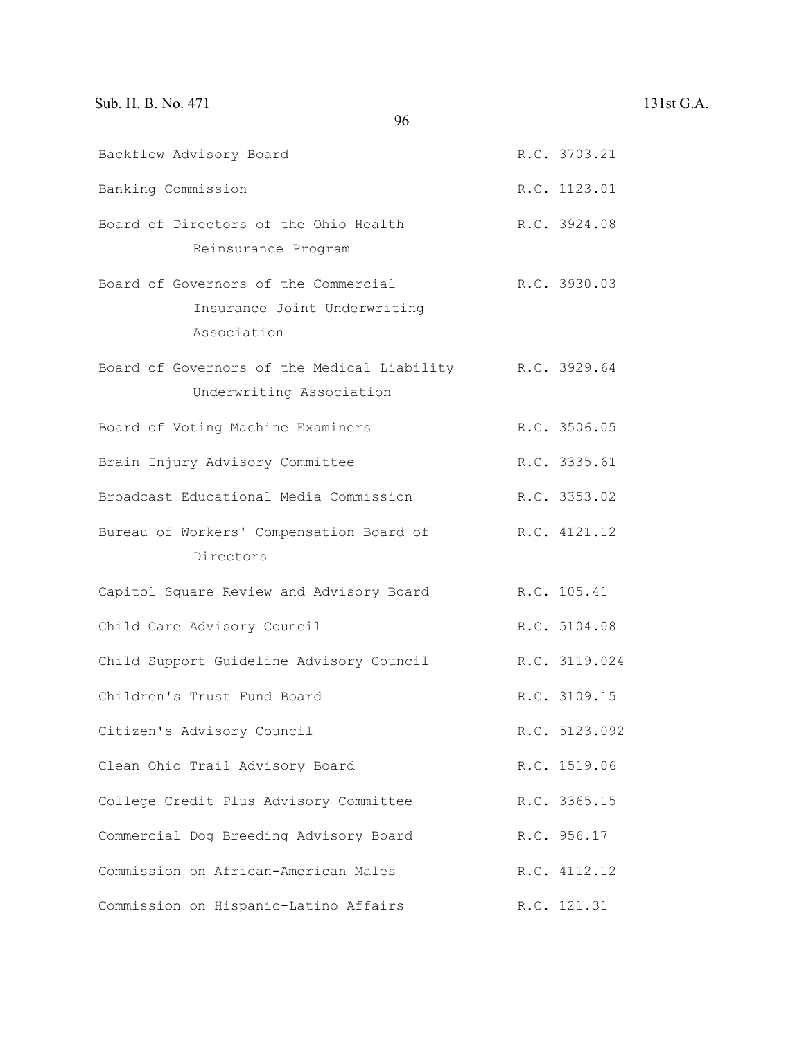Backflow Advisory Board R.C. 3703.21 Banking Commission R.C. 1123.01 Board of Directors of the Ohio Health R.C. 3924.08 Reinsurance Program Board of Governors of the Commercial R.C. 3930.03 Insurance Joint Underwriting Association Board of Governors of the Medical Liability R.C. 3929.64 Underwriting Association Board of Voting Machine Examiners R.C. 3506.05 Brain Injury Advisory Committee R.C. 3335.61 Broadcast Educational Media Commission R.C. 3353.02 Bureau of Workers' Compensation Board of R.C. 4121.12 Directors Capitol Square Review and Advisory Board R.C. 105.41 Child Care Advisory Council R.C. 5104.08 Child Support Guideline Advisory Council R.C. 3119.024 Children's Trust Fund Board R.C. 3109.15 Citizen's Advisory Council R.C. 5123.092 Clean Ohio Trail Advisory Board R.C. 1519.06 College Credit Plus Advisory Committee R.C. 3365.15 Commercial Dog Breeding Advisory Board R.C. 956.17 Commission on African-American Males R.C. 4112.12 Commission on Hispanic-Latino Affairs R.C. 121.31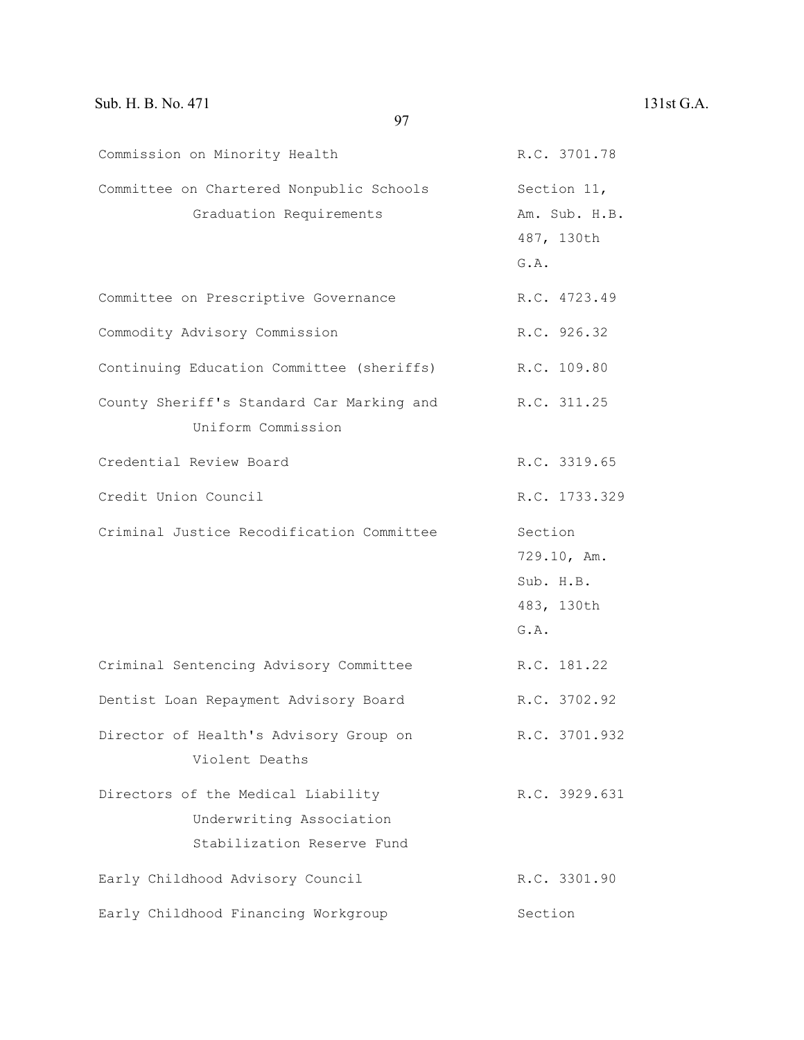| Commission on Minority Health                                                                | R.C. 3701.78                                              |
|----------------------------------------------------------------------------------------------|-----------------------------------------------------------|
| Committee on Chartered Nonpublic Schools<br>Graduation Requirements                          | Section 11,<br>Am. Sub. H.B.<br>487, 130th<br>G.A.        |
| Committee on Prescriptive Governance                                                         | R.C. 4723.49                                              |
| Commodity Advisory Commission                                                                | R.C. 926.32                                               |
| Continuing Education Committee (sheriffs)                                                    | R.C. 109.80                                               |
| County Sheriff's Standard Car Marking and<br>Uniform Commission                              | R.C. 311.25                                               |
| Credential Review Board                                                                      | R.C. 3319.65                                              |
| Credit Union Council                                                                         | R.C. 1733.329                                             |
| Criminal Justice Recodification Committee                                                    | Section<br>729.10, Am.<br>Sub. H.B.<br>483, 130th<br>G.A. |
| Criminal Sentencing Advisory Committee                                                       | R.C. 181.22                                               |
| Dentist Loan Repayment Advisory Board                                                        | R.C. 3702.92                                              |
| Director of Health's Advisory Group on<br>Violent Deaths                                     | R.C. 3701.932                                             |
| Directors of the Medical Liability<br>Underwriting Association<br>Stabilization Reserve Fund | R.C. 3929.631                                             |
| Early Childhood Advisory Council                                                             | R.C. 3301.90                                              |
| Early Childhood Financing Workgroup                                                          | Section                                                   |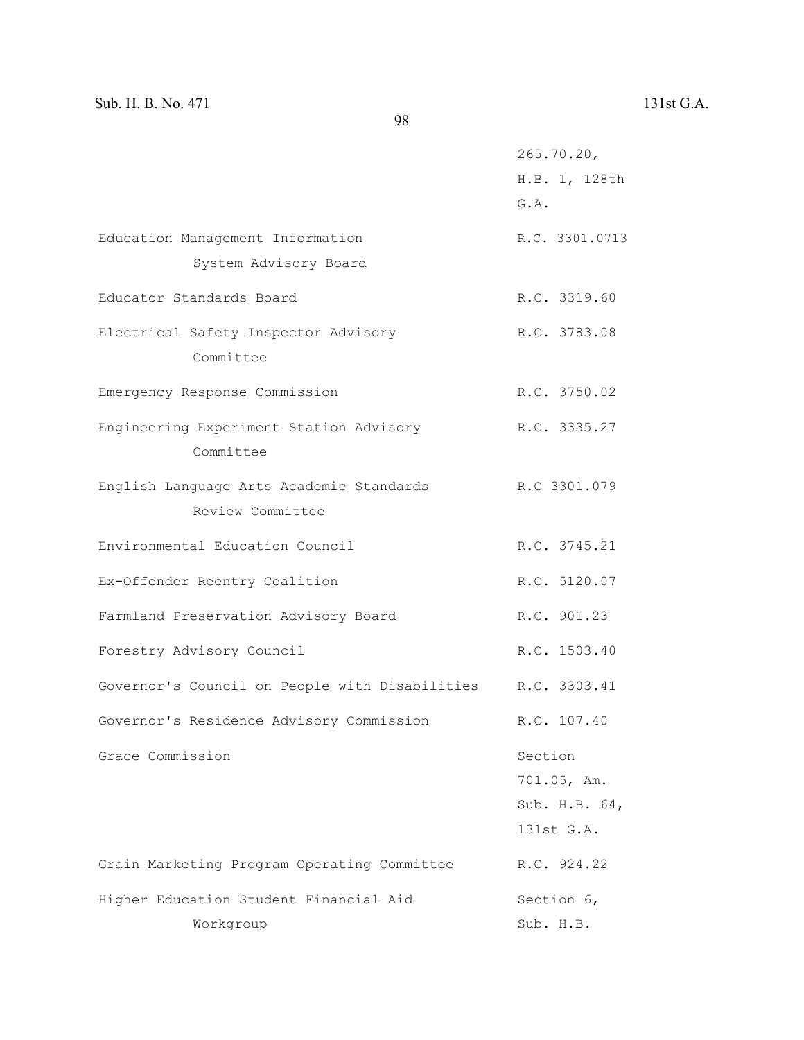265.70.20, H.B. 1, 128th G.A. Education Management Information R.C. 3301.0713 System Advisory Board Educator Standards Board R.C. 3319.60 Electrical Safety Inspector Advisory R.C. 3783.08 Committee Emergency Response Commission R.C. 3750.02 Engineering Experiment Station Advisory R.C. 3335.27 Committee English Language Arts Academic Standards R.C 3301.079 Review Committee Environmental Education Council 1997 1997 R.C. 3745.21 Ex-Offender Reentry Coalition R.C. 5120.07 Farmland Preservation Advisory Board R.C. 901.23 Forestry Advisory Council R.C. 1503.40 Governor's Council on People with Disabilities R.C. 3303.41 Governor's Residence Advisory Commission R.C. 107.40 Grace Commission Section Section Section 701.05, Am. Sub. H.B. 64, 131st G.A. Grain Marketing Program Operating Committee R.C. 924.22 Higher Education Student Financial Aid Section 6, Workgroup Sub. H.B.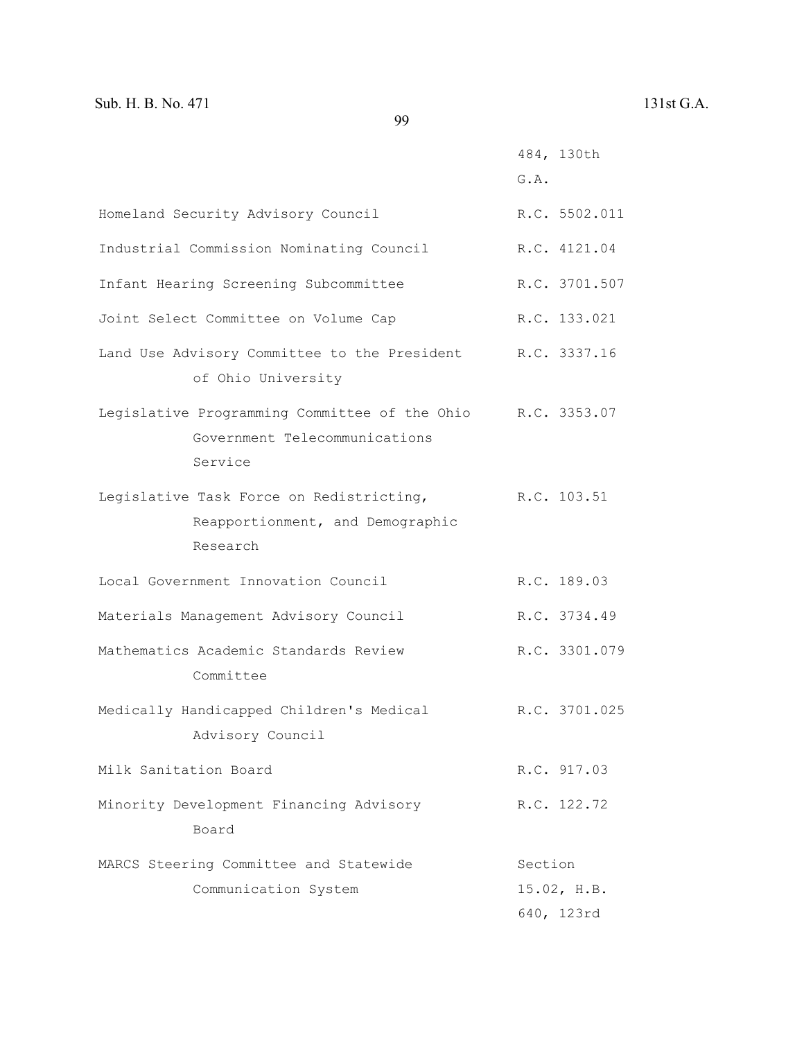484, 130th G.A. Homeland Security Advisory Council R.C. 5502.011 Industrial Commission Nominating Council R.C. 4121.04 Infant Hearing Screening Subcommittee R.C. 3701.507 Joint Select Committee on Volume Cap R.C. 133.021 Land Use Advisory Committee to the President R.C. 3337.16 of Ohio University Legislative Programming Committee of the Ohio R.C. 3353.07 Government Telecommunications Service Legislative Task Force on Redistricting, R.C. 103.51 Reapportionment, and Demographic Research Local Government Innovation Council R.C. 189.03 Materials Management Advisory Council R.C. 3734.49 Mathematics Academic Standards Review R.C. 3301.079 Committee Medically Handicapped Children's Medical R.C. 3701.025 Advisory Council Milk Sanitation Board R.C. 917.03 Minority Development Financing Advisory R.C. 122.72 Board MARCS Steering Committee and Statewide Section Communication System 15.02, H.B. 640, 123rd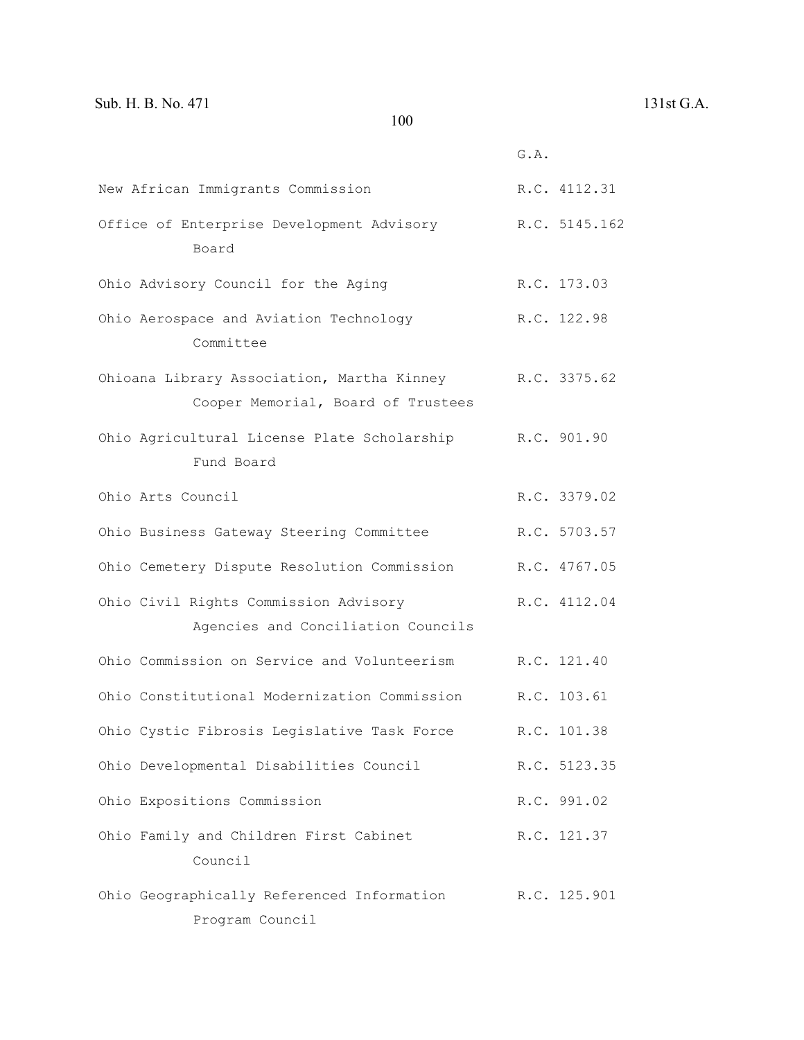|                                                                                  | G.A. |               |
|----------------------------------------------------------------------------------|------|---------------|
| New African Immigrants Commission                                                |      | R.C. 4112.31  |
| Office of Enterprise Development Advisory<br>Board                               |      | R.C. 5145.162 |
| Ohio Advisory Council for the Aging                                              |      | R.C. 173.03   |
| Ohio Aerospace and Aviation Technology<br>Committee                              |      | R.C. 122.98   |
| Ohioana Library Association, Martha Kinney<br>Cooper Memorial, Board of Trustees |      | R.C. 3375.62  |
| Ohio Agricultural License Plate Scholarship<br>Fund Board                        |      | R.C. 901.90   |
| Ohio Arts Council                                                                |      | R.C. 3379.02  |
| Ohio Business Gateway Steering Committee                                         |      | R.C. 5703.57  |
| Ohio Cemetery Dispute Resolution Commission                                      |      | R.C. 4767.05  |
| Ohio Civil Rights Commission Advisory<br>Agencies and Conciliation Councils      |      | R.C. 4112.04  |
| Ohio Commission on Service and Volunteerism                                      |      | R.C. 121.40   |
| Ohio Constitutional Modernization Commission                                     |      | R.C. 103.61   |
| Ohio Cystic Fibrosis Legislative Task Force                                      |      | R.C. 101.38   |
| Ohio Developmental Disabilities Council                                          |      | R.C. 5123.35  |
| Ohio Expositions Commission                                                      |      | R.C. 991.02   |
| Ohio Family and Children First Cabinet<br>Council                                |      | R.C. 121.37   |
| Ohio Geographically Referenced Information<br>Program Council                    |      | R.C. 125.901  |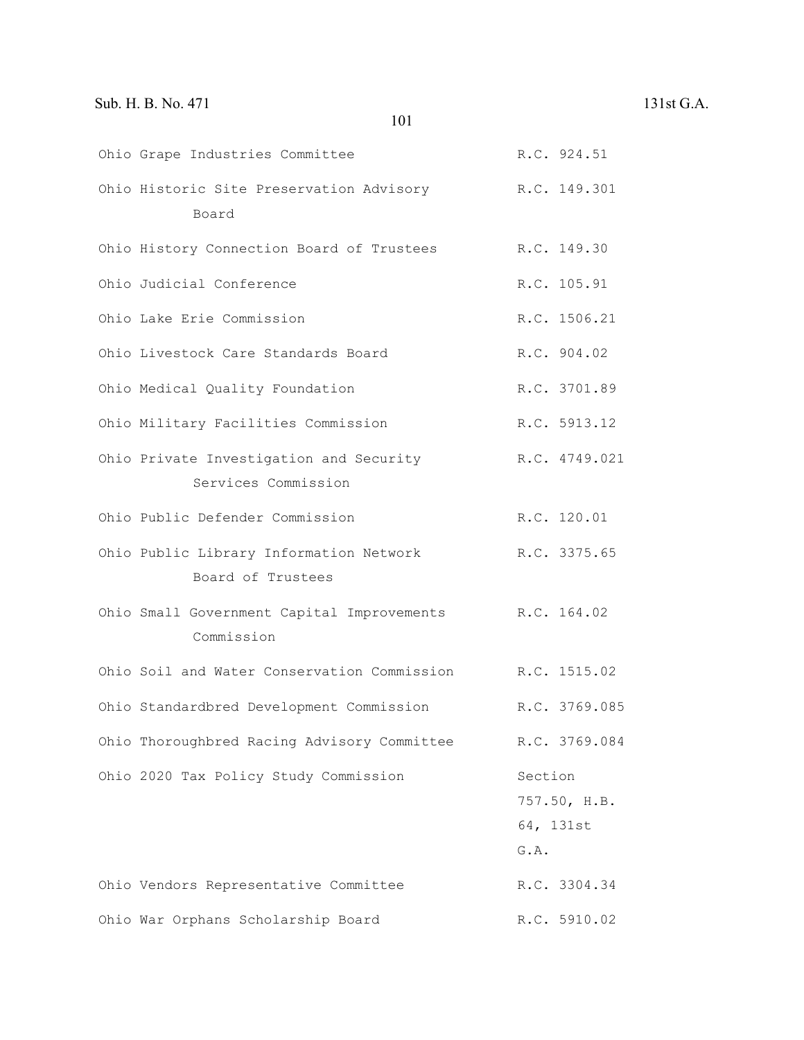Ohio Grape Industries Committee R.C. 924.51 Ohio Historic Site Preservation Advisory R.C. 149.301 Board Ohio History Connection Board of Trustees R.C. 149.30 Ohio Judicial Conference **R.C. 105.91** Ohio Lake Erie Commission R.C. 1506.21 Ohio Livestock Care Standards Board R.C. 904.02 Ohio Medical Quality Foundation R.C. 3701.89 Ohio Military Facilities Commission R.C. 5913.12 Ohio Private Investigation and Security R.C. 4749.021 Services Commission Ohio Public Defender Commission R.C. 120.01 Ohio Public Library Information Network R.C. 3375.65 Board of Trustees Ohio Small Government Capital Improvements R.C. 164.02 Commission Ohio Soil and Water Conservation Commission R.C. 1515.02 Ohio Standardbred Development Commission R.C. 3769.085 Ohio Thoroughbred Racing Advisory Committee R.C. 3769.084 Ohio 2020 Tax Policy Study Commission Section 757.50, H.B. 64, 131st G.A. Ohio Vendors Representative Committee R.C. 3304.34 Ohio War Orphans Scholarship Board R.C. 5910.02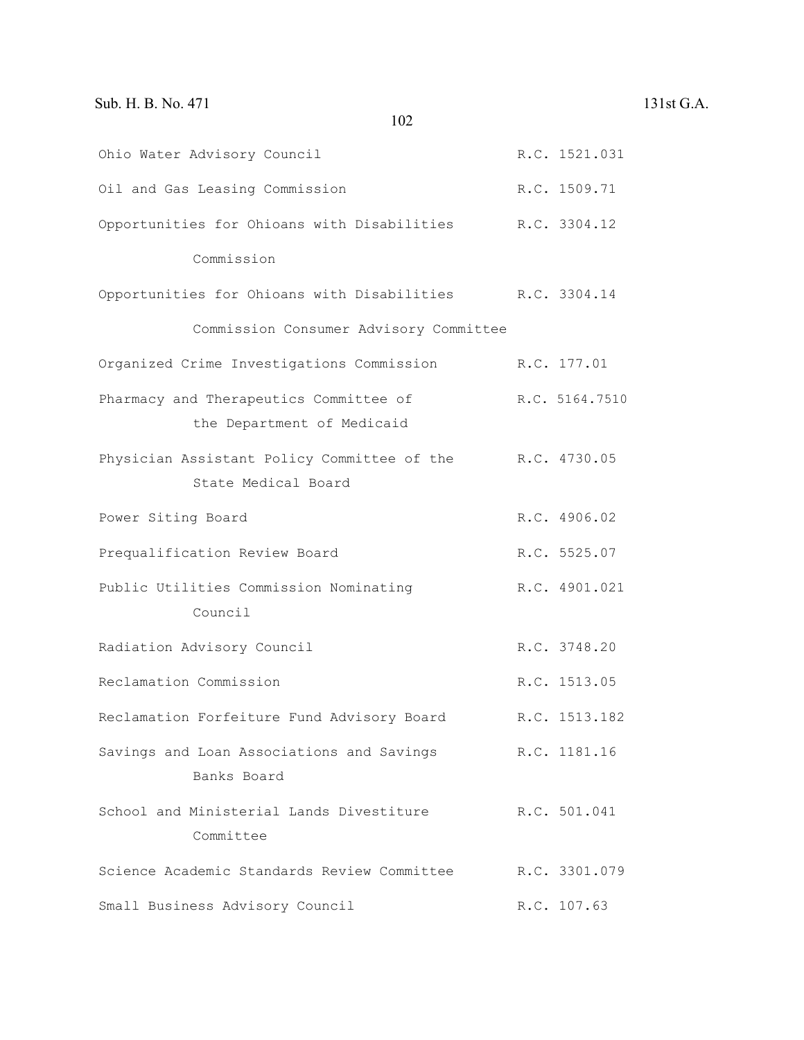Ohio Water Advisory Council R.C. 1521.031 Oil and Gas Leasing Commission R.C. 1509.71 Opportunities for Ohioans with Disabilities R.C. 3304.12 Commission Opportunities for Ohioans with Disabilities R.C. 3304.14 Commission Consumer Advisory Committee Organized Crime Investigations Commission R.C. 177.01 Pharmacy and Therapeutics Committee of R.C. 5164.7510 the Department of Medicaid Physician Assistant Policy Committee of the R.C. 4730.05 State Medical Board Power Siting Board R.C. 4906.02 Prequalification Review Board R.C. 5525.07 Public Utilities Commission Nominating R.C. 4901.021 Council Radiation Advisory Council R.C. 3748.20 Reclamation Commission **R.C. 1513.05** Reclamation Forfeiture Fund Advisory Board R.C. 1513.182 Savings and Loan Associations and Savings R.C. 1181.16 Banks Board School and Ministerial Lands Divestiture R.C. 501.041 Committee Science Academic Standards Review Committee R.C. 3301.079 Small Business Advisory Council R.C. 107.63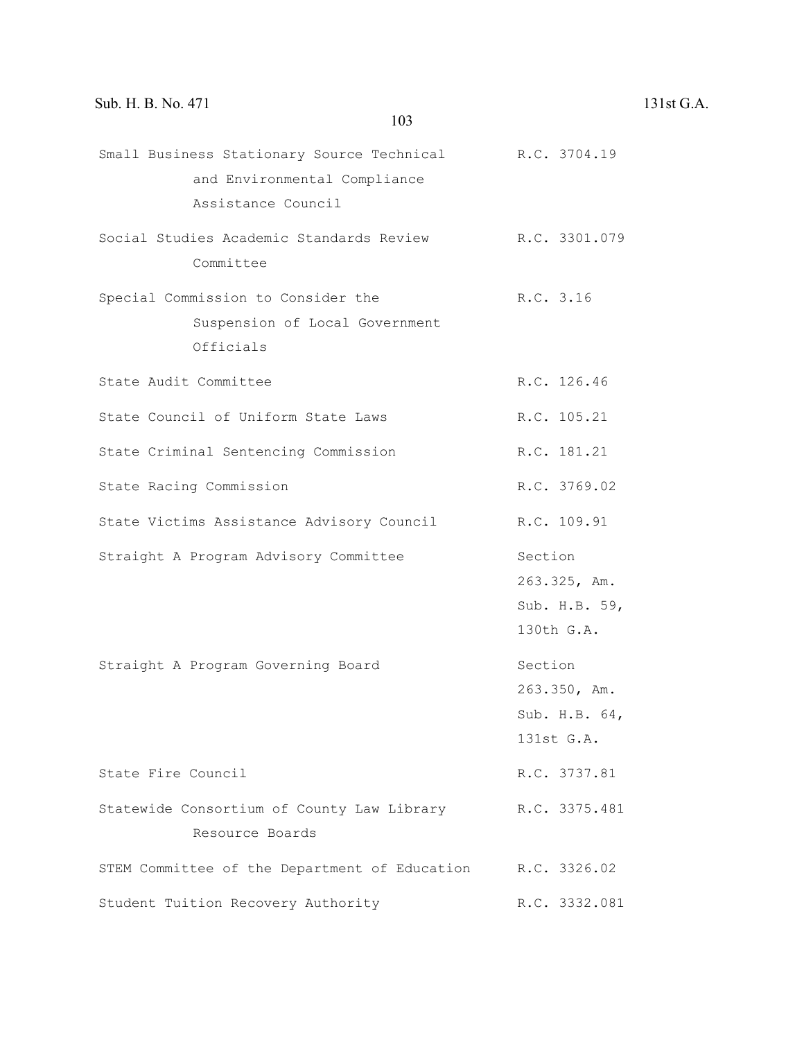|                       | Small Business Stationary Source Technical R.C. 3704.19<br>and Environmental Compliance<br>Assistance Council |           |                                             |
|-----------------------|---------------------------------------------------------------------------------------------------------------|-----------|---------------------------------------------|
|                       | Social Studies Academic Standards Review<br>Committee                                                         |           | R.C. 3301.079                               |
|                       | Special Commission to Consider the<br>Suspension of Local Government<br>Officials                             | R.C. 3.16 |                                             |
| State Audit Committee |                                                                                                               |           | R.C. 126.46                                 |
|                       | State Council of Uniform State Laws                                                                           |           | R.C. 105.21                                 |
|                       | State Criminal Sentencing Commission                                                                          |           | R.C. 181.21                                 |
|                       | State Racing Commission                                                                                       |           | R.C. 3769.02                                |
|                       | State Victims Assistance Advisory Council                                                                     |           | R.C. 109.91                                 |
|                       | Straight A Program Advisory Committee                                                                         | Section   | 263.325, Am.<br>Sub. H.B. 59,<br>130th G.A. |
|                       | Straight A Program Governing Board                                                                            | Section   | 263.350, Am.<br>Sub. H.B. 64,<br>131st G.A. |
| State Fire Council    |                                                                                                               |           | R.C. 3737.81                                |
|                       | Statewide Consortium of County Law Library<br>Resource Boards                                                 |           | R.C. 3375.481                               |
|                       | STEM Committee of the Department of Education R.C. 3326.02                                                    |           |                                             |
|                       | Student Tuition Recovery Authority                                                                            |           | R.C. 3332.081                               |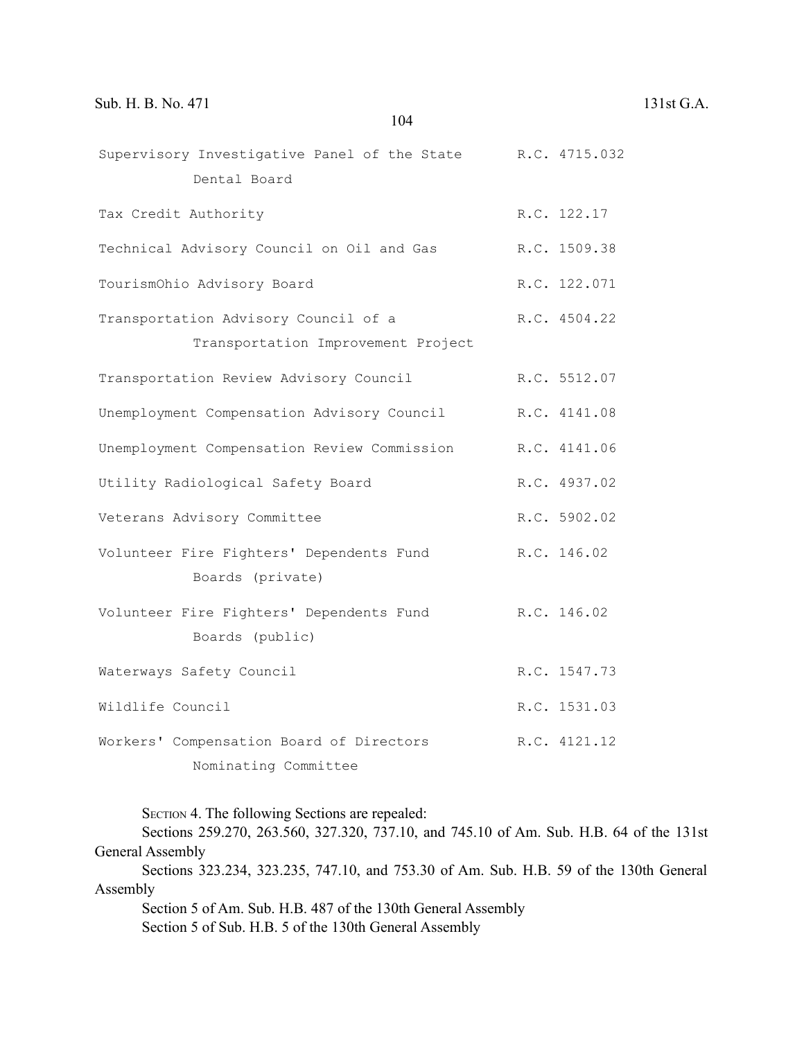104

| Supervisory Investigative Panel of the State R.C. 4715.032                 |  |              |
|----------------------------------------------------------------------------|--|--------------|
| Dental Board                                                               |  |              |
| Tax Credit Authority                                                       |  | R.C. 122.17  |
| Technical Advisory Council on Oil and Gas                                  |  | R.C. 1509.38 |
| TourismOhio Advisory Board                                                 |  | R.C. 122.071 |
| Transportation Advisory Council of a<br>Transportation Improvement Project |  | R.C. 4504.22 |
| Transportation Review Advisory Council                                     |  | R.C. 5512.07 |
| Unemployment Compensation Advisory Council                                 |  | R.C. 4141.08 |
| Unemployment Compensation Review Commission                                |  | R.C. 4141.06 |
| Utility Radiological Safety Board                                          |  | R.C. 4937.02 |
| Veterans Advisory Committee                                                |  | R.C. 5902.02 |
| Volunteer Fire Fighters' Dependents Fund<br>Boards (private)               |  | R.C. 146.02  |
| Volunteer Fire Fighters' Dependents Fund<br>Boards (public)                |  | R.C. 146.02  |
| Waterways Safety Council                                                   |  | R.C. 1547.73 |
| Wildlife Council                                                           |  | R.C. 1531.03 |
| Workers' Compensation Board of Directors<br>Nominating Committee           |  | R.C. 4121.12 |

SECTION 4. The following Sections are repealed:

Sections 259.270, 263.560, 327.320, 737.10, and 745.10 of Am. Sub. H.B. 64 of the 131st General Assembly

Sections 323.234, 323.235, 747.10, and 753.30 of Am. Sub. H.B. 59 of the 130th General Assembly

Section 5 of Am. Sub. H.B. 487 of the 130th General Assembly Section 5 of Sub. H.B. 5 of the 130th General Assembly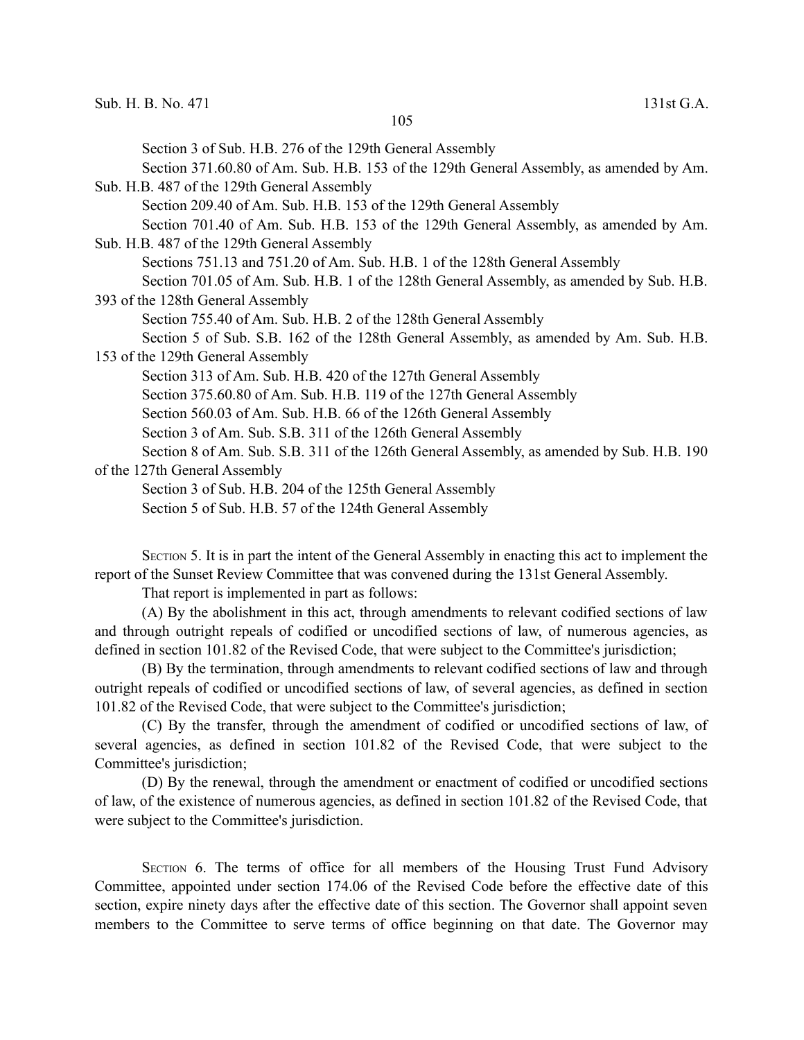Section 3 of Sub. H.B. 276 of the 129th General Assembly

Section 371.60.80 of Am. Sub. H.B. 153 of the 129th General Assembly, as amended by Am. Sub. H.B. 487 of the 129th General Assembly Section 209.40 of Am. Sub. H.B. 153 of the 129th General Assembly Section 701.40 of Am. Sub. H.B. 153 of the 129th General Assembly, as amended by Am. Sub. H.B. 487 of the 129th General Assembly Sections 751.13 and 751.20 of Am. Sub. H.B. 1 of the 128th General Assembly Section 701.05 of Am. Sub. H.B. 1 of the 128th General Assembly, as amended by Sub. H.B. 393 of the 128th General Assembly Section 755.40 of Am. Sub. H.B. 2 of the 128th General Assembly Section 5 of Sub. S.B. 162 of the 128th General Assembly, as amended by Am. Sub. H.B. 153 of the 129th General Assembly Section 313 of Am. Sub. H.B. 420 of the 127th General Assembly Section 375.60.80 of Am. Sub. H.B. 119 of the 127th General Assembly Section 560.03 of Am. Sub. H.B. 66 of the 126th General Assembly Section 3 of Am. Sub. S.B. 311 of the 126th General Assembly Section 8 of Am. Sub. S.B. 311 of the 126th General Assembly, as amended by Sub. H.B. 190 of the 127th General Assembly Section 3 of Sub. H.B. 204 of the 125th General Assembly Section 5 of Sub. H.B. 57 of the 124th General Assembly

SECTION 5. It is in part the intent of the General Assembly in enacting this act to implement the report of the Sunset Review Committee that was convened during the 131st General Assembly.

That report is implemented in part as follows:

(A) By the abolishment in this act, through amendments to relevant codified sections of law and through outright repeals of codified or uncodified sections of law, of numerous agencies, as defined in section 101.82 of the Revised Code, that were subject to the Committee's jurisdiction;

(B) By the termination, through amendments to relevant codified sections of law and through outright repeals of codified or uncodified sections of law, of several agencies, as defined in section 101.82 of the Revised Code, that were subject to the Committee's jurisdiction;

(C) By the transfer, through the amendment of codified or uncodified sections of law, of several agencies, as defined in section 101.82 of the Revised Code, that were subject to the Committee's jurisdiction;

(D) By the renewal, through the amendment or enactment of codified or uncodified sections of law, of the existence of numerous agencies, as defined in section 101.82 of the Revised Code, that were subject to the Committee's jurisdiction.

SECTION 6. The terms of office for all members of the Housing Trust Fund Advisory Committee, appointed under section 174.06 of the Revised Code before the effective date of this section, expire ninety days after the effective date of this section. The Governor shall appoint seven members to the Committee to serve terms of office beginning on that date. The Governor may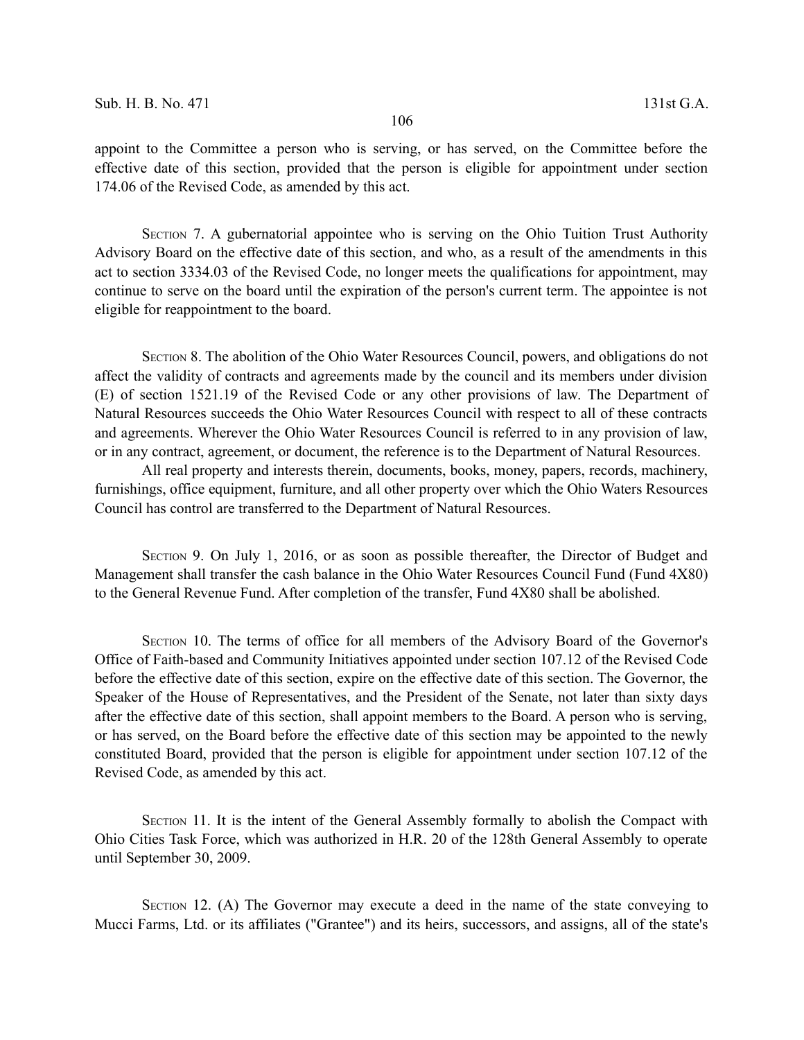appoint to the Committee a person who is serving, or has served, on the Committee before the effective date of this section, provided that the person is eligible for appointment under section 174.06 of the Revised Code, as amended by this act.

SECTION 7. A gubernatorial appointee who is serving on the Ohio Tuition Trust Authority Advisory Board on the effective date of this section, and who, as a result of the amendments in this act to section 3334.03 of the Revised Code, no longer meets the qualifications for appointment, may continue to serve on the board until the expiration of the person's current term. The appointee is not eligible for reappointment to the board.

SECTION 8. The abolition of the Ohio Water Resources Council, powers, and obligations do not affect the validity of contracts and agreements made by the council and its members under division (E) of section 1521.19 of the Revised Code or any other provisions of law. The Department of Natural Resources succeeds the Ohio Water Resources Council with respect to all of these contracts and agreements. Wherever the Ohio Water Resources Council is referred to in any provision of law, or in any contract, agreement, or document, the reference is to the Department of Natural Resources.

All real property and interests therein, documents, books, money, papers, records, machinery, furnishings, office equipment, furniture, and all other property over which the Ohio Waters Resources Council has control are transferred to the Department of Natural Resources.

SECTION 9. On July 1, 2016, or as soon as possible thereafter, the Director of Budget and Management shall transfer the cash balance in the Ohio Water Resources Council Fund (Fund 4X80) to the General Revenue Fund. After completion of the transfer, Fund 4X80 shall be abolished.

SECTION 10. The terms of office for all members of the Advisory Board of the Governor's Office of Faith-based and Community Initiatives appointed under section 107.12 of the Revised Code before the effective date of this section, expire on the effective date of this section. The Governor, the Speaker of the House of Representatives, and the President of the Senate, not later than sixty days after the effective date of this section, shall appoint members to the Board. A person who is serving, or has served, on the Board before the effective date of this section may be appointed to the newly constituted Board, provided that the person is eligible for appointment under section 107.12 of the Revised Code, as amended by this act.

SECTION 11. It is the intent of the General Assembly formally to abolish the Compact with Ohio Cities Task Force, which was authorized in H.R. 20 of the 128th General Assembly to operate until September 30, 2009.

SECTION 12. (A) The Governor may execute a deed in the name of the state conveying to Mucci Farms, Ltd. or its affiliates ("Grantee") and its heirs, successors, and assigns, all of the state's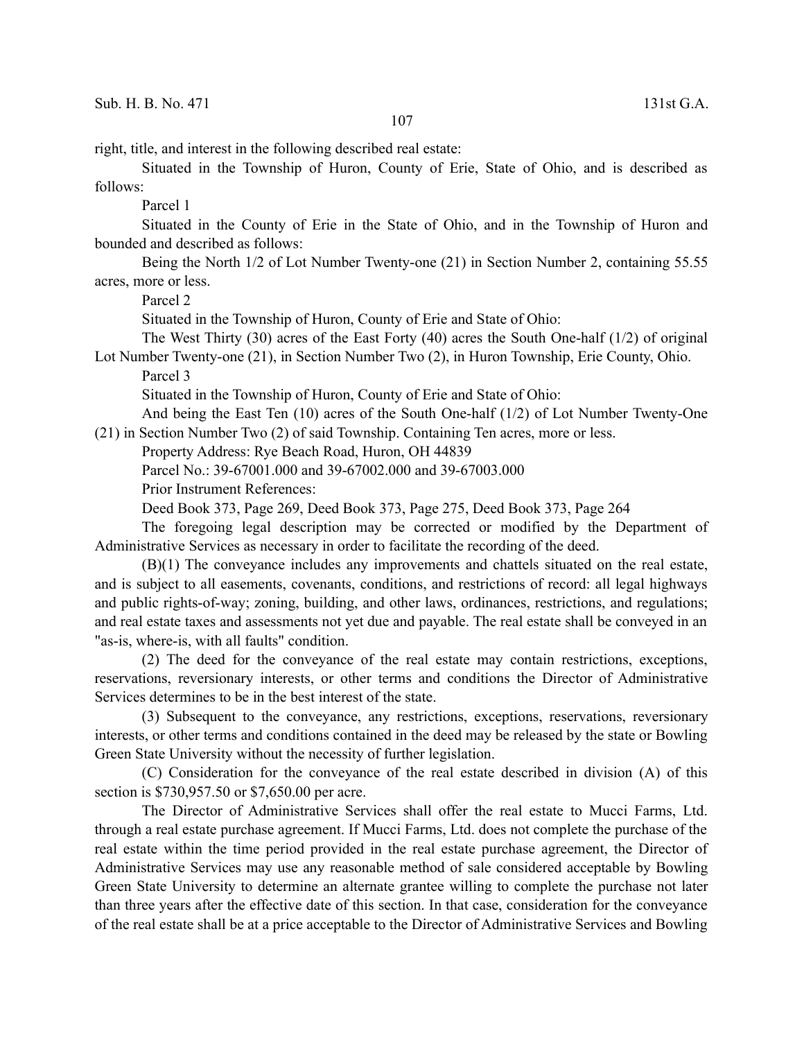right, title, and interest in the following described real estate:

Situated in the Township of Huron, County of Erie, State of Ohio, and is described as follows:

Parcel 1

Situated in the County of Erie in the State of Ohio, and in the Township of Huron and bounded and described as follows:

Being the North 1/2 of Lot Number Twenty-one (21) in Section Number 2, containing 55.55 acres, more or less.

Parcel 2

Situated in the Township of Huron, County of Erie and State of Ohio:

The West Thirty (30) acres of the East Forty (40) acres the South One-half (1/2) of original

Lot Number Twenty-one (21), in Section Number Two (2), in Huron Township, Erie County, Ohio. Parcel 3

Situated in the Township of Huron, County of Erie and State of Ohio:

And being the East Ten (10) acres of the South One-half (1/2) of Lot Number Twenty-One (21) in Section Number Two (2) of said Township. Containing Ten acres, more or less.

Property Address: Rye Beach Road, Huron, OH 44839

Parcel No.: 39-67001.000 and 39-67002.000 and 39-67003.000

Prior Instrument References:

Deed Book 373, Page 269, Deed Book 373, Page 275, Deed Book 373, Page 264

The foregoing legal description may be corrected or modified by the Department of Administrative Services as necessary in order to facilitate the recording of the deed.

(B)(1) The conveyance includes any improvements and chattels situated on the real estate, and is subject to all easements, covenants, conditions, and restrictions of record: all legal highways and public rights-of-way; zoning, building, and other laws, ordinances, restrictions, and regulations; and real estate taxes and assessments not yet due and payable. The real estate shall be conveyed in an "as-is, where-is, with all faults" condition.

(2) The deed for the conveyance of the real estate may contain restrictions, exceptions, reservations, reversionary interests, or other terms and conditions the Director of Administrative Services determines to be in the best interest of the state.

(3) Subsequent to the conveyance, any restrictions, exceptions, reservations, reversionary interests, or other terms and conditions contained in the deed may be released by the state or Bowling Green State University without the necessity of further legislation.

(C) Consideration for the conveyance of the real estate described in division (A) of this section is \$730,957.50 or \$7,650.00 per acre.

The Director of Administrative Services shall offer the real estate to Mucci Farms, Ltd. through a real estate purchase agreement. If Mucci Farms, Ltd. does not complete the purchase of the real estate within the time period provided in the real estate purchase agreement, the Director of Administrative Services may use any reasonable method of sale considered acceptable by Bowling Green State University to determine an alternate grantee willing to complete the purchase not later than three years after the effective date of this section. In that case, consideration for the conveyance of the real estate shall be at a price acceptable to the Director of Administrative Services and Bowling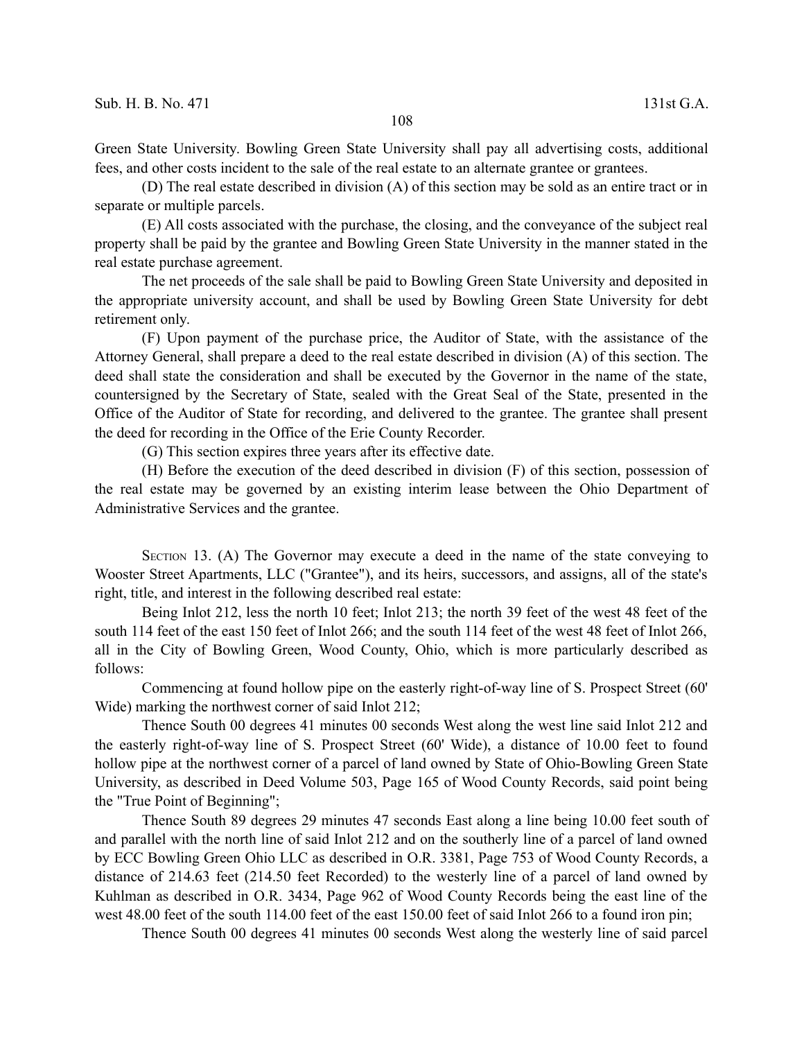Green State University. Bowling Green State University shall pay all advertising costs, additional fees, and other costs incident to the sale of the real estate to an alternate grantee or grantees.

(D) The real estate described in division (A) of this section may be sold as an entire tract or in separate or multiple parcels.

(E) All costs associated with the purchase, the closing, and the conveyance of the subject real property shall be paid by the grantee and Bowling Green State University in the manner stated in the real estate purchase agreement.

The net proceeds of the sale shall be paid to Bowling Green State University and deposited in the appropriate university account, and shall be used by Bowling Green State University for debt retirement only.

(F) Upon payment of the purchase price, the Auditor of State, with the assistance of the Attorney General, shall prepare a deed to the real estate described in division (A) of this section. The deed shall state the consideration and shall be executed by the Governor in the name of the state, countersigned by the Secretary of State, sealed with the Great Seal of the State, presented in the Office of the Auditor of State for recording, and delivered to the grantee. The grantee shall present the deed for recording in the Office of the Erie County Recorder.

(G) This section expires three years after its effective date.

(H) Before the execution of the deed described in division (F) of this section, possession of the real estate may be governed by an existing interim lease between the Ohio Department of Administrative Services and the grantee.

SECTION 13. (A) The Governor may execute a deed in the name of the state conveying to Wooster Street Apartments, LLC ("Grantee"), and its heirs, successors, and assigns, all of the state's right, title, and interest in the following described real estate:

Being Inlot 212, less the north 10 feet; Inlot 213; the north 39 feet of the west 48 feet of the south 114 feet of the east 150 feet of Inlot 266; and the south 114 feet of the west 48 feet of Inlot 266, all in the City of Bowling Green, Wood County, Ohio, which is more particularly described as follows:

Commencing at found hollow pipe on the easterly right-of-way line of S. Prospect Street (60' Wide) marking the northwest corner of said Inlot 212;

Thence South 00 degrees 41 minutes 00 seconds West along the west line said Inlot 212 and the easterly right-of-way line of S. Prospect Street (60' Wide), a distance of 10.00 feet to found hollow pipe at the northwest corner of a parcel of land owned by State of Ohio-Bowling Green State University, as described in Deed Volume 503, Page 165 of Wood County Records, said point being the "True Point of Beginning";

Thence South 89 degrees 29 minutes 47 seconds East along a line being 10.00 feet south of and parallel with the north line of said Inlot 212 and on the southerly line of a parcel of land owned by ECC Bowling Green Ohio LLC as described in O.R. 3381, Page 753 of Wood County Records, a distance of 214.63 feet (214.50 feet Recorded) to the westerly line of a parcel of land owned by Kuhlman as described in O.R. 3434, Page 962 of Wood County Records being the east line of the west 48.00 feet of the south 114.00 feet of the east 150.00 feet of said Inlot 266 to a found iron pin;

Thence South 00 degrees 41 minutes 00 seconds West along the westerly line of said parcel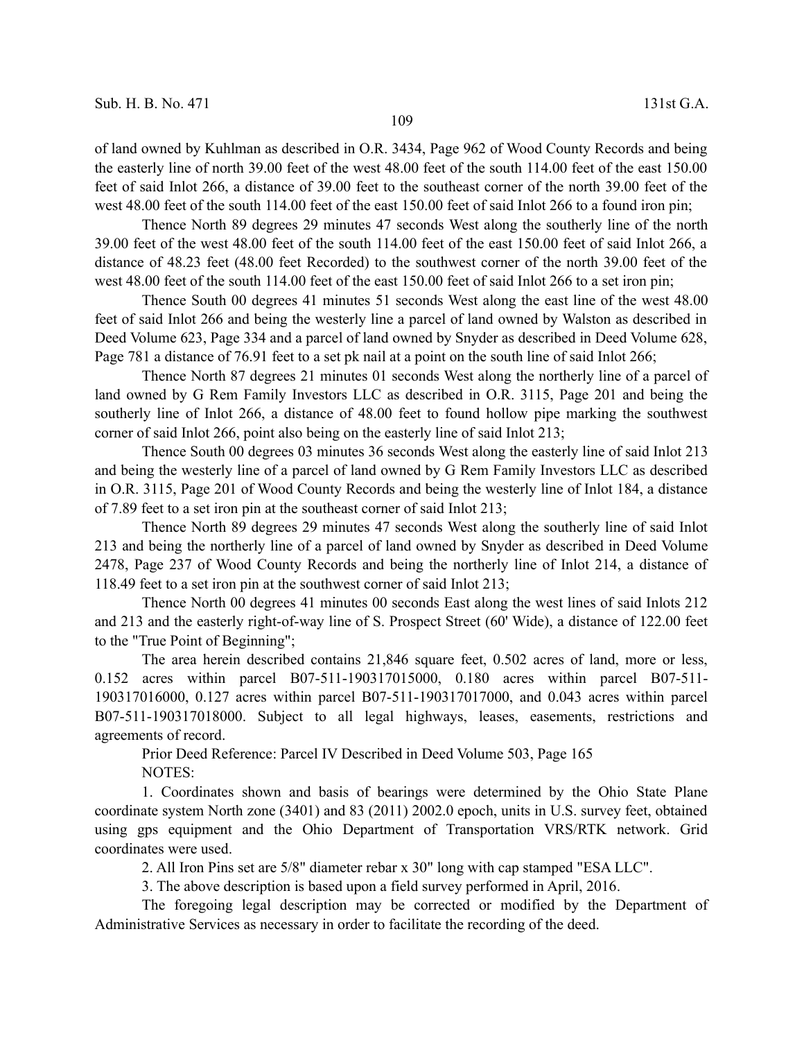of land owned by Kuhlman as described in O.R. 3434, Page 962 of Wood County Records and being the easterly line of north 39.00 feet of the west 48.00 feet of the south 114.00 feet of the east 150.00 feet of said Inlot 266, a distance of 39.00 feet to the southeast corner of the north 39.00 feet of the west 48.00 feet of the south 114.00 feet of the east 150.00 feet of said Inlot 266 to a found iron pin;

Thence North 89 degrees 29 minutes 47 seconds West along the southerly line of the north 39.00 feet of the west 48.00 feet of the south 114.00 feet of the east 150.00 feet of said Inlot 266, a distance of 48.23 feet (48.00 feet Recorded) to the southwest corner of the north 39.00 feet of the west 48.00 feet of the south 114.00 feet of the east 150.00 feet of said Inlot 266 to a set iron pin;

Thence South 00 degrees 41 minutes 51 seconds West along the east line of the west 48.00 feet of said Inlot 266 and being the westerly line a parcel of land owned by Walston as described in Deed Volume 623, Page 334 and a parcel of land owned by Snyder as described in Deed Volume 628, Page 781 a distance of 76.91 feet to a set pk nail at a point on the south line of said Inlot 266;

Thence North 87 degrees 21 minutes 01 seconds West along the northerly line of a parcel of land owned by G Rem Family Investors LLC as described in O.R. 3115, Page 201 and being the southerly line of Inlot 266, a distance of 48.00 feet to found hollow pipe marking the southwest corner of said Inlot 266, point also being on the easterly line of said Inlot 213;

Thence South 00 degrees 03 minutes 36 seconds West along the easterly line of said Inlot 213 and being the westerly line of a parcel of land owned by G Rem Family Investors LLC as described in O.R. 3115, Page 201 of Wood County Records and being the westerly line of Inlot 184, a distance of 7.89 feet to a set iron pin at the southeast corner of said Inlot 213;

Thence North 89 degrees 29 minutes 47 seconds West along the southerly line of said Inlot 213 and being the northerly line of a parcel of land owned by Snyder as described in Deed Volume 2478, Page 237 of Wood County Records and being the northerly line of Inlot 214, a distance of 118.49 feet to a set iron pin at the southwest corner of said Inlot 213;

Thence North 00 degrees 41 minutes 00 seconds East along the west lines of said Inlots 212 and 213 and the easterly right-of-way line of S. Prospect Street (60' Wide), a distance of 122.00 feet to the "True Point of Beginning";

The area herein described contains 21,846 square feet, 0.502 acres of land, more or less, 0.152 acres within parcel B07-511-190317015000, 0.180 acres within parcel B07-511- 190317016000, 0.127 acres within parcel B07-511-190317017000, and 0.043 acres within parcel B07-511-190317018000. Subject to all legal highways, leases, easements, restrictions and agreements of record.

Prior Deed Reference: Parcel IV Described in Deed Volume 503, Page 165 NOTES:

1. Coordinates shown and basis of bearings were determined by the Ohio State Plane coordinate system North zone (3401) and 83 (2011) 2002.0 epoch, units in U.S. survey feet, obtained using gps equipment and the Ohio Department of Transportation VRS/RTK network. Grid coordinates were used.

2. All Iron Pins set are 5/8" diameter rebar x 30" long with cap stamped "ESA LLC".

3. The above description is based upon a field survey performed in April, 2016.

The foregoing legal description may be corrected or modified by the Department of Administrative Services as necessary in order to facilitate the recording of the deed.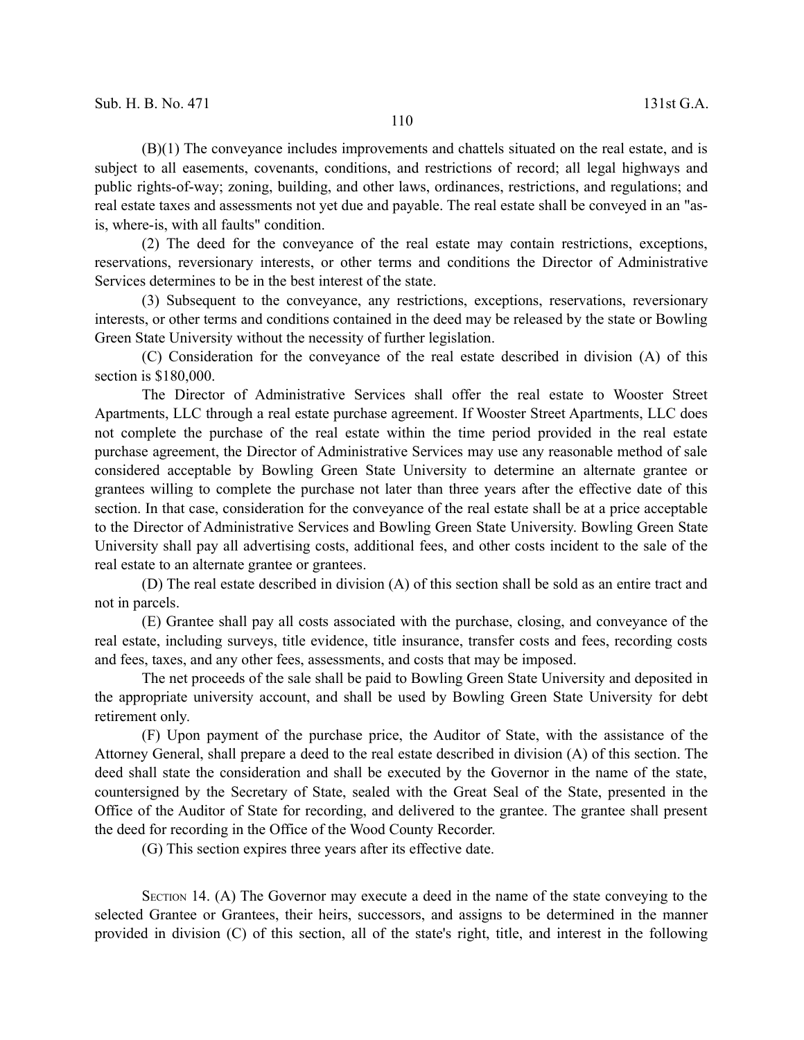(B)(1) The conveyance includes improvements and chattels situated on the real estate, and is subject to all easements, covenants, conditions, and restrictions of record; all legal highways and public rights-of-way; zoning, building, and other laws, ordinances, restrictions, and regulations; and real estate taxes and assessments not yet due and payable. The real estate shall be conveyed in an "asis, where-is, with all faults" condition.

(2) The deed for the conveyance of the real estate may contain restrictions, exceptions, reservations, reversionary interests, or other terms and conditions the Director of Administrative Services determines to be in the best interest of the state.

(3) Subsequent to the conveyance, any restrictions, exceptions, reservations, reversionary interests, or other terms and conditions contained in the deed may be released by the state or Bowling Green State University without the necessity of further legislation.

(C) Consideration for the conveyance of the real estate described in division (A) of this section is \$180,000.

The Director of Administrative Services shall offer the real estate to Wooster Street Apartments, LLC through a real estate purchase agreement. If Wooster Street Apartments, LLC does not complete the purchase of the real estate within the time period provided in the real estate purchase agreement, the Director of Administrative Services may use any reasonable method of sale considered acceptable by Bowling Green State University to determine an alternate grantee or grantees willing to complete the purchase not later than three years after the effective date of this section. In that case, consideration for the conveyance of the real estate shall be at a price acceptable to the Director of Administrative Services and Bowling Green State University. Bowling Green State University shall pay all advertising costs, additional fees, and other costs incident to the sale of the real estate to an alternate grantee or grantees.

(D) The real estate described in division (A) of this section shall be sold as an entire tract and not in parcels.

(E) Grantee shall pay all costs associated with the purchase, closing, and conveyance of the real estate, including surveys, title evidence, title insurance, transfer costs and fees, recording costs and fees, taxes, and any other fees, assessments, and costs that may be imposed.

The net proceeds of the sale shall be paid to Bowling Green State University and deposited in the appropriate university account, and shall be used by Bowling Green State University for debt retirement only.

(F) Upon payment of the purchase price, the Auditor of State, with the assistance of the Attorney General, shall prepare a deed to the real estate described in division (A) of this section. The deed shall state the consideration and shall be executed by the Governor in the name of the state, countersigned by the Secretary of State, sealed with the Great Seal of the State, presented in the Office of the Auditor of State for recording, and delivered to the grantee. The grantee shall present the deed for recording in the Office of the Wood County Recorder.

(G) This section expires three years after its effective date.

SECTION 14. (A) The Governor may execute a deed in the name of the state conveying to the selected Grantee or Grantees, their heirs, successors, and assigns to be determined in the manner provided in division (C) of this section, all of the state's right, title, and interest in the following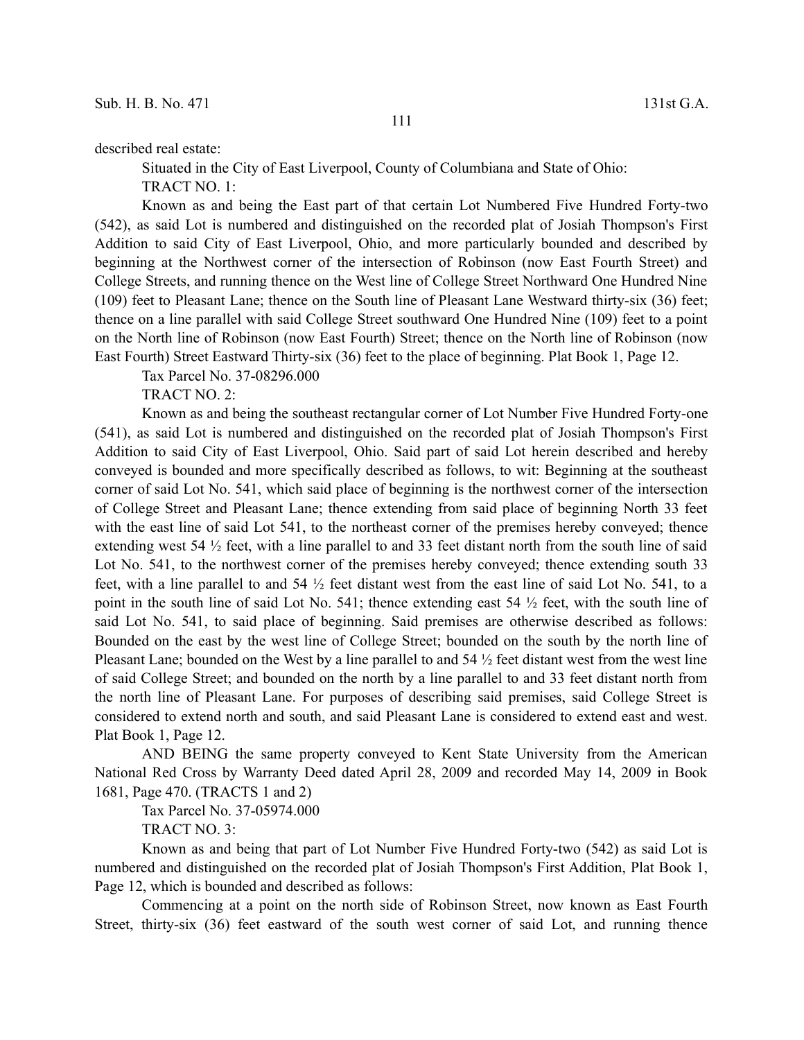described real estate:

Situated in the City of East Liverpool, County of Columbiana and State of Ohio: TRACT NO. 1:

Known as and being the East part of that certain Lot Numbered Five Hundred Forty-two (542), as said Lot is numbered and distinguished on the recorded plat of Josiah Thompson's First Addition to said City of East Liverpool, Ohio, and more particularly bounded and described by beginning at the Northwest corner of the intersection of Robinson (now East Fourth Street) and College Streets, and running thence on the West line of College Street Northward One Hundred Nine (109) feet to Pleasant Lane; thence on the South line of Pleasant Lane Westward thirty-six (36) feet; thence on a line parallel with said College Street southward One Hundred Nine (109) feet to a point on the North line of Robinson (now East Fourth) Street; thence on the North line of Robinson (now East Fourth) Street Eastward Thirty-six (36) feet to the place of beginning. Plat Book 1, Page 12.

Tax Parcel No. 37-08296.000

TRACT NO. 2:

Known as and being the southeast rectangular corner of Lot Number Five Hundred Forty-one (541), as said Lot is numbered and distinguished on the recorded plat of Josiah Thompson's First Addition to said City of East Liverpool, Ohio. Said part of said Lot herein described and hereby conveyed is bounded and more specifically described as follows, to wit: Beginning at the southeast corner of said Lot No. 541, which said place of beginning is the northwest corner of the intersection of College Street and Pleasant Lane; thence extending from said place of beginning North 33 feet with the east line of said Lot 541, to the northeast corner of the premises hereby conveyed; thence extending west 54 ½ feet, with a line parallel to and 33 feet distant north from the south line of said Lot No. 541, to the northwest corner of the premises hereby conveyed; thence extending south 33 feet, with a line parallel to and 54 ½ feet distant west from the east line of said Lot No. 541, to a point in the south line of said Lot No. 541; thence extending east  $54\frac{1}{2}$  feet, with the south line of said Lot No. 541, to said place of beginning. Said premises are otherwise described as follows: Bounded on the east by the west line of College Street; bounded on the south by the north line of Pleasant Lane; bounded on the West by a line parallel to and  $54\frac{1}{2}$  feet distant west from the west line of said College Street; and bounded on the north by a line parallel to and 33 feet distant north from the north line of Pleasant Lane. For purposes of describing said premises, said College Street is considered to extend north and south, and said Pleasant Lane is considered to extend east and west. Plat Book 1, Page 12.

AND BEING the same property conveyed to Kent State University from the American National Red Cross by Warranty Deed dated April 28, 2009 and recorded May 14, 2009 in Book 1681, Page 470. (TRACTS 1 and 2)

Tax Parcel No. 37-05974.000

TRACT NO. 3:

Known as and being that part of Lot Number Five Hundred Forty-two (542) as said Lot is numbered and distinguished on the recorded plat of Josiah Thompson's First Addition, Plat Book 1, Page 12, which is bounded and described as follows:

Commencing at a point on the north side of Robinson Street, now known as East Fourth Street, thirty-six (36) feet eastward of the south west corner of said Lot, and running thence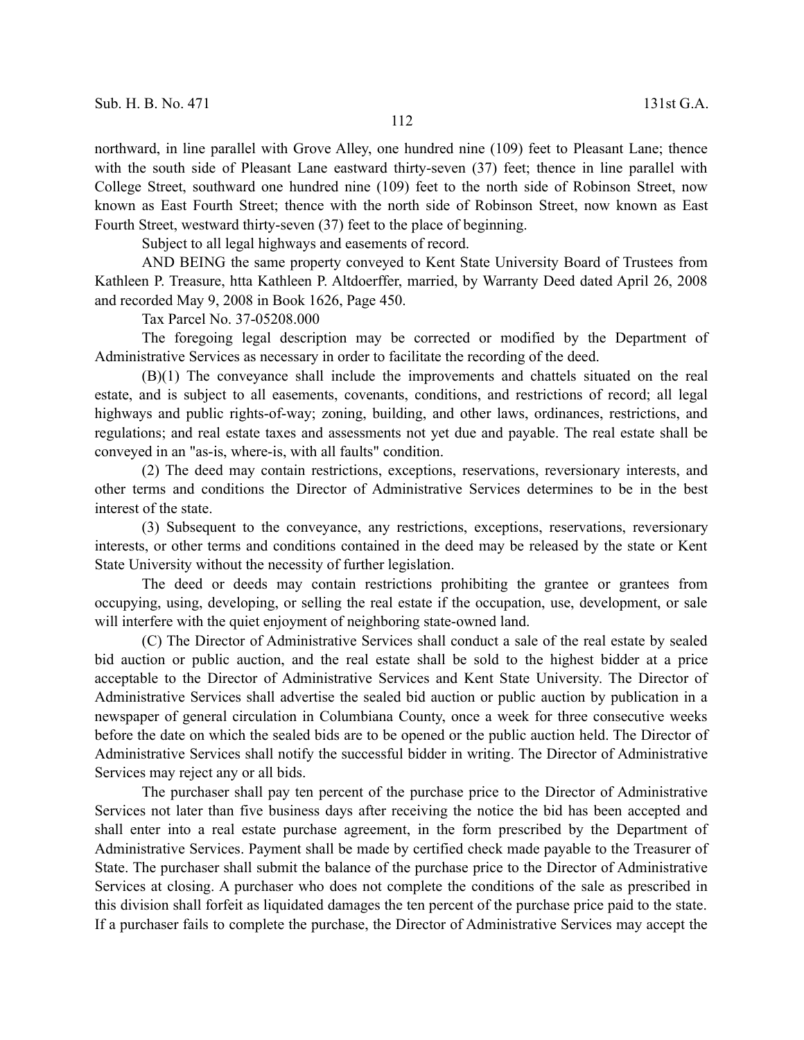northward, in line parallel with Grove Alley, one hundred nine (109) feet to Pleasant Lane; thence with the south side of Pleasant Lane eastward thirty-seven (37) feet; thence in line parallel with College Street, southward one hundred nine (109) feet to the north side of Robinson Street, now known as East Fourth Street; thence with the north side of Robinson Street, now known as East Fourth Street, westward thirty-seven (37) feet to the place of beginning.

Subject to all legal highways and easements of record.

AND BEING the same property conveyed to Kent State University Board of Trustees from Kathleen P. Treasure, htta Kathleen P. Altdoerffer, married, by Warranty Deed dated April 26, 2008 and recorded May 9, 2008 in Book 1626, Page 450.

Tax Parcel No. 37-05208.000

The foregoing legal description may be corrected or modified by the Department of Administrative Services as necessary in order to facilitate the recording of the deed.

(B)(1) The conveyance shall include the improvements and chattels situated on the real estate, and is subject to all easements, covenants, conditions, and restrictions of record; all legal highways and public rights-of-way; zoning, building, and other laws, ordinances, restrictions, and regulations; and real estate taxes and assessments not yet due and payable. The real estate shall be conveyed in an "as-is, where-is, with all faults" condition.

(2) The deed may contain restrictions, exceptions, reservations, reversionary interests, and other terms and conditions the Director of Administrative Services determines to be in the best interest of the state.

(3) Subsequent to the conveyance, any restrictions, exceptions, reservations, reversionary interests, or other terms and conditions contained in the deed may be released by the state or Kent State University without the necessity of further legislation.

The deed or deeds may contain restrictions prohibiting the grantee or grantees from occupying, using, developing, or selling the real estate if the occupation, use, development, or sale will interfere with the quiet enjoyment of neighboring state-owned land.

(C) The Director of Administrative Services shall conduct a sale of the real estate by sealed bid auction or public auction, and the real estate shall be sold to the highest bidder at a price acceptable to the Director of Administrative Services and Kent State University. The Director of Administrative Services shall advertise the sealed bid auction or public auction by publication in a newspaper of general circulation in Columbiana County, once a week for three consecutive weeks before the date on which the sealed bids are to be opened or the public auction held. The Director of Administrative Services shall notify the successful bidder in writing. The Director of Administrative Services may reject any or all bids.

The purchaser shall pay ten percent of the purchase price to the Director of Administrative Services not later than five business days after receiving the notice the bid has been accepted and shall enter into a real estate purchase agreement, in the form prescribed by the Department of Administrative Services. Payment shall be made by certified check made payable to the Treasurer of State. The purchaser shall submit the balance of the purchase price to the Director of Administrative Services at closing. A purchaser who does not complete the conditions of the sale as prescribed in this division shall forfeit as liquidated damages the ten percent of the purchase price paid to the state. If a purchaser fails to complete the purchase, the Director of Administrative Services may accept the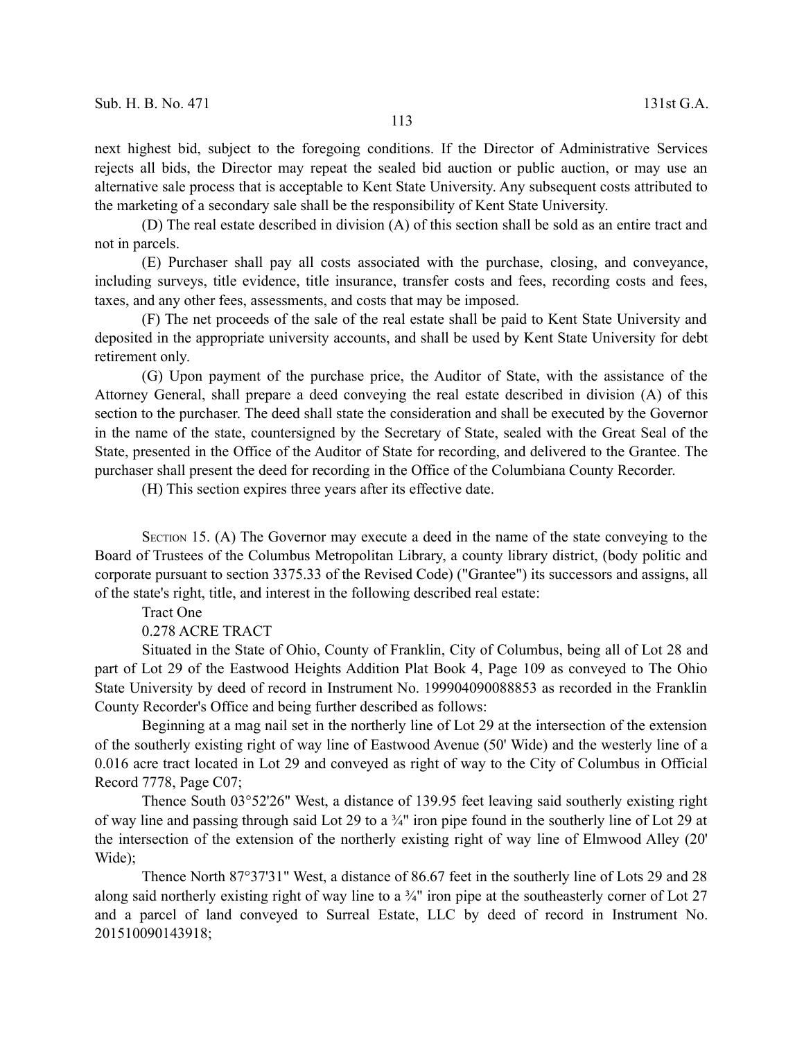next highest bid, subject to the foregoing conditions. If the Director of Administrative Services rejects all bids, the Director may repeat the sealed bid auction or public auction, or may use an alternative sale process that is acceptable to Kent State University. Any subsequent costs attributed to the marketing of a secondary sale shall be the responsibility of Kent State University.

(D) The real estate described in division (A) of this section shall be sold as an entire tract and not in parcels.

(E) Purchaser shall pay all costs associated with the purchase, closing, and conveyance, including surveys, title evidence, title insurance, transfer costs and fees, recording costs and fees, taxes, and any other fees, assessments, and costs that may be imposed.

(F) The net proceeds of the sale of the real estate shall be paid to Kent State University and deposited in the appropriate university accounts, and shall be used by Kent State University for debt retirement only.

(G) Upon payment of the purchase price, the Auditor of State, with the assistance of the Attorney General, shall prepare a deed conveying the real estate described in division (A) of this section to the purchaser. The deed shall state the consideration and shall be executed by the Governor in the name of the state, countersigned by the Secretary of State, sealed with the Great Seal of the State, presented in the Office of the Auditor of State for recording, and delivered to the Grantee. The purchaser shall present the deed for recording in the Office of the Columbiana County Recorder.

(H) This section expires three years after its effective date.

SECTION 15. (A) The Governor may execute a deed in the name of the state conveying to the Board of Trustees of the Columbus Metropolitan Library, a county library district, (body politic and corporate pursuant to section 3375.33 of the Revised Code) ("Grantee") its successors and assigns, all of the state's right, title, and interest in the following described real estate:

Tract One

0.278 ACRE TRACT

Situated in the State of Ohio, County of Franklin, City of Columbus, being all of Lot 28 and part of Lot 29 of the Eastwood Heights Addition Plat Book 4, Page 109 as conveyed to The Ohio State University by deed of record in Instrument No. 199904090088853 as recorded in the Franklin County Recorder's Office and being further described as follows:

Beginning at a mag nail set in the northerly line of Lot 29 at the intersection of the extension of the southerly existing right of way line of Eastwood Avenue (50' Wide) and the westerly line of a 0.016 acre tract located in Lot 29 and conveyed as right of way to the City of Columbus in Official Record 7778, Page C07;

Thence South 03°52'26" West, a distance of 139.95 feet leaving said southerly existing right of way line and passing through said Lot 29 to a ¾" iron pipe found in the southerly line of Lot 29 at the intersection of the extension of the northerly existing right of way line of Elmwood Alley (20' Wide);

Thence North 87°37'31" West, a distance of 86.67 feet in the southerly line of Lots 29 and 28 along said northerly existing right of way line to a ¾" iron pipe at the southeasterly corner of Lot 27 and a parcel of land conveyed to Surreal Estate, LLC by deed of record in Instrument No. 201510090143918;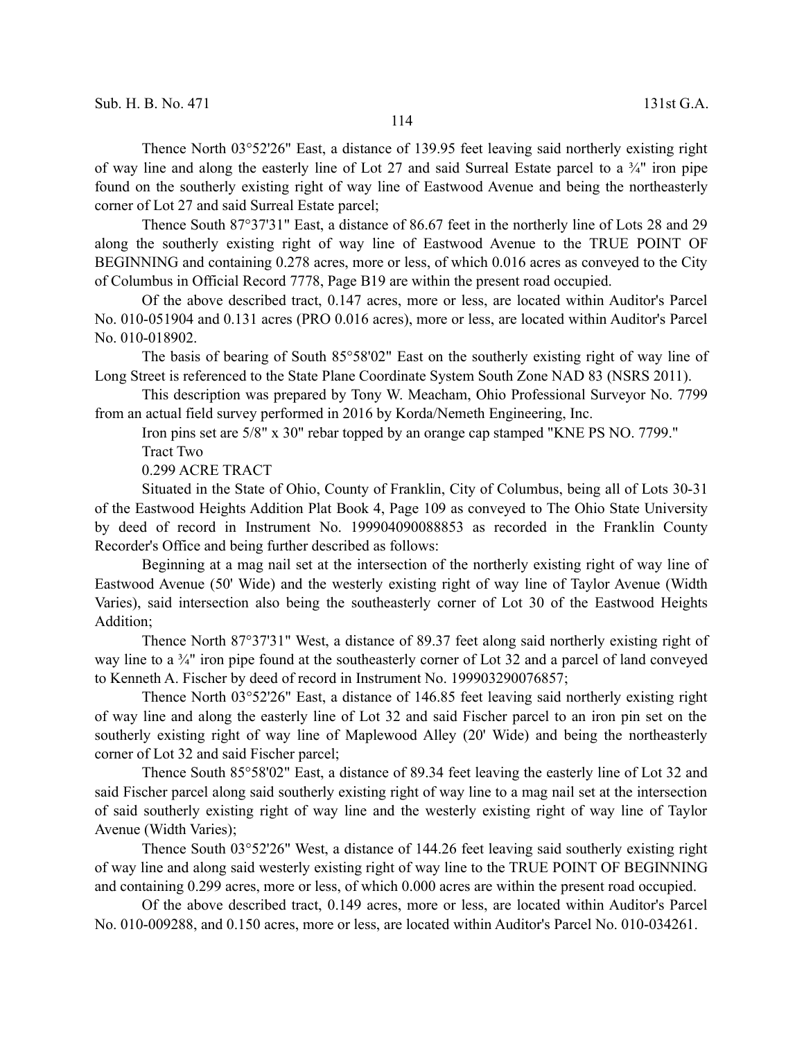Thence North 03°52'26" East, a distance of 139.95 feet leaving said northerly existing right of way line and along the easterly line of Lot 27 and said Surreal Estate parcel to a ¾" iron pipe found on the southerly existing right of way line of Eastwood Avenue and being the northeasterly corner of Lot 27 and said Surreal Estate parcel;

Thence South 87°37'31" East, a distance of 86.67 feet in the northerly line of Lots 28 and 29 along the southerly existing right of way line of Eastwood Avenue to the TRUE POINT OF BEGINNING and containing 0.278 acres, more or less, of which 0.016 acres as conveyed to the City of Columbus in Official Record 7778, Page B19 are within the present road occupied.

Of the above described tract, 0.147 acres, more or less, are located within Auditor's Parcel No. 010-051904 and 0.131 acres (PRO 0.016 acres), more or less, are located within Auditor's Parcel No. 010-018902.

The basis of bearing of South 85°58'02" East on the southerly existing right of way line of Long Street is referenced to the State Plane Coordinate System South Zone NAD 83 (NSRS 2011).

This description was prepared by Tony W. Meacham, Ohio Professional Surveyor No. 7799 from an actual field survey performed in 2016 by Korda/Nemeth Engineering, Inc.

Iron pins set are 5/8" x 30" rebar topped by an orange cap stamped "KNE PS NO. 7799." Tract Two

0.299 ACRE TRACT

Situated in the State of Ohio, County of Franklin, City of Columbus, being all of Lots 30-31 of the Eastwood Heights Addition Plat Book 4, Page 109 as conveyed to The Ohio State University by deed of record in Instrument No. 199904090088853 as recorded in the Franklin County Recorder's Office and being further described as follows:

Beginning at a mag nail set at the intersection of the northerly existing right of way line of Eastwood Avenue (50' Wide) and the westerly existing right of way line of Taylor Avenue (Width Varies), said intersection also being the southeasterly corner of Lot 30 of the Eastwood Heights Addition;

Thence North 87°37'31" West, a distance of 89.37 feet along said northerly existing right of way line to a <sup>3/4</sup> iron pipe found at the southeasterly corner of Lot 32 and a parcel of land conveyed to Kenneth A. Fischer by deed of record in Instrument No. 199903290076857;

Thence North 03°52'26" East, a distance of 146.85 feet leaving said northerly existing right of way line and along the easterly line of Lot 32 and said Fischer parcel to an iron pin set on the southerly existing right of way line of Maplewood Alley (20' Wide) and being the northeasterly corner of Lot 32 and said Fischer parcel;

Thence South 85°58'02" East, a distance of 89.34 feet leaving the easterly line of Lot 32 and said Fischer parcel along said southerly existing right of way line to a mag nail set at the intersection of said southerly existing right of way line and the westerly existing right of way line of Taylor Avenue (Width Varies);

Thence South 03°52'26" West, a distance of 144.26 feet leaving said southerly existing right of way line and along said westerly existing right of way line to the TRUE POINT OF BEGINNING and containing 0.299 acres, more or less, of which 0.000 acres are within the present road occupied.

Of the above described tract, 0.149 acres, more or less, are located within Auditor's Parcel No. 010-009288, and 0.150 acres, more or less, are located within Auditor's Parcel No. 010-034261.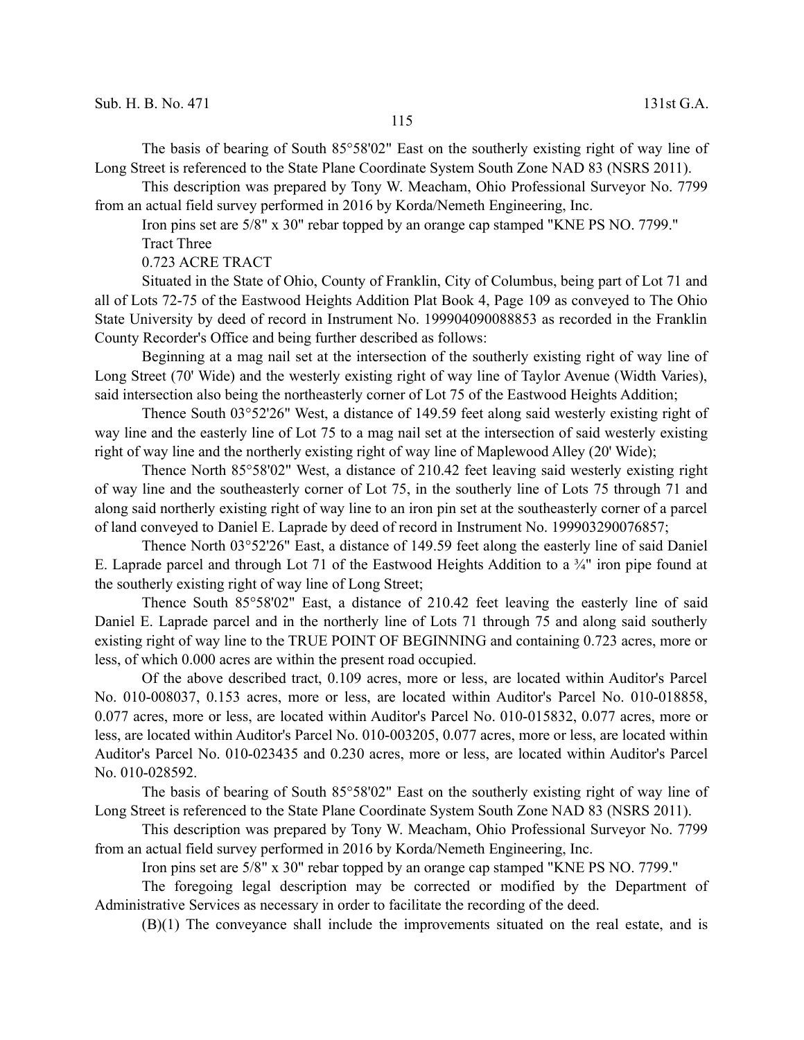The basis of bearing of South 85°58'02" East on the southerly existing right of way line of Long Street is referenced to the State Plane Coordinate System South Zone NAD 83 (NSRS 2011).

This description was prepared by Tony W. Meacham, Ohio Professional Surveyor No. 7799 from an actual field survey performed in 2016 by Korda/Nemeth Engineering, Inc.

Iron pins set are 5/8" x 30" rebar topped by an orange cap stamped "KNE PS NO. 7799." Tract Three

0.723 ACRE TRACT

Situated in the State of Ohio, County of Franklin, City of Columbus, being part of Lot 71 and all of Lots 72-75 of the Eastwood Heights Addition Plat Book 4, Page 109 as conveyed to The Ohio State University by deed of record in Instrument No. 199904090088853 as recorded in the Franklin County Recorder's Office and being further described as follows:

Beginning at a mag nail set at the intersection of the southerly existing right of way line of Long Street (70' Wide) and the westerly existing right of way line of Taylor Avenue (Width Varies), said intersection also being the northeasterly corner of Lot 75 of the Eastwood Heights Addition;

Thence South 03°52'26" West, a distance of 149.59 feet along said westerly existing right of way line and the easterly line of Lot 75 to a mag nail set at the intersection of said westerly existing right of way line and the northerly existing right of way line of Maplewood Alley (20' Wide);

Thence North 85°58'02" West, a distance of 210.42 feet leaving said westerly existing right of way line and the southeasterly corner of Lot 75, in the southerly line of Lots 75 through 71 and along said northerly existing right of way line to an iron pin set at the southeasterly corner of a parcel of land conveyed to Daniel E. Laprade by deed of record in Instrument No. 199903290076857;

Thence North 03°52'26" East, a distance of 149.59 feet along the easterly line of said Daniel E. Laprade parcel and through Lot 71 of the Eastwood Heights Addition to a ¾" iron pipe found at the southerly existing right of way line of Long Street;

Thence South 85°58'02" East, a distance of 210.42 feet leaving the easterly line of said Daniel E. Laprade parcel and in the northerly line of Lots 71 through 75 and along said southerly existing right of way line to the TRUE POINT OF BEGINNING and containing 0.723 acres, more or less, of which 0.000 acres are within the present road occupied.

Of the above described tract, 0.109 acres, more or less, are located within Auditor's Parcel No. 010-008037, 0.153 acres, more or less, are located within Auditor's Parcel No. 010-018858, 0.077 acres, more or less, are located within Auditor's Parcel No. 010-015832, 0.077 acres, more or less, are located within Auditor's Parcel No. 010-003205, 0.077 acres, more or less, are located within Auditor's Parcel No. 010-023435 and 0.230 acres, more or less, are located within Auditor's Parcel No. 010-028592.

The basis of bearing of South 85°58'02" East on the southerly existing right of way line of Long Street is referenced to the State Plane Coordinate System South Zone NAD 83 (NSRS 2011).

This description was prepared by Tony W. Meacham, Ohio Professional Surveyor No. 7799 from an actual field survey performed in 2016 by Korda/Nemeth Engineering, Inc.

Iron pins set are 5/8" x 30" rebar topped by an orange cap stamped "KNE PS NO. 7799."

The foregoing legal description may be corrected or modified by the Department of Administrative Services as necessary in order to facilitate the recording of the deed.

(B)(1) The conveyance shall include the improvements situated on the real estate, and is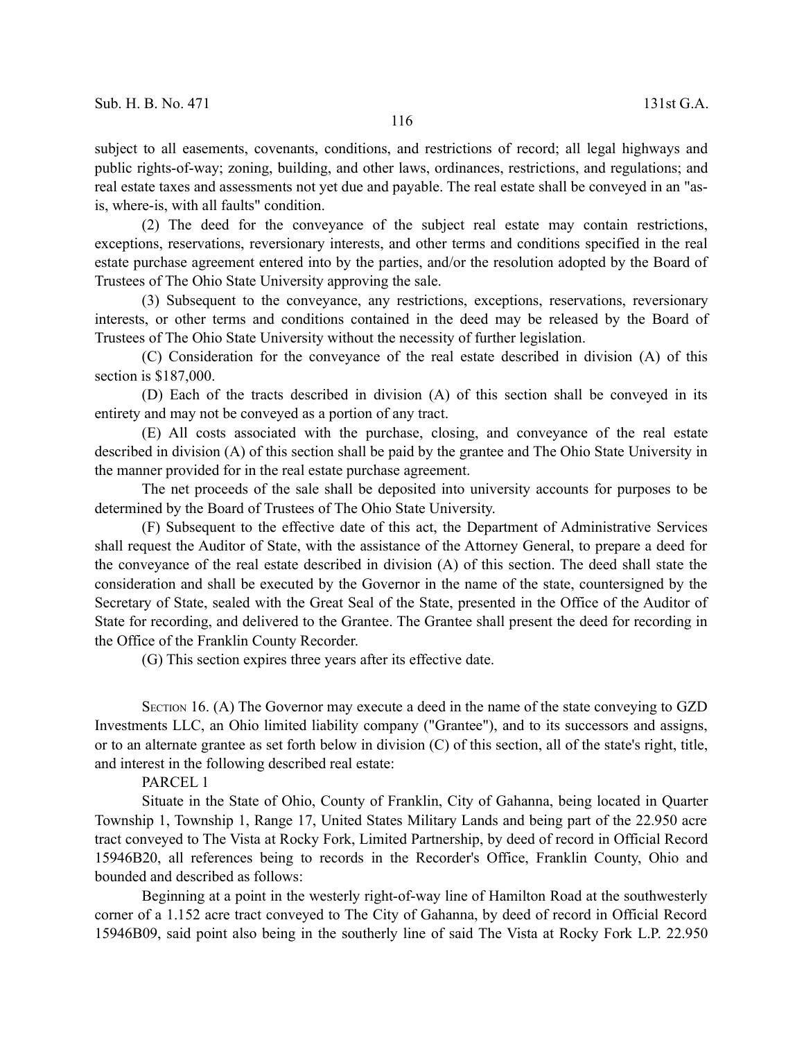subject to all easements, covenants, conditions, and restrictions of record; all legal highways and public rights-of-way; zoning, building, and other laws, ordinances, restrictions, and regulations; and real estate taxes and assessments not yet due and payable. The real estate shall be conveyed in an "asis, where-is, with all faults" condition.

(2) The deed for the conveyance of the subject real estate may contain restrictions, exceptions, reservations, reversionary interests, and other terms and conditions specified in the real estate purchase agreement entered into by the parties, and/or the resolution adopted by the Board of Trustees of The Ohio State University approving the sale.

(3) Subsequent to the conveyance, any restrictions, exceptions, reservations, reversionary interests, or other terms and conditions contained in the deed may be released by the Board of Trustees of The Ohio State University without the necessity of further legislation.

(C) Consideration for the conveyance of the real estate described in division (A) of this section is \$187,000.

(D) Each of the tracts described in division (A) of this section shall be conveyed in its entirety and may not be conveyed as a portion of any tract.

(E) All costs associated with the purchase, closing, and conveyance of the real estate described in division (A) of this section shall be paid by the grantee and The Ohio State University in the manner provided for in the real estate purchase agreement.

The net proceeds of the sale shall be deposited into university accounts for purposes to be determined by the Board of Trustees of The Ohio State University.

(F) Subsequent to the effective date of this act, the Department of Administrative Services shall request the Auditor of State, with the assistance of the Attorney General, to prepare a deed for the conveyance of the real estate described in division (A) of this section. The deed shall state the consideration and shall be executed by the Governor in the name of the state, countersigned by the Secretary of State, sealed with the Great Seal of the State, presented in the Office of the Auditor of State for recording, and delivered to the Grantee. The Grantee shall present the deed for recording in the Office of the Franklin County Recorder.

(G) This section expires three years after its effective date.

SECTION 16. (A) The Governor may execute a deed in the name of the state conveying to GZD Investments LLC, an Ohio limited liability company ("Grantee"), and to its successors and assigns, or to an alternate grantee as set forth below in division (C) of this section, all of the state's right, title, and interest in the following described real estate:

## PARCEL 1

Situate in the State of Ohio, County of Franklin, City of Gahanna, being located in Quarter Township 1, Township 1, Range 17, United States Military Lands and being part of the 22.950 acre tract conveyed to The Vista at Rocky Fork, Limited Partnership, by deed of record in Official Record 15946B20, all references being to records in the Recorder's Office, Franklin County, Ohio and bounded and described as follows:

Beginning at a point in the westerly right-of-way line of Hamilton Road at the southwesterly corner of a 1.152 acre tract conveyed to The City of Gahanna, by deed of record in Official Record 15946B09, said point also being in the southerly line of said The Vista at Rocky Fork L.P. 22.950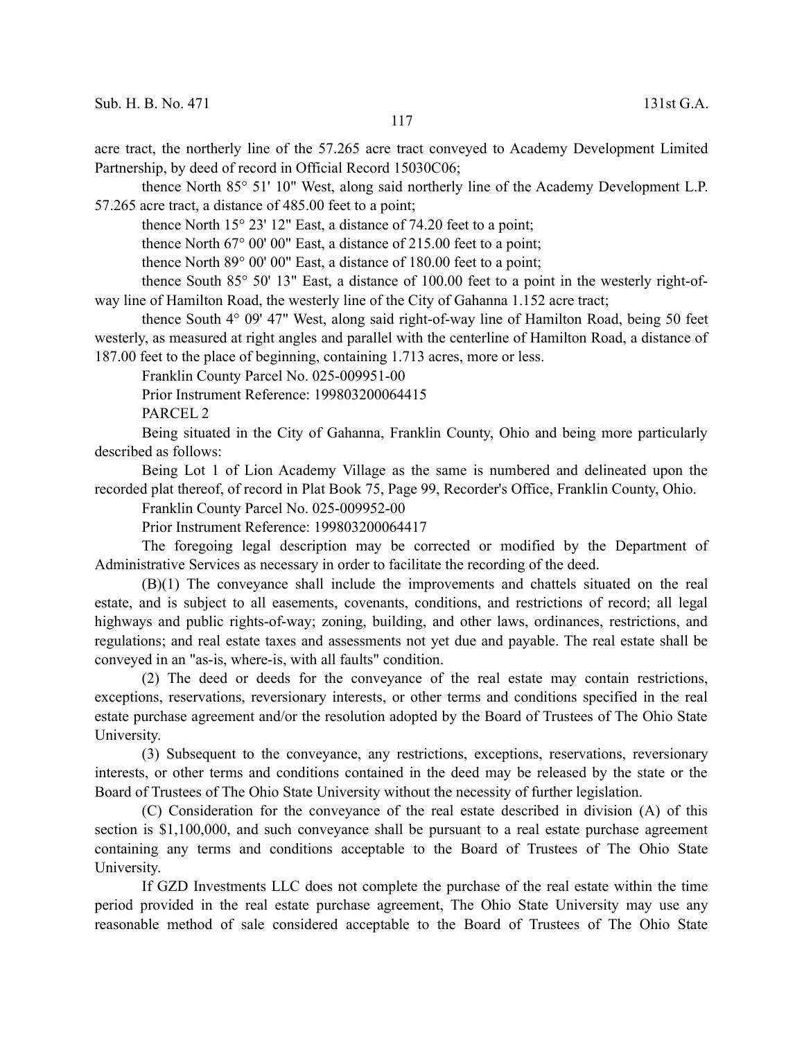acre tract, the northerly line of the 57.265 acre tract conveyed to Academy Development Limited Partnership, by deed of record in Official Record 15030C06;

thence North 85° 51' 10" West, along said northerly line of the Academy Development L.P. 57.265 acre tract, a distance of 485.00 feet to a point;

thence North 15° 23' 12" East, a distance of 74.20 feet to a point;

thence North 67° 00' 00" East, a distance of 215.00 feet to a point;

thence North 89° 00' 00" East, a distance of 180.00 feet to a point;

thence South 85° 50' 13" East, a distance of 100.00 feet to a point in the westerly right-ofway line of Hamilton Road, the westerly line of the City of Gahanna 1.152 acre tract;

thence South 4° 09' 47" West, along said right-of-way line of Hamilton Road, being 50 feet westerly, as measured at right angles and parallel with the centerline of Hamilton Road, a distance of 187.00 feet to the place of beginning, containing 1.713 acres, more or less.

Franklin County Parcel No. 025-009951-00

Prior Instrument Reference: 199803200064415

PARCEL 2

Being situated in the City of Gahanna, Franklin County, Ohio and being more particularly described as follows:

Being Lot 1 of Lion Academy Village as the same is numbered and delineated upon the recorded plat thereof, of record in Plat Book 75, Page 99, Recorder's Office, Franklin County, Ohio.

Franklin County Parcel No. 025-009952-00

Prior Instrument Reference: 199803200064417

The foregoing legal description may be corrected or modified by the Department of Administrative Services as necessary in order to facilitate the recording of the deed.

(B)(1) The conveyance shall include the improvements and chattels situated on the real estate, and is subject to all easements, covenants, conditions, and restrictions of record; all legal highways and public rights-of-way; zoning, building, and other laws, ordinances, restrictions, and regulations; and real estate taxes and assessments not yet due and payable. The real estate shall be conveyed in an "as-is, where-is, with all faults" condition.

(2) The deed or deeds for the conveyance of the real estate may contain restrictions, exceptions, reservations, reversionary interests, or other terms and conditions specified in the real estate purchase agreement and/or the resolution adopted by the Board of Trustees of The Ohio State University.

(3) Subsequent to the conveyance, any restrictions, exceptions, reservations, reversionary interests, or other terms and conditions contained in the deed may be released by the state or the Board of Trustees of The Ohio State University without the necessity of further legislation.

(C) Consideration for the conveyance of the real estate described in division (A) of this section is \$1,100,000, and such conveyance shall be pursuant to a real estate purchase agreement containing any terms and conditions acceptable to the Board of Trustees of The Ohio State University.

If GZD Investments LLC does not complete the purchase of the real estate within the time period provided in the real estate purchase agreement, The Ohio State University may use any reasonable method of sale considered acceptable to the Board of Trustees of The Ohio State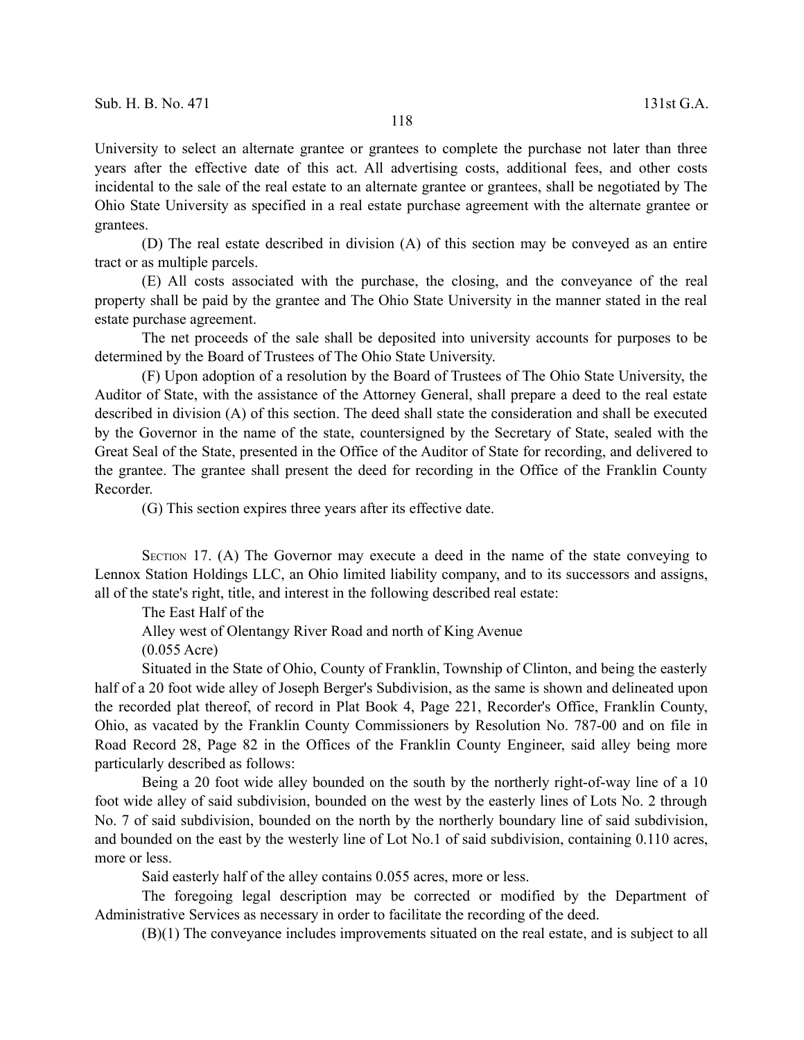University to select an alternate grantee or grantees to complete the purchase not later than three years after the effective date of this act. All advertising costs, additional fees, and other costs incidental to the sale of the real estate to an alternate grantee or grantees, shall be negotiated by The Ohio State University as specified in a real estate purchase agreement with the alternate grantee or grantees.

(D) The real estate described in division (A) of this section may be conveyed as an entire tract or as multiple parcels.

(E) All costs associated with the purchase, the closing, and the conveyance of the real property shall be paid by the grantee and The Ohio State University in the manner stated in the real estate purchase agreement.

The net proceeds of the sale shall be deposited into university accounts for purposes to be determined by the Board of Trustees of The Ohio State University.

(F) Upon adoption of a resolution by the Board of Trustees of The Ohio State University, the Auditor of State, with the assistance of the Attorney General, shall prepare a deed to the real estate described in division (A) of this section. The deed shall state the consideration and shall be executed by the Governor in the name of the state, countersigned by the Secretary of State, sealed with the Great Seal of the State, presented in the Office of the Auditor of State for recording, and delivered to the grantee. The grantee shall present the deed for recording in the Office of the Franklin County Recorder.

(G) This section expires three years after its effective date.

SECTION 17. (A) The Governor may execute a deed in the name of the state conveying to Lennox Station Holdings LLC, an Ohio limited liability company, and to its successors and assigns, all of the state's right, title, and interest in the following described real estate:

The East Half of the

Alley west of Olentangy River Road and north of King Avenue

(0.055 Acre)

Situated in the State of Ohio, County of Franklin, Township of Clinton, and being the easterly half of a 20 foot wide alley of Joseph Berger's Subdivision, as the same is shown and delineated upon the recorded plat thereof, of record in Plat Book 4, Page 221, Recorder's Office, Franklin County, Ohio, as vacated by the Franklin County Commissioners by Resolution No. 787-00 and on file in Road Record 28, Page 82 in the Offices of the Franklin County Engineer, said alley being more particularly described as follows:

Being a 20 foot wide alley bounded on the south by the northerly right-of-way line of a 10 foot wide alley of said subdivision, bounded on the west by the easterly lines of Lots No. 2 through No. 7 of said subdivision, bounded on the north by the northerly boundary line of said subdivision, and bounded on the east by the westerly line of Lot No.1 of said subdivision, containing 0.110 acres, more or less.

Said easterly half of the alley contains 0.055 acres, more or less.

The foregoing legal description may be corrected or modified by the Department of Administrative Services as necessary in order to facilitate the recording of the deed.

(B)(1) The conveyance includes improvements situated on the real estate, and is subject to all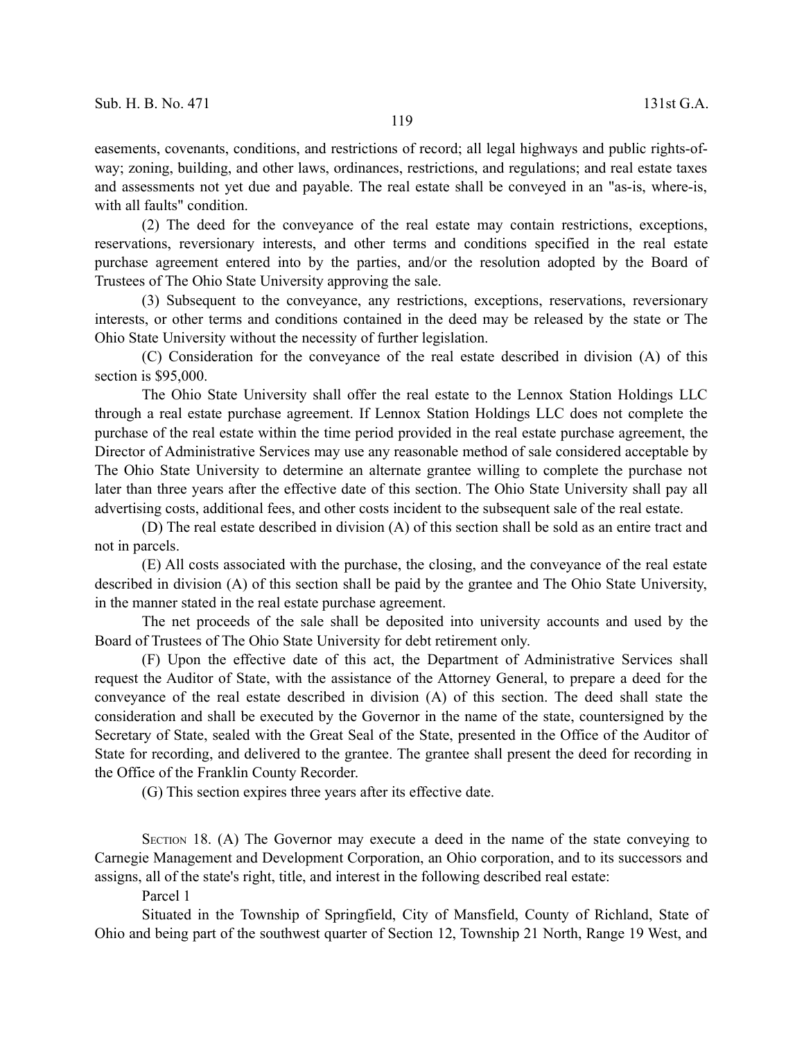easements, covenants, conditions, and restrictions of record; all legal highways and public rights-ofway; zoning, building, and other laws, ordinances, restrictions, and regulations; and real estate taxes and assessments not yet due and payable. The real estate shall be conveyed in an "as-is, where-is, with all faults" condition.

(2) The deed for the conveyance of the real estate may contain restrictions, exceptions, reservations, reversionary interests, and other terms and conditions specified in the real estate purchase agreement entered into by the parties, and/or the resolution adopted by the Board of Trustees of The Ohio State University approving the sale.

(3) Subsequent to the conveyance, any restrictions, exceptions, reservations, reversionary interests, or other terms and conditions contained in the deed may be released by the state or The Ohio State University without the necessity of further legislation.

(C) Consideration for the conveyance of the real estate described in division (A) of this section is \$95,000.

The Ohio State University shall offer the real estate to the Lennox Station Holdings LLC through a real estate purchase agreement. If Lennox Station Holdings LLC does not complete the purchase of the real estate within the time period provided in the real estate purchase agreement, the Director of Administrative Services may use any reasonable method of sale considered acceptable by The Ohio State University to determine an alternate grantee willing to complete the purchase not later than three years after the effective date of this section. The Ohio State University shall pay all advertising costs, additional fees, and other costs incident to the subsequent sale of the real estate.

(D) The real estate described in division (A) of this section shall be sold as an entire tract and not in parcels.

(E) All costs associated with the purchase, the closing, and the conveyance of the real estate described in division (A) of this section shall be paid by the grantee and The Ohio State University, in the manner stated in the real estate purchase agreement.

The net proceeds of the sale shall be deposited into university accounts and used by the Board of Trustees of The Ohio State University for debt retirement only.

(F) Upon the effective date of this act, the Department of Administrative Services shall request the Auditor of State, with the assistance of the Attorney General, to prepare a deed for the conveyance of the real estate described in division (A) of this section. The deed shall state the consideration and shall be executed by the Governor in the name of the state, countersigned by the Secretary of State, sealed with the Great Seal of the State, presented in the Office of the Auditor of State for recording, and delivered to the grantee. The grantee shall present the deed for recording in the Office of the Franklin County Recorder.

(G) This section expires three years after its effective date.

SECTION 18. (A) The Governor may execute a deed in the name of the state conveying to Carnegie Management and Development Corporation, an Ohio corporation, and to its successors and assigns, all of the state's right, title, and interest in the following described real estate:

Parcel 1

Situated in the Township of Springfield, City of Mansfield, County of Richland, State of Ohio and being part of the southwest quarter of Section 12, Township 21 North, Range 19 West, and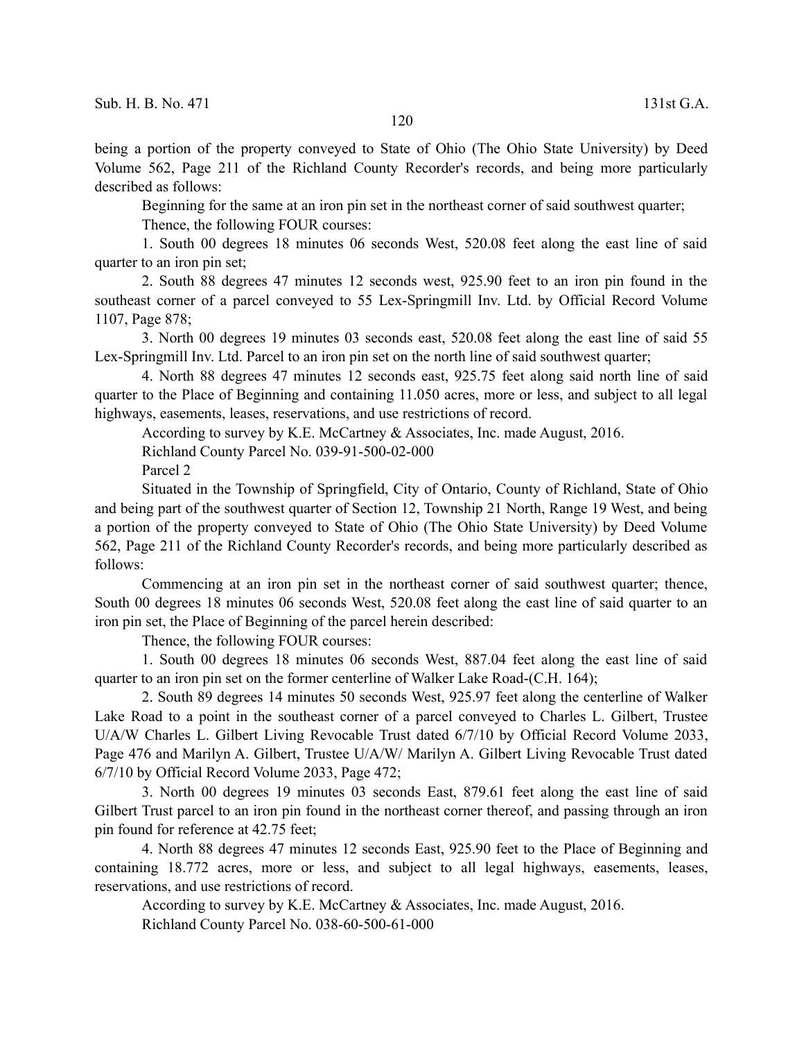being a portion of the property conveyed to State of Ohio (The Ohio State University) by Deed Volume 562, Page 211 of the Richland County Recorder's records, and being more particularly described as follows:

Beginning for the same at an iron pin set in the northeast corner of said southwest quarter;

Thence, the following FOUR courses:

1. South 00 degrees 18 minutes 06 seconds West, 520.08 feet along the east line of said quarter to an iron pin set;

2. South 88 degrees 47 minutes 12 seconds west, 925.90 feet to an iron pin found in the southeast corner of a parcel conveyed to 55 Lex-Springmill Inv. Ltd. by Official Record Volume 1107, Page 878;

3. North 00 degrees 19 minutes 03 seconds east, 520.08 feet along the east line of said 55 Lex-Springmill Inv. Ltd. Parcel to an iron pin set on the north line of said southwest quarter;

4. North 88 degrees 47 minutes 12 seconds east, 925.75 feet along said north line of said quarter to the Place of Beginning and containing 11.050 acres, more or less, and subject to all legal highways, easements, leases, reservations, and use restrictions of record.

According to survey by K.E. McCartney & Associates, Inc. made August, 2016.

Richland County Parcel No. 039-91-500-02-000

Parcel 2

Situated in the Township of Springfield, City of Ontario, County of Richland, State of Ohio and being part of the southwest quarter of Section 12, Township 21 North, Range 19 West, and being a portion of the property conveyed to State of Ohio (The Ohio State University) by Deed Volume 562, Page 211 of the Richland County Recorder's records, and being more particularly described as follows:

Commencing at an iron pin set in the northeast corner of said southwest quarter; thence, South 00 degrees 18 minutes 06 seconds West, 520.08 feet along the east line of said quarter to an iron pin set, the Place of Beginning of the parcel herein described:

Thence, the following FOUR courses:

1. South 00 degrees 18 minutes 06 seconds West, 887.04 feet along the east line of said quarter to an iron pin set on the former centerline of Walker Lake Road-(C.H. 164);

2. South 89 degrees 14 minutes 50 seconds West, 925.97 feet along the centerline of Walker Lake Road to a point in the southeast corner of a parcel conveyed to Charles L. Gilbert, Trustee U/A/W Charles L. Gilbert Living Revocable Trust dated 6/7/10 by Official Record Volume 2033, Page 476 and Marilyn A. Gilbert, Trustee U/A/W/ Marilyn A. Gilbert Living Revocable Trust dated 6/7/10 by Official Record Volume 2033, Page 472;

3. North 00 degrees 19 minutes 03 seconds East, 879.61 feet along the east line of said Gilbert Trust parcel to an iron pin found in the northeast corner thereof, and passing through an iron pin found for reference at 42.75 feet;

4. North 88 degrees 47 minutes 12 seconds East, 925.90 feet to the Place of Beginning and containing 18.772 acres, more or less, and subject to all legal highways, easements, leases, reservations, and use restrictions of record.

According to survey by K.E. McCartney & Associates, Inc. made August, 2016. Richland County Parcel No. 038-60-500-61-000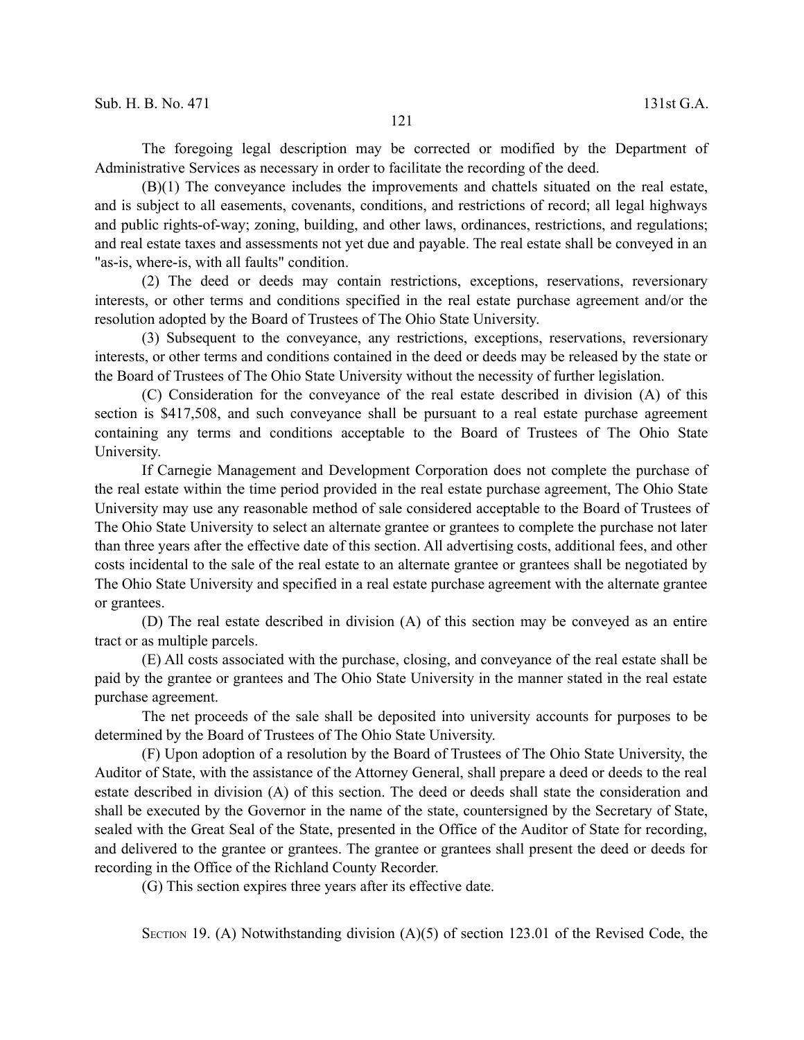The foregoing legal description may be corrected or modified by the Department of Administrative Services as necessary in order to facilitate the recording of the deed.

(B)(1) The conveyance includes the improvements and chattels situated on the real estate, and is subject to all easements, covenants, conditions, and restrictions of record; all legal highways and public rights-of-way; zoning, building, and other laws, ordinances, restrictions, and regulations; and real estate taxes and assessments not yet due and payable. The real estate shall be conveyed in an "as-is, where-is, with all faults" condition.

(2) The deed or deeds may contain restrictions, exceptions, reservations, reversionary interests, or other terms and conditions specified in the real estate purchase agreement and/or the resolution adopted by the Board of Trustees of The Ohio State University.

(3) Subsequent to the conveyance, any restrictions, exceptions, reservations, reversionary interests, or other terms and conditions contained in the deed or deeds may be released by the state or the Board of Trustees of The Ohio State University without the necessity of further legislation.

(C) Consideration for the conveyance of the real estate described in division (A) of this section is \$417,508, and such conveyance shall be pursuant to a real estate purchase agreement containing any terms and conditions acceptable to the Board of Trustees of The Ohio State University.

If Carnegie Management and Development Corporation does not complete the purchase of the real estate within the time period provided in the real estate purchase agreement, The Ohio State University may use any reasonable method of sale considered acceptable to the Board of Trustees of The Ohio State University to select an alternate grantee or grantees to complete the purchase not later than three years after the effective date of this section. All advertising costs, additional fees, and other costs incidental to the sale of the real estate to an alternate grantee or grantees shall be negotiated by The Ohio State University and specified in a real estate purchase agreement with the alternate grantee or grantees.

(D) The real estate described in division (A) of this section may be conveyed as an entire tract or as multiple parcels.

(E) All costs associated with the purchase, closing, and conveyance of the real estate shall be paid by the grantee or grantees and The Ohio State University in the manner stated in the real estate purchase agreement.

The net proceeds of the sale shall be deposited into university accounts for purposes to be determined by the Board of Trustees of The Ohio State University.

(F) Upon adoption of a resolution by the Board of Trustees of The Ohio State University, the Auditor of State, with the assistance of the Attorney General, shall prepare a deed or deeds to the real estate described in division (A) of this section. The deed or deeds shall state the consideration and shall be executed by the Governor in the name of the state, countersigned by the Secretary of State, sealed with the Great Seal of the State, presented in the Office of the Auditor of State for recording, and delivered to the grantee or grantees. The grantee or grantees shall present the deed or deeds for recording in the Office of the Richland County Recorder.

(G) This section expires three years after its effective date.

SECTION 19. (A) Notwithstanding division  $(A)(5)$  of section 123.01 of the Revised Code, the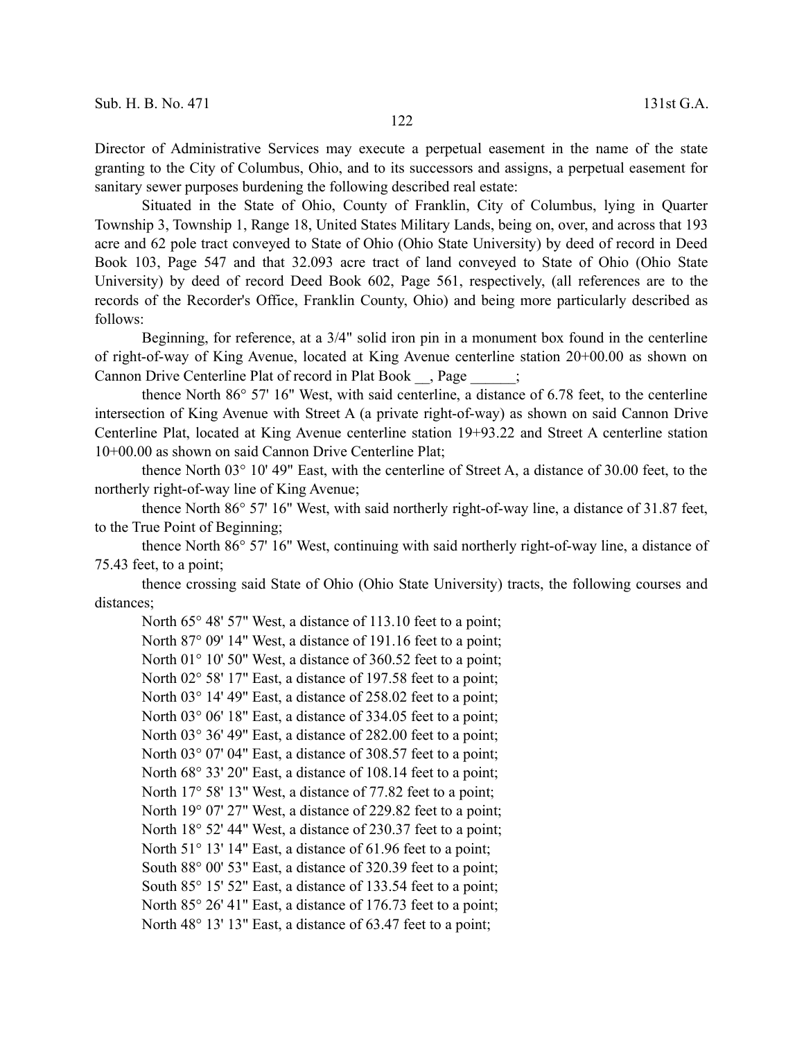Director of Administrative Services may execute a perpetual easement in the name of the state granting to the City of Columbus, Ohio, and to its successors and assigns, a perpetual easement for sanitary sewer purposes burdening the following described real estate:

Situated in the State of Ohio, County of Franklin, City of Columbus, lying in Quarter Township 3, Township 1, Range 18, United States Military Lands, being on, over, and across that 193 acre and 62 pole tract conveyed to State of Ohio (Ohio State University) by deed of record in Deed Book 103, Page 547 and that 32.093 acre tract of land conveyed to State of Ohio (Ohio State University) by deed of record Deed Book 602, Page 561, respectively, (all references are to the records of the Recorder's Office, Franklin County, Ohio) and being more particularly described as follows:

Beginning, for reference, at a 3/4" solid iron pin in a monument box found in the centerline of right-of-way of King Avenue, located at King Avenue centerline station 20+00.00 as shown on Cannon Drive Centerline Plat of record in Plat Book \_\_\_, Page

thence North 86° 57' 16" West, with said centerline, a distance of 6.78 feet, to the centerline intersection of King Avenue with Street A (a private right-of-way) as shown on said Cannon Drive Centerline Plat, located at King Avenue centerline station 19+93.22 and Street A centerline station 10+00.00 as shown on said Cannon Drive Centerline Plat;

thence North 03° 10' 49" East, with the centerline of Street A, a distance of 30.00 feet, to the northerly right-of-way line of King Avenue;

thence North 86° 57' 16" West, with said northerly right-of-way line, a distance of 31.87 feet, to the True Point of Beginning;

thence North 86° 57' 16" West, continuing with said northerly right-of-way line, a distance of 75.43 feet, to a point;

thence crossing said State of Ohio (Ohio State University) tracts, the following courses and distances;

North 65° 48′ 57″ West, a distance of 113.10 feet to a point; North 87° 09' 14" West, a distance of 191.16 feet to a point; North 01<sup>o</sup> 10' 50" West, a distance of 360.52 feet to a point; North 02° 58′ 17″ East, a distance of 197.58 feet to a point; North 03<sup>°</sup> 14' 49" East, a distance of 258.02 feet to a point; North 03<sup>°</sup> 06' 18" East, a distance of 334.05 feet to a point; North 03° 36' 49" East, a distance of 282.00 feet to a point; North 03° 07' 04" East, a distance of 308.57 feet to a point; North 68° 33' 20" East, a distance of 108.14 feet to a point; North 17° 58' 13" West, a distance of 77.82 feet to a point; North 19° 07' 27" West, a distance of 229.82 feet to a point; North 18° 52′ 44″ West, a distance of 230.37 feet to a point; North 51<sup>°</sup> 13′ 14″ East, a distance of 61.96 feet to a point; South 88° 00' 53" East, a distance of 320.39 feet to a point; South 85° 15′ 52″ East, a distance of 133.54 feet to a point; North 85° 26' 41" East, a distance of 176.73 feet to a point; North 48° 13′ 13″ East, a distance of 63.47 feet to a point;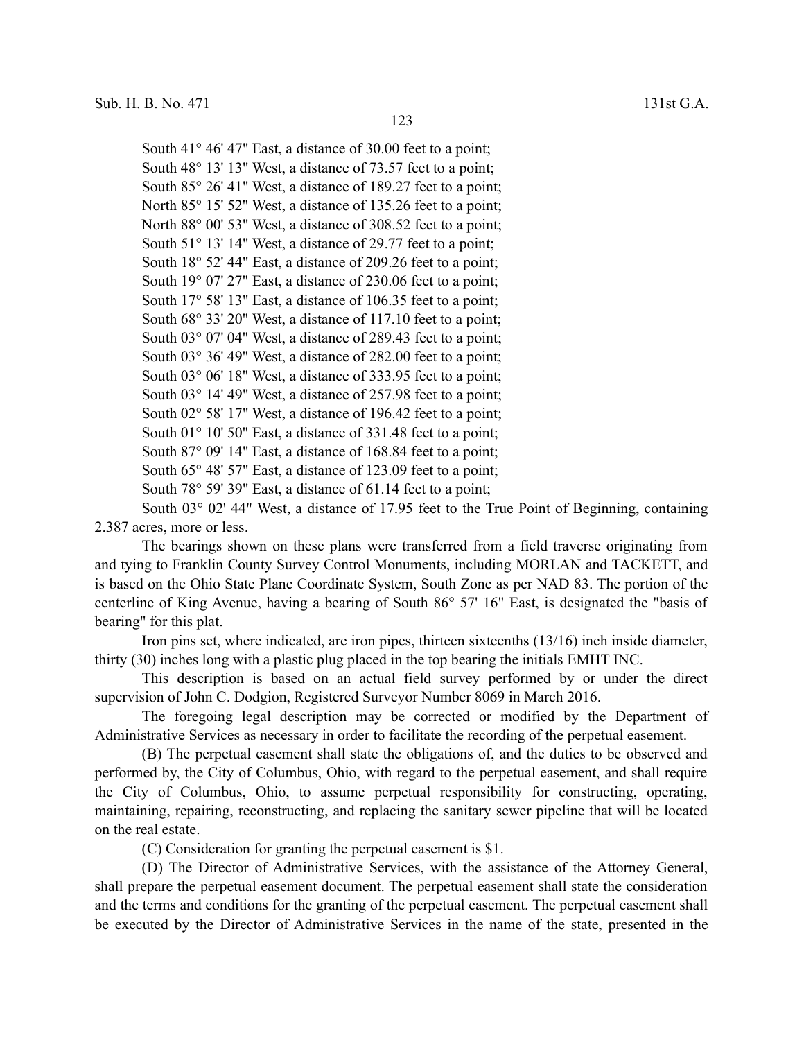South 41° 46' 47" East, a distance of 30.00 feet to a point; South 48° 13' 13" West, a distance of 73.57 feet to a point; South 85° 26' 41" West, a distance of 189.27 feet to a point; North 85° 15′ 52″ West, a distance of 135.26 feet to a point; North 88° 00' 53" West, a distance of 308.52 feet to a point; South 51° 13′ 14″ West, a distance of 29.77 feet to a point; South 18° 52' 44" East, a distance of 209.26 feet to a point; South 19° 07' 27" East, a distance of 230.06 feet to a point; South 17° 58′ 13″ East, a distance of 106.35 feet to a point; South  $68^{\circ}$  33' 20" West, a distance of 117.10 feet to a point; South 03° 07' 04" West, a distance of 289.43 feet to a point; South 03° 36' 49" West, a distance of 282.00 feet to a point; South 03° 06' 18" West, a distance of 333.95 feet to a point; South 03° 14' 49" West, a distance of 257.98 feet to a point; South 02° 58' 17" West, a distance of 196.42 feet to a point; South 01° 10' 50" East, a distance of 331.48 feet to a point; South 87° 09' 14" East, a distance of 168.84 feet to a point; South  $65^{\circ}$  48' 57" East, a distance of 123.09 feet to a point; South 78° 59' 39" East, a distance of 61.14 feet to a point;

South 03° 02' 44" West, a distance of 17.95 feet to the True Point of Beginning, containing 2.387 acres, more or less.

The bearings shown on these plans were transferred from a field traverse originating from and tying to Franklin County Survey Control Monuments, including MORLAN and TACKETT, and is based on the Ohio State Plane Coordinate System, South Zone as per NAD 83. The portion of the centerline of King Avenue, having a bearing of South 86° 57' 16" East, is designated the "basis of bearing" for this plat.

Iron pins set, where indicated, are iron pipes, thirteen sixteenths (13/16) inch inside diameter, thirty (30) inches long with a plastic plug placed in the top bearing the initials EMHT INC.

This description is based on an actual field survey performed by or under the direct supervision of John C. Dodgion, Registered Surveyor Number 8069 in March 2016.

The foregoing legal description may be corrected or modified by the Department of Administrative Services as necessary in order to facilitate the recording of the perpetual easement.

(B) The perpetual easement shall state the obligations of, and the duties to be observed and performed by, the City of Columbus, Ohio, with regard to the perpetual easement, and shall require the City of Columbus, Ohio, to assume perpetual responsibility for constructing, operating, maintaining, repairing, reconstructing, and replacing the sanitary sewer pipeline that will be located on the real estate.

(C) Consideration for granting the perpetual easement is \$1.

(D) The Director of Administrative Services, with the assistance of the Attorney General, shall prepare the perpetual easement document. The perpetual easement shall state the consideration and the terms and conditions for the granting of the perpetual easement. The perpetual easement shall be executed by the Director of Administrative Services in the name of the state, presented in the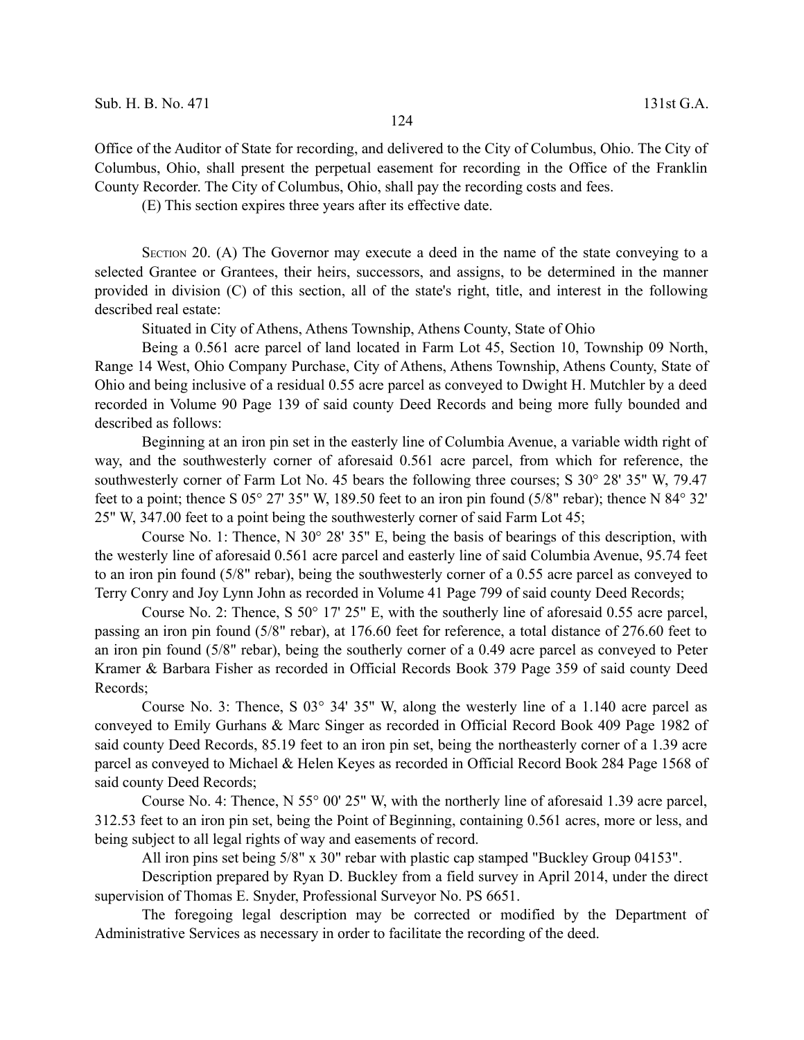Office of the Auditor of State for recording, and delivered to the City of Columbus, Ohio. The City of Columbus, Ohio, shall present the perpetual easement for recording in the Office of the Franklin County Recorder. The City of Columbus, Ohio, shall pay the recording costs and fees.

(E) This section expires three years after its effective date.

SECTION 20. (A) The Governor may execute a deed in the name of the state conveying to a selected Grantee or Grantees, their heirs, successors, and assigns, to be determined in the manner provided in division (C) of this section, all of the state's right, title, and interest in the following described real estate:

Situated in City of Athens, Athens Township, Athens County, State of Ohio

Being a 0.561 acre parcel of land located in Farm Lot 45, Section 10, Township 09 North, Range 14 West, Ohio Company Purchase, City of Athens, Athens Township, Athens County, State of Ohio and being inclusive of a residual 0.55 acre parcel as conveyed to Dwight H. Mutchler by a deed recorded in Volume 90 Page 139 of said county Deed Records and being more fully bounded and described as follows:

Beginning at an iron pin set in the easterly line of Columbia Avenue, a variable width right of way, and the southwesterly corner of aforesaid 0.561 acre parcel, from which for reference, the southwesterly corner of Farm Lot No. 45 bears the following three courses; S 30° 28' 35" W, 79.47 feet to a point; thence S 05° 27' 35" W, 189.50 feet to an iron pin found (5/8" rebar); thence N 84° 32' 25" W, 347.00 feet to a point being the southwesterly corner of said Farm Lot 45;

Course No. 1: Thence, N 30° 28' 35" E, being the basis of bearings of this description, with the westerly line of aforesaid 0.561 acre parcel and easterly line of said Columbia Avenue, 95.74 feet to an iron pin found (5/8" rebar), being the southwesterly corner of a 0.55 acre parcel as conveyed to Terry Conry and Joy Lynn John as recorded in Volume 41 Page 799 of said county Deed Records;

Course No. 2: Thence, S 50° 17' 25" E, with the southerly line of aforesaid 0.55 acre parcel, passing an iron pin found (5/8" rebar), at 176.60 feet for reference, a total distance of 276.60 feet to an iron pin found (5/8" rebar), being the southerly corner of a 0.49 acre parcel as conveyed to Peter Kramer & Barbara Fisher as recorded in Official Records Book 379 Page 359 of said county Deed Records;

Course No. 3: Thence, S 03° 34' 35" W, along the westerly line of a 1.140 acre parcel as conveyed to Emily Gurhans & Marc Singer as recorded in Official Record Book 409 Page 1982 of said county Deed Records, 85.19 feet to an iron pin set, being the northeasterly corner of a 1.39 acre parcel as conveyed to Michael & Helen Keyes as recorded in Official Record Book 284 Page 1568 of said county Deed Records;

Course No. 4: Thence, N 55° 00' 25" W, with the northerly line of aforesaid 1.39 acre parcel, 312.53 feet to an iron pin set, being the Point of Beginning, containing 0.561 acres, more or less, and being subject to all legal rights of way and easements of record.

All iron pins set being 5/8" x 30" rebar with plastic cap stamped "Buckley Group 04153".

Description prepared by Ryan D. Buckley from a field survey in April 2014, under the direct supervision of Thomas E. Snyder, Professional Surveyor No. PS 6651.

The foregoing legal description may be corrected or modified by the Department of Administrative Services as necessary in order to facilitate the recording of the deed.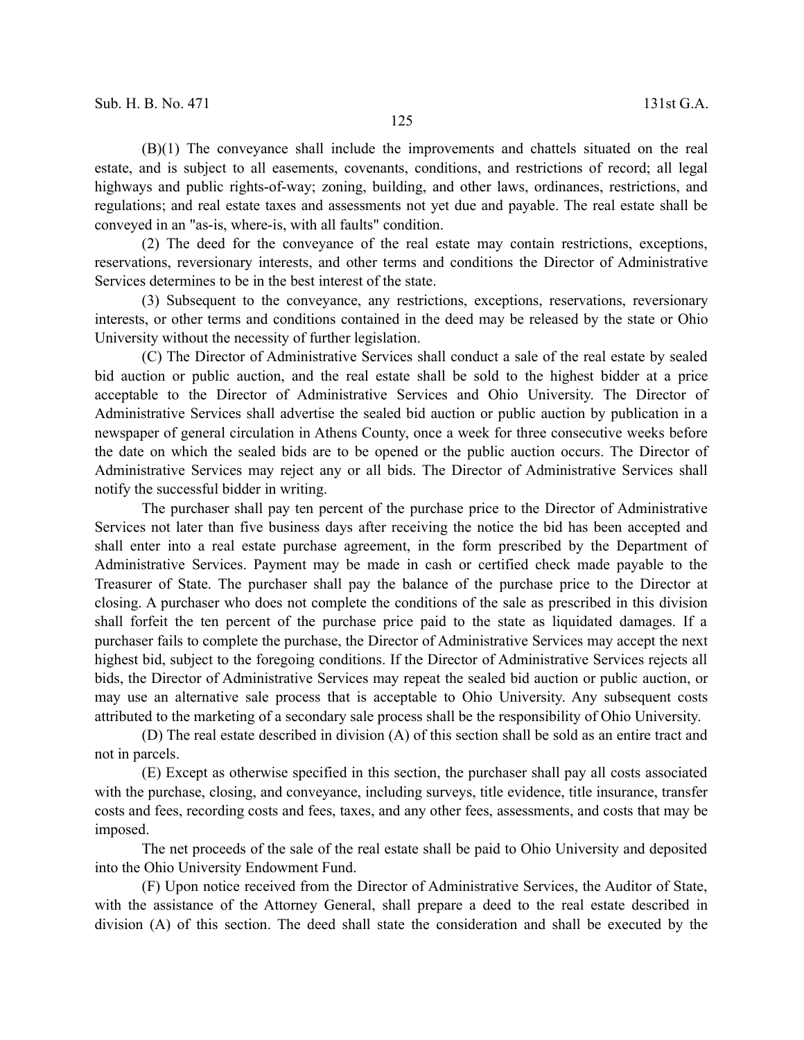(B)(1) The conveyance shall include the improvements and chattels situated on the real estate, and is subject to all easements, covenants, conditions, and restrictions of record; all legal highways and public rights-of-way; zoning, building, and other laws, ordinances, restrictions, and regulations; and real estate taxes and assessments not yet due and payable. The real estate shall be conveyed in an "as-is, where-is, with all faults" condition.

(2) The deed for the conveyance of the real estate may contain restrictions, exceptions, reservations, reversionary interests, and other terms and conditions the Director of Administrative Services determines to be in the best interest of the state.

(3) Subsequent to the conveyance, any restrictions, exceptions, reservations, reversionary interests, or other terms and conditions contained in the deed may be released by the state or Ohio University without the necessity of further legislation.

(C) The Director of Administrative Services shall conduct a sale of the real estate by sealed bid auction or public auction, and the real estate shall be sold to the highest bidder at a price acceptable to the Director of Administrative Services and Ohio University. The Director of Administrative Services shall advertise the sealed bid auction or public auction by publication in a newspaper of general circulation in Athens County, once a week for three consecutive weeks before the date on which the sealed bids are to be opened or the public auction occurs. The Director of Administrative Services may reject any or all bids. The Director of Administrative Services shall notify the successful bidder in writing.

The purchaser shall pay ten percent of the purchase price to the Director of Administrative Services not later than five business days after receiving the notice the bid has been accepted and shall enter into a real estate purchase agreement, in the form prescribed by the Department of Administrative Services. Payment may be made in cash or certified check made payable to the Treasurer of State. The purchaser shall pay the balance of the purchase price to the Director at closing. A purchaser who does not complete the conditions of the sale as prescribed in this division shall forfeit the ten percent of the purchase price paid to the state as liquidated damages. If a purchaser fails to complete the purchase, the Director of Administrative Services may accept the next highest bid, subject to the foregoing conditions. If the Director of Administrative Services rejects all bids, the Director of Administrative Services may repeat the sealed bid auction or public auction, or may use an alternative sale process that is acceptable to Ohio University. Any subsequent costs attributed to the marketing of a secondary sale process shall be the responsibility of Ohio University.

(D) The real estate described in division (A) of this section shall be sold as an entire tract and not in parcels.

(E) Except as otherwise specified in this section, the purchaser shall pay all costs associated with the purchase, closing, and conveyance, including surveys, title evidence, title insurance, transfer costs and fees, recording costs and fees, taxes, and any other fees, assessments, and costs that may be imposed.

The net proceeds of the sale of the real estate shall be paid to Ohio University and deposited into the Ohio University Endowment Fund.

(F) Upon notice received from the Director of Administrative Services, the Auditor of State, with the assistance of the Attorney General, shall prepare a deed to the real estate described in division (A) of this section. The deed shall state the consideration and shall be executed by the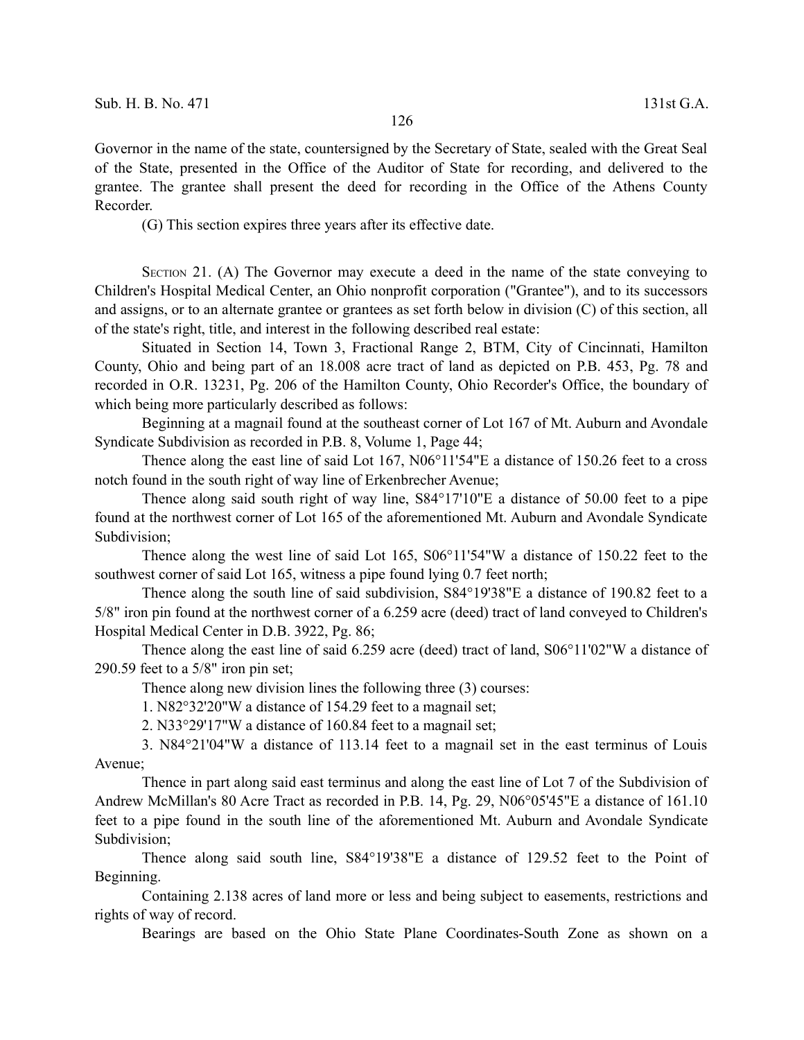Governor in the name of the state, countersigned by the Secretary of State, sealed with the Great Seal of the State, presented in the Office of the Auditor of State for recording, and delivered to the grantee. The grantee shall present the deed for recording in the Office of the Athens County Recorder.

(G) This section expires three years after its effective date.

SECTION 21. (A) The Governor may execute a deed in the name of the state conveying to Children's Hospital Medical Center, an Ohio nonprofit corporation ("Grantee"), and to its successors and assigns, or to an alternate grantee or grantees as set forth below in division (C) of this section, all of the state's right, title, and interest in the following described real estate:

Situated in Section 14, Town 3, Fractional Range 2, BTM, City of Cincinnati, Hamilton County, Ohio and being part of an 18.008 acre tract of land as depicted on P.B. 453, Pg. 78 and recorded in O.R. 13231, Pg. 206 of the Hamilton County, Ohio Recorder's Office, the boundary of which being more particularly described as follows:

Beginning at a magnail found at the southeast corner of Lot 167 of Mt. Auburn and Avondale Syndicate Subdivision as recorded in P.B. 8, Volume 1, Page 44;

Thence along the east line of said Lot 167, N06°11'54"E a distance of 150.26 feet to a cross notch found in the south right of way line of Erkenbrecher Avenue;

Thence along said south right of way line, S84°17'10"E a distance of 50.00 feet to a pipe found at the northwest corner of Lot 165 of the aforementioned Mt. Auburn and Avondale Syndicate Subdivision;

Thence along the west line of said Lot 165, S06°11'54"W a distance of 150.22 feet to the southwest corner of said Lot 165, witness a pipe found lying 0.7 feet north;

Thence along the south line of said subdivision, S84°19'38"E a distance of 190.82 feet to a 5/8" iron pin found at the northwest corner of a 6.259 acre (deed) tract of land conveyed to Children's Hospital Medical Center in D.B. 3922, Pg. 86;

Thence along the east line of said 6.259 acre (deed) tract of land, S06°11'02"W a distance of 290.59 feet to a 5/8" iron pin set;

Thence along new division lines the following three (3) courses:

1. N82°32'20"W a distance of 154.29 feet to a magnail set;

2. N33°29'17"W a distance of 160.84 feet to a magnail set;

3. N84°21'04"W a distance of 113.14 feet to a magnail set in the east terminus of Louis Avenue;

Thence in part along said east terminus and along the east line of Lot 7 of the Subdivision of Andrew McMillan's 80 Acre Tract as recorded in P.B. 14, Pg. 29, N06°05'45"E a distance of 161.10 feet to a pipe found in the south line of the aforementioned Mt. Auburn and Avondale Syndicate Subdivision;

Thence along said south line, S84°19'38"E a distance of 129.52 feet to the Point of Beginning.

Containing 2.138 acres of land more or less and being subject to easements, restrictions and rights of way of record.

Bearings are based on the Ohio State Plane Coordinates-South Zone as shown on a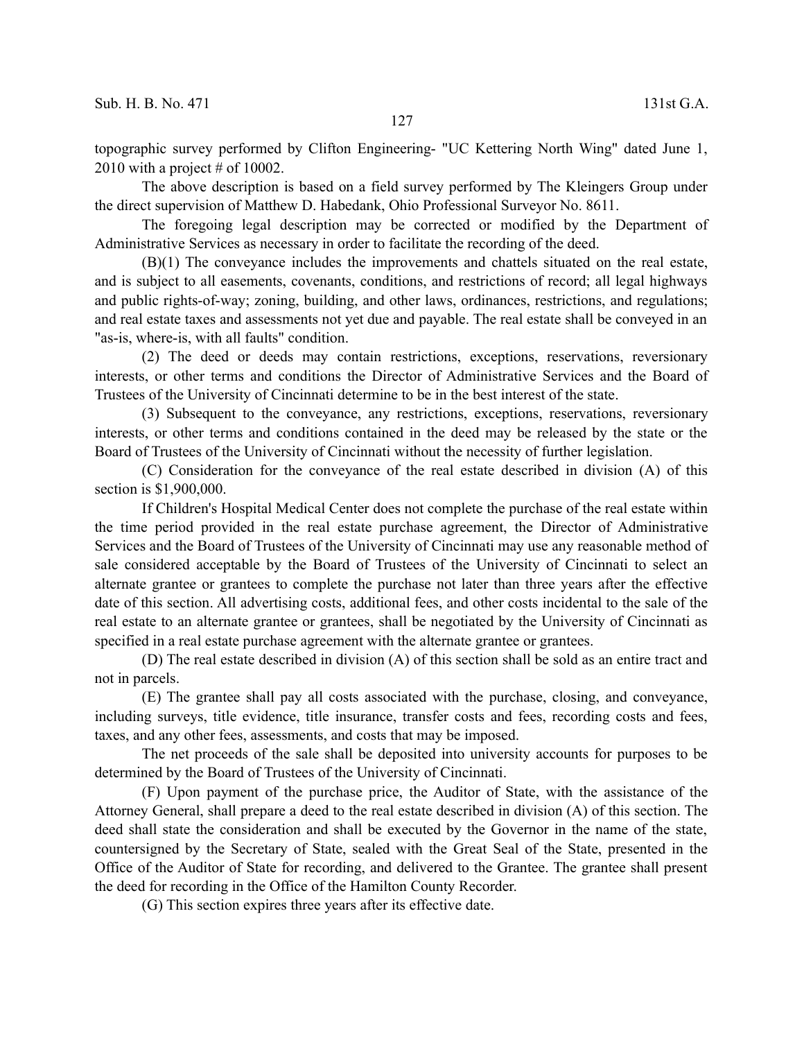topographic survey performed by Clifton Engineering- "UC Kettering North Wing" dated June 1, 2010 with a project  $#$  of 10002.

The above description is based on a field survey performed by The Kleingers Group under the direct supervision of Matthew D. Habedank, Ohio Professional Surveyor No. 8611.

The foregoing legal description may be corrected or modified by the Department of Administrative Services as necessary in order to facilitate the recording of the deed.

(B)(1) The conveyance includes the improvements and chattels situated on the real estate, and is subject to all easements, covenants, conditions, and restrictions of record; all legal highways and public rights-of-way; zoning, building, and other laws, ordinances, restrictions, and regulations; and real estate taxes and assessments not yet due and payable. The real estate shall be conveyed in an "as-is, where-is, with all faults" condition.

(2) The deed or deeds may contain restrictions, exceptions, reservations, reversionary interests, or other terms and conditions the Director of Administrative Services and the Board of Trustees of the University of Cincinnati determine to be in the best interest of the state.

(3) Subsequent to the conveyance, any restrictions, exceptions, reservations, reversionary interests, or other terms and conditions contained in the deed may be released by the state or the Board of Trustees of the University of Cincinnati without the necessity of further legislation.

(C) Consideration for the conveyance of the real estate described in division (A) of this section is \$1,900,000.

If Children's Hospital Medical Center does not complete the purchase of the real estate within the time period provided in the real estate purchase agreement, the Director of Administrative Services and the Board of Trustees of the University of Cincinnati may use any reasonable method of sale considered acceptable by the Board of Trustees of the University of Cincinnati to select an alternate grantee or grantees to complete the purchase not later than three years after the effective date of this section. All advertising costs, additional fees, and other costs incidental to the sale of the real estate to an alternate grantee or grantees, shall be negotiated by the University of Cincinnati as specified in a real estate purchase agreement with the alternate grantee or grantees.

(D) The real estate described in division (A) of this section shall be sold as an entire tract and not in parcels.

(E) The grantee shall pay all costs associated with the purchase, closing, and conveyance, including surveys, title evidence, title insurance, transfer costs and fees, recording costs and fees, taxes, and any other fees, assessments, and costs that may be imposed.

The net proceeds of the sale shall be deposited into university accounts for purposes to be determined by the Board of Trustees of the University of Cincinnati.

(F) Upon payment of the purchase price, the Auditor of State, with the assistance of the Attorney General, shall prepare a deed to the real estate described in division (A) of this section. The deed shall state the consideration and shall be executed by the Governor in the name of the state, countersigned by the Secretary of State, sealed with the Great Seal of the State, presented in the Office of the Auditor of State for recording, and delivered to the Grantee. The grantee shall present the deed for recording in the Office of the Hamilton County Recorder.

(G) This section expires three years after its effective date.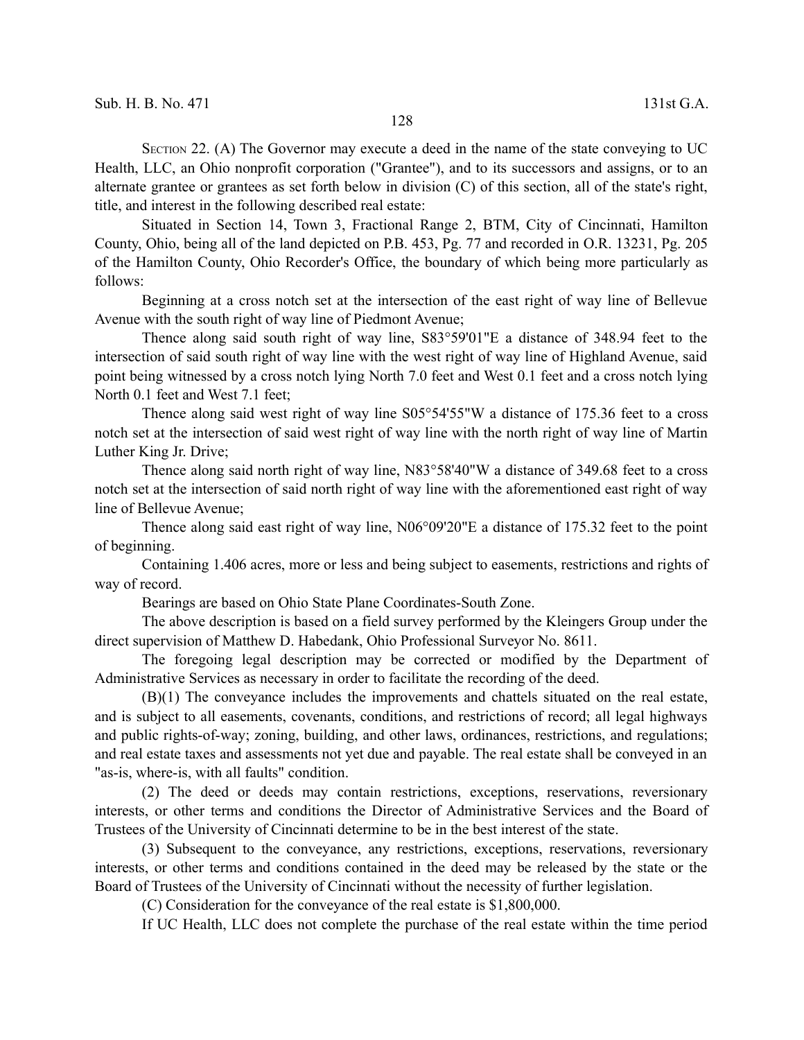SECTION 22. (A) The Governor may execute a deed in the name of the state conveying to UC Health, LLC, an Ohio nonprofit corporation ("Grantee"), and to its successors and assigns, or to an alternate grantee or grantees as set forth below in division (C) of this section, all of the state's right, title, and interest in the following described real estate:

Situated in Section 14, Town 3, Fractional Range 2, BTM, City of Cincinnati, Hamilton County, Ohio, being all of the land depicted on P.B. 453, Pg. 77 and recorded in O.R. 13231, Pg. 205 of the Hamilton County, Ohio Recorder's Office, the boundary of which being more particularly as follows:

Beginning at a cross notch set at the intersection of the east right of way line of Bellevue Avenue with the south right of way line of Piedmont Avenue;

Thence along said south right of way line, S83°59'01"E a distance of 348.94 feet to the intersection of said south right of way line with the west right of way line of Highland Avenue, said point being witnessed by a cross notch lying North 7.0 feet and West 0.1 feet and a cross notch lying North 0.1 feet and West 7.1 feet;

Thence along said west right of way line S05°54'55"W a distance of 175.36 feet to a cross notch set at the intersection of said west right of way line with the north right of way line of Martin Luther King Jr. Drive;

Thence along said north right of way line, N83°58'40"W a distance of 349.68 feet to a cross notch set at the intersection of said north right of way line with the aforementioned east right of way line of Bellevue Avenue;

Thence along said east right of way line, N06°09'20"E a distance of 175.32 feet to the point of beginning.

Containing 1.406 acres, more or less and being subject to easements, restrictions and rights of way of record.

Bearings are based on Ohio State Plane Coordinates-South Zone.

The above description is based on a field survey performed by the Kleingers Group under the direct supervision of Matthew D. Habedank, Ohio Professional Surveyor No. 8611.

The foregoing legal description may be corrected or modified by the Department of Administrative Services as necessary in order to facilitate the recording of the deed.

(B)(1) The conveyance includes the improvements and chattels situated on the real estate, and is subject to all easements, covenants, conditions, and restrictions of record; all legal highways and public rights-of-way; zoning, building, and other laws, ordinances, restrictions, and regulations; and real estate taxes and assessments not yet due and payable. The real estate shall be conveyed in an "as-is, where-is, with all faults" condition.

(2) The deed or deeds may contain restrictions, exceptions, reservations, reversionary interests, or other terms and conditions the Director of Administrative Services and the Board of Trustees of the University of Cincinnati determine to be in the best interest of the state.

(3) Subsequent to the conveyance, any restrictions, exceptions, reservations, reversionary interests, or other terms and conditions contained in the deed may be released by the state or the Board of Trustees of the University of Cincinnati without the necessity of further legislation.

(C) Consideration for the conveyance of the real estate is \$1,800,000.

If UC Health, LLC does not complete the purchase of the real estate within the time period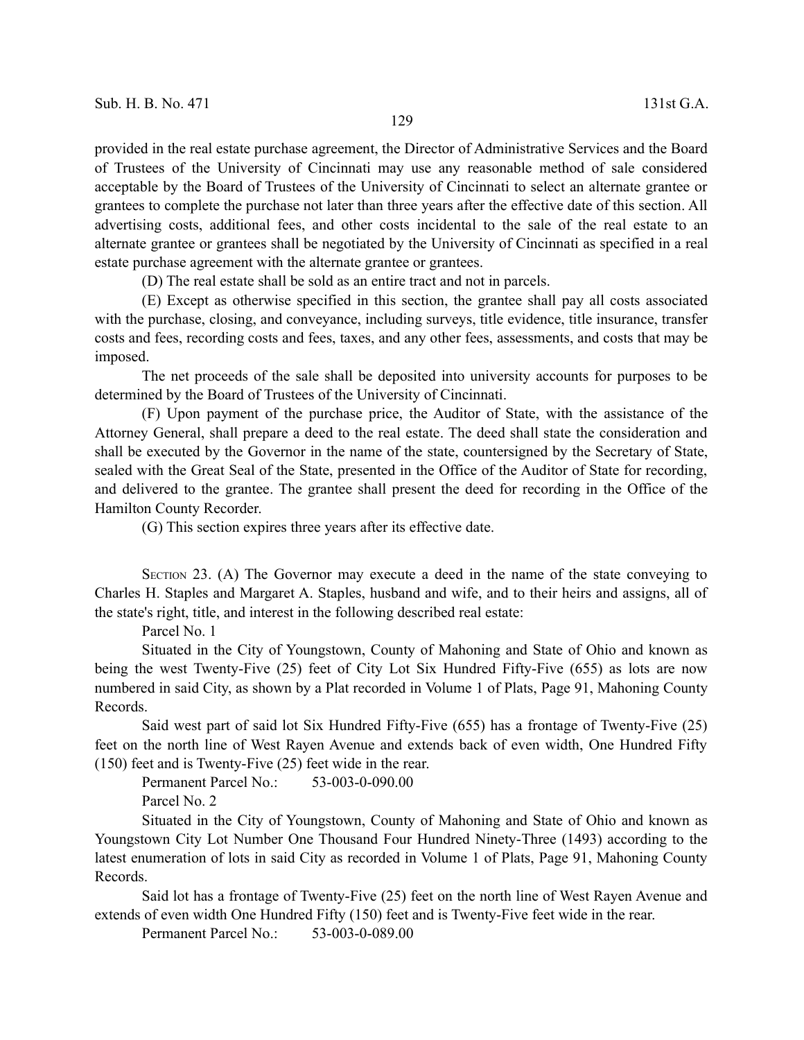provided in the real estate purchase agreement, the Director of Administrative Services and the Board of Trustees of the University of Cincinnati may use any reasonable method of sale considered acceptable by the Board of Trustees of the University of Cincinnati to select an alternate grantee or grantees to complete the purchase not later than three years after the effective date of this section. All advertising costs, additional fees, and other costs incidental to the sale of the real estate to an alternate grantee or grantees shall be negotiated by the University of Cincinnati as specified in a real estate purchase agreement with the alternate grantee or grantees.

(D) The real estate shall be sold as an entire tract and not in parcels.

(E) Except as otherwise specified in this section, the grantee shall pay all costs associated with the purchase, closing, and conveyance, including surveys, title evidence, title insurance, transfer costs and fees, recording costs and fees, taxes, and any other fees, assessments, and costs that may be imposed.

The net proceeds of the sale shall be deposited into university accounts for purposes to be determined by the Board of Trustees of the University of Cincinnati.

(F) Upon payment of the purchase price, the Auditor of State, with the assistance of the Attorney General, shall prepare a deed to the real estate. The deed shall state the consideration and shall be executed by the Governor in the name of the state, countersigned by the Secretary of State, sealed with the Great Seal of the State, presented in the Office of the Auditor of State for recording, and delivered to the grantee. The grantee shall present the deed for recording in the Office of the Hamilton County Recorder.

(G) This section expires three years after its effective date.

SECTION 23. (A) The Governor may execute a deed in the name of the state conveying to Charles H. Staples and Margaret A. Staples, husband and wife, and to their heirs and assigns, all of the state's right, title, and interest in the following described real estate:

Parcel No. 1

Situated in the City of Youngstown, County of Mahoning and State of Ohio and known as being the west Twenty-Five (25) feet of City Lot Six Hundred Fifty-Five (655) as lots are now numbered in said City, as shown by a Plat recorded in Volume 1 of Plats, Page 91, Mahoning County Records.

Said west part of said lot Six Hundred Fifty-Five (655) has a frontage of Twenty-Five (25) feet on the north line of West Rayen Avenue and extends back of even width, One Hundred Fifty (150) feet and is Twenty-Five (25) feet wide in the rear.

Permanent Parcel No.: 53-003-0-090.00

Parcel No. 2

Situated in the City of Youngstown, County of Mahoning and State of Ohio and known as Youngstown City Lot Number One Thousand Four Hundred Ninety-Three (1493) according to the latest enumeration of lots in said City as recorded in Volume 1 of Plats, Page 91, Mahoning County Records.

Said lot has a frontage of Twenty-Five (25) feet on the north line of West Rayen Avenue and extends of even width One Hundred Fifty (150) feet and is Twenty-Five feet wide in the rear.

Permanent Parcel No.: 53-003-0-089.00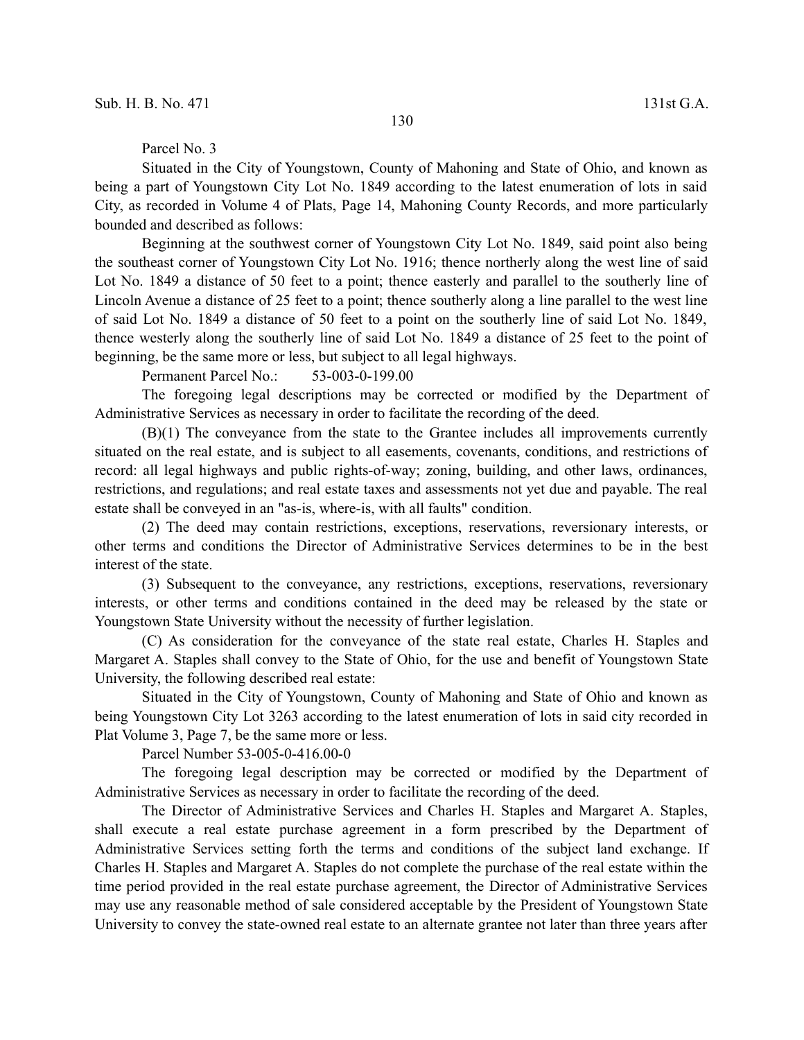## Parcel No. 3

Situated in the City of Youngstown, County of Mahoning and State of Ohio, and known as being a part of Youngstown City Lot No. 1849 according to the latest enumeration of lots in said City, as recorded in Volume 4 of Plats, Page 14, Mahoning County Records, and more particularly bounded and described as follows:

Beginning at the southwest corner of Youngstown City Lot No. 1849, said point also being the southeast corner of Youngstown City Lot No. 1916; thence northerly along the west line of said Lot No. 1849 a distance of 50 feet to a point; thence easterly and parallel to the southerly line of Lincoln Avenue a distance of 25 feet to a point; thence southerly along a line parallel to the west line of said Lot No. 1849 a distance of 50 feet to a point on the southerly line of said Lot No. 1849, thence westerly along the southerly line of said Lot No. 1849 a distance of 25 feet to the point of beginning, be the same more or less, but subject to all legal highways.

Permanent Parcel No.: 53-003-0-199.00

The foregoing legal descriptions may be corrected or modified by the Department of Administrative Services as necessary in order to facilitate the recording of the deed.

(B)(1) The conveyance from the state to the Grantee includes all improvements currently situated on the real estate, and is subject to all easements, covenants, conditions, and restrictions of record: all legal highways and public rights-of-way; zoning, building, and other laws, ordinances, restrictions, and regulations; and real estate taxes and assessments not yet due and payable. The real estate shall be conveyed in an "as-is, where-is, with all faults" condition.

(2) The deed may contain restrictions, exceptions, reservations, reversionary interests, or other terms and conditions the Director of Administrative Services determines to be in the best interest of the state.

(3) Subsequent to the conveyance, any restrictions, exceptions, reservations, reversionary interests, or other terms and conditions contained in the deed may be released by the state or Youngstown State University without the necessity of further legislation.

(C) As consideration for the conveyance of the state real estate, Charles H. Staples and Margaret A. Staples shall convey to the State of Ohio, for the use and benefit of Youngstown State University, the following described real estate:

Situated in the City of Youngstown, County of Mahoning and State of Ohio and known as being Youngstown City Lot 3263 according to the latest enumeration of lots in said city recorded in Plat Volume 3, Page 7, be the same more or less.

Parcel Number 53-005-0-416.00-0

The foregoing legal description may be corrected or modified by the Department of Administrative Services as necessary in order to facilitate the recording of the deed.

The Director of Administrative Services and Charles H. Staples and Margaret A. Staples, shall execute a real estate purchase agreement in a form prescribed by the Department of Administrative Services setting forth the terms and conditions of the subject land exchange. If Charles H. Staples and Margaret A. Staples do not complete the purchase of the real estate within the time period provided in the real estate purchase agreement, the Director of Administrative Services may use any reasonable method of sale considered acceptable by the President of Youngstown State University to convey the state-owned real estate to an alternate grantee not later than three years after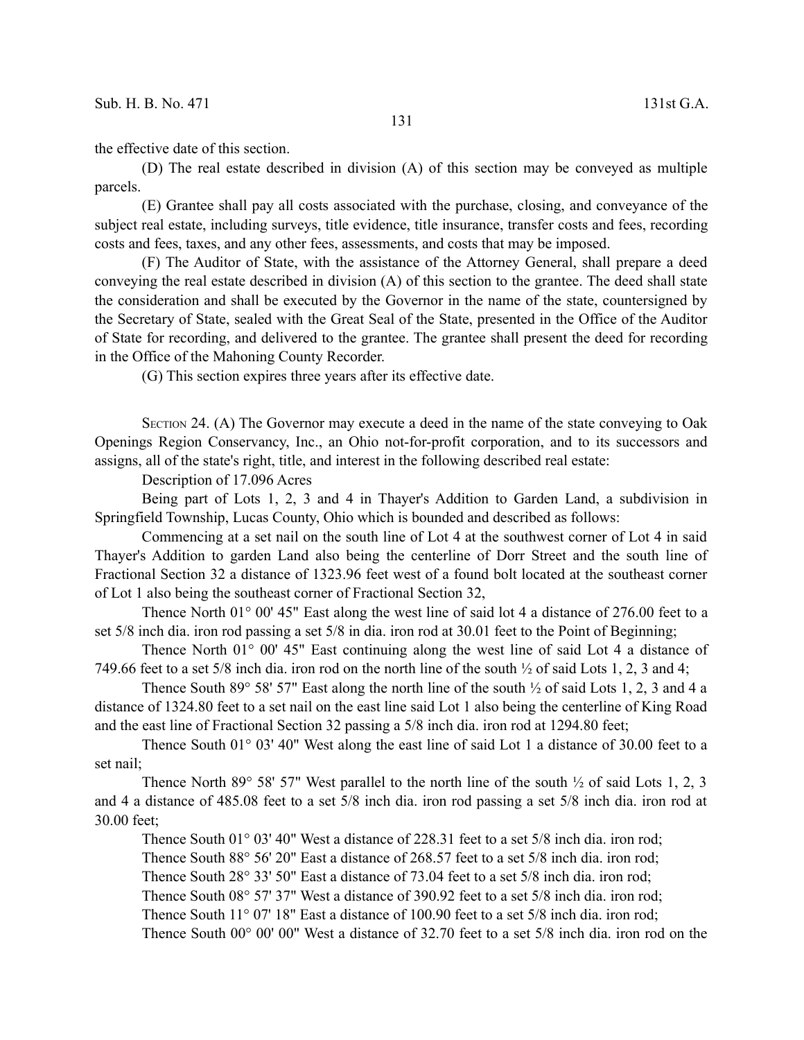the effective date of this section.

(D) The real estate described in division (A) of this section may be conveyed as multiple parcels.

(E) Grantee shall pay all costs associated with the purchase, closing, and conveyance of the subject real estate, including surveys, title evidence, title insurance, transfer costs and fees, recording costs and fees, taxes, and any other fees, assessments, and costs that may be imposed.

(F) The Auditor of State, with the assistance of the Attorney General, shall prepare a deed conveying the real estate described in division (A) of this section to the grantee. The deed shall state the consideration and shall be executed by the Governor in the name of the state, countersigned by the Secretary of State, sealed with the Great Seal of the State, presented in the Office of the Auditor of State for recording, and delivered to the grantee. The grantee shall present the deed for recording in the Office of the Mahoning County Recorder.

(G) This section expires three years after its effective date.

SECTION 24. (A) The Governor may execute a deed in the name of the state conveying to Oak Openings Region Conservancy, Inc., an Ohio not-for-profit corporation, and to its successors and assigns, all of the state's right, title, and interest in the following described real estate:

Description of 17.096 Acres

Being part of Lots 1, 2, 3 and 4 in Thayer's Addition to Garden Land, a subdivision in Springfield Township, Lucas County, Ohio which is bounded and described as follows:

Commencing at a set nail on the south line of Lot 4 at the southwest corner of Lot 4 in said Thayer's Addition to garden Land also being the centerline of Dorr Street and the south line of Fractional Section 32 a distance of 1323.96 feet west of a found bolt located at the southeast corner of Lot 1 also being the southeast corner of Fractional Section 32,

Thence North 01° 00' 45" East along the west line of said lot 4 a distance of 276.00 feet to a set 5/8 inch dia. iron rod passing a set 5/8 in dia. iron rod at 30.01 feet to the Point of Beginning;

Thence North 01° 00' 45" East continuing along the west line of said Lot 4 a distance of 749.66 feet to a set 5/8 inch dia. iron rod on the north line of the south ½ of said Lots 1, 2, 3 and 4;

Thence South 89° 58′ 57″ East along the north line of the south  $\frac{1}{2}$  of said Lots 1, 2, 3 and 4 a distance of 1324.80 feet to a set nail on the east line said Lot 1 also being the centerline of King Road and the east line of Fractional Section 32 passing a 5/8 inch dia. iron rod at 1294.80 feet;

Thence South 01° 03' 40" West along the east line of said Lot 1 a distance of 30.00 feet to a set nail;

Thence North 89 $\degree$  58' 57" West parallel to the north line of the south  $\frac{1}{2}$  of said Lots 1, 2, 3 and 4 a distance of 485.08 feet to a set 5/8 inch dia. iron rod passing a set 5/8 inch dia. iron rod at 30.00 feet;

Thence South 01° 03' 40" West a distance of 228.31 feet to a set 5/8 inch dia. iron rod; Thence South 88° 56' 20" East a distance of 268.57 feet to a set 5/8 inch dia. iron rod;

Thence South 28° 33' 50" East a distance of 73.04 feet to a set 5/8 inch dia. iron rod;

Thence South 08° 57' 37" West a distance of 390.92 feet to a set 5/8 inch dia. iron rod;

Thence South 11° 07' 18" East a distance of 100.90 feet to a set 5/8 inch dia. iron rod;

Thence South 00° 00' 00" West a distance of 32.70 feet to a set 5/8 inch dia. iron rod on the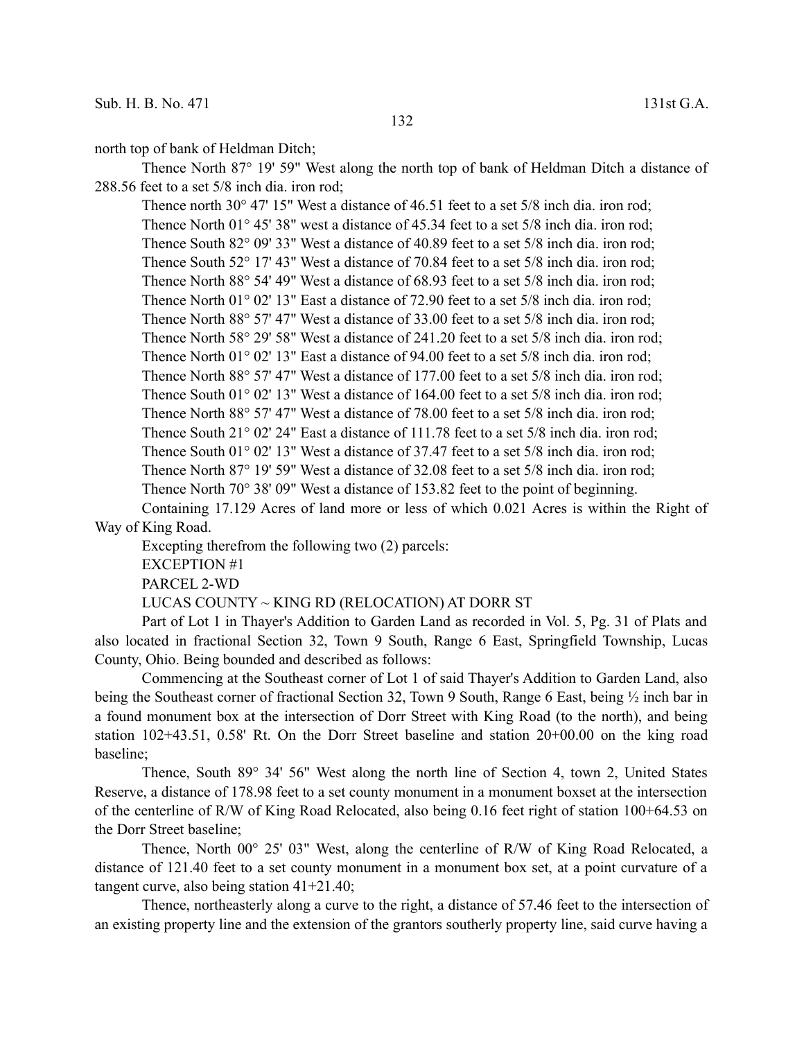north top of bank of Heldman Ditch;

Thence North 87° 19' 59" West along the north top of bank of Heldman Ditch a distance of 288.56 feet to a set 5/8 inch dia. iron rod;

Thence north 30° 47′ 15″ West a distance of 46.51 feet to a set 5/8 inch dia. iron rod; Thence North 01° 45' 38" west a distance of 45.34 feet to a set 5/8 inch dia. iron rod; Thence South 82° 09' 33" West a distance of 40.89 feet to a set 5/8 inch dia. iron rod; Thence South 52° 17′ 43″ West a distance of 70.84 feet to a set 5/8 inch dia. iron rod; Thence North 88° 54' 49" West a distance of 68.93 feet to a set 5/8 inch dia. iron rod; Thence North 01° 02' 13" East a distance of 72.90 feet to a set 5/8 inch dia. iron rod; Thence North 88° 57' 47" West a distance of 33.00 feet to a set 5/8 inch dia. iron rod; Thence North 58° 29′ 58″ West a distance of 241.20 feet to a set 5/8 inch dia. iron rod; Thence North 01° 02' 13" East a distance of 94.00 feet to a set 5/8 inch dia. iron rod; Thence North 88° 57' 47" West a distance of 177.00 feet to a set 5/8 inch dia. iron rod; Thence South 01° 02' 13" West a distance of 164.00 feet to a set 5/8 inch dia. iron rod; Thence North 88° 57' 47" West a distance of 78.00 feet to a set 5/8 inch dia. iron rod; Thence South 21° 02' 24" East a distance of 111.78 feet to a set 5/8 inch dia. iron rod; Thence South 01° 02' 13" West a distance of 37.47 feet to a set 5/8 inch dia. iron rod; Thence North 87° 19' 59" West a distance of 32.08 feet to a set 5/8 inch dia. iron rod; Thence North 70° 38' 09" West a distance of 153.82 feet to the point of beginning. Containing 17.129 Acres of land more or less of which 0.021 Acres is within the Right of

Way of King Road.

Excepting therefrom the following two (2) parcels:

EXCEPTION #1

PARCEL 2-WD

LUCAS COUNTY ~ KING RD (RELOCATION) AT DORR ST

Part of Lot 1 in Thayer's Addition to Garden Land as recorded in Vol. 5, Pg. 31 of Plats and also located in fractional Section 32, Town 9 South, Range 6 East, Springfield Township, Lucas County, Ohio. Being bounded and described as follows:

Commencing at the Southeast corner of Lot 1 of said Thayer's Addition to Garden Land, also being the Southeast corner of fractional Section 32, Town 9 South, Range 6 East, being ½ inch bar in a found monument box at the intersection of Dorr Street with King Road (to the north), and being station 102+43.51, 0.58' Rt. On the Dorr Street baseline and station 20+00.00 on the king road baseline;

Thence, South 89° 34' 56" West along the north line of Section 4, town 2, United States Reserve, a distance of 178.98 feet to a set county monument in a monument boxset at the intersection of the centerline of R/W of King Road Relocated, also being 0.16 feet right of station 100+64.53 on the Dorr Street baseline;

Thence, North 00° 25' 03" West, along the centerline of R/W of King Road Relocated, a distance of 121.40 feet to a set county monument in a monument box set, at a point curvature of a tangent curve, also being station 41+21.40;

Thence, northeasterly along a curve to the right, a distance of 57.46 feet to the intersection of an existing property line and the extension of the grantors southerly property line, said curve having a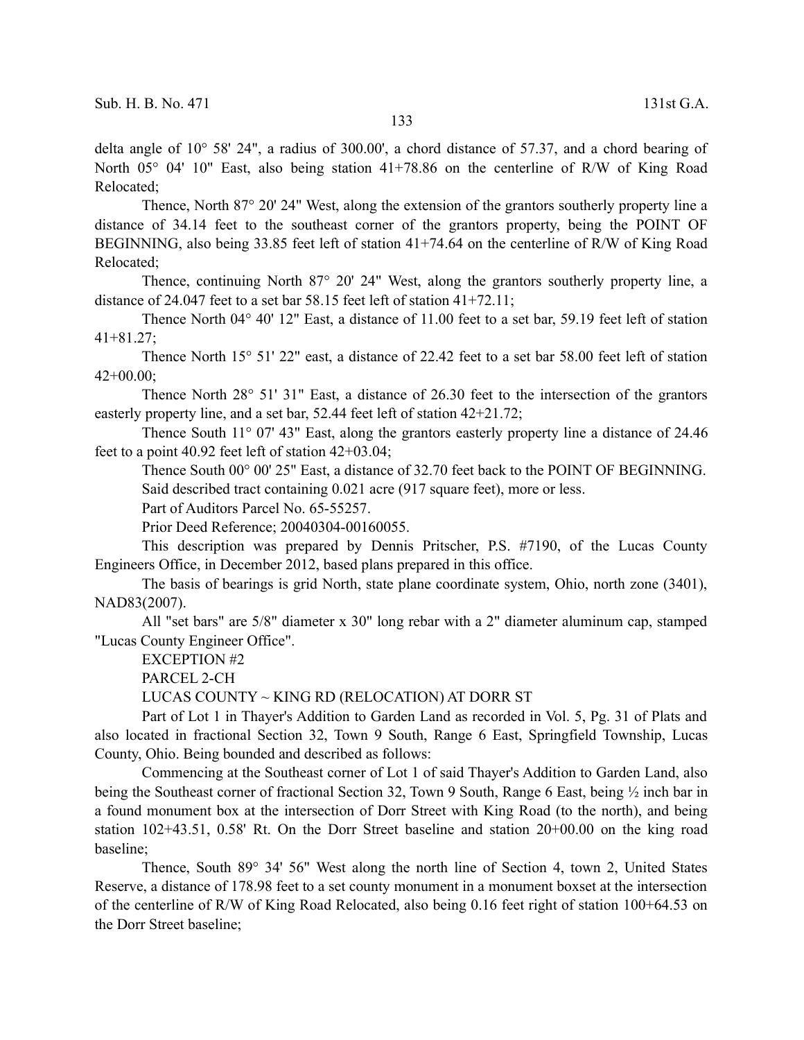delta angle of 10° 58' 24", a radius of 300.00', a chord distance of 57.37, and a chord bearing of North 05° 04' 10" East, also being station 41+78.86 on the centerline of R/W of King Road Relocated;

Thence, North 87° 20' 24" West, along the extension of the grantors southerly property line a distance of 34.14 feet to the southeast corner of the grantors property, being the POINT OF BEGINNING, also being 33.85 feet left of station 41+74.64 on the centerline of R/W of King Road Relocated;

Thence, continuing North 87° 20' 24" West, along the grantors southerly property line, a distance of 24.047 feet to a set bar 58.15 feet left of station 41+72.11;

Thence North 04° 40' 12" East, a distance of 11.00 feet to a set bar, 59.19 feet left of station 41+81.27;

Thence North 15° 51' 22" east, a distance of 22.42 feet to a set bar 58.00 feet left of station  $42+00.00$ ;

Thence North 28° 51' 31" East, a distance of 26.30 feet to the intersection of the grantors easterly property line, and a set bar, 52.44 feet left of station 42+21.72;

Thence South 11<sup>°</sup> 07' 43" East, along the grantors easterly property line a distance of 24.46 feet to a point 40.92 feet left of station 42+03.04;

Thence South 00° 00' 25" East, a distance of 32.70 feet back to the POINT OF BEGINNING. Said described tract containing 0.021 acre (917 square feet), more or less.

Part of Auditors Parcel No. 65-55257.

Prior Deed Reference; 20040304-00160055.

This description was prepared by Dennis Pritscher, P.S. #7190, of the Lucas County Engineers Office, in December 2012, based plans prepared in this office.

The basis of bearings is grid North, state plane coordinate system, Ohio, north zone (3401), NAD83(2007).

All "set bars" are 5/8" diameter x 30" long rebar with a 2" diameter aluminum cap, stamped "Lucas County Engineer Office".

EXCEPTION #2

PARCEL 2-CH

LUCAS COUNTY ~ KING RD (RELOCATION) AT DORR ST

Part of Lot 1 in Thayer's Addition to Garden Land as recorded in Vol. 5, Pg. 31 of Plats and also located in fractional Section 32, Town 9 South, Range 6 East, Springfield Township, Lucas County, Ohio. Being bounded and described as follows:

Commencing at the Southeast corner of Lot 1 of said Thayer's Addition to Garden Land, also being the Southeast corner of fractional Section 32, Town 9 South, Range 6 East, being ½ inch bar in a found monument box at the intersection of Dorr Street with King Road (to the north), and being station 102+43.51, 0.58' Rt. On the Dorr Street baseline and station 20+00.00 on the king road baseline;

Thence, South 89° 34' 56" West along the north line of Section 4, town 2, United States Reserve, a distance of 178.98 feet to a set county monument in a monument boxset at the intersection of the centerline of R/W of King Road Relocated, also being 0.16 feet right of station 100+64.53 on the Dorr Street baseline;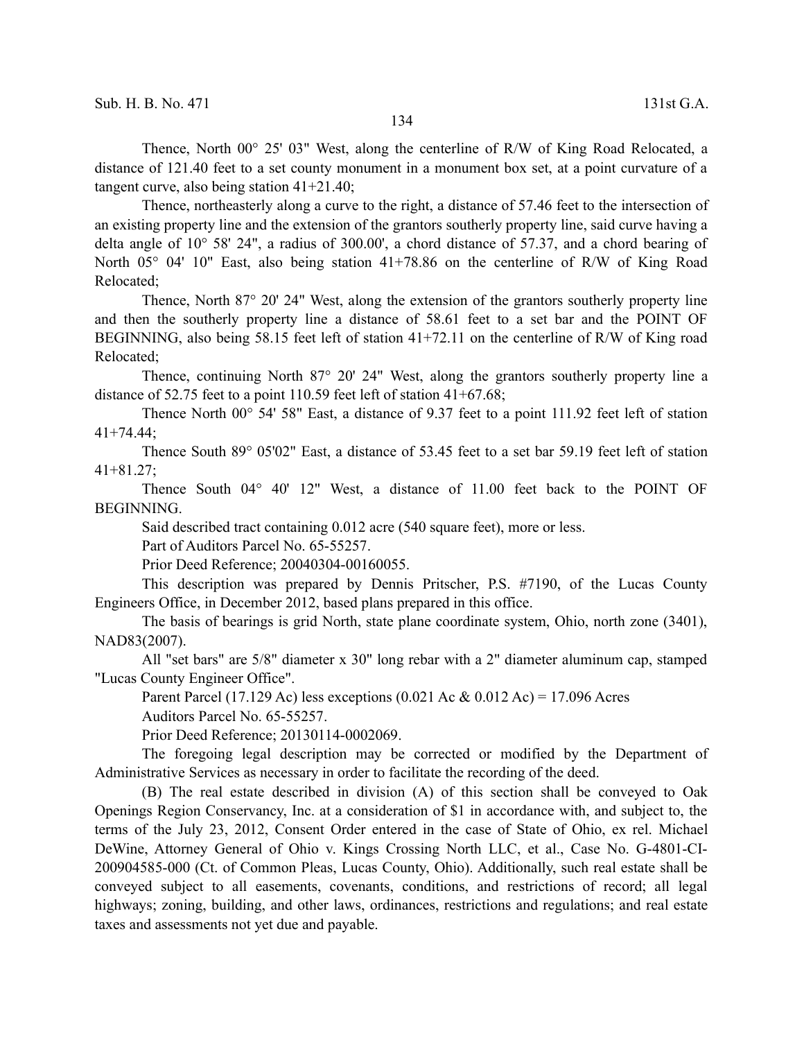Thence, North 00° 25' 03" West, along the centerline of R/W of King Road Relocated, a distance of 121.40 feet to a set county monument in a monument box set, at a point curvature of a tangent curve, also being station 41+21.40;

Thence, northeasterly along a curve to the right, a distance of 57.46 feet to the intersection of an existing property line and the extension of the grantors southerly property line, said curve having a delta angle of 10° 58' 24", a radius of 300.00', a chord distance of 57.37, and a chord bearing of North 05° 04' 10" East, also being station 41+78.86 on the centerline of R/W of King Road Relocated;

Thence, North 87° 20' 24" West, along the extension of the grantors southerly property line and then the southerly property line a distance of 58.61 feet to a set bar and the POINT OF BEGINNING, also being 58.15 feet left of station 41+72.11 on the centerline of R/W of King road Relocated;

Thence, continuing North 87° 20' 24" West, along the grantors southerly property line a distance of 52.75 feet to a point 110.59 feet left of station 41+67.68;

Thence North 00° 54' 58" East, a distance of 9.37 feet to a point 111.92 feet left of station 41+74.44;

Thence South 89° 05'02" East, a distance of 53.45 feet to a set bar 59.19 feet left of station 41+81.27;

Thence South 04° 40' 12" West, a distance of 11.00 feet back to the POINT OF BEGINNING.

Said described tract containing 0.012 acre (540 square feet), more or less.

Part of Auditors Parcel No. 65-55257.

Prior Deed Reference; 20040304-00160055.

This description was prepared by Dennis Pritscher, P.S. #7190, of the Lucas County Engineers Office, in December 2012, based plans prepared in this office.

The basis of bearings is grid North, state plane coordinate system, Ohio, north zone (3401), NAD83(2007).

All "set bars" are 5/8" diameter x 30" long rebar with a 2" diameter aluminum cap, stamped "Lucas County Engineer Office".

Parent Parcel (17.129 Ac) less exceptions (0.021 Ac  $&$  0.012 Ac) = 17.096 Acres

Auditors Parcel No. 65-55257.

Prior Deed Reference; 20130114-0002069.

The foregoing legal description may be corrected or modified by the Department of Administrative Services as necessary in order to facilitate the recording of the deed.

(B) The real estate described in division (A) of this section shall be conveyed to Oak Openings Region Conservancy, Inc. at a consideration of \$1 in accordance with, and subject to, the terms of the July 23, 2012, Consent Order entered in the case of State of Ohio, ex rel. Michael DeWine, Attorney General of Ohio v. Kings Crossing North LLC, et al., Case No. G-4801-CI-200904585-000 (Ct. of Common Pleas, Lucas County, Ohio). Additionally, such real estate shall be conveyed subject to all easements, covenants, conditions, and restrictions of record; all legal highways; zoning, building, and other laws, ordinances, restrictions and regulations; and real estate taxes and assessments not yet due and payable.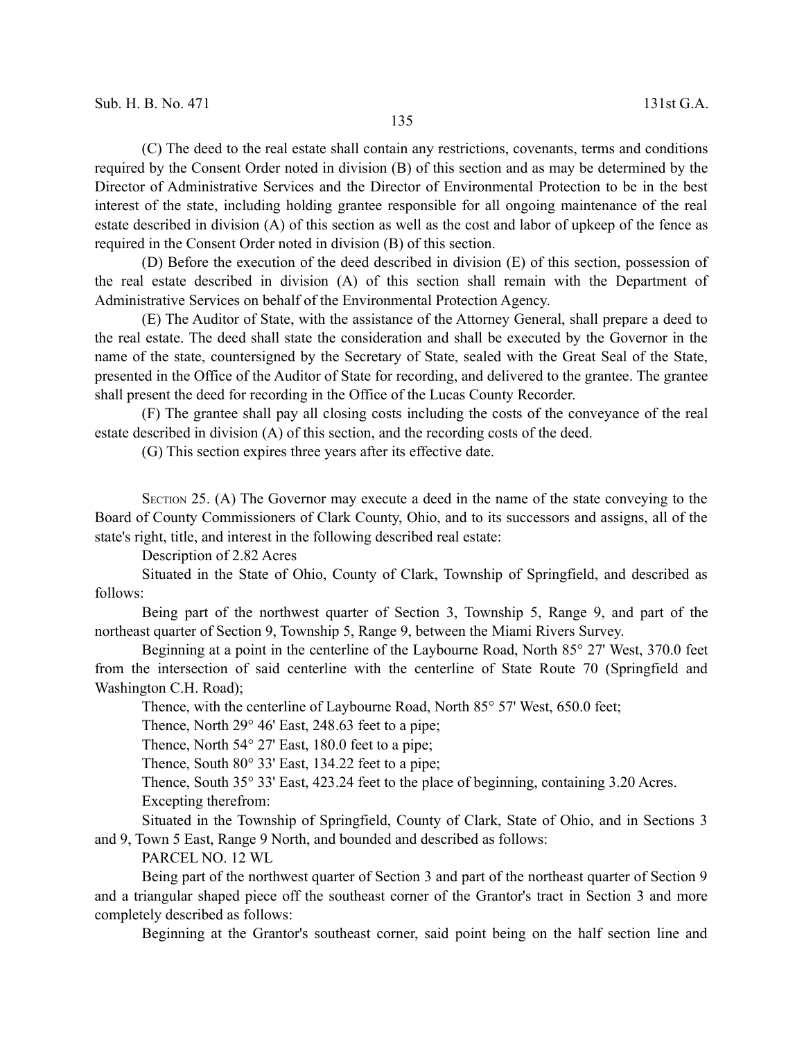(C) The deed to the real estate shall contain any restrictions, covenants, terms and conditions required by the Consent Order noted in division (B) of this section and as may be determined by the Director of Administrative Services and the Director of Environmental Protection to be in the best interest of the state, including holding grantee responsible for all ongoing maintenance of the real estate described in division (A) of this section as well as the cost and labor of upkeep of the fence as required in the Consent Order noted in division (B) of this section.

(D) Before the execution of the deed described in division (E) of this section, possession of the real estate described in division (A) of this section shall remain with the Department of Administrative Services on behalf of the Environmental Protection Agency.

(E) The Auditor of State, with the assistance of the Attorney General, shall prepare a deed to the real estate. The deed shall state the consideration and shall be executed by the Governor in the name of the state, countersigned by the Secretary of State, sealed with the Great Seal of the State, presented in the Office of the Auditor of State for recording, and delivered to the grantee. The grantee shall present the deed for recording in the Office of the Lucas County Recorder.

(F) The grantee shall pay all closing costs including the costs of the conveyance of the real estate described in division (A) of this section, and the recording costs of the deed.

(G) This section expires three years after its effective date.

SECTION 25. (A) The Governor may execute a deed in the name of the state conveying to the Board of County Commissioners of Clark County, Ohio, and to its successors and assigns, all of the state's right, title, and interest in the following described real estate:

Description of 2.82 Acres

Situated in the State of Ohio, County of Clark, Township of Springfield, and described as follows:

Being part of the northwest quarter of Section 3, Township 5, Range 9, and part of the northeast quarter of Section 9, Township 5, Range 9, between the Miami Rivers Survey.

Beginning at a point in the centerline of the Laybourne Road, North 85° 27' West, 370.0 feet from the intersection of said centerline with the centerline of State Route 70 (Springfield and Washington C.H. Road);

Thence, with the centerline of Laybourne Road, North 85° 57' West, 650.0 feet;

Thence, North 29° 46' East, 248.63 feet to a pipe;

Thence, North 54° 27' East, 180.0 feet to a pipe;

Thence, South 80° 33' East, 134.22 feet to a pipe;

Thence, South 35° 33' East, 423.24 feet to the place of beginning, containing 3.20 Acres.

Excepting therefrom:

Situated in the Township of Springfield, County of Clark, State of Ohio, and in Sections 3 and 9, Town 5 East, Range 9 North, and bounded and described as follows:

PARCEL NO. 12 WL

Being part of the northwest quarter of Section 3 and part of the northeast quarter of Section 9 and a triangular shaped piece off the southeast corner of the Grantor's tract in Section 3 and more completely described as follows:

Beginning at the Grantor's southeast corner, said point being on the half section line and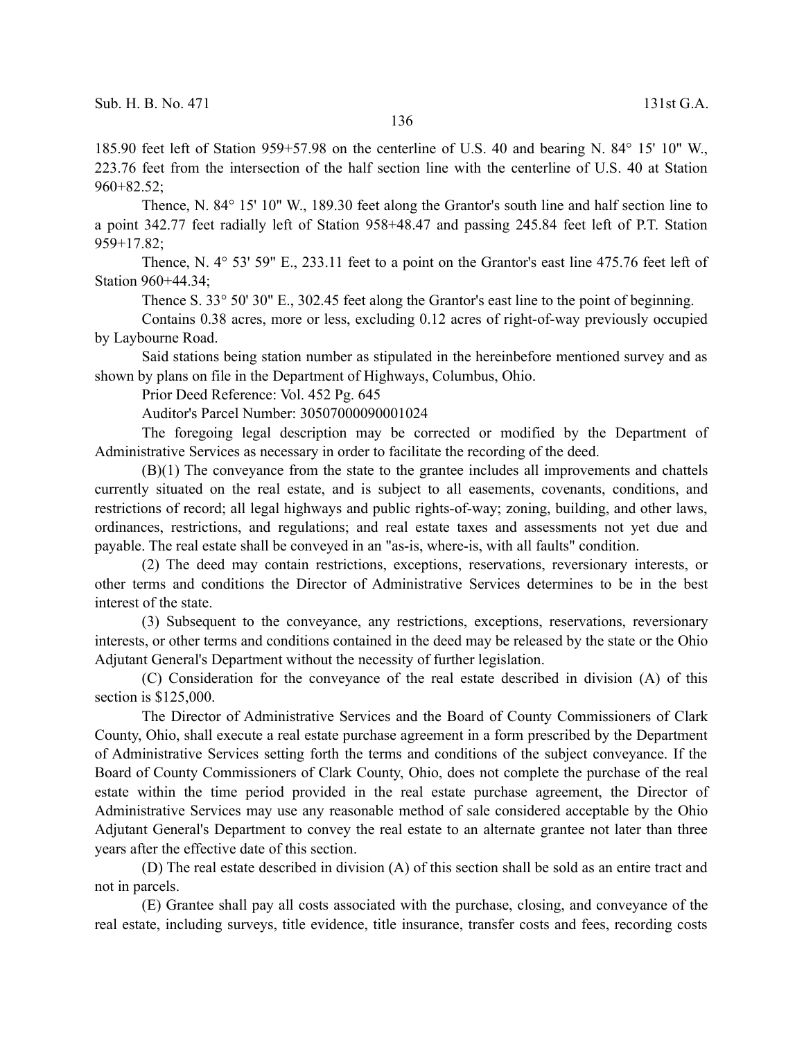185.90 feet left of Station 959+57.98 on the centerline of U.S. 40 and bearing N. 84° 15' 10" W., 223.76 feet from the intersection of the half section line with the centerline of U.S. 40 at Station 960+82.52;

Thence, N. 84° 15' 10" W., 189.30 feet along the Grantor's south line and half section line to a point 342.77 feet radially left of Station 958+48.47 and passing 245.84 feet left of P.T. Station 959+17.82;

Thence, N. 4° 53' 59" E., 233.11 feet to a point on the Grantor's east line 475.76 feet left of Station 960+44.34;

Thence S. 33° 50' 30" E., 302.45 feet along the Grantor's east line to the point of beginning.

Contains 0.38 acres, more or less, excluding 0.12 acres of right-of-way previously occupied by Laybourne Road.

Said stations being station number as stipulated in the hereinbefore mentioned survey and as shown by plans on file in the Department of Highways, Columbus, Ohio.

Prior Deed Reference: Vol. 452 Pg. 645

Auditor's Parcel Number: 30507000090001024

The foregoing legal description may be corrected or modified by the Department of Administrative Services as necessary in order to facilitate the recording of the deed.

(B)(1) The conveyance from the state to the grantee includes all improvements and chattels currently situated on the real estate, and is subject to all easements, covenants, conditions, and restrictions of record; all legal highways and public rights-of-way; zoning, building, and other laws, ordinances, restrictions, and regulations; and real estate taxes and assessments not yet due and payable. The real estate shall be conveyed in an "as-is, where-is, with all faults" condition.

(2) The deed may contain restrictions, exceptions, reservations, reversionary interests, or other terms and conditions the Director of Administrative Services determines to be in the best interest of the state.

(3) Subsequent to the conveyance, any restrictions, exceptions, reservations, reversionary interests, or other terms and conditions contained in the deed may be released by the state or the Ohio Adjutant General's Department without the necessity of further legislation.

(C) Consideration for the conveyance of the real estate described in division (A) of this section is \$125,000.

The Director of Administrative Services and the Board of County Commissioners of Clark County, Ohio, shall execute a real estate purchase agreement in a form prescribed by the Department of Administrative Services setting forth the terms and conditions of the subject conveyance. If the Board of County Commissioners of Clark County, Ohio, does not complete the purchase of the real estate within the time period provided in the real estate purchase agreement, the Director of Administrative Services may use any reasonable method of sale considered acceptable by the Ohio Adjutant General's Department to convey the real estate to an alternate grantee not later than three years after the effective date of this section.

(D) The real estate described in division (A) of this section shall be sold as an entire tract and not in parcels.

(E) Grantee shall pay all costs associated with the purchase, closing, and conveyance of the real estate, including surveys, title evidence, title insurance, transfer costs and fees, recording costs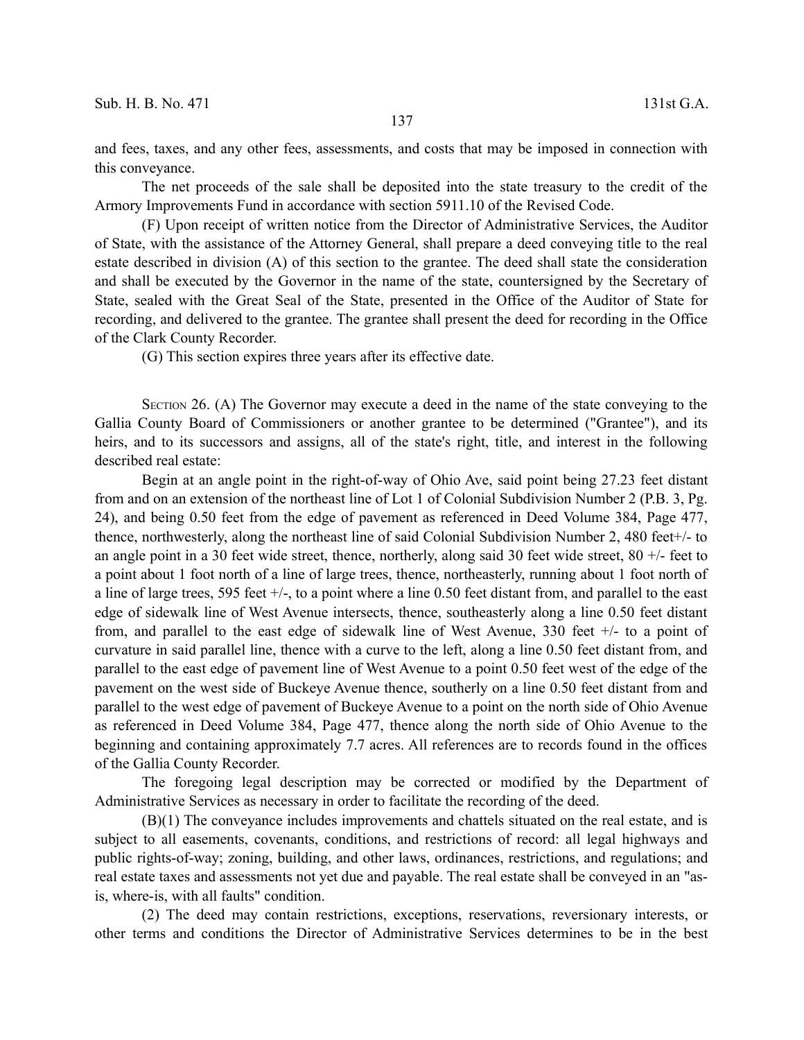and fees, taxes, and any other fees, assessments, and costs that may be imposed in connection with this conveyance.

The net proceeds of the sale shall be deposited into the state treasury to the credit of the Armory Improvements Fund in accordance with section 5911.10 of the Revised Code.

(F) Upon receipt of written notice from the Director of Administrative Services, the Auditor of State, with the assistance of the Attorney General, shall prepare a deed conveying title to the real estate described in division (A) of this section to the grantee. The deed shall state the consideration and shall be executed by the Governor in the name of the state, countersigned by the Secretary of State, sealed with the Great Seal of the State, presented in the Office of the Auditor of State for recording, and delivered to the grantee. The grantee shall present the deed for recording in the Office of the Clark County Recorder.

(G) This section expires three years after its effective date.

SECTION 26. (A) The Governor may execute a deed in the name of the state conveying to the Gallia County Board of Commissioners or another grantee to be determined ("Grantee"), and its heirs, and to its successors and assigns, all of the state's right, title, and interest in the following described real estate:

Begin at an angle point in the right-of-way of Ohio Ave, said point being 27.23 feet distant from and on an extension of the northeast line of Lot 1 of Colonial Subdivision Number 2 (P.B. 3, Pg. 24), and being 0.50 feet from the edge of pavement as referenced in Deed Volume 384, Page 477, thence, northwesterly, along the northeast line of said Colonial Subdivision Number 2, 480 feet+/- to an angle point in a 30 feet wide street, thence, northerly, along said 30 feet wide street,  $80 +$ -feet to a point about 1 foot north of a line of large trees, thence, northeasterly, running about 1 foot north of a line of large trees, 595 feet +/-, to a point where a line 0.50 feet distant from, and parallel to the east edge of sidewalk line of West Avenue intersects, thence, southeasterly along a line 0.50 feet distant from, and parallel to the east edge of sidewalk line of West Avenue, 330 feet +/- to a point of curvature in said parallel line, thence with a curve to the left, along a line 0.50 feet distant from, and parallel to the east edge of pavement line of West Avenue to a point 0.50 feet west of the edge of the pavement on the west side of Buckeye Avenue thence, southerly on a line 0.50 feet distant from and parallel to the west edge of pavement of Buckeye Avenue to a point on the north side of Ohio Avenue as referenced in Deed Volume 384, Page 477, thence along the north side of Ohio Avenue to the beginning and containing approximately 7.7 acres. All references are to records found in the offices of the Gallia County Recorder.

The foregoing legal description may be corrected or modified by the Department of Administrative Services as necessary in order to facilitate the recording of the deed.

(B)(1) The conveyance includes improvements and chattels situated on the real estate, and is subject to all easements, covenants, conditions, and restrictions of record: all legal highways and public rights-of-way; zoning, building, and other laws, ordinances, restrictions, and regulations; and real estate taxes and assessments not yet due and payable. The real estate shall be conveyed in an "asis, where-is, with all faults" condition.

(2) The deed may contain restrictions, exceptions, reservations, reversionary interests, or other terms and conditions the Director of Administrative Services determines to be in the best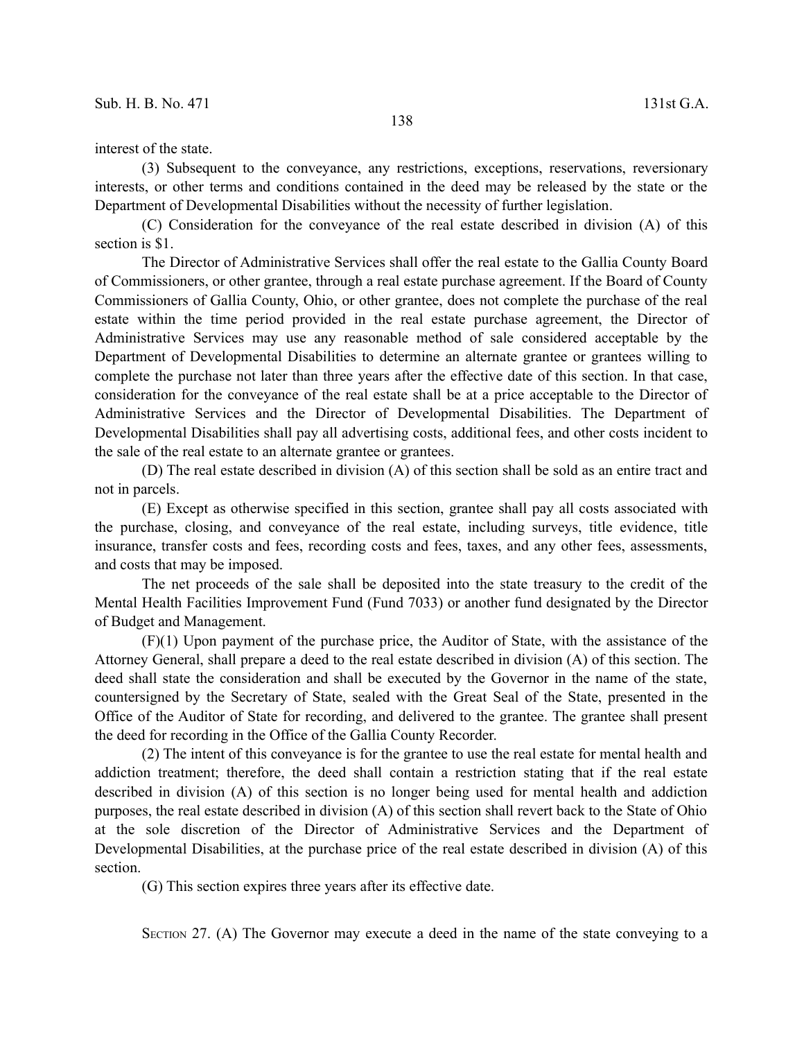interest of the state.

(3) Subsequent to the conveyance, any restrictions, exceptions, reservations, reversionary interests, or other terms and conditions contained in the deed may be released by the state or the Department of Developmental Disabilities without the necessity of further legislation.

(C) Consideration for the conveyance of the real estate described in division (A) of this section is \$1.

The Director of Administrative Services shall offer the real estate to the Gallia County Board of Commissioners, or other grantee, through a real estate purchase agreement. If the Board of County Commissioners of Gallia County, Ohio, or other grantee, does not complete the purchase of the real estate within the time period provided in the real estate purchase agreement, the Director of Administrative Services may use any reasonable method of sale considered acceptable by the Department of Developmental Disabilities to determine an alternate grantee or grantees willing to complete the purchase not later than three years after the effective date of this section. In that case, consideration for the conveyance of the real estate shall be at a price acceptable to the Director of Administrative Services and the Director of Developmental Disabilities. The Department of Developmental Disabilities shall pay all advertising costs, additional fees, and other costs incident to the sale of the real estate to an alternate grantee or grantees.

(D) The real estate described in division (A) of this section shall be sold as an entire tract and not in parcels.

(E) Except as otherwise specified in this section, grantee shall pay all costs associated with the purchase, closing, and conveyance of the real estate, including surveys, title evidence, title insurance, transfer costs and fees, recording costs and fees, taxes, and any other fees, assessments, and costs that may be imposed.

The net proceeds of the sale shall be deposited into the state treasury to the credit of the Mental Health Facilities Improvement Fund (Fund 7033) or another fund designated by the Director of Budget and Management.

(F)(1) Upon payment of the purchase price, the Auditor of State, with the assistance of the Attorney General, shall prepare a deed to the real estate described in division (A) of this section. The deed shall state the consideration and shall be executed by the Governor in the name of the state, countersigned by the Secretary of State, sealed with the Great Seal of the State, presented in the Office of the Auditor of State for recording, and delivered to the grantee. The grantee shall present the deed for recording in the Office of the Gallia County Recorder.

(2) The intent of this conveyance is for the grantee to use the real estate for mental health and addiction treatment; therefore, the deed shall contain a restriction stating that if the real estate described in division (A) of this section is no longer being used for mental health and addiction purposes, the real estate described in division (A) of this section shall revert back to the State of Ohio at the sole discretion of the Director of Administrative Services and the Department of Developmental Disabilities, at the purchase price of the real estate described in division (A) of this section.

(G) This section expires three years after its effective date.

SECTION 27. (A) The Governor may execute a deed in the name of the state conveying to a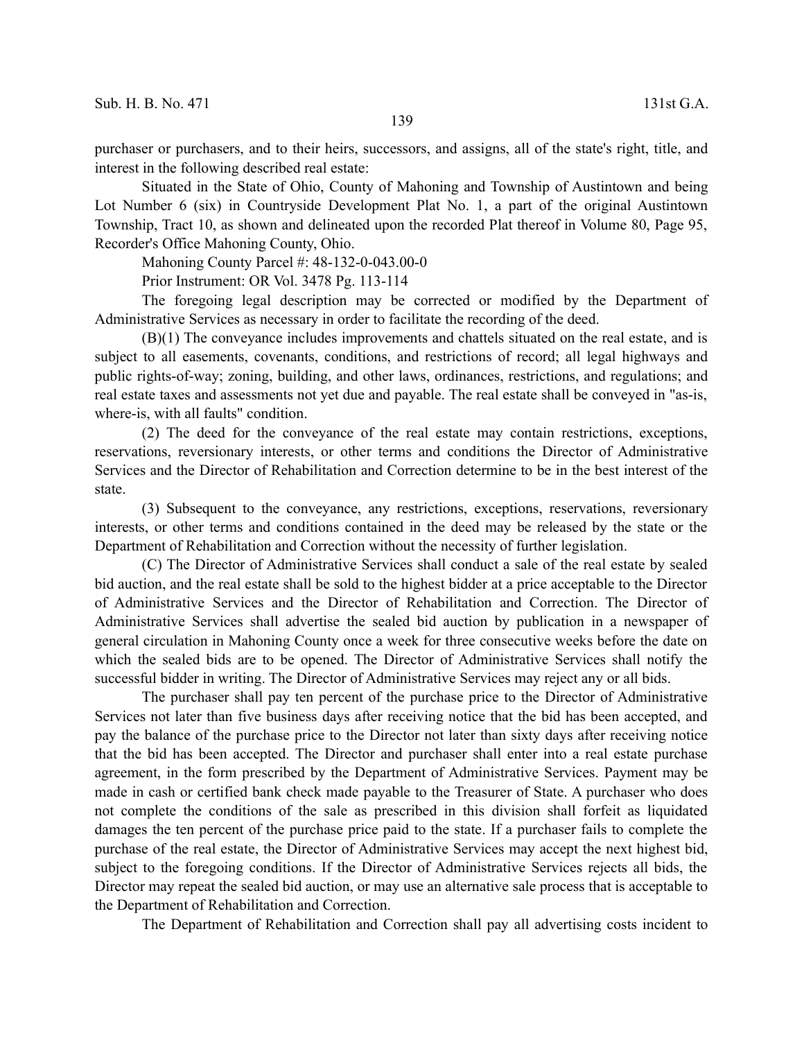purchaser or purchasers, and to their heirs, successors, and assigns, all of the state's right, title, and interest in the following described real estate:

Situated in the State of Ohio, County of Mahoning and Township of Austintown and being Lot Number 6 (six) in Countryside Development Plat No. 1, a part of the original Austintown Township, Tract 10, as shown and delineated upon the recorded Plat thereof in Volume 80, Page 95, Recorder's Office Mahoning County, Ohio.

Mahoning County Parcel #: 48-132-0-043.00-0

Prior Instrument: OR Vol. 3478 Pg. 113-114

The foregoing legal description may be corrected or modified by the Department of Administrative Services as necessary in order to facilitate the recording of the deed.

(B)(1) The conveyance includes improvements and chattels situated on the real estate, and is subject to all easements, covenants, conditions, and restrictions of record; all legal highways and public rights-of-way; zoning, building, and other laws, ordinances, restrictions, and regulations; and real estate taxes and assessments not yet due and payable. The real estate shall be conveyed in "as-is, where-is, with all faults" condition.

(2) The deed for the conveyance of the real estate may contain restrictions, exceptions, reservations, reversionary interests, or other terms and conditions the Director of Administrative Services and the Director of Rehabilitation and Correction determine to be in the best interest of the state.

(3) Subsequent to the conveyance, any restrictions, exceptions, reservations, reversionary interests, or other terms and conditions contained in the deed may be released by the state or the Department of Rehabilitation and Correction without the necessity of further legislation.

(C) The Director of Administrative Services shall conduct a sale of the real estate by sealed bid auction, and the real estate shall be sold to the highest bidder at a price acceptable to the Director of Administrative Services and the Director of Rehabilitation and Correction. The Director of Administrative Services shall advertise the sealed bid auction by publication in a newspaper of general circulation in Mahoning County once a week for three consecutive weeks before the date on which the sealed bids are to be opened. The Director of Administrative Services shall notify the successful bidder in writing. The Director of Administrative Services may reject any or all bids.

The purchaser shall pay ten percent of the purchase price to the Director of Administrative Services not later than five business days after receiving notice that the bid has been accepted, and pay the balance of the purchase price to the Director not later than sixty days after receiving notice that the bid has been accepted. The Director and purchaser shall enter into a real estate purchase agreement, in the form prescribed by the Department of Administrative Services. Payment may be made in cash or certified bank check made payable to the Treasurer of State. A purchaser who does not complete the conditions of the sale as prescribed in this division shall forfeit as liquidated damages the ten percent of the purchase price paid to the state. If a purchaser fails to complete the purchase of the real estate, the Director of Administrative Services may accept the next highest bid, subject to the foregoing conditions. If the Director of Administrative Services rejects all bids, the Director may repeat the sealed bid auction, or may use an alternative sale process that is acceptable to the Department of Rehabilitation and Correction.

The Department of Rehabilitation and Correction shall pay all advertising costs incident to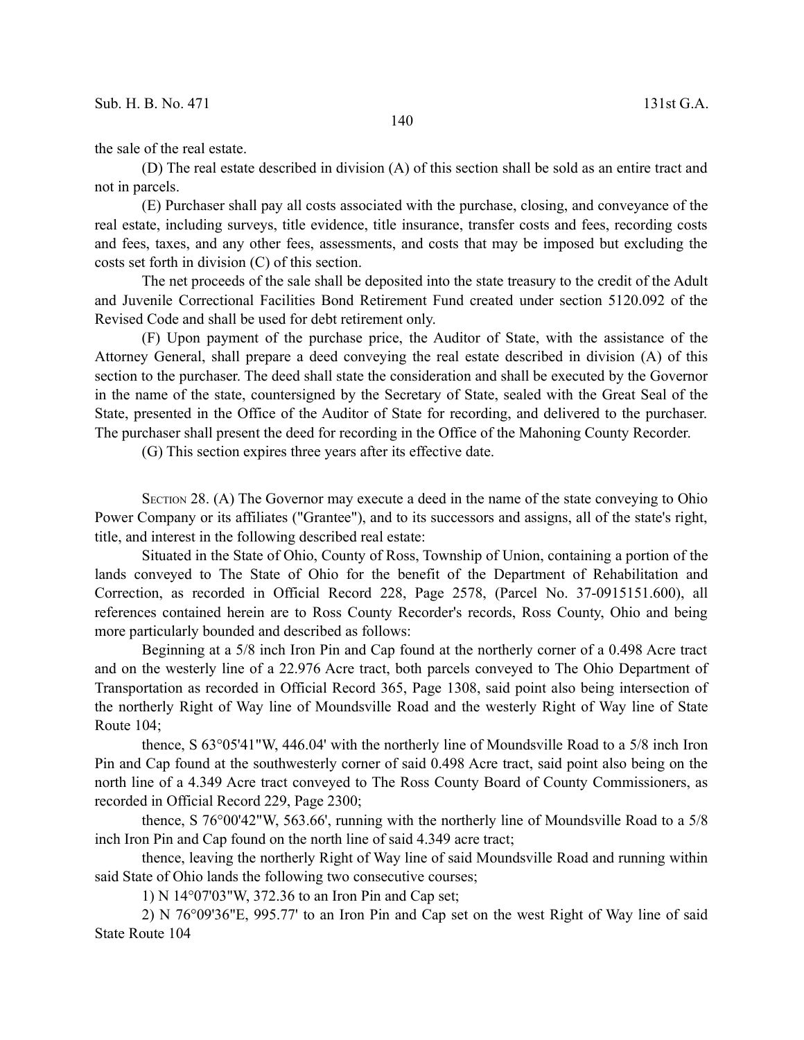the sale of the real estate.

(D) The real estate described in division (A) of this section shall be sold as an entire tract and not in parcels.

(E) Purchaser shall pay all costs associated with the purchase, closing, and conveyance of the real estate, including surveys, title evidence, title insurance, transfer costs and fees, recording costs and fees, taxes, and any other fees, assessments, and costs that may be imposed but excluding the costs set forth in division (C) of this section.

The net proceeds of the sale shall be deposited into the state treasury to the credit of the Adult and Juvenile Correctional Facilities Bond Retirement Fund created under section 5120.092 of the Revised Code and shall be used for debt retirement only.

(F) Upon payment of the purchase price, the Auditor of State, with the assistance of the Attorney General, shall prepare a deed conveying the real estate described in division (A) of this section to the purchaser. The deed shall state the consideration and shall be executed by the Governor in the name of the state, countersigned by the Secretary of State, sealed with the Great Seal of the State, presented in the Office of the Auditor of State for recording, and delivered to the purchaser. The purchaser shall present the deed for recording in the Office of the Mahoning County Recorder.

(G) This section expires three years after its effective date.

SECTION 28. (A) The Governor may execute a deed in the name of the state conveying to Ohio Power Company or its affiliates ("Grantee"), and to its successors and assigns, all of the state's right, title, and interest in the following described real estate:

Situated in the State of Ohio, County of Ross, Township of Union, containing a portion of the lands conveyed to The State of Ohio for the benefit of the Department of Rehabilitation and Correction, as recorded in Official Record 228, Page 2578, (Parcel No. 37-0915151.600), all references contained herein are to Ross County Recorder's records, Ross County, Ohio and being more particularly bounded and described as follows:

Beginning at a 5/8 inch Iron Pin and Cap found at the northerly corner of a 0.498 Acre tract and on the westerly line of a 22.976 Acre tract, both parcels conveyed to The Ohio Department of Transportation as recorded in Official Record 365, Page 1308, said point also being intersection of the northerly Right of Way line of Moundsville Road and the westerly Right of Way line of State Route 104;

thence, S 63°05'41"W, 446.04' with the northerly line of Moundsville Road to a 5/8 inch Iron Pin and Cap found at the southwesterly corner of said 0.498 Acre tract, said point also being on the north line of a 4.349 Acre tract conveyed to The Ross County Board of County Commissioners, as recorded in Official Record 229, Page 2300;

thence, S 76°00'42"W, 563.66', running with the northerly line of Moundsville Road to a 5/8 inch Iron Pin and Cap found on the north line of said 4.349 acre tract;

thence, leaving the northerly Right of Way line of said Moundsville Road and running within said State of Ohio lands the following two consecutive courses;

1) N 14°07'03"W, 372.36 to an Iron Pin and Cap set;

2) N 76°09'36"E, 995.77' to an Iron Pin and Cap set on the west Right of Way line of said State Route 104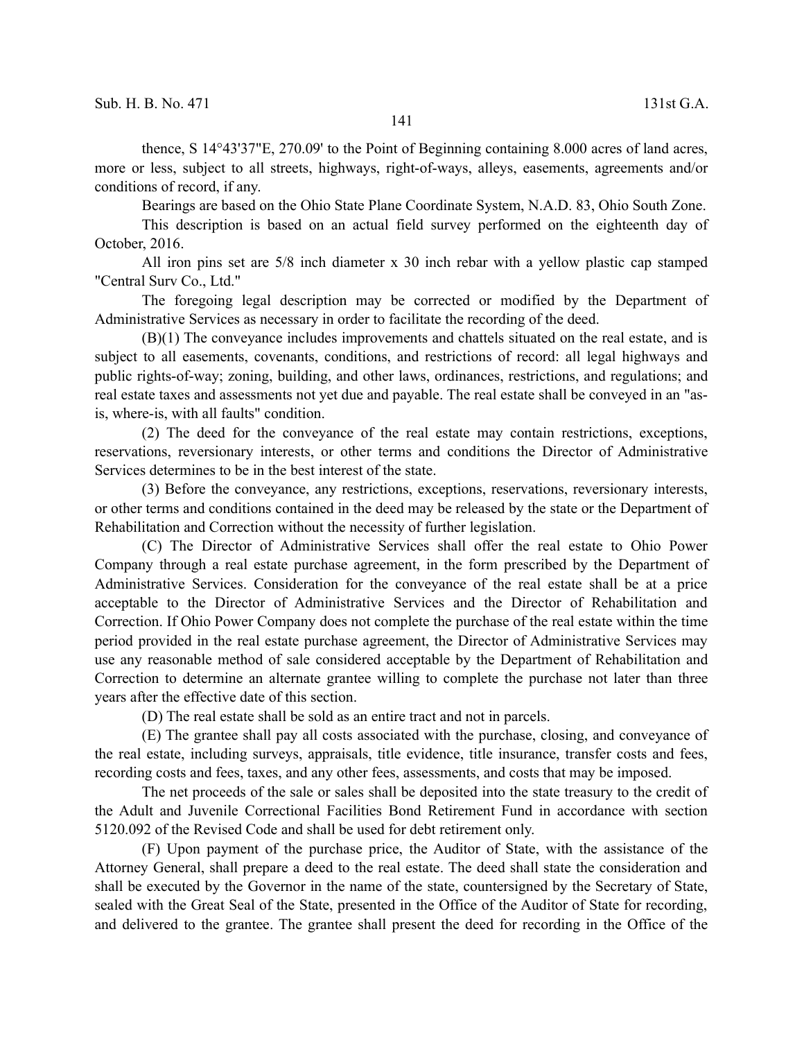thence, S 14°43'37"E, 270.09' to the Point of Beginning containing 8.000 acres of land acres, more or less, subject to all streets, highways, right-of-ways, alleys, easements, agreements and/or conditions of record, if any.

Bearings are based on the Ohio State Plane Coordinate System, N.A.D. 83, Ohio South Zone.

This description is based on an actual field survey performed on the eighteenth day of October, 2016.

All iron pins set are 5/8 inch diameter x 30 inch rebar with a yellow plastic cap stamped "Central Surv Co., Ltd."

The foregoing legal description may be corrected or modified by the Department of Administrative Services as necessary in order to facilitate the recording of the deed.

(B)(1) The conveyance includes improvements and chattels situated on the real estate, and is subject to all easements, covenants, conditions, and restrictions of record: all legal highways and public rights-of-way; zoning, building, and other laws, ordinances, restrictions, and regulations; and real estate taxes and assessments not yet due and payable. The real estate shall be conveyed in an "asis, where-is, with all faults" condition.

(2) The deed for the conveyance of the real estate may contain restrictions, exceptions, reservations, reversionary interests, or other terms and conditions the Director of Administrative Services determines to be in the best interest of the state.

(3) Before the conveyance, any restrictions, exceptions, reservations, reversionary interests, or other terms and conditions contained in the deed may be released by the state or the Department of Rehabilitation and Correction without the necessity of further legislation.

(C) The Director of Administrative Services shall offer the real estate to Ohio Power Company through a real estate purchase agreement, in the form prescribed by the Department of Administrative Services. Consideration for the conveyance of the real estate shall be at a price acceptable to the Director of Administrative Services and the Director of Rehabilitation and Correction. If Ohio Power Company does not complete the purchase of the real estate within the time period provided in the real estate purchase agreement, the Director of Administrative Services may use any reasonable method of sale considered acceptable by the Department of Rehabilitation and Correction to determine an alternate grantee willing to complete the purchase not later than three years after the effective date of this section.

(D) The real estate shall be sold as an entire tract and not in parcels.

(E) The grantee shall pay all costs associated with the purchase, closing, and conveyance of the real estate, including surveys, appraisals, title evidence, title insurance, transfer costs and fees, recording costs and fees, taxes, and any other fees, assessments, and costs that may be imposed.

The net proceeds of the sale or sales shall be deposited into the state treasury to the credit of the Adult and Juvenile Correctional Facilities Bond Retirement Fund in accordance with section 5120.092 of the Revised Code and shall be used for debt retirement only.

(F) Upon payment of the purchase price, the Auditor of State, with the assistance of the Attorney General, shall prepare a deed to the real estate. The deed shall state the consideration and shall be executed by the Governor in the name of the state, countersigned by the Secretary of State, sealed with the Great Seal of the State, presented in the Office of the Auditor of State for recording, and delivered to the grantee. The grantee shall present the deed for recording in the Office of the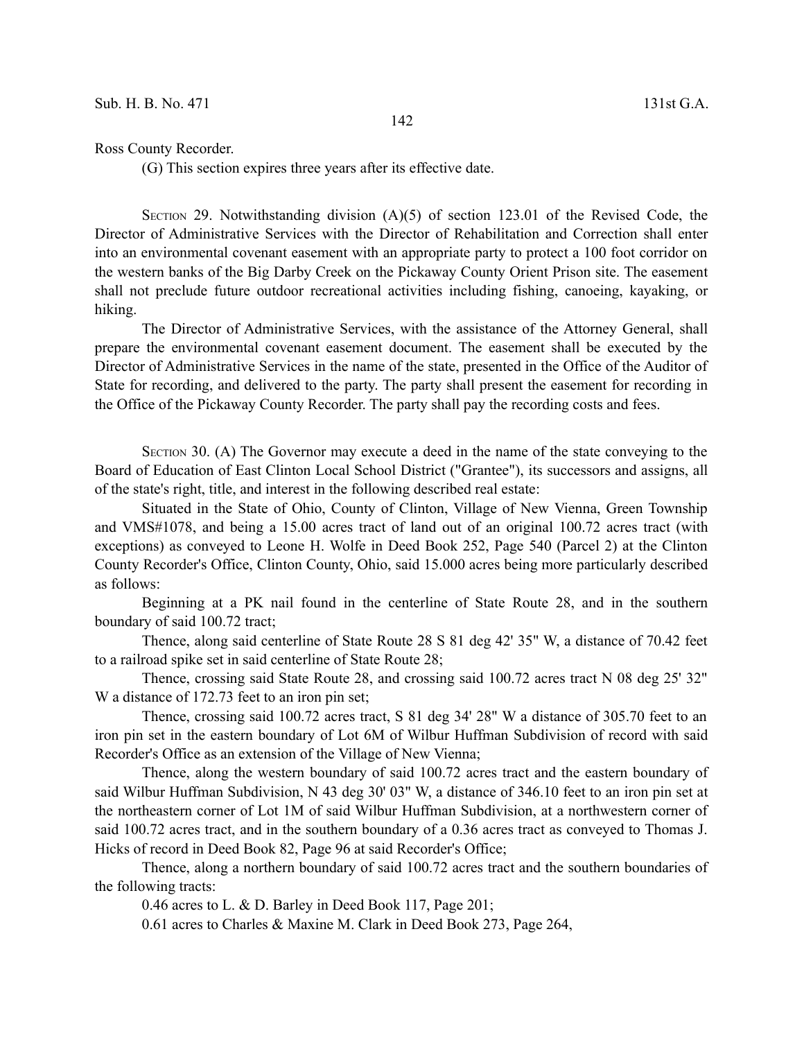Ross County Recorder.

(G) This section expires three years after its effective date.

SECTION 29. Notwithstanding division (A)(5) of section 123.01 of the Revised Code, the Director of Administrative Services with the Director of Rehabilitation and Correction shall enter into an environmental covenant easement with an appropriate party to protect a 100 foot corridor on the western banks of the Big Darby Creek on the Pickaway County Orient Prison site. The easement shall not preclude future outdoor recreational activities including fishing, canoeing, kayaking, or hiking.

The Director of Administrative Services, with the assistance of the Attorney General, shall prepare the environmental covenant easement document. The easement shall be executed by the Director of Administrative Services in the name of the state, presented in the Office of the Auditor of State for recording, and delivered to the party. The party shall present the easement for recording in the Office of the Pickaway County Recorder. The party shall pay the recording costs and fees.

SECTION 30. (A) The Governor may execute a deed in the name of the state conveying to the Board of Education of East Clinton Local School District ("Grantee"), its successors and assigns, all of the state's right, title, and interest in the following described real estate:

Situated in the State of Ohio, County of Clinton, Village of New Vienna, Green Township and VMS#1078, and being a 15.00 acres tract of land out of an original 100.72 acres tract (with exceptions) as conveyed to Leone H. Wolfe in Deed Book 252, Page 540 (Parcel 2) at the Clinton County Recorder's Office, Clinton County, Ohio, said 15.000 acres being more particularly described as follows:

Beginning at a PK nail found in the centerline of State Route 28, and in the southern boundary of said 100.72 tract;

Thence, along said centerline of State Route 28 S 81 deg 42' 35" W, a distance of 70.42 feet to a railroad spike set in said centerline of State Route 28;

Thence, crossing said State Route 28, and crossing said 100.72 acres tract N 08 deg 25' 32" W a distance of 172.73 feet to an iron pin set;

Thence, crossing said 100.72 acres tract, S 81 deg 34' 28" W a distance of 305.70 feet to an iron pin set in the eastern boundary of Lot 6M of Wilbur Huffman Subdivision of record with said Recorder's Office as an extension of the Village of New Vienna;

Thence, along the western boundary of said 100.72 acres tract and the eastern boundary of said Wilbur Huffman Subdivision, N 43 deg 30' 03" W, a distance of 346.10 feet to an iron pin set at the northeastern corner of Lot 1M of said Wilbur Huffman Subdivision, at a northwestern corner of said 100.72 acres tract, and in the southern boundary of a 0.36 acres tract as conveyed to Thomas J. Hicks of record in Deed Book 82, Page 96 at said Recorder's Office;

Thence, along a northern boundary of said 100.72 acres tract and the southern boundaries of the following tracts:

0.46 acres to L. & D. Barley in Deed Book 117, Page 201;

0.61 acres to Charles & Maxine M. Clark in Deed Book 273, Page 264,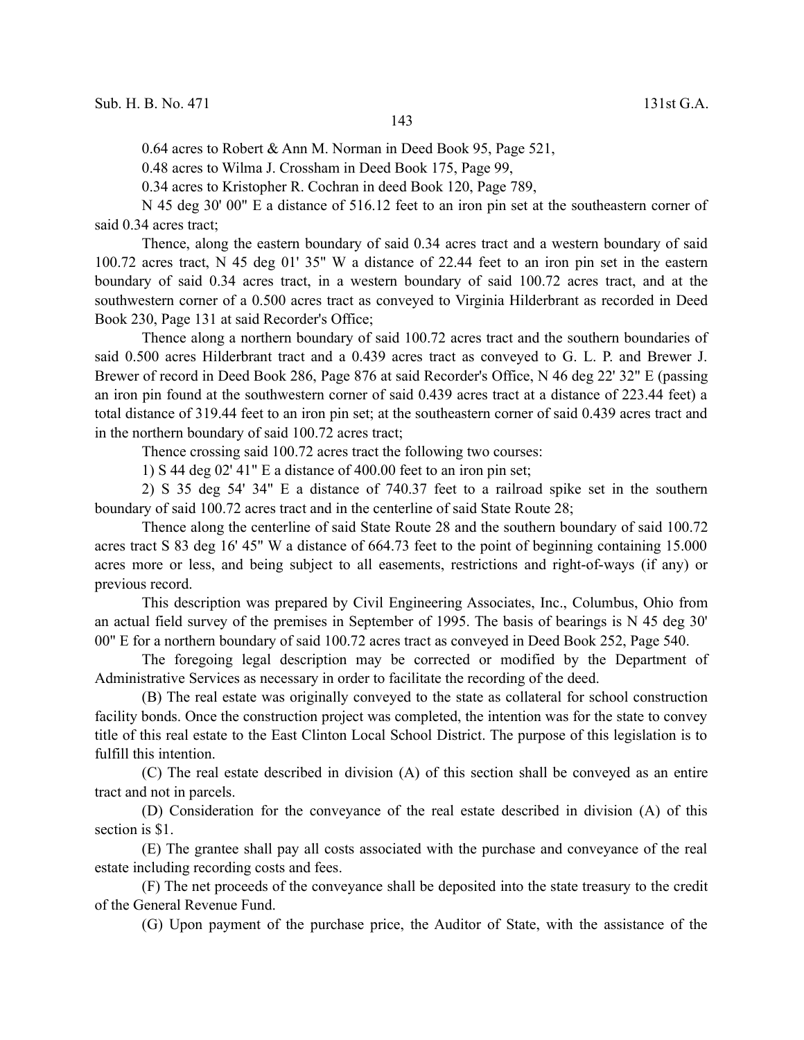0.64 acres to Robert & Ann M. Norman in Deed Book 95, Page 521,

0.48 acres to Wilma J. Crossham in Deed Book 175, Page 99,

0.34 acres to Kristopher R. Cochran in deed Book 120, Page 789,

N 45 deg 30' 00" E a distance of 516.12 feet to an iron pin set at the southeastern corner of said 0.34 acres tract;

Thence, along the eastern boundary of said 0.34 acres tract and a western boundary of said 100.72 acres tract, N 45 deg 01' 35" W a distance of 22.44 feet to an iron pin set in the eastern boundary of said 0.34 acres tract, in a western boundary of said 100.72 acres tract, and at the southwestern corner of a 0.500 acres tract as conveyed to Virginia Hilderbrant as recorded in Deed Book 230, Page 131 at said Recorder's Office;

Thence along a northern boundary of said 100.72 acres tract and the southern boundaries of said 0.500 acres Hilderbrant tract and a 0.439 acres tract as conveyed to G. L. P. and Brewer J. Brewer of record in Deed Book 286, Page 876 at said Recorder's Office, N 46 deg 22' 32" E (passing an iron pin found at the southwestern corner of said 0.439 acres tract at a distance of 223.44 feet) a total distance of 319.44 feet to an iron pin set; at the southeastern corner of said 0.439 acres tract and in the northern boundary of said 100.72 acres tract;

Thence crossing said 100.72 acres tract the following two courses:

1) S 44 deg 02' 41" E a distance of 400.00 feet to an iron pin set;

2) S 35 deg 54' 34" E a distance of 740.37 feet to a railroad spike set in the southern boundary of said 100.72 acres tract and in the centerline of said State Route 28;

Thence along the centerline of said State Route 28 and the southern boundary of said 100.72 acres tract S 83 deg 16' 45" W a distance of 664.73 feet to the point of beginning containing 15.000 acres more or less, and being subject to all easements, restrictions and right-of-ways (if any) or previous record.

This description was prepared by Civil Engineering Associates, Inc., Columbus, Ohio from an actual field survey of the premises in September of 1995. The basis of bearings is N 45 deg 30' 00" E for a northern boundary of said 100.72 acres tract as conveyed in Deed Book 252, Page 540.

The foregoing legal description may be corrected or modified by the Department of Administrative Services as necessary in order to facilitate the recording of the deed.

(B) The real estate was originally conveyed to the state as collateral for school construction facility bonds. Once the construction project was completed, the intention was for the state to convey title of this real estate to the East Clinton Local School District. The purpose of this legislation is to fulfill this intention.

(C) The real estate described in division (A) of this section shall be conveyed as an entire tract and not in parcels.

(D) Consideration for the conveyance of the real estate described in division (A) of this section is \$1.

(E) The grantee shall pay all costs associated with the purchase and conveyance of the real estate including recording costs and fees.

(F) The net proceeds of the conveyance shall be deposited into the state treasury to the credit of the General Revenue Fund.

(G) Upon payment of the purchase price, the Auditor of State, with the assistance of the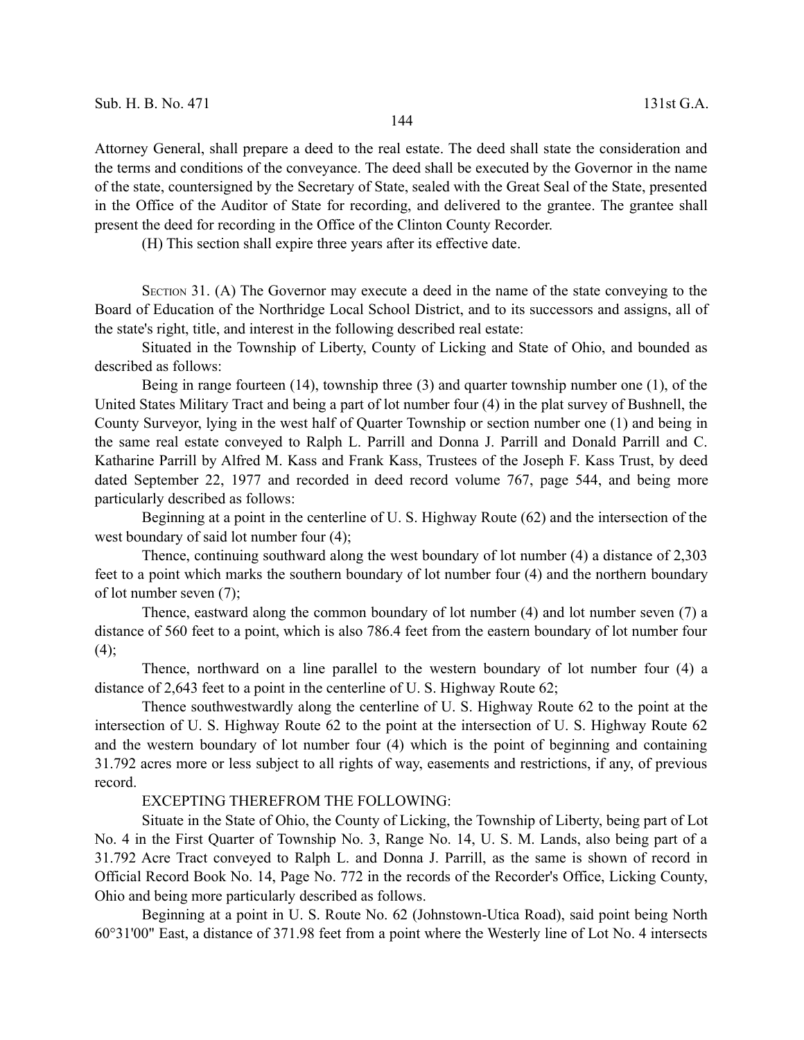Attorney General, shall prepare a deed to the real estate. The deed shall state the consideration and the terms and conditions of the conveyance. The deed shall be executed by the Governor in the name of the state, countersigned by the Secretary of State, sealed with the Great Seal of the State, presented in the Office of the Auditor of State for recording, and delivered to the grantee. The grantee shall present the deed for recording in the Office of the Clinton County Recorder.

(H) This section shall expire three years after its effective date.

SECTION 31. (A) The Governor may execute a deed in the name of the state conveying to the Board of Education of the Northridge Local School District, and to its successors and assigns, all of the state's right, title, and interest in the following described real estate:

Situated in the Township of Liberty, County of Licking and State of Ohio, and bounded as described as follows:

Being in range fourteen (14), township three (3) and quarter township number one (1), of the United States Military Tract and being a part of lot number four (4) in the plat survey of Bushnell, the County Surveyor, lying in the west half of Quarter Township or section number one (1) and being in the same real estate conveyed to Ralph L. Parrill and Donna J. Parrill and Donald Parrill and C. Katharine Parrill by Alfred M. Kass and Frank Kass, Trustees of the Joseph F. Kass Trust, by deed dated September 22, 1977 and recorded in deed record volume 767, page 544, and being more particularly described as follows:

Beginning at a point in the centerline of U. S. Highway Route (62) and the intersection of the west boundary of said lot number four  $(4)$ ;

Thence, continuing southward along the west boundary of lot number (4) a distance of 2,303 feet to a point which marks the southern boundary of lot number four (4) and the northern boundary of lot number seven (7);

Thence, eastward along the common boundary of lot number (4) and lot number seven (7) a distance of 560 feet to a point, which is also 786.4 feet from the eastern boundary of lot number four  $(4);$ 

Thence, northward on a line parallel to the western boundary of lot number four (4) a distance of 2,643 feet to a point in the centerline of U. S. Highway Route 62;

Thence southwestwardly along the centerline of U. S. Highway Route 62 to the point at the intersection of U. S. Highway Route 62 to the point at the intersection of U. S. Highway Route 62 and the western boundary of lot number four (4) which is the point of beginning and containing 31.792 acres more or less subject to all rights of way, easements and restrictions, if any, of previous record.

## EXCEPTING THEREFROM THE FOLLOWING:

Situate in the State of Ohio, the County of Licking, the Township of Liberty, being part of Lot No. 4 in the First Quarter of Township No. 3, Range No. 14, U. S. M. Lands, also being part of a 31.792 Acre Tract conveyed to Ralph L. and Donna J. Parrill, as the same is shown of record in Official Record Book No. 14, Page No. 772 in the records of the Recorder's Office, Licking County, Ohio and being more particularly described as follows.

Beginning at a point in U. S. Route No. 62 (Johnstown-Utica Road), said point being North 60°31'00" East, a distance of 371.98 feet from a point where the Westerly line of Lot No. 4 intersects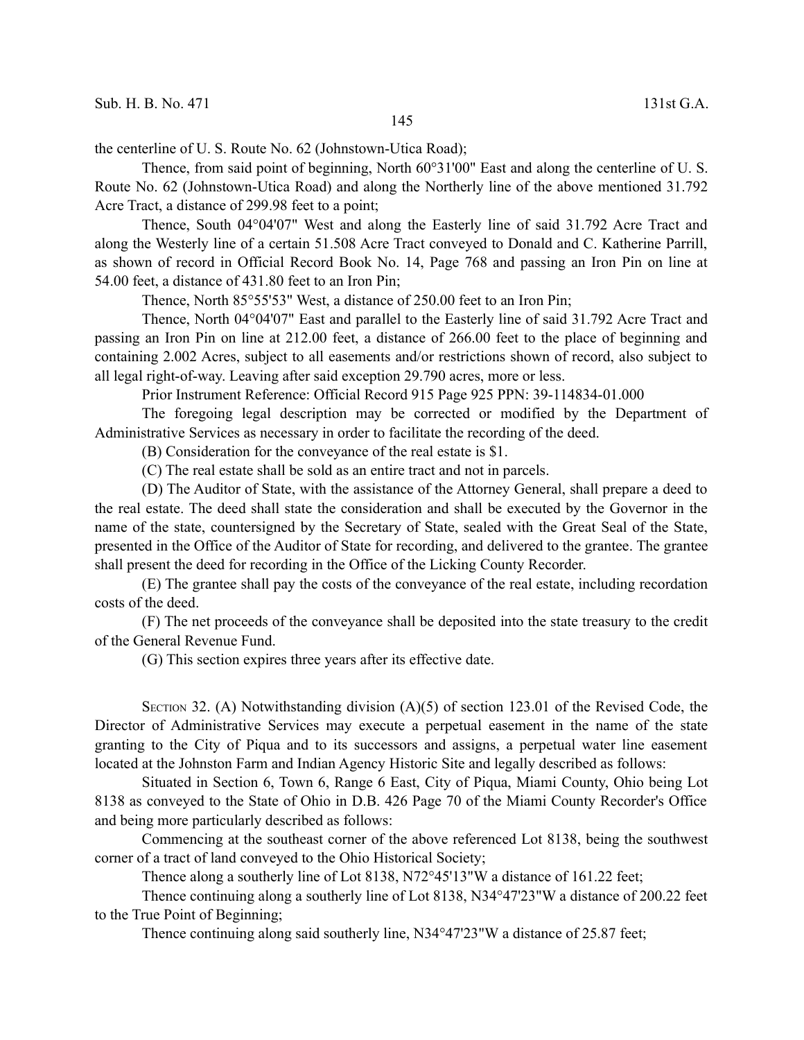the centerline of U. S. Route No. 62 (Johnstown-Utica Road);

Thence, from said point of beginning, North 60°31'00" East and along the centerline of U. S. Route No. 62 (Johnstown-Utica Road) and along the Northerly line of the above mentioned 31.792 Acre Tract, a distance of 299.98 feet to a point;

Thence, South 04°04'07" West and along the Easterly line of said 31.792 Acre Tract and along the Westerly line of a certain 51.508 Acre Tract conveyed to Donald and C. Katherine Parrill, as shown of record in Official Record Book No. 14, Page 768 and passing an Iron Pin on line at 54.00 feet, a distance of 431.80 feet to an Iron Pin;

Thence, North 85°55'53" West, a distance of 250.00 feet to an Iron Pin;

Thence, North 04°04'07" East and parallel to the Easterly line of said 31.792 Acre Tract and passing an Iron Pin on line at 212.00 feet, a distance of 266.00 feet to the place of beginning and containing 2.002 Acres, subject to all easements and/or restrictions shown of record, also subject to all legal right-of-way. Leaving after said exception 29.790 acres, more or less.

Prior Instrument Reference: Official Record 915 Page 925 PPN: 39-114834-01.000

The foregoing legal description may be corrected or modified by the Department of Administrative Services as necessary in order to facilitate the recording of the deed.

(B) Consideration for the conveyance of the real estate is \$1.

(C) The real estate shall be sold as an entire tract and not in parcels.

(D) The Auditor of State, with the assistance of the Attorney General, shall prepare a deed to the real estate. The deed shall state the consideration and shall be executed by the Governor in the name of the state, countersigned by the Secretary of State, sealed with the Great Seal of the State, presented in the Office of the Auditor of State for recording, and delivered to the grantee. The grantee shall present the deed for recording in the Office of the Licking County Recorder.

(E) The grantee shall pay the costs of the conveyance of the real estate, including recordation costs of the deed.

(F) The net proceeds of the conveyance shall be deposited into the state treasury to the credit of the General Revenue Fund.

(G) This section expires three years after its effective date.

SECTION 32. (A) Notwithstanding division (A)(5) of section 123.01 of the Revised Code, the Director of Administrative Services may execute a perpetual easement in the name of the state granting to the City of Piqua and to its successors and assigns, a perpetual water line easement located at the Johnston Farm and Indian Agency Historic Site and legally described as follows:

Situated in Section 6, Town 6, Range 6 East, City of Piqua, Miami County, Ohio being Lot 8138 as conveyed to the State of Ohio in D.B. 426 Page 70 of the Miami County Recorder's Office and being more particularly described as follows:

Commencing at the southeast corner of the above referenced Lot 8138, being the southwest corner of a tract of land conveyed to the Ohio Historical Society;

Thence along a southerly line of Lot 8138, N72°45'13"W a distance of 161.22 feet;

Thence continuing along a southerly line of Lot 8138, N34°47'23"W a distance of 200.22 feet to the True Point of Beginning;

Thence continuing along said southerly line, N34°47'23"W a distance of 25.87 feet;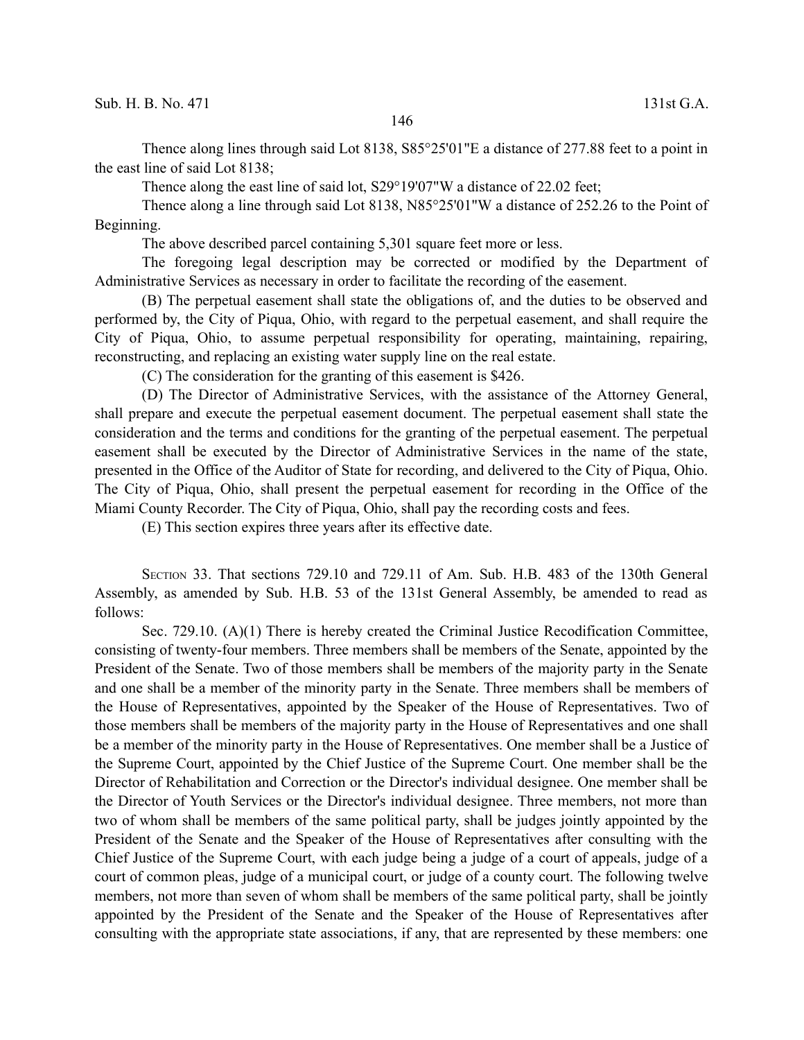Thence along lines through said Lot 8138, S85°25'01"E a distance of 277.88 feet to a point in the east line of said Lot 8138;

Thence along the east line of said lot, S29°19'07"W a distance of 22.02 feet;

Thence along a line through said Lot 8138, N85°25'01"W a distance of 252.26 to the Point of Beginning.

The above described parcel containing 5,301 square feet more or less.

The foregoing legal description may be corrected or modified by the Department of Administrative Services as necessary in order to facilitate the recording of the easement.

(B) The perpetual easement shall state the obligations of, and the duties to be observed and performed by, the City of Piqua, Ohio, with regard to the perpetual easement, and shall require the City of Piqua, Ohio, to assume perpetual responsibility for operating, maintaining, repairing, reconstructing, and replacing an existing water supply line on the real estate.

(C) The consideration for the granting of this easement is \$426.

(D) The Director of Administrative Services, with the assistance of the Attorney General, shall prepare and execute the perpetual easement document. The perpetual easement shall state the consideration and the terms and conditions for the granting of the perpetual easement. The perpetual easement shall be executed by the Director of Administrative Services in the name of the state, presented in the Office of the Auditor of State for recording, and delivered to the City of Piqua, Ohio. The City of Piqua, Ohio, shall present the perpetual easement for recording in the Office of the Miami County Recorder. The City of Piqua, Ohio, shall pay the recording costs and fees.

(E) This section expires three years after its effective date.

SECTION 33. That sections 729.10 and 729.11 of Am. Sub. H.B. 483 of the 130th General Assembly, as amended by Sub. H.B. 53 of the 131st General Assembly, be amended to read as follows:

Sec. 729.10. (A)(1) There is hereby created the Criminal Justice Recodification Committee, consisting of twenty-four members. Three members shall be members of the Senate, appointed by the President of the Senate. Two of those members shall be members of the majority party in the Senate and one shall be a member of the minority party in the Senate. Three members shall be members of the House of Representatives, appointed by the Speaker of the House of Representatives. Two of those members shall be members of the majority party in the House of Representatives and one shall be a member of the minority party in the House of Representatives. One member shall be a Justice of the Supreme Court, appointed by the Chief Justice of the Supreme Court. One member shall be the Director of Rehabilitation and Correction or the Director's individual designee. One member shall be the Director of Youth Services or the Director's individual designee. Three members, not more than two of whom shall be members of the same political party, shall be judges jointly appointed by the President of the Senate and the Speaker of the House of Representatives after consulting with the Chief Justice of the Supreme Court, with each judge being a judge of a court of appeals, judge of a court of common pleas, judge of a municipal court, or judge of a county court. The following twelve members, not more than seven of whom shall be members of the same political party, shall be jointly appointed by the President of the Senate and the Speaker of the House of Representatives after consulting with the appropriate state associations, if any, that are represented by these members: one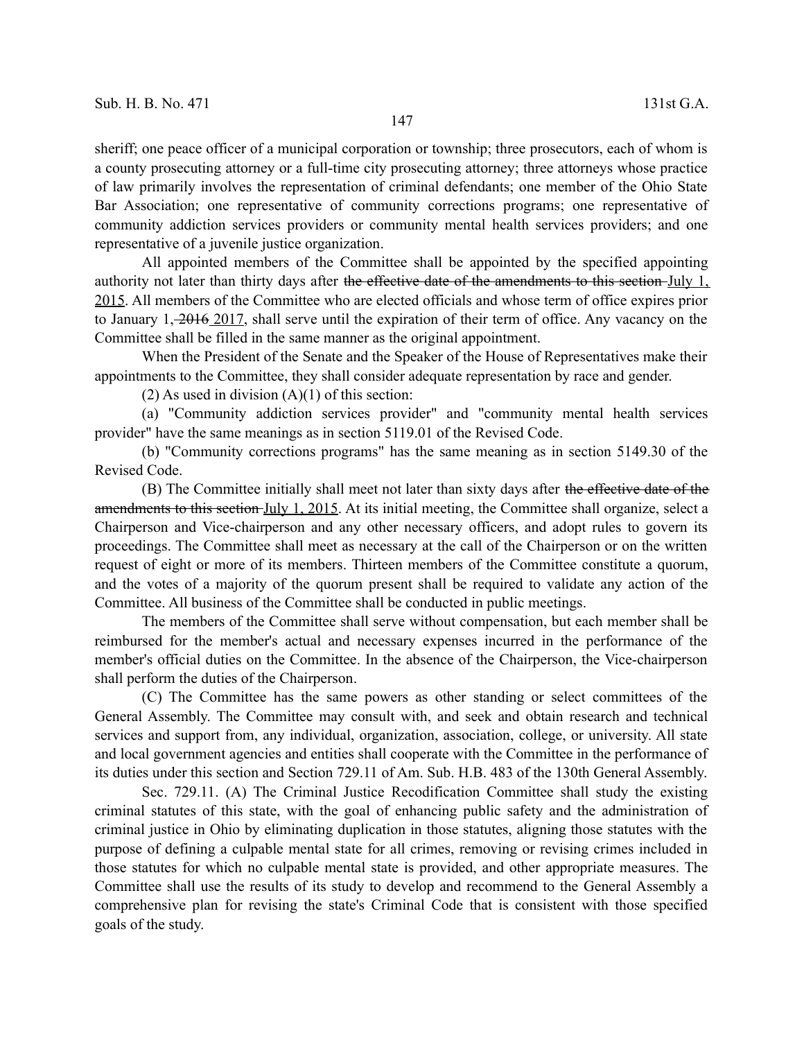sheriff; one peace officer of a municipal corporation or township; three prosecutors, each of whom is a county prosecuting attorney or a full-time city prosecuting attorney; three attorneys whose practice of law primarily involves the representation of criminal defendants; one member of the Ohio State Bar Association; one representative of community corrections programs; one representative of community addiction services providers or community mental health services providers; and one representative of a juvenile justice organization.

All appointed members of the Committee shall be appointed by the specified appointing authority not later than thirty days after the effective date of the amendments to this section July 1, 2015. All members of the Committee who are elected officials and whose term of office expires prior to January 1, 2016 2017, shall serve until the expiration of their term of office. Any vacancy on the Committee shall be filled in the same manner as the original appointment.

When the President of the Senate and the Speaker of the House of Representatives make their appointments to the Committee, they shall consider adequate representation by race and gender.

 $(2)$  As used in division  $(A)(1)$  of this section:

(a) "Community addiction services provider" and "community mental health services provider" have the same meanings as in section 5119.01 of the Revised Code.

(b) "Community corrections programs" has the same meaning as in section 5149.30 of the Revised Code.

(B) The Committee initially shall meet not later than sixty days after the effective date of the amendments to this section July 1, 2015. At its initial meeting, the Committee shall organize, select a Chairperson and Vice-chairperson and any other necessary officers, and adopt rules to govern its proceedings. The Committee shall meet as necessary at the call of the Chairperson or on the written request of eight or more of its members. Thirteen members of the Committee constitute a quorum, and the votes of a majority of the quorum present shall be required to validate any action of the Committee. All business of the Committee shall be conducted in public meetings.

The members of the Committee shall serve without compensation, but each member shall be reimbursed for the member's actual and necessary expenses incurred in the performance of the member's official duties on the Committee. In the absence of the Chairperson, the Vice-chairperson shall perform the duties of the Chairperson.

(C) The Committee has the same powers as other standing or select committees of the General Assembly. The Committee may consult with, and seek and obtain research and technical services and support from, any individual, organization, association, college, or university. All state and local government agencies and entities shall cooperate with the Committee in the performance of its duties under this section and Section 729.11 of Am. Sub. H.B. 483 of the 130th General Assembly.

Sec. 729.11. (A) The Criminal Justice Recodification Committee shall study the existing criminal statutes of this state, with the goal of enhancing public safety and the administration of criminal justice in Ohio by eliminating duplication in those statutes, aligning those statutes with the purpose of defining a culpable mental state for all crimes, removing or revising crimes included in those statutes for which no culpable mental state is provided, and other appropriate measures. The Committee shall use the results of its study to develop and recommend to the General Assembly a comprehensive plan for revising the state's Criminal Code that is consistent with those specified goals of the study.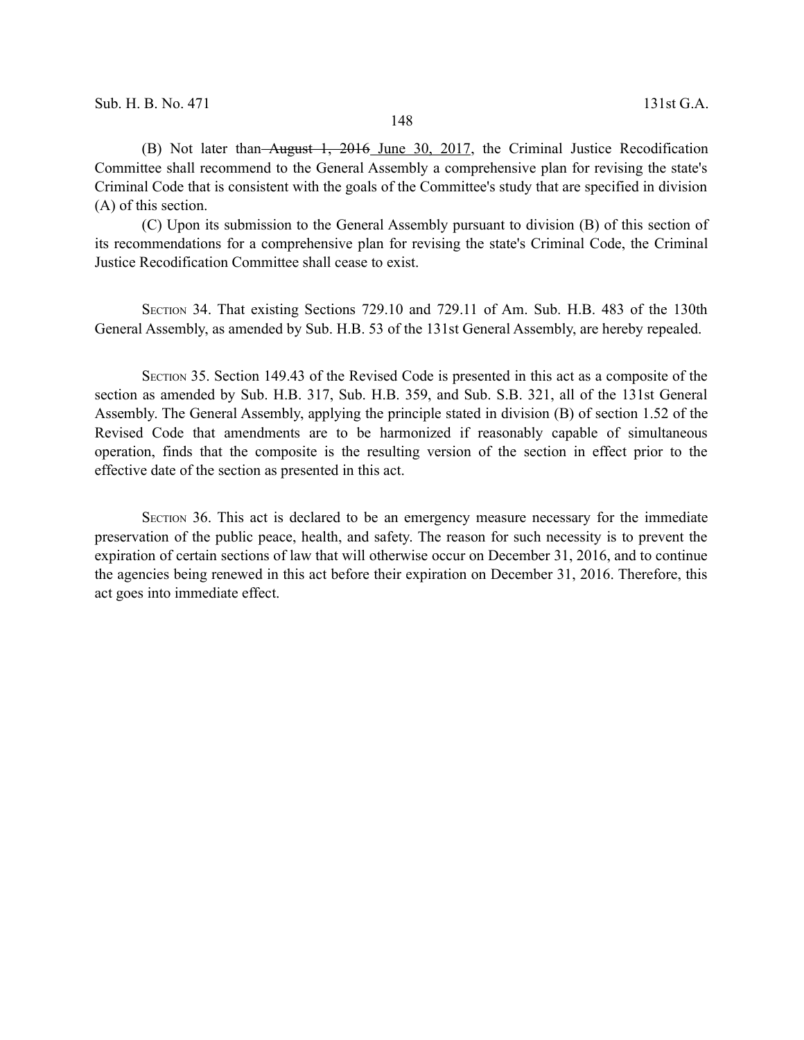(B) Not later than August 1, 2016 June 30, 2017, the Criminal Justice Recodification Committee shall recommend to the General Assembly a comprehensive plan for revising the state's Criminal Code that is consistent with the goals of the Committee's study that are specified in division (A) of this section.

(C) Upon its submission to the General Assembly pursuant to division (B) of this section of its recommendations for a comprehensive plan for revising the state's Criminal Code, the Criminal Justice Recodification Committee shall cease to exist.

SECTION 34. That existing Sections 729.10 and 729.11 of Am. Sub. H.B. 483 of the 130th General Assembly, as amended by Sub. H.B. 53 of the 131st General Assembly, are hereby repealed.

SECTION 35. Section 149.43 of the Revised Code is presented in this act as a composite of the section as amended by Sub. H.B. 317, Sub. H.B. 359, and Sub. S.B. 321, all of the 131st General Assembly. The General Assembly, applying the principle stated in division (B) of section 1.52 of the Revised Code that amendments are to be harmonized if reasonably capable of simultaneous operation, finds that the composite is the resulting version of the section in effect prior to the effective date of the section as presented in this act.

SECTION 36. This act is declared to be an emergency measure necessary for the immediate preservation of the public peace, health, and safety. The reason for such necessity is to prevent the expiration of certain sections of law that will otherwise occur on December 31, 2016, and to continue the agencies being renewed in this act before their expiration on December 31, 2016. Therefore, this act goes into immediate effect.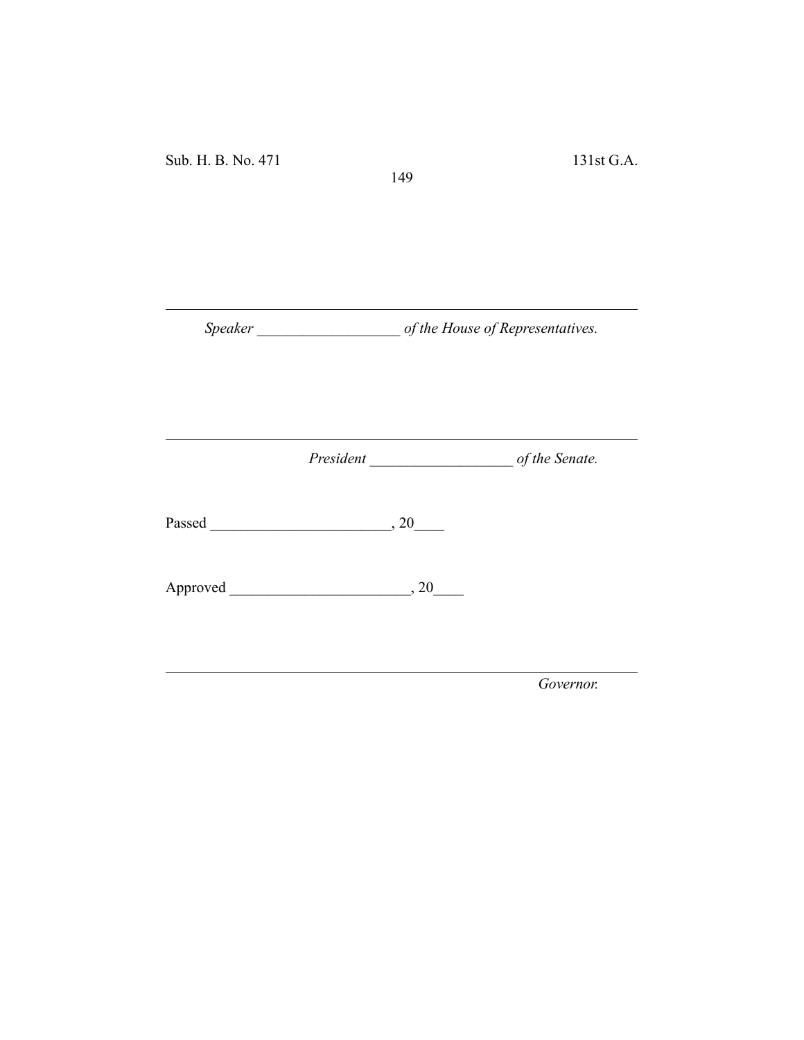Sub. H. B. No. 471 131st G.A.

*Speaker \_\_\_\_\_\_\_\_\_\_\_\_\_\_\_\_\_\_\_ of the House of Representatives.*

149

*President \_\_\_\_\_\_\_\_\_\_\_\_\_\_\_\_\_\_\_ of the Senate.*

Passed \_\_\_\_\_\_\_\_\_\_\_\_\_\_\_\_\_\_\_\_\_\_\_\_, 20\_\_\_\_

Approved \_\_\_\_\_\_\_\_\_\_\_\_\_\_\_\_\_\_\_\_\_\_\_\_, 20\_\_\_\_

*Governor.*